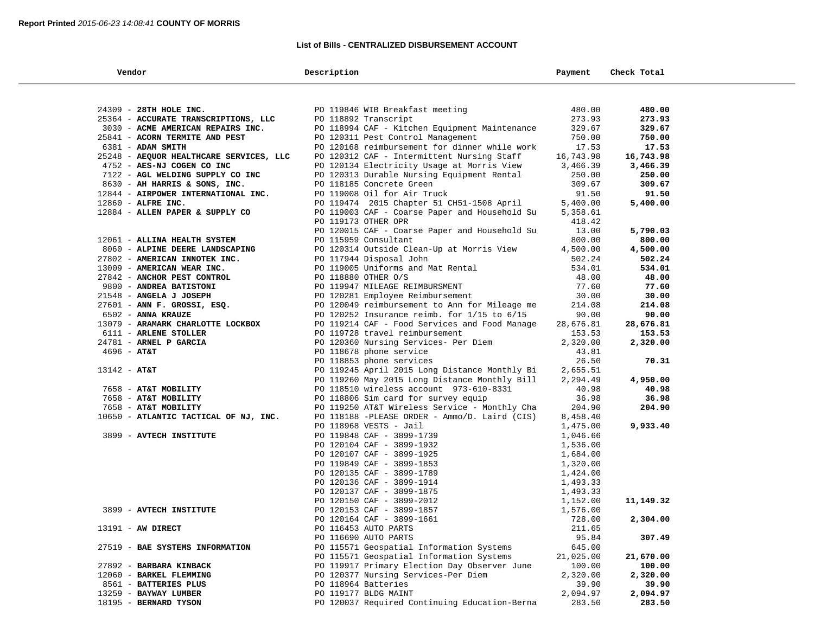## **List of Bills - CENTRALIZED DISBURSEMENT ACCOUNT**

| Vendor                                  | Description                                            | Payment              | Check Total |
|-----------------------------------------|--------------------------------------------------------|----------------------|-------------|
|                                         |                                                        |                      |             |
| 24309 - 28TH HOLE INC.                  | PO 119846 WIB Breakfast meeting                        | 480.00               | 480.00      |
| 25364 - ACCURATE TRANSCRIPTIONS, LLC    | PO 118892 Transcript                                   | 273.93               | 273.93      |
| 3030 - ACME AMERICAN REPAIRS INC.       | PO 118994 CAF - Kitchen Equipment Maintenance          | 329.67               | 329.67      |
| 25841 - ACORN TERMITE AND PEST          | PO 120311 Pest Control Management                      | 750.00               | 750.00      |
| 6381 - ADAM SMITH                       | PO 120168 reimbursement for dinner while work          | 17.53                | 17.53       |
| 25248 - AEQUOR HEALTHCARE SERVICES, LLC | PO 120312 CAF - Intermittent Nursing Staff             | 16,743.98            | 16,743.98   |
| 4752 - AES-NJ COGEN CO INC              | PO 120134 Electricity Usage at Morris View             | 3,466.39             | 3,466.39    |
| 7122 - AGL WELDING SUPPLY CO INC        | PO 120313 Durable Nursing Equipment Rental             | 250.00               | 250.00      |
| 8630 - AH HARRIS & SONS, INC.           | PO 118185 Concrete Green                               | 309.67               | 309.67      |
| 12844 - AIRPOWER INTERNATIONAL INC.     | PO 119008 Oil for Air Truck                            | 91.50                | 91.50       |
| 12860 - ALFRE INC.                      | PO 119474 2015 Chapter 51 CH51-1508 April              | 5,400.00             | 5,400.00    |
| 12884 - ALLEN PAPER & SUPPLY CO         | PO 119003 CAF - Coarse Paper and Household Su          | 5,358.61             |             |
|                                         | PO 119173 OTHER OPR                                    | 418.42               |             |
|                                         | PO 120015 CAF - Coarse Paper and Household Su          | 13.00                | 5,790.03    |
| 12061 - ALLINA HEALTH SYSTEM            | PO 115959 Consultant                                   | 800.00               | 800.00      |
| 8060 - ALPINE DEERE LANDSCAPING         | PO 120314 Outside Clean-Up at Morris View              | 4,500.00             | 4,500.00    |
| 27802 - AMERICAN INNOTEK INC.           | PO 117944 Disposal John                                | 502.24               | 502.24      |
| 13009 - AMERICAN WEAR INC.              | PO 119005 Uniforms and Mat Rental                      | 534.01               | 534.01      |
| 27842 - ANCHOR PEST CONTROL             | PO 118880 OTHER O/S                                    | 48.00                | 48.00       |
| 9800 - ANDREA BATISTONI                 | PO 119947 MILEAGE REIMBURSMENT                         | 77.60                | 77.60       |
| 21548 - ANGELA J JOSEPH                 | PO 120281 Employee Reimbursement                       | 30.00                | 30.00       |
| 27601 - ANN F. GROSSI, ESQ.             | PO 120049 reimbursement to Ann for Mileage me          | 214.08               | 214.08      |
| 6502 - ANNA KRAUZE                      | PO 120252 Insurance reimb. for $1/15$ to $6/15$        | 90.00                | 90.00       |
| 13079 - ARAMARK CHARLOTTE LOCKBOX       | PO 119214 CAF - Food Services and Food Manage          | 28,676.81            | 28,676.81   |
| 6111 - ARLENE STOLLER                   | PO 119728 travel reimbursement                         | 153.53               | 153.53      |
| 24781 - ARNEL P GARCIA                  | PO 120360 Nursing Services- Per Diem                   | 2,320.00             | 2,320.00    |
| $4696 - AT&T$                           | PO 118678 phone service                                | 43.81                |             |
|                                         | PO 118853 phone services                               | 26.50                | 70.31       |
| $13142 - AT&T$                          | PO 119245 April 2015 Long Distance Monthly Bi          | 2,655.51             |             |
|                                         | PO 119260 May 2015 Long Distance Monthly Bill          | 2,294.49             | 4,950.00    |
| 7658 - AT&T MOBILITY                    | PO 118510 wireless account 973-610-8331                | 40.98                | 40.98       |
| 7658 - AT&T MOBILITY                    | PO 118806 Sim card for survey equip                    | 36.98                | 36.98       |
| 7658 - AT&T MOBILITY                    | PO 119250 AT&T Wireless Service - Monthly Cha          | 204.90               | 204.90      |
| 10650 - ATLANTIC TACTICAL OF NJ, INC.   | PO 118188 -PLEASE ORDER - Ammo/D. Laird (CIS)          | 8,458.40             |             |
|                                         | PO 118968 VESTS - Jail                                 | 1,475.00             | 9,933.40    |
| 3899 - AVTECH INSTITUTE                 | PO 119848 CAF - 3899-1739                              | 1,046.66             |             |
|                                         | PO 120104 CAF - 3899-1932                              | 1,536.00             |             |
|                                         | PO 120107 CAF - 3899-1925<br>PO 119849 CAF - 3899-1853 | 1,684.00             |             |
|                                         |                                                        | 1,320.00             |             |
|                                         | PO 120135 CAF - 3899-1789<br>PO 120136 CAF - 3899-1914 | 1,424.00<br>1,493.33 |             |
|                                         | PO 120137 CAF - 3899-1875                              | 1,493.33             |             |
|                                         | PO 120150 CAF - 3899-2012                              | 1,152.00             | 11,149.32   |
| 3899 - AVTECH INSTITUTE                 | PO 120153 CAF - 3899-1857                              | 1,576.00             |             |
|                                         | PO 120164 CAF - 3899-1661                              | 728.00               | 2,304.00    |
| 13191 - AW DIRECT                       | PO 116453 AUTO PARTS                                   | 211.65               |             |
|                                         | PO 116690 AUTO PARTS                                   | 95.84                | 307.49      |
| 27519 - BAE SYSTEMS INFORMATION         | PO 115571 Geospatial Information Systems               | 645.00               |             |
|                                         | PO 115571 Geospatial Information Systems               | 21,025.00            | 21,670.00   |
| 27892 - BARBARA KINBACK                 | PO 119917 Primary Election Day Observer June           | 100.00               | 100.00      |
| 12060 - BARKEL FLEMMING                 | PO 120377 Nursing Services-Per Diem                    | 2,320.00             | 2,320.00    |
| 8561 - BATTERIES PLUS                   | PO 118964 Batteries                                    | 39.90                | 39.90       |
| 13259 - BAYWAY LUMBER                   | PO 119177 BLDG MAINT                                   | 2,094.97             | 2,094.97    |
| 18195 - BERNARD TYSON                   | PO 120037 Required Continuing Education-Berna          | 283.50               | 283.50      |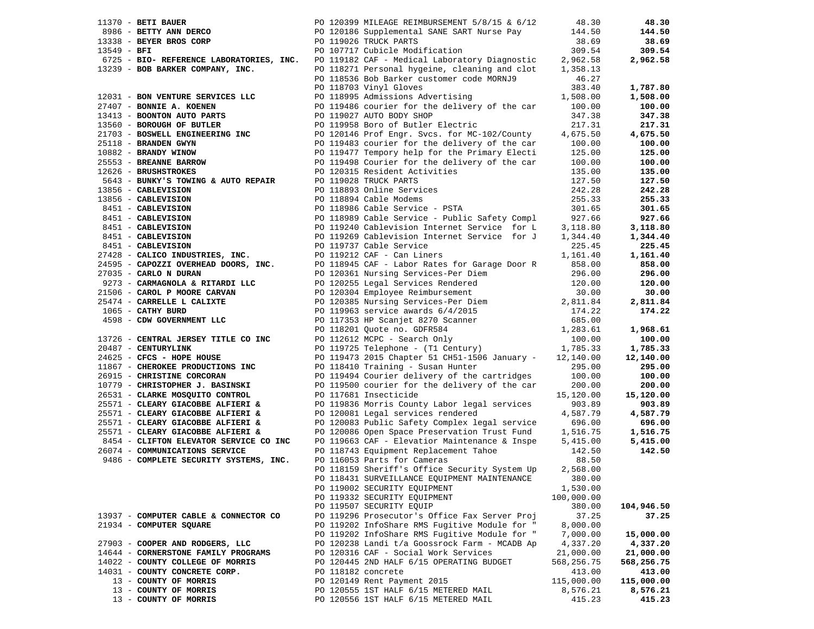|             | $11370$ - BETI BAUER                                                                                                              | PO 120399 MILEAGE REIMBURSEMENT 5/8/15 & 6/12                                               | 48.30               | 48.30              |
|-------------|-----------------------------------------------------------------------------------------------------------------------------------|---------------------------------------------------------------------------------------------|---------------------|--------------------|
|             | 8986 - BETTY ANN DERCO                                                                                                            | PO 120186 Supplemental SANE SART Nurse Pay                                                  | 144.50              | 144.50             |
|             | 13338 - BEYER BROS CORP                                                                                                           | PO 119026 TRUCK PARTS                                                                       | 38.69               | 38.69              |
| 13549 - BFI |                                                                                                                                   | PO 107717 Cubicle Modification                                                              | 309.54              | 309.54             |
|             |                                                                                                                                   | 6725 - BIO- REFERENCE LABORATORIES, INC. PO 119182 CAF - Medical Laboratory Diagnostic      | 2,962.58            | 2,962.58           |
|             | 13239 - BOB BARKER COMPANY, INC.                                                                                                  | PO 118271 Personal hygeine, cleaning and clot                                               | 1,358.13            |                    |
|             |                                                                                                                                   | PO 118536 Bob Barker customer code MORNJ9                                                   | 46.27               |                    |
|             |                                                                                                                                   | PO 118703 Vinyl Gloves                                                                      | 383.40              | 1,787.80           |
|             | 12031 - BON VENTURE SERVICES LLC                                                                                                  | PO 118995 Admissions Advertising                                                            | 1,508.00            | 1,508.00           |
|             | 27407 - BONNIE A. KOENEN                                                                                                          | PO 119486 courier for the delivery of the car                                               | 100.00              | 100.00             |
|             | 13413 - BOONTON AUTO PARTS                                                                                                        | PO 119027 AUTO BODY SHOP                                                                    | 347.38              | 347.38             |
|             | 13560 - BOROUGH OF BUTLER                                                                                                         | PO 119958 Boro of Butler Electric                                                           | 217.31              | 217.31             |
|             |                                                                                                                                   | PO 120146 Prof Engr. Svcs. for MC-102/County                                                | 4,675.50            | 4,675.50           |
|             | 21703 - BOSWELL ENGINEERING INC<br>25118 - BRANDEN GWYN                                                                           | PO 119483 courier for the delivery of the car                                               | 100.00              | 100.00             |
|             |                                                                                                                                   | PO 119477 Tempory help for the Primary Electi                                               | 125.00              | 125.00             |
|             | 10882 - BRANDY WINOW<br>25553 - BREANNE BARROW<br>EXECUTIVES                                                                      | PO 119498 Courier for the delivery of the car                                               | 100.00              | 100.00             |
|             |                                                                                                                                   | PO 120315 Resident Activities                                                               | 135.00              | 135.00             |
|             | 5643 - BUNKY'S TOWING & AUTO REPAIR                                                                                               | PO 119028 TRUCK PARTS                                                                       | 127.50              | 127.50             |
|             | 13856 - CABLEVISION                                                                                                               | PO 118893 Online Services                                                                   | 242.28              | 242.28             |
|             |                                                                                                                                   | PO 118894 Cable Modems                                                                      | 255.33              | 255.33             |
|             | 13856 - CABLEVISION<br>8451 - CABLEVISION<br>8451 - CABLEVISION<br>8451 - CABLEVISION<br>8451 - CABLEVISION<br>8451 - CABLEVISION | PO 118986 Cable Service - PSTA                                                              | 301.65              | 301.65             |
|             |                                                                                                                                   | PO 118989 Cable Service - Public Safety Compl 927.66                                        |                     | 927.66             |
|             |                                                                                                                                   | PO 119240 Cablevision Internet Service for L                                                | 3,118.80            | 3,118.80           |
|             |                                                                                                                                   | PO 119269 Cablevision Internet Service for J                                                | 1,344.40            | 1,344.40           |
|             |                                                                                                                                   | PO 119737 Cable Service                                                                     | 225.45              | 225.45             |
|             | 27428 - CALICO INDUSTRIES, INC. PO 119212 CAF - Can Liners                                                                        |                                                                                             | 1,161.40            | 1,161.40           |
|             | 24595 - CAPOZZI OVERHEAD DOORS, INC.                                                                                              |                                                                                             |                     | 858.00             |
|             | 27035 - CARLO N DURAN                                                                                                             | PO 118945 CAF - Labor Rates for Garage Door R 858.00<br>PO 120361 Nursing Services-Per Diem | 296.00              | 296.00             |
|             | 9273 - CARMAGNOLA & RITARDI LLC                                                                                                   |                                                                                             | 120.00              | 120.00             |
|             | 21506 - CAROL P MOORE CARVAN                                                                                                      | PO 120255 Legal Services Rendered<br>PO 120304 Employee Reimbursement                       | 30.00               | 30.00              |
|             | 25474 - CARRELLE L CALIXTE                                                                                                        |                                                                                             | 2,811.84            |                    |
|             | 1065 - CATHY BURD                                                                                                                 | PO 120385 Nursing Services-Per Diem<br>PO 119963 service awards 6/4/2015                    | 174.22              | 2,811.84<br>174.22 |
|             | 4598 - CDW GOVERNMENT LLC                                                                                                         |                                                                                             | 685.00              |                    |
|             |                                                                                                                                   | PO 119963 service awards v/ 1/2021<br>PO 117353 HP Scanjet 8270 Scanner                     | 1,283.61            | 1,968.61           |
|             | 13726 - CENTRAL JERSEY TITLE CO INC                                                                                               |                                                                                             |                     | 100.00             |
|             | 20487 - CENTURYLINK                                                                                                               | PO 112612 MCPC - Search Only<br>PO 119725 Telephone - (T1 Century) 1,785.33                 |                     | 1,785.33           |
|             | 24625 - CFCS - HOPE HOUSE                                                                                                         | PO 119473 2015 Chapter 51 CH51-1506 January - 12,140.00                                     |                     | 12,140.00          |
|             | 11867 - CHEROKEE PRODUCTIONS INC                                                                                                  | PO 118410 Training - Susan Hunter                                                           | 295.00              | 295.00             |
|             | 26915 - CHRISTINE CORCORAN                                                                                                        | PO 119494 Courier delivery of the cartridges                                                | 100.00              | 100.00             |
|             | 10779 - CHRISTOPHER J. BASINSKI                                                                                                   | PO 119500 courier for the delivery of the car                                               | 200.00              | 200.00             |
|             | 26531 - CLARKE MOSQUITO CONTROL                                                                                                   | PO 117681 Insecticide                                                                       |                     | 15,120.00          |
|             |                                                                                                                                   |                                                                                             | 15,120.00<br>903.89 | 903.89             |
|             | 25571 - CLEARY GIACOBBE ALFIERI &                                                                                                 | PO 119836 Morris County Labor legal services                                                |                     |                    |
|             | 25571 - CLEARY GIACOBBE ALFIERI &<br>25571 - CLEARY GIACOBBE ALFIERI &                                                            | PO 120081 Legal services rendered                                                           | 4,587.79            | 4,587.79           |
|             |                                                                                                                                   | PO 120083 Public Safety Complex legal service                                               | 696.00              | 696.00             |
|             | 25571 - CLEARY GIACOBBE ALFIERI &                                                                                                 | PO 120086 Open Space Preservation Trust Fund                                                | 1,516.75            | 1,516.75           |
|             | 8454 - CLIFTON ELEVATOR SERVICE CO INC                                                                                            | PO 119663 CAF - Elevatior Maintenance & Inspe                                               | 5,415.00            | 5,415.00           |
|             | 26074 - COMMUNICATIONS SERVICE                                                                                                    | PO 118743 Equipment Replacement Tahoe                                                       | 142.50              | 142.50             |
|             | 9486 - COMPLETE SECURITY SYSTEMS, INC.                                                                                            | PO 116053 Parts for Cameras                                                                 | 88.50               |                    |
|             |                                                                                                                                   | PO 118159 Sheriff's Office Security System Up                                               | 2,568.00            |                    |
|             |                                                                                                                                   | PO 118431 SURVEILLANCE EQUIPMENT MAINTENANCE 380.00                                         |                     |                    |
|             |                                                                                                                                   | PO 119002 SECURITY EQUIPMENT                                                                | 1,530.00            |                    |
|             |                                                                                                                                   | PO 119332 SECURITY EQUIPMENT                                                                | 100,000.00          |                    |
|             |                                                                                                                                   | PO 119507 SECURITY EQUIP                                                                    | 380.00              | 104,946.50         |
|             | 13937 - COMPUTER CABLE & CONNECTOR CO                                                                                             | PO 119296 Prosecutor's Office Fax Server Proj                                               | 37.25               | 37.25              |
|             | 21934 - COMPUTER SQUARE                                                                                                           | PO 119202 InfoShare RMS Fugitive Module for "                                               | 8,000.00            |                    |
|             |                                                                                                                                   | PO 119202 InfoShare RMS Fugitive Module for "                                               | 7,000.00            | 15,000.00          |
|             | 27903 - COOPER AND RODGERS, LLC                                                                                                   | PO 120238 Landi t/a Goossrock Farm - MCADB Ap                                               | 4,337.20            | 4,337.20           |
|             | 14644 - CORNERSTONE FAMILY PROGRAMS                                                                                               | PO 120316 CAF - Social Work Services                                                        | 21,000.00           | 21,000.00          |
|             | 14022 - COUNTY COLLEGE OF MORRIS                                                                                                  | PO 120445 2ND HALF 6/15 OPERATING BUDGET                                                    | 568,256.75          | 568,256.75         |
|             | 14031 - COUNTY CONCRETE CORP.                                                                                                     | PO 118182 concrete                                                                          | 413.00              | 413.00             |
|             | 13 - COUNTY OF MORRIS                                                                                                             | PO 120149 Rent Payment 2015                                                                 | 115,000.00          | 115,000.00         |
|             | 13 - COUNTY OF MORRIS                                                                                                             | PO 120555 1ST HALF 6/15 METERED MAIL                                                        | 8,576.21            | 8,576.21           |
|             | 13 - COUNTY OF MORRIS                                                                                                             | PO 120556 1ST HALF 6/15 METERED MAIL                                                        | 415.23              | 415.23             |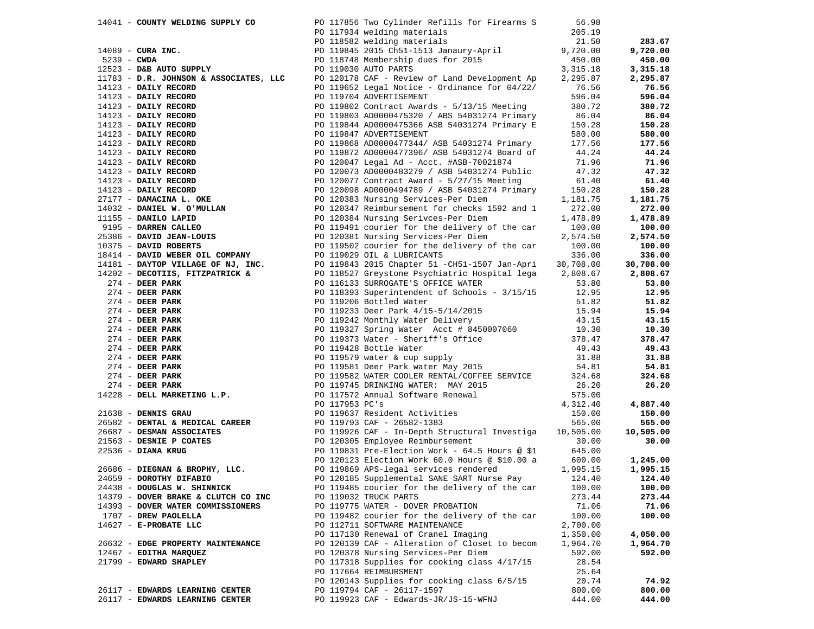| 14041 - COUNTY WELDING SUPPLY CO                                  | PO 117856 Two Cylinder Refills for Firearms S 56.98                                                                                                                                                                                                                                                                                                                                                                                                                                                                                           |          |                 |
|-------------------------------------------------------------------|-----------------------------------------------------------------------------------------------------------------------------------------------------------------------------------------------------------------------------------------------------------------------------------------------------------------------------------------------------------------------------------------------------------------------------------------------------------------------------------------------------------------------------------------------|----------|-----------------|
|                                                                   | PO 117934 welding materials                                                                                                                                                                                                                                                                                                                                                                                                                                                                                                                   | 205.19   |                 |
|                                                                   | PO 118582 welding materials                                                                                                                                                                                                                                                                                                                                                                                                                                                                                                                   | 21.50    | 283.67          |
| $14089$ - CURA INC.                                               |                                                                                                                                                                                                                                                                                                                                                                                                                                                                                                                                               |          | 9,720.00        |
| $5239 - CWDA$                                                     | PO 118582 welding materials<br>PO 119845 2015 Ch51-1513 Janaury-April 9,720.00<br>PO 118748 Membership dues for 2015 (450.00<br>PO 119030 AUTO PARTS (3,315.18                                                                                                                                                                                                                                                                                                                                                                                |          | 450.00          |
| 12523 - D&B AUTO SUPPLY                                           |                                                                                                                                                                                                                                                                                                                                                                                                                                                                                                                                               |          | 3,315.18        |
| 12523 - D&B AUTO SUPPLY<br>11783 - D.R. JOHNSON & ASSOCIATES, LLC | PO 120178 CAF - Review of Land Development Ap 2,295.87                                                                                                                                                                                                                                                                                                                                                                                                                                                                                        |          | 2,295.87        |
|                                                                   | PO 119652 Legal Notice - Ordinance for 04/22/                                                                                                                                                                                                                                                                                                                                                                                                                                                                                                 |          |                 |
| $14123$ - DAILY RECORD                                            |                                                                                                                                                                                                                                                                                                                                                                                                                                                                                                                                               | 76.56    | 76.56           |
|                                                                   |                                                                                                                                                                                                                                                                                                                                                                                                                                                                                                                                               |          | 596.04          |
|                                                                   |                                                                                                                                                                                                                                                                                                                                                                                                                                                                                                                                               |          | 380.72<br>86.04 |
|                                                                   |                                                                                                                                                                                                                                                                                                                                                                                                                                                                                                                                               |          |                 |
|                                                                   |                                                                                                                                                                                                                                                                                                                                                                                                                                                                                                                                               |          | 150.28          |
|                                                                   |                                                                                                                                                                                                                                                                                                                                                                                                                                                                                                                                               |          | 580.00          |
|                                                                   |                                                                                                                                                                                                                                                                                                                                                                                                                                                                                                                                               |          | 177.56          |
|                                                                   |                                                                                                                                                                                                                                                                                                                                                                                                                                                                                                                                               |          | 44.24           |
|                                                                   |                                                                                                                                                                                                                                                                                                                                                                                                                                                                                                                                               |          | 71.96           |
|                                                                   |                                                                                                                                                                                                                                                                                                                                                                                                                                                                                                                                               |          | 47.32           |
|                                                                   |                                                                                                                                                                                                                                                                                                                                                                                                                                                                                                                                               |          | 61.40           |
|                                                                   |                                                                                                                                                                                                                                                                                                                                                                                                                                                                                                                                               |          | 150.28          |
|                                                                   |                                                                                                                                                                                                                                                                                                                                                                                                                                                                                                                                               |          | 1,181.75        |
|                                                                   |                                                                                                                                                                                                                                                                                                                                                                                                                                                                                                                                               |          | 272.00          |
|                                                                   |                                                                                                                                                                                                                                                                                                                                                                                                                                                                                                                                               |          | 1,478.89        |
|                                                                   |                                                                                                                                                                                                                                                                                                                                                                                                                                                                                                                                               |          | 100.00          |
|                                                                   |                                                                                                                                                                                                                                                                                                                                                                                                                                                                                                                                               |          | 2,574.50        |
|                                                                   |                                                                                                                                                                                                                                                                                                                                                                                                                                                                                                                                               |          | 100.00          |
|                                                                   |                                                                                                                                                                                                                                                                                                                                                                                                                                                                                                                                               |          | 336.00          |
|                                                                   | 14123 - D.N. JOHNSON & ASSOCIATES, LLCC 120152 Legal Notice - Drainage for 04/22/35.58<br>14123 - DAILY RECORD PO 119652 Legal Notice - Ordinance for 04/22/35.68<br>14123 - DAILY RECORD PO 119762 Legal Notice - Ordinance for                                                                                                                                                                                                                                                                                                              |          | 30,708.00       |
|                                                                   |                                                                                                                                                                                                                                                                                                                                                                                                                                                                                                                                               |          | 2,808.67        |
|                                                                   |                                                                                                                                                                                                                                                                                                                                                                                                                                                                                                                                               |          | 53.80           |
|                                                                   |                                                                                                                                                                                                                                                                                                                                                                                                                                                                                                                                               |          | 12.95           |
|                                                                   |                                                                                                                                                                                                                                                                                                                                                                                                                                                                                                                                               |          | 51.82           |
|                                                                   |                                                                                                                                                                                                                                                                                                                                                                                                                                                                                                                                               |          | 15.94           |
|                                                                   |                                                                                                                                                                                                                                                                                                                                                                                                                                                                                                                                               |          |                 |
|                                                                   |                                                                                                                                                                                                                                                                                                                                                                                                                                                                                                                                               |          | 43.15           |
|                                                                   |                                                                                                                                                                                                                                                                                                                                                                                                                                                                                                                                               |          | 10.30           |
|                                                                   |                                                                                                                                                                                                                                                                                                                                                                                                                                                                                                                                               |          | 378.47          |
|                                                                   |                                                                                                                                                                                                                                                                                                                                                                                                                                                                                                                                               |          | 49.43           |
|                                                                   |                                                                                                                                                                                                                                                                                                                                                                                                                                                                                                                                               |          | 31.88           |
|                                                                   |                                                                                                                                                                                                                                                                                                                                                                                                                                                                                                                                               |          | 54.81           |
|                                                                   |                                                                                                                                                                                                                                                                                                                                                                                                                                                                                                                                               |          | 324.68          |
|                                                                   |                                                                                                                                                                                                                                                                                                                                                                                                                                                                                                                                               |          | 26.20           |
|                                                                   |                                                                                                                                                                                                                                                                                                                                                                                                                                                                                                                                               |          |                 |
|                                                                   | 1922 - <b>DEXPIRENT PAIRTING AT ANY AND ARRIST OF THE PER PARK REPORT ON A SURPLANT ON A SURPLANT ON A 274 - DERP PARK PO 119305 SURPLANT PAIRT AND 1933 SURPLANT AND 1933 SURPLANT AND 12.95<br/> 274 - DEER PARK PO 119330 SURPLAN</b><br>21638 - <b>DENNIS GRAU</b><br>26582 - <b>DENTAL &amp; MEDICAL CAREER</b><br>26687 - <b>DESMAN ASSOCIATES</b><br>26687 - <b>DESMAN ASSOCIATES</b><br>27536 - <b>DESMAN ASSOCIATES</b><br>27536 - <b>DIEGNAN &amp; BROPHY, LLC.</b><br>26686 - <b>DIEGNAN &amp; BROPHY, LLC.</b><br>26686 - <b></b> |          | 4,887.40        |
|                                                                   |                                                                                                                                                                                                                                                                                                                                                                                                                                                                                                                                               |          | 150.00          |
|                                                                   |                                                                                                                                                                                                                                                                                                                                                                                                                                                                                                                                               |          | 565.00          |
|                                                                   |                                                                                                                                                                                                                                                                                                                                                                                                                                                                                                                                               |          | 10,505.00       |
|                                                                   |                                                                                                                                                                                                                                                                                                                                                                                                                                                                                                                                               |          | 30.00           |
|                                                                   |                                                                                                                                                                                                                                                                                                                                                                                                                                                                                                                                               |          |                 |
|                                                                   |                                                                                                                                                                                                                                                                                                                                                                                                                                                                                                                                               |          | 1,245.00        |
|                                                                   |                                                                                                                                                                                                                                                                                                                                                                                                                                                                                                                                               |          | 1,995.15        |
| 24659 - DOROTHY DIFABIO                                           | PO 120185 Supplemental SANE SART Nurse Pay                                                                                                                                                                                                                                                                                                                                                                                                                                                                                                    | 124.40   | 124.40          |
| 24438 - DOUGLAS W. SHINNICK                                       | PO 119485 courier for the delivery of the car                                                                                                                                                                                                                                                                                                                                                                                                                                                                                                 | 100.00   | 100.00          |
| 14379 - DOVER BRAKE & CLUTCH CO INC                               | PO 119032 TRUCK PARTS                                                                                                                                                                                                                                                                                                                                                                                                                                                                                                                         | 273.44   | 273.44          |
| 14393 - DOVER WATER COMMISSIONERS                                 | PO 119775 WATER - DOVER PROBATION                                                                                                                                                                                                                                                                                                                                                                                                                                                                                                             | 71.06    | 71.06           |
| 1707 - DREW PAOLELLA                                              | PO 119482 courier for the delivery of the car                                                                                                                                                                                                                                                                                                                                                                                                                                                                                                 | 100.00   | 100.00          |
| 14627 - E-PROBATE LLC                                             | PO 112711 SOFTWARE MAINTENANCE                                                                                                                                                                                                                                                                                                                                                                                                                                                                                                                | 2,700.00 |                 |
|                                                                   | PO 117130 Renewal of Cranel Imaging                                                                                                                                                                                                                                                                                                                                                                                                                                                                                                           | 1,350.00 | 4,050.00        |
| 26632 - EDGE PROPERTY MAINTENANCE                                 | PO 120139 CAF - Alteration of Closet to becom                                                                                                                                                                                                                                                                                                                                                                                                                                                                                                 | 1,964.70 | 1,964.70        |
| 12467 - EDITHA MARQUEZ                                            | PO 120378 Nursing Services-Per Diem                                                                                                                                                                                                                                                                                                                                                                                                                                                                                                           | 592.00   | 592.00          |
| 21799 - EDWARD SHAPLEY                                            | PO 117318 Supplies for cooking class 4/17/15                                                                                                                                                                                                                                                                                                                                                                                                                                                                                                  | 28.54    |                 |
|                                                                   | PO 117664 REIMBURSMENT                                                                                                                                                                                                                                                                                                                                                                                                                                                                                                                        | 25.64    |                 |
|                                                                   | PO 120143 Supplies for cooking class 6/5/15                                                                                                                                                                                                                                                                                                                                                                                                                                                                                                   | 20.74    | 74.92           |
| 26117 - EDWARDS LEARNING CENTER                                   | PO 119794 CAF - 26117-1597                                                                                                                                                                                                                                                                                                                                                                                                                                                                                                                    | 800.00   | 800.00          |
| 26117 - EDWARDS LEARNING CENTER                                   | PO 119923 CAF - Edwards-JR/JS-15-WFNJ                                                                                                                                                                                                                                                                                                                                                                                                                                                                                                         | 444.00   | 444.00          |
|                                                                   |                                                                                                                                                                                                                                                                                                                                                                                                                                                                                                                                               |          |                 |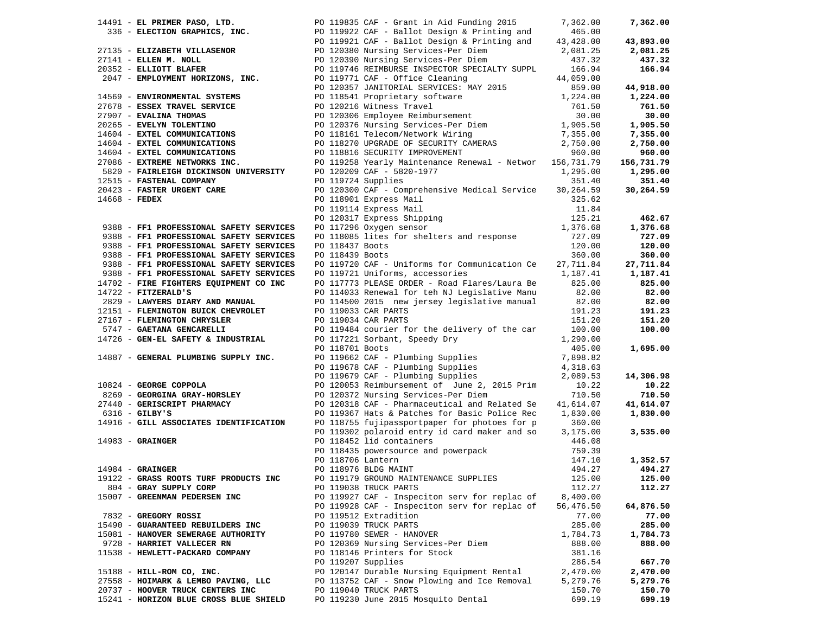|                 | 14491 - EL PRIMER PASO, LTD. PO 119835 CAF - Grant in Aid Funding 2015 |                 |                                                                                                                                                                                                                                          | 7,362.00  | 7,362.00   |
|-----------------|------------------------------------------------------------------------|-----------------|------------------------------------------------------------------------------------------------------------------------------------------------------------------------------------------------------------------------------------------|-----------|------------|
|                 |                                                                        |                 | 336 - ELECTION GRAPHICS, INC.<br>20 119922 CAF - Ballot Design & Printing and<br>20 119921 CAF - Ballot Design & Printing and<br>20 120380 Nursing Services-Per Diem<br>20 120390 Nursing Services-Per Diem<br>20 120390 Nursing Service | 465.00    |            |
|                 |                                                                        |                 |                                                                                                                                                                                                                                          | 43,428.00 | 43,893.00  |
|                 | 27135 - ELIZABETH VILLASENOR                                           |                 |                                                                                                                                                                                                                                          | 2,081.25  | 2,081.25   |
|                 | 27141 - ELLEN M. NOLL                                                  |                 |                                                                                                                                                                                                                                          | 437.32    | 437.32     |
|                 | 20352 - ELLIOTT BLAFER                                                 |                 | PO 119746 REIMBURSE INSPECTOR SPECIALTY SUPPL                                                                                                                                                                                            | 166.94    | 166.94     |
|                 | 2047 - EMPLOYMENT HORIZONS, INC.                                       |                 |                                                                                                                                                                                                                                          |           |            |
|                 |                                                                        |                 | PO 119771 CAF - Office Cleaning                                                                                                                                                                                                          | 44,059.00 |            |
|                 |                                                                        |                 | PO 120357 JANITORIAL SERVICES: MAY 2015                                                                                                                                                                                                  | 859.00    | 44,918.00  |
|                 | 14569 - ENVIRONMENTAL SYSTEMS                                          |                 | PO 118541 Proprietary software                                                                                                                                                                                                           | 1,224.00  | 1,224.00   |
|                 | 27678 - ESSEX TRAVEL SERVICE                                           |                 | PO 120216 Witness Travel<br>PO 120306 Employee Reimbursement                                                                                                                                                                             | 761.50    | 761.50     |
|                 | 27907 - EVALINA THOMAS                                                 |                 |                                                                                                                                                                                                                                          | 30.00     | 30.00      |
|                 | 20265 - EVELYN TOLENTINO                                               |                 | PO 120376 Nursing Services-Per Diem                                                                                                                                                                                                      | 1,905.50  | 1,905.50   |
|                 | 14604 - EXTEL COMMUNICATIONS                                           |                 | PO 120376 Nursing Services-Fer Diem<br>PO 118161 Telecom/Network Wiring<br>Continues Continues                                                                                                                                           | 7,355.00  | 7,355.00   |
|                 | 14604 - EXTEL COMMUNICATIONS                                           |                 | PO 118270 UPGRADE OF SECURITY CAMERAS                                                                                                                                                                                                    | 2,750.00  | 2,750.00   |
|                 | 14604 - EXTEL COMMUNICATIONS                                           |                 | PO 118816 SECURITY IMPROVEMENT                                                                                                                                                                                                           | 960.00    | 960.00     |
|                 | 27086 - EXTREME NETWORKS INC.                                          |                 | PO 119258 Yearly Maintenance Renewal - Networ 156,731.79                                                                                                                                                                                 |           | 156,731.79 |
|                 | 5820 - FAIRLEIGH DICKINSON UNIVERSITY                                  |                 | PO 120209 CAF - 5820-1977                                                                                                                                                                                                                | 1,295.00  | 1,295.00   |
|                 | 12515 - FASTENAL COMPANY                                               |                 | PO 119724 Supplies                                                                                                                                                                                                                       | 351.40    | 351.40     |
|                 | 20423 - FASTER URGENT CARE                                             |                 | PO 120300 CAF - Comprehensive Medical Service                                                                                                                                                                                            | 30,264.59 | 30,264.59  |
|                 |                                                                        |                 |                                                                                                                                                                                                                                          |           |            |
| $14668$ - FEDEX |                                                                        |                 | PO 118901 Express Mail                                                                                                                                                                                                                   | 325.62    |            |
|                 |                                                                        |                 | PO 119114 Express Mail                                                                                                                                                                                                                   | 11.84     |            |
|                 |                                                                        |                 | PO 120317 Express Shipping<br>PO 117296 Oxygen sensor                                                                                                                                                                                    | 125.21    | 462.67     |
|                 | 9388 - FF1 PROFESSIONAL SAFETY SERVICES                                |                 |                                                                                                                                                                                                                                          | 1,376.68  | 1,376.68   |
|                 | 9388 - FF1 PROFESSIONAL SAFETY SERVICES                                |                 | PO 118085 lites for shelters and response                                                                                                                                                                                                | 727.09    | 727.09     |
|                 | 9388 - FF1 PROFESSIONAL SAFETY SERVICES                                | PO 118437 Boots |                                                                                                                                                                                                                                          | 120.00    | 120.00     |
|                 | 9388 - FF1 PROFESSIONAL SAFETY SERVICES                                | PO 118439 Boots |                                                                                                                                                                                                                                          | 360.00    | 360.00     |
|                 | 9388 - FF1 PROFESSIONAL SAFETY SERVICES                                |                 | PO 119720 CAF - Uniforms for Communication Ce 27,711.84                                                                                                                                                                                  |           | 27,711.84  |
|                 | 9388 - FF1 PROFESSIONAL SAFETY SERVICES                                |                 | PO 119721 Uniforms, accessories                                                                                                                                                                                                          | 1,187.41  | 1,187.41   |
|                 | 14702 - FIRE FIGHTERS EQUIPMENT CO INC                                 |                 | PO 117773 PLEASE ORDER - Road Flares/Laura Be                                                                                                                                                                                            | 825.00    | 825.00     |
|                 | $14722$ - FITZERALD'S                                                  |                 | PO 114033 Renewal for teh NJ Legislative Manu                                                                                                                                                                                            | 82.00     | 82.00      |
|                 | 2829 - LAWYERS DIARY AND MANUAL                                        |                 | PO 114500 2015 new jersey legislative manual                                                                                                                                                                                             | 82.00     | 82.00      |
|                 | 12151 - FLEMINGTON BUICK CHEVROLET                                     |                 | PO 119033 CAR PARTS                                                                                                                                                                                                                      | 191.23    | 191.23     |
|                 | 27167 - FLEMINGTON CHRYSLER                                            |                 | PO 119034 CAR PARTS                                                                                                                                                                                                                      | 151.20    | 151.20     |
|                 | 5747 - GAETANA GENCARELLI                                              |                 | PO 119484 courier for the delivery of the car                                                                                                                                                                                            | 100.00    | 100.00     |
|                 | 14726 - GEN-EL SAFETY & INDUSTRIAL                                     |                 | PO 117221 Sorbant, Speedy Dry                                                                                                                                                                                                            | 1,290.00  |            |
|                 |                                                                        | PO 118701 Boots |                                                                                                                                                                                                                                          | 405.00    | 1,695.00   |
|                 | 14887 - GENERAL PLUMBING SUPPLY INC.                                   |                 |                                                                                                                                                                                                                                          | 7,898.82  |            |
|                 |                                                                        |                 | PO 119662 CAF - Plumbing Supplies<br>PO 119678 CAF - Plumbing Supplies                                                                                                                                                                   | 4,318.63  |            |
|                 |                                                                        |                 | PO 119679 CAF - Plumbing Supplies                                                                                                                                                                                                        | 2,089.53  | 14,306.98  |
|                 | 10824 - GEORGE COPPOLA                                                 |                 | PO 120053 Reimbursement of June 2, 2015 Prim 10.22                                                                                                                                                                                       |           | 10.22      |
|                 | 8269 - GEORGINA GRAY-HORSLEY                                           |                 | PO 120372 Nursing Services-Per Diem                                                                                                                                                                                                      | 710.50    | 710.50     |
|                 | 27440 - GERISCRIPT PHARMACY                                            |                 | PO 120318 CAF - Pharmaceutical and Related Se                                                                                                                                                                                            | 41,614.07 | 41,614.07  |
|                 |                                                                        |                 |                                                                                                                                                                                                                                          |           |            |
|                 | $6316$ - GILBY'S                                                       |                 | PO 119367 Hats & Patches for Basic Police Rec                                                                                                                                                                                            | 1,830.00  | 1,830.00   |
|                 | 14916 - GILL ASSOCIATES IDENTIFICATION                                 |                 | PO 118755 fujipassportpaper for photoes for p                                                                                                                                                                                            | 360.00    |            |
|                 |                                                                        |                 | PO 119302 polaroid entry id card maker and so                                                                                                                                                                                            | 3,175.00  | 3,535.00   |
|                 | $14983 -$ GRAINGER                                                     |                 | PO 118452 lid containers                                                                                                                                                                                                                 | 446.08    |            |
|                 |                                                                        |                 | PO 118435 powersource and powerpack                                                                                                                                                                                                      | 759.39    |            |
|                 |                                                                        |                 | PO 118706 Lantern                                                                                                                                                                                                                        | 147.10    | 1,352.57   |
|                 | $14984$ - GRAINGER                                                     |                 | PO 118976 BLDG MAINT                                                                                                                                                                                                                     | 494.27    | 494.27     |
|                 | 19122 - GRASS ROOTS TURF PRODUCTS INC                                  |                 | PO 119179 GROUND MAINTENANCE SUPPLIES 125.00                                                                                                                                                                                             |           | 125.00     |
|                 | 804 - GRAY SUPPLY CORP                                                 |                 | PO 119038 TRUCK PARTS                                                                                                                                                                                                                    | 112.27    | 112.27     |
|                 | 15007 - GREENMAN PEDERSEN INC                                          |                 | PO 119927 CAF - Inspeciton serv for replac of                                                                                                                                                                                            | 8,400.00  |            |
|                 |                                                                        |                 | PO 119928 CAF - Inspeciton serv for replac of                                                                                                                                                                                            | 56,476.50 | 64,876.50  |
|                 | 7832 - GREGORY ROSSI                                                   |                 | PO 119512 Extradition                                                                                                                                                                                                                    | 77.00     | 77.00      |
|                 | 15490 - GUARANTEED REBUILDERS INC                                      |                 | PO 119039 TRUCK PARTS                                                                                                                                                                                                                    | 285.00    | 285.00     |
|                 | 15081 - HANOVER SEWERAGE AUTHORITY                                     |                 | PO 119780 SEWER - HANOVER                                                                                                                                                                                                                | 1,784.73  | 1,784.73   |
|                 | 9728 - HARRIET VALLECER RN                                             |                 | PO 120369 Nursing Services-Per Diem                                                                                                                                                                                                      | 888.00    | 888.00     |
|                 | 11538 - HEWLETT-PACKARD COMPANY                                        |                 | PO 118146 Printers for Stock                                                                                                                                                                                                             | 381.16    |            |
|                 |                                                                        |                 | PO 119207 Supplies                                                                                                                                                                                                                       | 286.54    | 667.70     |
|                 | 15188 - HILL-ROM CO, INC.                                              |                 | PO 120147 Durable Nursing Equipment Rental                                                                                                                                                                                               | 2,470.00  | 2,470.00   |
|                 | 27558 - HOIMARK & LEMBO PAVING, LLC                                    |                 | PO 113752 CAF - Snow Plowing and Ice Removal                                                                                                                                                                                             | 5,279.76  | 5,279.76   |
|                 | 20737 - HOOVER TRUCK CENTERS INC                                       |                 | PO 119040 TRUCK PARTS                                                                                                                                                                                                                    | 150.70    | 150.70     |
|                 | 15241 - HORIZON BLUE CROSS BLUE SHIELD                                 |                 | PO 119230 June 2015 Mosquito Dental                                                                                                                                                                                                      | 699.19    | 699.19     |
|                 |                                                                        |                 |                                                                                                                                                                                                                                          |           |            |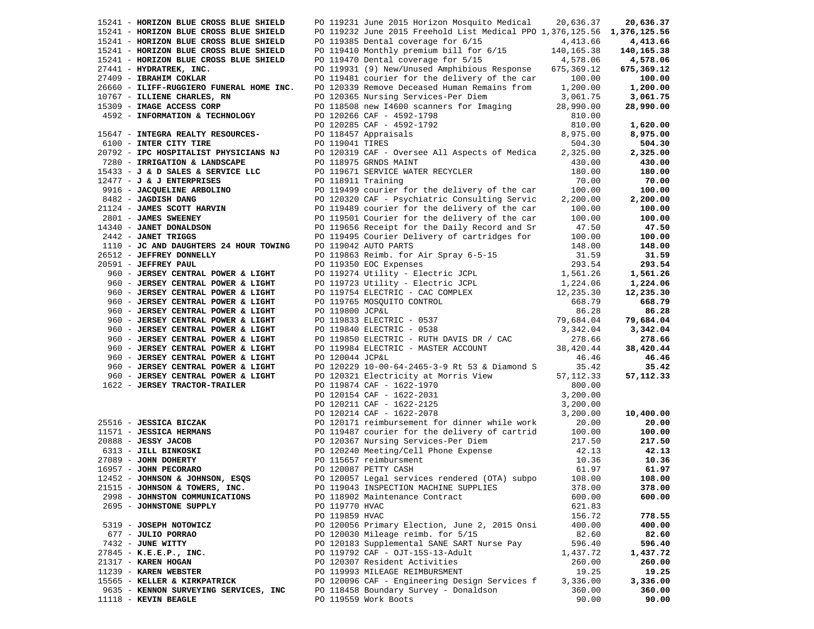| 15241 - HORIZON BLUE CROSS BLUE SHIELD      |                    | PO 119231 June 2015 Horizon Mosquito Medical                                                                                                                                                                                                                                                                                                                                          | 20,636.37  | 20,636.37  |
|---------------------------------------------|--------------------|---------------------------------------------------------------------------------------------------------------------------------------------------------------------------------------------------------------------------------------------------------------------------------------------------------------------------------------------------------------------------------------|------------|------------|
| 15241 - HORIZON BLUE CROSS BLUE SHIELD      |                    | PO 119232 June 2015 Freehold List Medical PPO 1,376,125.56 1,376,125.56                                                                                                                                                                                                                                                                                                               |            |            |
| 15241 - HORIZON BLUE CROSS BLUE SHIELD      |                    | PO 119385 Dental coverage for 6/15                                                                                                                                                                                                                                                                                                                                                    | 4,413.66   | 4,413.66   |
| 15241 - HORIZON BLUE CROSS BLUE SHIELD      |                    | PO 119410 Monthly premium bill for 6/15                                                                                                                                                                                                                                                                                                                                               | 140,165.38 | 140,165.38 |
| 15241 - HORIZON BLUE CROSS BLUE SHIELD      |                    | PO 119470 Dental coverage for 5/15                                                                                                                                                                                                                                                                                                                                                    | 4,578.06   | 4,578.06   |
| 27441 - HYDRATREK, INC.                     |                    | PO 119931 (9) New/Unused Amphibious Response                                                                                                                                                                                                                                                                                                                                          | 675,369.12 | 675,369.12 |
| 27409 - IBRAHIM COKLAR                      |                    | PO 119481 courier for the delivery of the car                                                                                                                                                                                                                                                                                                                                         | 100.00     | 100.00     |
| 26660 - ILIFF-RUGGIERO FUNERAL HOME INC.    |                    | PO 120339 Remove Deceased Human Remains from 1,200.00                                                                                                                                                                                                                                                                                                                                 |            | 1,200.00   |
| 10767 - ILLIENE CHARLES, RN                 |                    | PO 120365 Nursing Services-Per Diem                                                                                                                                                                                                                                                                                                                                                   | 3,061.75   | 3,061.75   |
|                                             |                    |                                                                                                                                                                                                                                                                                                                                                                                       |            |            |
| 15309 - IMAGE ACCESS CORP                   |                    | PO 118508 new I4600 scanners for Imaging                                                                                                                                                                                                                                                                                                                                              | 28,990.00  | 28,990.00  |
| 4592 - INFORMATION & TECHNOLOGY             |                    | PO 120266 CAF - 4592-1798                                                                                                                                                                                                                                                                                                                                                             | 810.00     |            |
|                                             |                    | PO 120285 CAF - 4592-1792                                                                                                                                                                                                                                                                                                                                                             | 810.00     | 1,620.00   |
| 15647 - INTEGRA REALTY RESOURCES-           |                    | PO 118457 Appraisals                                                                                                                                                                                                                                                                                                                                                                  | 8,975.00   | 8,975.00   |
| 6100 - INTER CITY TIRE                      | PO 119041 TIRES    |                                                                                                                                                                                                                                                                                                                                                                                       | 504.30     | 504.30     |
| 20792 - IPC HOSPITALIST PHYSICIANS NJ       |                    | PO 120319 CAF - Oversee All Aspects of Medica                                                                                                                                                                                                                                                                                                                                         | 2,325.00   | 2,325.00   |
| 7280 - IRRIGATION & LANDSCAPE               |                    | PO 118975 GRNDS MAINT                                                                                                                                                                                                                                                                                                                                                                 | 430.00     | 430.00     |
| 15433 - J & D SALES & SERVICE LLC           |                    | PO 119671 SERVICE WATER RECYCLER                                                                                                                                                                                                                                                                                                                                                      | 180.00     | 180.00     |
| $12477 - J$ & J ENTERPRISES                 | PO 118911 Training |                                                                                                                                                                                                                                                                                                                                                                                       | 70.00      | 70.00      |
| 9916 - JACQUELINE ARBOLINO                  |                    | PO 119499 courier for the delivery of the car                                                                                                                                                                                                                                                                                                                                         | 100.00     | 100.00     |
| 8482 - JAGDISH DANG                         |                    | PO 120320 CAF - Psychiatric Consulting Servic                                                                                                                                                                                                                                                                                                                                         | 2,200.00   | 2,200.00   |
| 21124 - JAMES SCOTT HARVIN                  |                    |                                                                                                                                                                                                                                                                                                                                                                                       |            |            |
|                                             |                    | PO 119489 courier for the delivery of the car                                                                                                                                                                                                                                                                                                                                         | 100.00     | 100.00     |
| 2801 - JAMES SWEENEY                        |                    | PO 119501 Courier for the delivery of the car                                                                                                                                                                                                                                                                                                                                         | 100.00     | 100.00     |
| $2801 - JAMES$<br>$14340 - JANET DONALDSON$ |                    | PO 119656 Receipt for the Daily Record and Sr                                                                                                                                                                                                                                                                                                                                         | 47.50      | 47.50      |
| 2442 - JANET TRIGGS                         |                    | PO 119495 Courier Delivery of cartridges for                                                                                                                                                                                                                                                                                                                                          | 100.00     | 100.00     |
| 1110 - JC AND DAUGHTERS 24 HOUR TOWING      |                    | PO 119042 AUTO PARTS                                                                                                                                                                                                                                                                                                                                                                  | 148.00     | 148.00     |
| 26512 - JEFFREY DONNELLY                    |                    | PO 119863 Reimb. for Air Spray 6-5-15                                                                                                                                                                                                                                                                                                                                                 | 31.59      | 31.59      |
| 20591 - JEFFREY PAUL                        |                    | PO 119350 EOC Expenses                                                                                                                                                                                                                                                                                                                                                                | 293.54     | 293.54     |
| 960 - JERSEY CENTRAL POWER & LIGHT          |                    |                                                                                                                                                                                                                                                                                                                                                                                       |            | 1,561.26   |
| 960 - JERSEY CENTRAL POWER & LIGHT          |                    |                                                                                                                                                                                                                                                                                                                                                                                       |            | 1,224.06   |
| 960 - JERSEY CENTRAL POWER & LIGHT          |                    |                                                                                                                                                                                                                                                                                                                                                                                       |            | 12,235.30  |
| 960 - JERSEY CENTRAL POWER & LIGHT          |                    |                                                                                                                                                                                                                                                                                                                                                                                       |            | 668.79     |
| 960 - JERSEY CENTRAL POWER & LIGHT          |                    | PO 119274 Utility - Electric JCPL<br>PO 119274 Utility - Electric JCPL<br>PO 119723 Utility - Electric JCPL<br>PO 119754 ELECTRIC - CAC COMPLEX<br>PO 119765 MOSQUITO CONTROL<br>PO 119800 JCP&L<br>PO 119840 ELECTRIC - 0537<br>PO 119840 E                                                                                                                                          |            | 86.28      |
| 960 - JERSEY CENTRAL POWER & LIGHT          |                    |                                                                                                                                                                                                                                                                                                                                                                                       |            | 79,684.04  |
|                                             |                    |                                                                                                                                                                                                                                                                                                                                                                                       |            |            |
| 960 - JERSEY CENTRAL POWER & LIGHT          |                    |                                                                                                                                                                                                                                                                                                                                                                                       |            | 3,342.04   |
| 960 - JERSEY CENTRAL POWER & LIGHT          |                    | PO 119850 ELECTRIC - RUTH DAVIS DR / CAC                                                                                                                                                                                                                                                                                                                                              | 278.66     | 278.66     |
| 960 - JERSEY CENTRAL POWER & LIGHT          |                    | PO 119984 ELECTRIC - MASTER ACCOUNT                                                                                                                                                                                                                                                                                                                                                   | 38,420.44  | 38,420.44  |
| 960 - JERSEY CENTRAL POWER & LIGHT          | PO 120044 JCP&L    |                                                                                                                                                                                                                                                                                                                                                                                       | 46.46      | 46.46      |
| 960 - JERSEY CENTRAL POWER & LIGHT          |                    | PO 120229 10-00-64-2465-3-9 Rt 53 & Diamond S                                                                                                                                                                                                                                                                                                                                         | 35.42      | 35.42      |
| 960 - JERSEY CENTRAL POWER & LIGHT          |                    | PO 120321 Electricity at Morris View                                                                                                                                                                                                                                                                                                                                                  | 57, 112.33 | 57,112.33  |
| 1622 - JERSEY TRACTOR-TRAILER               |                    | PO 119874 CAF - 1622-1970                                                                                                                                                                                                                                                                                                                                                             | 800.00     |            |
|                                             |                    | PO 120154 CAF - 1622-2031                                                                                                                                                                                                                                                                                                                                                             | 3,200.00   |            |
|                                             |                    | PO 120211 CAF - 1622-2125                                                                                                                                                                                                                                                                                                                                                             | 3,200.00   |            |
|                                             |                    | PO 120214 CAF - 1622-2078                                                                                                                                                                                                                                                                                                                                                             | 3,200.00   | 10,400.00  |
|                                             |                    | PO 120171 reimbursement for dinner while work                                                                                                                                                                                                                                                                                                                                         | 20.00      | 20.00      |
|                                             |                    |                                                                                                                                                                                                                                                                                                                                                                                       |            | 100.00     |
|                                             |                    | 2516 - JESSICA BICZAK PO 120214 CAF - 1022-2070<br>2088 - JESSICA HERMANS<br>2088 - JESSY JACOB<br>27089 - JOHN DOHERTY PO 120367 Ourier for the delivery of cartrid<br>27089 - JOHN DOHERTY PO 120240 Meeting/Cell Phone Expense<br>270<br>PO 119487 courier for the delivery of cartrid 100.00<br>PO 120367 Nursing Services-Per Diem 217.50<br>PO 120367 Nursing Services-Per Diem |            | 217.50     |
|                                             |                    |                                                                                                                                                                                                                                                                                                                                                                                       | 42.13      | 42.13      |
|                                             |                    |                                                                                                                                                                                                                                                                                                                                                                                       |            | 10.36      |
|                                             |                    |                                                                                                                                                                                                                                                                                                                                                                                       | 10.36      |            |
|                                             |                    |                                                                                                                                                                                                                                                                                                                                                                                       | 61.97      | 61.97      |
| 12452 - JOHNSON & JOHNSON, ESQS             |                    | PO 120057 Legal services rendered (OTA) subpo 108.00                                                                                                                                                                                                                                                                                                                                  |            | 108.00     |
| 21515 - JOHNSON & TOWERS, INC.              |                    | PO 119043 INSPECTION MACHINE SUPPLIES                                                                                                                                                                                                                                                                                                                                                 | 378.00     | 378.00     |
| 2998 - JOHNSTON COMMUNICATIONS              |                    | PO 118902 Maintenance Contract                                                                                                                                                                                                                                                                                                                                                        | 600.00     | 600.00     |
| 2695 - JOHNSTONE SUPPLY                     | PO 119770 HVAC     |                                                                                                                                                                                                                                                                                                                                                                                       | 621.83     |            |
|                                             | PO 119859 HVAC     |                                                                                                                                                                                                                                                                                                                                                                                       | 156.72     | 778.55     |
| 5319 - JOSEPH NOTOWICZ                      |                    | PO 120056 Primary Election, June 2, 2015 Onsi                                                                                                                                                                                                                                                                                                                                         | 400.00     | 400.00     |
| 677 - JULIO PORRAO                          |                    | PO 120030 Mileage reimb. for 5/15                                                                                                                                                                                                                                                                                                                                                     | 82.60      | 82.60      |
| 7432 - JUNE WITTY                           |                    | PO 120183 Supplemental SANE SART Nurse Pay                                                                                                                                                                                                                                                                                                                                            | 596.40     | 596.40     |
| $27845 - K.E.E.P., INC.$                    |                    | PO 119792 CAF - OJT-15S-13-Adult                                                                                                                                                                                                                                                                                                                                                      | 1,437.72   | 1,437.72   |
| 21317 - KAREN HOGAN                         |                    | PO 120307 Resident Activities                                                                                                                                                                                                                                                                                                                                                         | 260.00     | 260.00     |
| 11239 - KAREN WEBSTER                       |                    | PO 119993 MILEAGE REIMBURSMENT                                                                                                                                                                                                                                                                                                                                                        | 19.25      | 19.25      |
| 15565 - KELLER & KIRKPATRICK                |                    | PO 120096 CAF - Engineering Design Services f                                                                                                                                                                                                                                                                                                                                         | 3,336.00   | 3,336.00   |
| 9635 - KENNON SURVEYING SERVICES, INC       |                    | PO 118458 Boundary Survey - Donaldson                                                                                                                                                                                                                                                                                                                                                 | 360.00     | 360.00     |
| 11118 - KEVIN BEAGLE                        |                    | PO 119559 Work Boots                                                                                                                                                                                                                                                                                                                                                                  | 90.00      | 90.00      |
|                                             |                    |                                                                                                                                                                                                                                                                                                                                                                                       |            |            |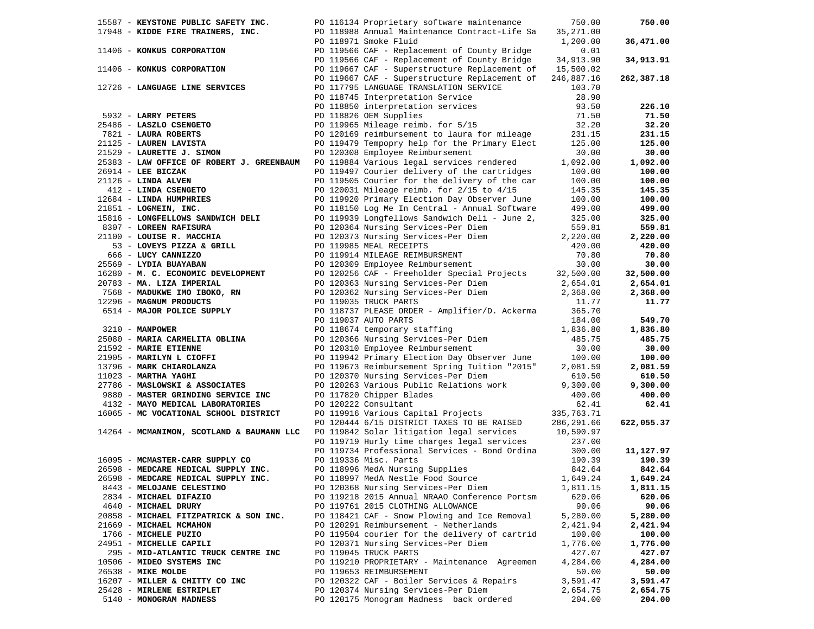| 15587 - KEYSTONE PUBLIC SAFETY INC.                                                 | PO 116134 Proprietary software maintenance                                                                | 750.00     | 750.00     |
|-------------------------------------------------------------------------------------|-----------------------------------------------------------------------------------------------------------|------------|------------|
| 17948 - KIDDE FIRE TRAINERS, INC.                                                   | PO 118988 Annual Maintenance Contract-Life Sa                                                             | 35,271.00  |            |
|                                                                                     | PO 118971 Smoke Fluid                                                                                     | 1,200.00   | 36,471.00  |
| 11406 - KONKUS CORPORATION                                                          | PO 119566 CAF - Replacement of County Bridge                                                              | 0.01       |            |
|                                                                                     | PO 119566 CAF - Replacement of County Bridge                                                              | 34,913.90  | 34,913.91  |
| 11406 - KONKUS CORPORATION                                                          | PO 119667 CAF - Superstructure Replacement of 15,500.02                                                   |            |            |
|                                                                                     | PO 119667 CAF - Superstructure Replacement of                                                             | 246,887.16 | 262,387.18 |
|                                                                                     | PO 117795 LANGUAGE TRANSLATION SERVICE                                                                    |            |            |
| 12726 - LANGUAGE LINE SERVICES                                                      |                                                                                                           | 103.70     |            |
|                                                                                     | PO 118745 Interpretation Service                                                                          | 28.90      |            |
|                                                                                     | PO 118850 interpretation services                                                                         | 93.50      | 226.10     |
| 5932 - LARRY PETERS                                                                 | PO 118826 OEM Supplies                                                                                    | 71.50      | 71.50      |
| 25486 - LASZLO CSENGETO                                                             | PO 119965 Mileage reimb. for 5/15                                                                         | 32.20      | 32.20      |
| 7821 - LAURA ROBERTS                                                                | PO 120169 reimbursement to laura for mileage                                                              | 231.15     | 231.15     |
| 21125 - LAUREN LAVISTA<br>21529 - LAURETTE J. SIMON                                 | PO 119479 Tempopry help for the Primary Elect                                                             | 125.00     | 125.00     |
|                                                                                     | PO 120308 Employee Reimbursement                                                                          | 30.00      | 30.00      |
| 25383 - LAW OFFICE OF ROBERT J. GREENBAUM PO 119884 Various legal services rendered |                                                                                                           | 1,092.00   | 1,092.00   |
| $26914$ - LEE BICZAK                                                                | PO 119497 Courier delivery of the cartridges                                                              | 100.00     | 100.00     |
| 21126 - LINDA ALVEN                                                                 | PO 119505 Courier for the delivery of the car                                                             | 100.00     | 100.00     |
| 126 - LINDA ALVEN<br>412 - LINDA CSENGETO                                           | PO 120031 Mileage reimb. for 2/15 to 4/15                                                                 | 145.35     | 145.35     |
|                                                                                     | PO 119920 Primary Election Day Observer June                                                              | 100.00     | 100.00     |
| 12684 - LINDA HUMPHRIES<br>21851 - LOGMEIN, INC.                                    | PO 118150 Log Me In Central - Annual Software                                                             | 499.00     | 499.00     |
| 15816 - LONGFELLOWS SANDWICH DELI                                                   | PO 119939 Longfellows Sandwich Deli - June 2,                                                             | 325.00     | 325.00     |
| 8307 - LOREEN RAFISURA                                                              | PO 120364 Nursing Services-Per Diem                                                                       | 559.81     | 559.81     |
| 21100 - LOUISE R. MACCHIA                                                           | PO 120373 Nursing Services-Per Diem                                                                       | 2,220.00   | 2,220.00   |
|                                                                                     | PO 119985 MEAL RECEIPTS                                                                                   |            | 420.00     |
| 53 - LOVEYS PIZZA & GRILL                                                           |                                                                                                           | 420.00     |            |
| 666 - LUCY CANNIZZO                                                                 | PO 119914 MILEAGE REIMBURSMENT<br>PO 120309 Employee Reimbursement<br>PO 119914 MILEAGE REIMBURSMENT      | 70.80      | 70.80      |
| 25569 - LYDIA BUAYABAN                                                              | PO 120309 Employee Reimbursement<br>PO 120256 CAF - Freeholder Special Projects<br>22,500.00<br>2.500.00  | 30.00      | 30.00      |
| 16280 - M. C. ECONOMIC DEVELOPMENT                                                  |                                                                                                           |            | 32,500.00  |
| 20783 - MA. LIZA IMPERIAL                                                           | PO 120363 Nursing Services-Per Diem                                                                       | 2,654.01   | 2,654.01   |
| 7568 - MADUKWE IMO IBOKO, RN                                                        | PO 120362 Nursing Services-Per Diem 2,368.00                                                              |            | 2,368.00   |
| 12296 - MAGNUM PRODUCTS                                                             | PO 119035 TRUCK PARTS                                                                                     | 11.77      | 11.77      |
| 6514 - MAJOR POLICE SUPPLY                                                          | PO 118737 PLEASE ORDER - Amplifier/D. Ackerma                                                             | 365.70     |            |
|                                                                                     | PO 119037 AUTO PARTS                                                                                      | 184.00     | 549.70     |
| 3210 - MANPOWER                                                                     | PO 118674 temporary staffing 1,836.80                                                                     |            | 1,836.80   |
| 25080 - MARIA CARMELITA OBLINA                                                      | PO 118674 temporary succes-Per Diem<br>PO 120366 Nursing Services-Per Diem                                | 485.75     | 485.75     |
| 21592 - MARIE ETIENNE                                                               | PO 120310 Employee Reimbursement                                                                          | 30.00      | 30.00      |
| 21905 - MARILYN L CIOFFI                                                            | PO 119942 Primary Election Day Observer June                                                              | 100.00     | 100.00     |
| 13796 - MARK CHIAROLANZA                                                            | PO 119673 Reimbursement Spring Tuition "2015"                                                             | 2,081.59   | 2,081.59   |
| 11023 - MARTHA YAGHI                                                                | PO 120370 Nursing Services-Per Diem                                                                       | 610.50     | 610.50     |
| 27786 - MASLOWSKI & ASSOCIATES                                                      | PO 120263 Various Public Relations work                                                                   | 9,300.00   | 9,300.00   |
| 9880 - MASTER GRINDING SERVICE INC                                                  | PO 117820 Chipper Blades                                                                                  | 400.00     | 400.00     |
| 4132 - MAYO MEDICAL LABORATORIES                                                    | PO 120222 Consultant                                                                                      | 62.41      | 62.41      |
| 16065 - MC VOCATIONAL SCHOOL DISTRICT                                               | PO 119916 Various Capital Projects 335,763.71                                                             |            |            |
|                                                                                     | PO 120444 6/15 DISTRICT TAXES TO BE RAISED 286,291.66                                                     |            | 622,055.37 |
| 14264 - MCMANIMON, SCOTLAND & BAUMANN LLC                                           |                                                                                                           |            |            |
|                                                                                     | PO 119842 Solar litigation legal services 10,590.97<br>PO 119719 Hurly time charges legal services 237.00 |            |            |
|                                                                                     | PO 119734 Professional Services - Bond Ordina                                                             | 300.00     | 11,127.97  |
| 16095 - MCMASTER-CARR SUPPLY CO                                                     | PO 119336 Misc. Parts                                                                                     | 190.39     | 190.39     |
| 26598 - MEDCARE MEDICAL SUPPLY INC.                                                 | PO 118996 MedA Nursing Supplies                                                                           | 842.64     | 842.64     |
| 26598 - MEDCARE MEDICAL SUPPLY INC.                                                 | PO 118997 MedA Nestle Food Source 1,649.24                                                                |            | 1,649.24   |
|                                                                                     |                                                                                                           |            |            |
| 8443 - MELOJANE CELESTINO                                                           | PO 120368 Nursing Services-Per Diem                                                                       | 1,811.15   | 1,811.15   |
| 2834 - MICHAEL DIFAZIO                                                              | PO 119218 2015 Annual NRAAO Conference Portsm                                                             | 620.06     | 620.06     |
| 4640 - MICHAEL DRURY                                                                | PO 119761 2015 CLOTHING ALLOWANCE                                                                         | 90.06      | 90.06      |
| 20858 - MICHAEL FITZPATRICK & SON INC.                                              | PO 118421 CAF - Snow Plowing and Ice Removal                                                              | 5,280.00   | 5,280.00   |
| 21669 - MICHAEL MCMAHON                                                             | PO 120291 Reimbursement - Netherlands                                                                     | 2,421.94   | 2,421.94   |
| 1766 - MICHELE PUZIO                                                                | PO 119504 courier for the delivery of cartrid                                                             | 100.00     | 100.00     |
| 24951 - MICHELLE CAPILI                                                             | PO 120371 Nursing Services-Per Diem                                                                       | 1,776.00   | 1,776.00   |
| 295 - MID-ATLANTIC TRUCK CENTRE INC                                                 | PO 119045 TRUCK PARTS                                                                                     | 427.07     | 427.07     |
| 10506 - MIDEO SYSTEMS INC                                                           | PO 119210 PROPRIETARY - Maintenance Agreemen                                                              | 4,284.00   | 4,284.00   |
| 26538 - MIKE MOLDE                                                                  | PO 119653 REIMBURSEMENT                                                                                   | 50.00      | 50.00      |
| 16207 - MILLER & CHITTY CO INC                                                      | PO 120322 CAF - Boiler Services & Repairs                                                                 | 3,591.47   | 3,591.47   |
| 25428 - MIRLENE ESTRIPLET                                                           | PO 120374 Nursing Services-Per Diem                                                                       | 2,654.75   | 2,654.75   |
| 5140 - MONOGRAM MADNESS                                                             | PO 120175 Monogram Madness back ordered                                                                   | 204.00     | 204.00     |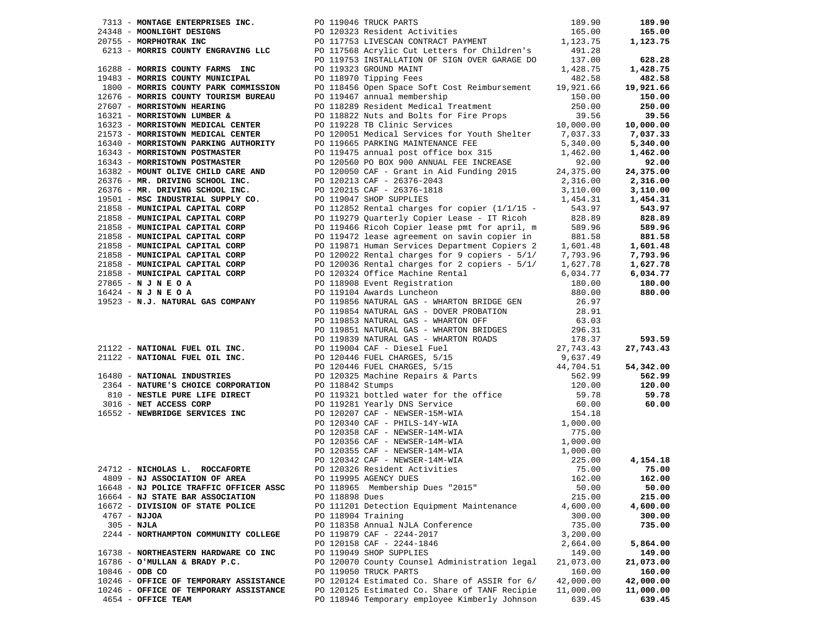|                                                                                                                                                                                                                                       |                |                                               |           | 189.90              |
|---------------------------------------------------------------------------------------------------------------------------------------------------------------------------------------------------------------------------------------|----------------|-----------------------------------------------|-----------|---------------------|
|                                                                                                                                                                                                                                       |                |                                               |           | 165.00              |
|                                                                                                                                                                                                                                       |                |                                               |           | 1,123.75            |
|                                                                                                                                                                                                                                       |                |                                               |           |                     |
|                                                                                                                                                                                                                                       |                |                                               |           | 628.28              |
| 313 - MONTAGE ENTERPRISES INC.<br>2013 - MONLIGHT DESIGNS<br>2013 - MORPHOTRAK INC BOLOGOST POLITIS ILLES (10<br>2013 - MORPHOTRAK INC POLITIS ILLES (10<br>2013 - MORRIS COUNTY ENGRAVING LLC POLITIS ILLES ACTYLIC CULLELLERS for C |                |                                               |           | 1,428.75            |
|                                                                                                                                                                                                                                       |                |                                               |           | 482.58              |
|                                                                                                                                                                                                                                       |                |                                               |           | 19,921.66           |
|                                                                                                                                                                                                                                       |                |                                               |           | 150.00              |
|                                                                                                                                                                                                                                       |                |                                               |           | 250.00              |
|                                                                                                                                                                                                                                       |                |                                               |           | 39.56               |
|                                                                                                                                                                                                                                       |                |                                               |           | 10,000.00           |
|                                                                                                                                                                                                                                       |                |                                               |           |                     |
|                                                                                                                                                                                                                                       |                |                                               |           | 7,037.33            |
|                                                                                                                                                                                                                                       |                |                                               |           | 5,340.00            |
|                                                                                                                                                                                                                                       |                |                                               |           | 1,462.00            |
|                                                                                                                                                                                                                                       |                |                                               |           | 92.00               |
|                                                                                                                                                                                                                                       |                |                                               |           | 24,375.00           |
|                                                                                                                                                                                                                                       |                |                                               |           | 2,316.00            |
|                                                                                                                                                                                                                                       |                |                                               |           | 3,110.00            |
|                                                                                                                                                                                                                                       |                |                                               |           | 1,454.31            |
|                                                                                                                                                                                                                                       |                |                                               |           | 543.97              |
|                                                                                                                                                                                                                                       |                |                                               |           | 828.89              |
|                                                                                                                                                                                                                                       |                |                                               |           | 589.96              |
|                                                                                                                                                                                                                                       |                |                                               |           | 881.58              |
|                                                                                                                                                                                                                                       |                |                                               |           | 1,601.48            |
|                                                                                                                                                                                                                                       |                |                                               |           | 7,793.96            |
|                                                                                                                                                                                                                                       |                |                                               |           | 1,627.78            |
|                                                                                                                                                                                                                                       |                |                                               |           | 6,034.77            |
|                                                                                                                                                                                                                                       |                |                                               |           | 180.00              |
|                                                                                                                                                                                                                                       |                |                                               |           | 880.00              |
|                                                                                                                                                                                                                                       |                |                                               |           |                     |
|                                                                                                                                                                                                                                       |                |                                               |           |                     |
|                                                                                                                                                                                                                                       |                |                                               |           |                     |
|                                                                                                                                                                                                                                       |                |                                               |           |                     |
|                                                                                                                                                                                                                                       |                |                                               |           | 593.59              |
|                                                                                                                                                                                                                                       |                |                                               |           | 27,743.43           |
|                                                                                                                                                                                                                                       |                |                                               |           |                     |
|                                                                                                                                                                                                                                       |                |                                               |           |                     |
|                                                                                                                                                                                                                                       |                |                                               |           | 54,342.00<br>562.99 |
|                                                                                                                                                                                                                                       |                |                                               |           |                     |
|                                                                                                                                                                                                                                       |                |                                               |           | 120.00              |
|                                                                                                                                                                                                                                       |                |                                               |           | 59.78               |
| 1993 - MONETY MONETY (1993 - 1995)<br>1993 - MONETY MONETY AND SUN (1995 - 1995 - 1995 - 1995 - 1995 - 1995 - 1995 - 1995 - 1995 - 1995 - 1995 - 1995 - 1995 - 1995 - 1995 - 1995 - 1995 - 1995 - 1995 - 1995 - 1995 - 1995 - 1       |                |                                               |           | 60.00               |
|                                                                                                                                                                                                                                       |                |                                               |           |                     |
|                                                                                                                                                                                                                                       |                |                                               |           |                     |
|                                                                                                                                                                                                                                       |                |                                               |           |                     |
|                                                                                                                                                                                                                                       |                |                                               |           |                     |
|                                                                                                                                                                                                                                       |                |                                               |           |                     |
|                                                                                                                                                                                                                                       |                |                                               |           | 4,154.18            |
|                                                                                                                                                                                                                                       |                |                                               |           | 75.00               |
|                                                                                                                                                                                                                                       |                |                                               |           | 162.00              |
| 16648 - NJ POLICE TRAFFIC OFFICER ASSC                                                                                                                                                                                                |                | PO 118965 Membership Dues "2015"              | 50.00     | 50.00               |
| 16664 - NJ STATE BAR ASSOCIATION                                                                                                                                                                                                      | PO 118898 Dues |                                               | 215.00    | 215.00              |
| 16672 - DIVISION OF STATE POLICE                                                                                                                                                                                                      |                | PO 111201 Detection Equipment Maintenance     | 4,600.00  | 4,600.00            |
| $4767 - NJJOA$                                                                                                                                                                                                                        |                | PO 118904 Training                            | 300.00    | 300.00              |
| $305 - NJLA$                                                                                                                                                                                                                          |                | PO 118358 Annual NJLA Conference              | 735.00    | 735.00              |
| 2244 - NORTHAMPTON COMMUNITY COLLEGE                                                                                                                                                                                                  |                | PO 119879 CAF - 2244-2017                     | 3,200.00  |                     |
|                                                                                                                                                                                                                                       |                | PO 120158 CAF - 2244-1846                     | 2,664.00  | 5,864.00            |
| 16738 - NORTHEASTERN HARDWARE CO INC                                                                                                                                                                                                  |                | PO 119049 SHOP SUPPLIES                       | 149.00    | 149.00              |
| 16786 - O'MULLAN & BRADY P.C.                                                                                                                                                                                                         |                | PO 120070 County Counsel Administration legal | 21,073.00 | 21,073.00           |
| $10846 - ODB CO$                                                                                                                                                                                                                      |                | PO 119050 TRUCK PARTS                         | 160.00    | 160.00              |
| 10246 - OFFICE OF TEMPORARY ASSISTANCE                                                                                                                                                                                                |                | PO 120124 Estimated Co. Share of ASSIR for 6/ | 42,000.00 | 42,000.00           |
| 10246 - OFFICE OF TEMPORARY ASSISTANCE                                                                                                                                                                                                |                | PO 120125 Estimated Co. Share of TANF Recipie | 11,000.00 | 11,000.00           |
| 4654 - OFFICE TEAM                                                                                                                                                                                                                    |                | PO 118946 Temporary employee Kimberly Johnson | 639.45    | 639.45              |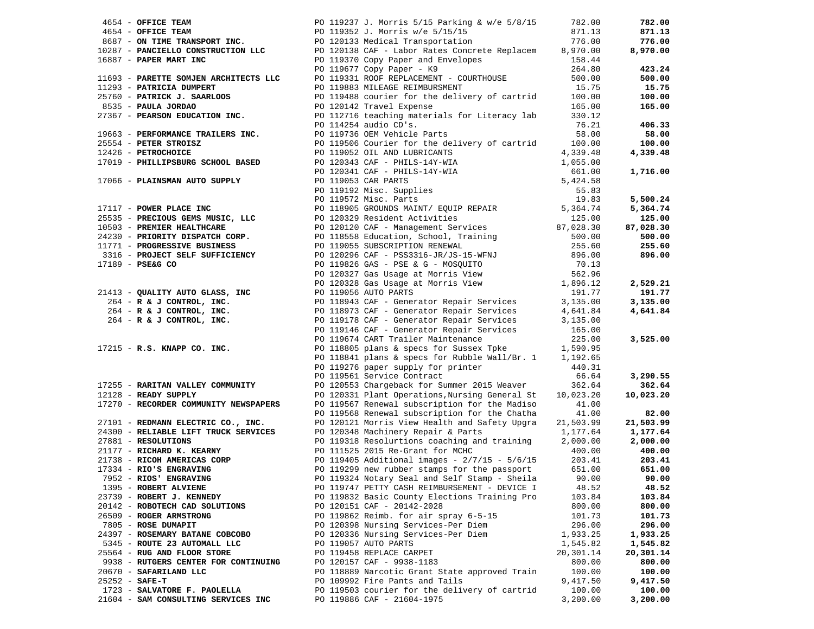|                  | 4654 - OFFICE TEAM                                                                  | PO 119237 J. Morris 5/15 Parking & w/e 5/8/15                                                                                                                                                                                                                                                                                                                                                                                                                                                  | 782.00                | 782.00    |
|------------------|-------------------------------------------------------------------------------------|------------------------------------------------------------------------------------------------------------------------------------------------------------------------------------------------------------------------------------------------------------------------------------------------------------------------------------------------------------------------------------------------------------------------------------------------------------------------------------------------|-----------------------|-----------|
|                  |                                                                                     |                                                                                                                                                                                                                                                                                                                                                                                                                                                                                                | 871.13                | 871.13    |
|                  | 4654 - OFFICE TEAM<br>8687 - ON TIME TRANSPORT INC.<br>10007 - Times TRANSPORT INC. | PO 119352 J. Morris w/e 5/15/15<br>PO 120133 Medical Transportation                                                                                                                                                                                                                                                                                                                                                                                                                            | 776.00                | 776.00    |
|                  |                                                                                     | 10287 - PANCIELLO CONSTRUCTION LLC $\begin{array}{ccc} 10287 & - & 120138 & \text{CAF} \\ - & & 120138 & \text{CAF} \\ \end{array}$ - Labor Rates Concrete Replacem $\begin{array}{ccc} 8,970.00 \\ - & 150.44 \\ \end{array}$                                                                                                                                                                                                                                                                 |                       | 8,970.00  |
|                  | 16887 - PAPER MART INC                                                              |                                                                                                                                                                                                                                                                                                                                                                                                                                                                                                | 158.44                |           |
|                  |                                                                                     | PO 119370 Copy Paper and Envelopes<br>PO 119677 Copy Paper - K9                                                                                                                                                                                                                                                                                                                                                                                                                                | 264.80                | 423.24    |
|                  | 11693 - PARETTE SOMJEN ARCHITECTS LLC                                               | PO 119331 ROOF REPLACEMENT - COURTHOUSE<br>po 119883 milface peimeursment                                                                                                                                                                                                                                                                                                                                                                                                                      | 500.00                | 500.00    |
|                  | 11293 - PATRICIA DUMPERT                                                            | PO 119883 MILEAGE REIMBURSMENT                                                                                                                                                                                                                                                                                                                                                                                                                                                                 | 15.75                 | 15.75     |
|                  | 25760 - PATRICK J. SAARLOOS                                                         | PO 119488 courier for the delivery of cartrid 100.00                                                                                                                                                                                                                                                                                                                                                                                                                                           |                       | 100.00    |
|                  | 8535 - PAULA JORDAO                                                                 | PO 120142 Travel Expense                                                                                                                                                                                                                                                                                                                                                                                                                                                                       | 165.00                | 165.00    |
|                  | 27367 - PEARSON EDUCATION INC.                                                      | PO 112716 teaching materials for Literacy lab                                                                                                                                                                                                                                                                                                                                                                                                                                                  | 330.12                |           |
|                  |                                                                                     | PO 114254 audio CD's.                                                                                                                                                                                                                                                                                                                                                                                                                                                                          | 76.21                 | 406.33    |
|                  | 19663 - PERFORMANCE TRAILERS INC.                                                   | PO 119736 OEM Vehicle Parts                                                                                                                                                                                                                                                                                                                                                                                                                                                                    | 58.00                 | 58.00     |
|                  | 25554 - PETER STROISZ                                                               | PO 119506 Courier for the delivery of cartrid                                                                                                                                                                                                                                                                                                                                                                                                                                                  | 100.00                | 100.00    |
|                  | 12426 - PETROCHOICE                                                                 |                                                                                                                                                                                                                                                                                                                                                                                                                                                                                                | 4,339.48              | 4,339.48  |
|                  | 17019 - PHILLIPSBURG SCHOOL BASED                                                   | PO 119052 OIL AND LUBRICANTS<br>PO 120343 CAF - PHILS-14Y-WIA                                                                                                                                                                                                                                                                                                                                                                                                                                  | 1,055.00              |           |
|                  |                                                                                     |                                                                                                                                                                                                                                                                                                                                                                                                                                                                                                | 661.00                | 1,716.00  |
|                  | 17066 - PLAINSMAN AUTO SUPPLY                                                       | PO 120343 CAF - FOLLS-14Y-WIA<br>PO 120341 CAF - PHILS-14Y-WIA<br>PO 119053 CAR PARTS<br>PO 119192 Misc. Supplies<br>20 119572 Misc. Parts                                                                                                                                                                                                                                                                                                                                                     | 5,424.58              |           |
|                  |                                                                                     |                                                                                                                                                                                                                                                                                                                                                                                                                                                                                                |                       |           |
|                  |                                                                                     |                                                                                                                                                                                                                                                                                                                                                                                                                                                                                                |                       | 5,500.24  |
|                  |                                                                                     |                                                                                                                                                                                                                                                                                                                                                                                                                                                                                                | 55.<br>19.83<br>19.83 | 5,364.74  |
|                  |                                                                                     |                                                                                                                                                                                                                                                                                                                                                                                                                                                                                                |                       | 125.00    |
|                  |                                                                                     |                                                                                                                                                                                                                                                                                                                                                                                                                                                                                                |                       | 87,028.30 |
|                  |                                                                                     |                                                                                                                                                                                                                                                                                                                                                                                                                                                                                                |                       | 500.00    |
|                  |                                                                                     |                                                                                                                                                                                                                                                                                                                                                                                                                                                                                                |                       | 255.60    |
|                  |                                                                                     |                                                                                                                                                                                                                                                                                                                                                                                                                                                                                                |                       | 896.00    |
|                  |                                                                                     |                                                                                                                                                                                                                                                                                                                                                                                                                                                                                                |                       |           |
|                  |                                                                                     |                                                                                                                                                                                                                                                                                                                                                                                                                                                                                                |                       |           |
|                  |                                                                                     |                                                                                                                                                                                                                                                                                                                                                                                                                                                                                                |                       | 2,529.21  |
|                  |                                                                                     | 17117 - POWER PLACE INC<br>25535 - PRECIOUS GEMS MUSIC, LLC<br>10503 - PREMIER HEALTHCARE<br>24230 - PRIORITY DISPATCH CORP.<br>1771 - PROGRESSIVE BUSINESS<br>316 - PROJECT SELF SUFFICIENCY<br>17189 - PSE&G CO<br>24413 - QUALITY AUTO GL<br>21413 - QUALITY AUTO GLASS, INC<br>264 - R & J CONTROL, INC.<br>264 - R & J CONTROL, INC.<br>264 - R & J CONTROL, INC.<br>264 - R & J CONTROL, INC.<br>264 - R & J CONTROL, INC.<br>264 - R & J CONTROL, INC.<br>264 - R & J CONTROL, INC.<br> |                       | 191.77    |
|                  |                                                                                     |                                                                                                                                                                                                                                                                                                                                                                                                                                                                                                |                       | 3,135.00  |
|                  |                                                                                     |                                                                                                                                                                                                                                                                                                                                                                                                                                                                                                |                       | 4,641.84  |
|                  |                                                                                     | PO 119178 CAF - Generator Repair Services                                                                                                                                                                                                                                                                                                                                                                                                                                                      |                       |           |
|                  |                                                                                     | PO 119146 CAF - Generator Repair Services                                                                                                                                                                                                                                                                                                                                                                                                                                                      | 165.00                |           |
|                  |                                                                                     | PO 119674 CART Trailer Maintenance                                                                                                                                                                                                                                                                                                                                                                                                                                                             | 225.00                | 3,525.00  |
|                  | 17215 - R.S. KNAPP CO. INC.                                                         | PO 118805 plans & specs for Sussex Tpke 1,590.95                                                                                                                                                                                                                                                                                                                                                                                                                                               |                       |           |
|                  |                                                                                     | PO 118841 plans & specs for Rubble Wall/Br. 1 $1,192.65$                                                                                                                                                                                                                                                                                                                                                                                                                                       |                       |           |
|                  |                                                                                     | PO 119276 paper supply for printer                                                                                                                                                                                                                                                                                                                                                                                                                                                             | 440.31                |           |
|                  |                                                                                     | PO 119561 Service Contract                                                                                                                                                                                                                                                                                                                                                                                                                                                                     | 66.64                 | 3,290.55  |
|                  | 17255 - RARITAN VALLEY COMMUNITY                                                    | PO 120553 Chargeback for Summer 2015 Weaver                                                                                                                                                                                                                                                                                                                                                                                                                                                    | 362.64                | 362.64    |
|                  | 12128 - READY SUPPLY                                                                | PO 120331 Plant Operations, Nursing General St                                                                                                                                                                                                                                                                                                                                                                                                                                                 | 10,023.20             | 10,023.20 |
|                  | 17270 - RECORDER COMMUNITY NEWSPAPERS                                               | PO 119567 Renewal subscription for the Madiso                                                                                                                                                                                                                                                                                                                                                                                                                                                  | 41.00                 |           |
|                  |                                                                                     | PO 119568 Renewal subscription for the Chatha                                                                                                                                                                                                                                                                                                                                                                                                                                                  | 41.00                 | 82.00     |
|                  |                                                                                     | PO 120121 Morris View Health and Safety Upgra                                                                                                                                                                                                                                                                                                                                                                                                                                                  | 21,503.99             | 21,503.99 |
|                  | 27101 - REDMANN ELECTRIC CO., INC.<br>24300 - RELIABLE LIFT TRUCK SERVICES          |                                                                                                                                                                                                                                                                                                                                                                                                                                                                                                |                       | 1,177.64  |
|                  | 27881 - RESOLUTIONS                                                                 | PO 120348 Machinery Repair & Parts 1,177.64<br>PO 119318 Resolurtions coaching and training 2,000.00                                                                                                                                                                                                                                                                                                                                                                                           |                       | 2,000.00  |
|                  | 21177 - RICHARD K. KEARNY                                                           |                                                                                                                                                                                                                                                                                                                                                                                                                                                                                                |                       | 400.00    |
|                  | 21738 - RICOH AMERICAS CORP                                                         | PO 111525 2015 Re-Grant for MCHC 400.00<br>PO 119405 Additional images - $2/7/15$ - $5/6/15$ 203.41                                                                                                                                                                                                                                                                                                                                                                                            |                       | 203.41    |
|                  | 17334 - RIO'S ENGRAVING                                                             | PO 119299 new rubber stamps for the passport                                                                                                                                                                                                                                                                                                                                                                                                                                                   | 651.00                | 651.00    |
|                  | 7952 - RIOS' ENGRAVING                                                              | PO 119324 Notary Seal and Self Stamp - Sheila 90.00                                                                                                                                                                                                                                                                                                                                                                                                                                            |                       | 90.00     |
|                  | 1395 - ROBERT ALVIENE                                                               | PO 119747 PETTY CASH REIMBURSEMENT - DEVICE I                                                                                                                                                                                                                                                                                                                                                                                                                                                  | 48.52                 | 48.52     |
|                  | 23739 - ROBERT J. KENNEDY                                                           | PO 119832 Basic County Elections Training Pro                                                                                                                                                                                                                                                                                                                                                                                                                                                  | 103.84                | 103.84    |
|                  | 20142 - ROBOTECH CAD SOLUTIONS                                                      | PO 120151 CAF - 20142-2028                                                                                                                                                                                                                                                                                                                                                                                                                                                                     | 800.00                | 800.00    |
|                  | 26509 - ROGER ARMSTRONG                                                             | PO 119862 Reimb. for air spray 6-5-15                                                                                                                                                                                                                                                                                                                                                                                                                                                          | 101.73                | 101.73    |
|                  | 7805 - ROSE DUMAPIT                                                                 | PO 120398 Nursing Services-Per Diem                                                                                                                                                                                                                                                                                                                                                                                                                                                            | 296.00                | 296.00    |
|                  | 24397 - ROSEMARY BATANE COBCOBO                                                     | PO 120336 Nursing Services-Per Diem                                                                                                                                                                                                                                                                                                                                                                                                                                                            | 1,933.25              | 1,933.25  |
|                  | 5345 - ROUTE 23 AUTOMALL LLC                                                        | PO 119057 AUTO PARTS                                                                                                                                                                                                                                                                                                                                                                                                                                                                           | 1,545.82              | 1,545.82  |
|                  | 25564 - RUG AND FLOOR STORE                                                         | PO 119458 REPLACE CARPET                                                                                                                                                                                                                                                                                                                                                                                                                                                                       | 20,301.14             | 20,301.14 |
|                  | 9938 - RUTGERS CENTER FOR CONTINUING                                                | PO 120157 CAF - 9938-1183                                                                                                                                                                                                                                                                                                                                                                                                                                                                      | 800.00                | 800.00    |
|                  | 20670 - SAFARILAND LLC                                                              | PO 118889 Narcotic Grant State approved Train                                                                                                                                                                                                                                                                                                                                                                                                                                                  | 100.00                | 100.00    |
| $25252 - SAFE-T$ |                                                                                     | PO 109992 Fire Pants and Tails                                                                                                                                                                                                                                                                                                                                                                                                                                                                 | 9,417.50              | 9,417.50  |
|                  | 1723 - SALVATORE F. PAOLELLA                                                        | PO 119503 courier for the delivery of cartrid                                                                                                                                                                                                                                                                                                                                                                                                                                                  | 100.00                | 100.00    |
|                  | 21604 - SAM CONSULTING SERVICES INC                                                 | PO 119886 CAF - 21604-1975                                                                                                                                                                                                                                                                                                                                                                                                                                                                     | 3,200.00              | 3,200.00  |
|                  |                                                                                     |                                                                                                                                                                                                                                                                                                                                                                                                                                                                                                |                       |           |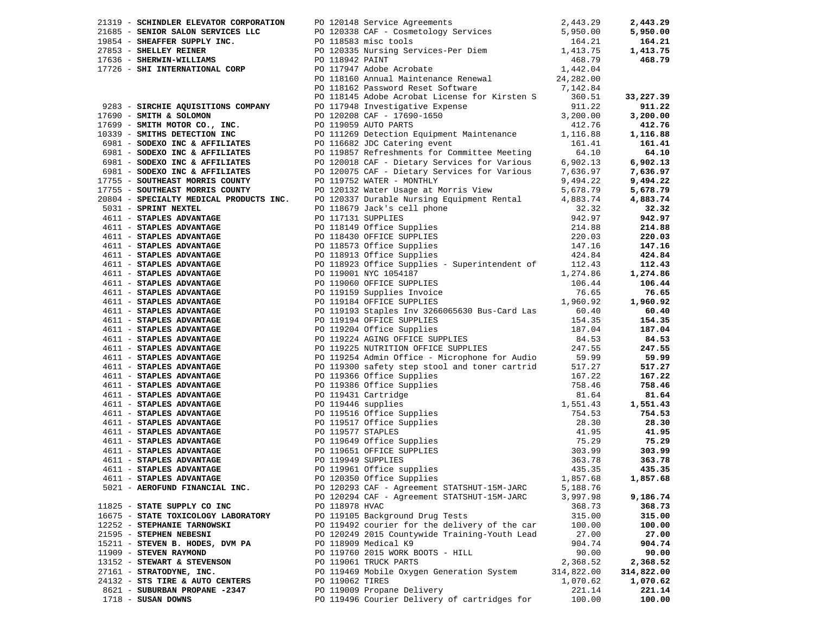|                                                                                                                                                                                                                              |                 | 21319 - SCHINDLER ELEVATOR CORPORATION PO 120148 Service Agreements<br>2,443.29<br>21685 - SENIOR SALON SERVICES LLC<br>19854 - SHEAFFER SUPPLY INC.<br>27853 - SHELLEY REINER<br>1636 - SHELLEY REINER<br>17726 - SHE INTERNATIONAL CORP                                            |            | 2,443.29   |
|------------------------------------------------------------------------------------------------------------------------------------------------------------------------------------------------------------------------------|-----------------|--------------------------------------------------------------------------------------------------------------------------------------------------------------------------------------------------------------------------------------------------------------------------------------|------------|------------|
|                                                                                                                                                                                                                              |                 |                                                                                                                                                                                                                                                                                      |            | 5,950.00   |
|                                                                                                                                                                                                                              |                 |                                                                                                                                                                                                                                                                                      |            | 164.21     |
|                                                                                                                                                                                                                              |                 |                                                                                                                                                                                                                                                                                      |            | 1,413.75   |
|                                                                                                                                                                                                                              |                 |                                                                                                                                                                                                                                                                                      |            | 468.79     |
|                                                                                                                                                                                                                              |                 |                                                                                                                                                                                                                                                                                      |            |            |
|                                                                                                                                                                                                                              |                 |                                                                                                                                                                                                                                                                                      |            |            |
|                                                                                                                                                                                                                              |                 |                                                                                                                                                                                                                                                                                      |            |            |
|                                                                                                                                                                                                                              |                 |                                                                                                                                                                                                                                                                                      |            | 33,227.39  |
|                                                                                                                                                                                                                              |                 |                                                                                                                                                                                                                                                                                      |            | 911.22     |
| 17690 - SMITH & SOLOMON                                                                                                                                                                                                      |                 |                                                                                                                                                                                                                                                                                      |            | 3,200.00   |
|                                                                                                                                                                                                                              |                 | 9283 - SIRCHIE AQUISITIONS COMPANY<br>9283 - SIRCHIE AQUISITIONS COMPANY PO 117948 Investigative Expense 911.22<br>911.22 PO 120208 CAF - 17690-1650 3,200.00<br>9283 - SMITH & SOLOMON PO 120208 CAF - 17690-1650 3,200.00                                                          |            | 412.76     |
|                                                                                                                                                                                                                              |                 | 17699 - SMITH MOTOR CO., INC.<br>17699 - SMITH MOTOR CO., INC.<br>18981 - SODEXO INC & AFFILIATES<br>18981 - SODEXO INC & AFFILIATES<br>18981 - SODEXO INC & AFFILIATES<br>18981 - SODEXO INC & AFFILIATES<br>18981 - SODEXO INC & AFFILIA                                           |            | 1,116.88   |
|                                                                                                                                                                                                                              |                 |                                                                                                                                                                                                                                                                                      |            | 161.41     |
|                                                                                                                                                                                                                              |                 |                                                                                                                                                                                                                                                                                      |            | 64.10      |
|                                                                                                                                                                                                                              |                 |                                                                                                                                                                                                                                                                                      |            | 6,902.13   |
| 6981 - SODEXO INC & AFFILIATES<br>6981 - SODEXO INC & AFFILIATES<br>6981 - SODEXO INC & AFFILIATES                                                                                                                           |                 | PO 111269 Detection Equipment Maintenance<br>PO 116682 JDC Catering event<br>PO 119857 Refreshments for Committee Meeting<br>PO 120018 CAF - Dietary Services for Various<br>PO 120075 CAF - Dietary Services for Various<br>PO 120075 C                                             |            | 7,636.97   |
|                                                                                                                                                                                                                              |                 |                                                                                                                                                                                                                                                                                      |            | 9,494.22   |
| 17755 - SOUTHEAST MORRIS COUNTY<br>17755 - SOUTHEAST MORRIS COUNTY<br>20804 - SPECIALTY MEDICAL PRODUCTS INC.                                                                                                                |                 | PO 119752 Water Usage at Morris View 5,678.79<br>DO 120132 Water Usage at Morris View 5,678.79<br>DO 120337 Durable Nursing Equipment Rental 4,883.74                                                                                                                                |            | 5,678.79   |
|                                                                                                                                                                                                                              |                 | PO 120337 Durable Nursing Equipment Rental 4,883.74                                                                                                                                                                                                                                  |            | 4,883.74   |
| 5031 - SPRINT NEXTEL                                                                                                                                                                                                         |                 |                                                                                                                                                                                                                                                                                      |            | 32.32      |
| 1611 - STAINI NEALES<br>4611 - STAPLES ADVANTAGE                                                                                                                                                                             |                 |                                                                                                                                                                                                                                                                                      |            | 942.97     |
|                                                                                                                                                                                                                              |                 |                                                                                                                                                                                                                                                                                      |            | 214.88     |
|                                                                                                                                                                                                                              |                 |                                                                                                                                                                                                                                                                                      |            | 220.03     |
|                                                                                                                                                                                                                              |                 |                                                                                                                                                                                                                                                                                      |            | 147.16     |
|                                                                                                                                                                                                                              |                 | PO 118679 Jack's cell phone<br>PO 118679 Jack's cell phone<br>PO 118149 Office Supplies<br>PO 118149 Office Supplies<br>PO 118430 OFFICE SUPPLIES<br>PO 118573 Office Supplies<br>PO 118913 Office Supplies<br>PO 118913 Office Supplies<br>22                                       |            | 424.84     |
| 1011 - STAPLES ADVANTAGE<br>4611 - STAPLES ADVANTAGE<br>4611 - STAPLES ADVANTAGE<br>4611 - STAPLES ADVANTAGE<br>4611 - STAPLES ADVANTAGE<br>4611 - STAPLES ADVANTAGE<br>4611 - STAPLES ADVANTAGE<br>4611 - STAPLES ADVANTAGE |                 |                                                                                                                                                                                                                                                                                      |            | 112.43     |
|                                                                                                                                                                                                                              |                 | PO 118923 Office Supplies - Superintendent of 112.43<br>PO 119001 NYC 1054187 1,274.86                                                                                                                                                                                               |            | 1,274.86   |
|                                                                                                                                                                                                                              |                 | PO 119001 NYC 1054187 1,274.86<br>PO 119060 OFFICE SUPPLIES 106.44<br>PO 119159 Supplies Invoice 76.65<br>PO 119184 OFFICE SUPPLIES 1,960.92                                                                                                                                         |            | 106.44     |
| 4611 - STAPLES ADVANTAGE<br>4611 - STAPLES ADVANTAGE                                                                                                                                                                         |                 |                                                                                                                                                                                                                                                                                      |            | 76.65      |
|                                                                                                                                                                                                                              |                 |                                                                                                                                                                                                                                                                                      |            | 1,960.92   |
|                                                                                                                                                                                                                              |                 | PO 119193 Staples Inv 3266065630 Bus-Card Las 60.40                                                                                                                                                                                                                                  |            | 60.40      |
|                                                                                                                                                                                                                              |                 | PO 119194 OFFICE SUPPLIES<br>PO 119204 Office Supplies<br>PO 119224 AGING OFFICE SUPPLIES<br>PO 119225 NUTRITION OFFICE SUPPLIES<br>PO 119254 Admin Office - Microphone for 1                                                                                                        |            | 154.35     |
|                                                                                                                                                                                                                              |                 |                                                                                                                                                                                                                                                                                      |            | 187.04     |
|                                                                                                                                                                                                                              |                 |                                                                                                                                                                                                                                                                                      |            | 84.53      |
| 4611 - STAPLES ADVANTAGE<br>4611 - STAPLES ADVANTAGE                                                                                                                                                                         |                 |                                                                                                                                                                                                                                                                                      |            | 247.55     |
|                                                                                                                                                                                                                              |                 |                                                                                                                                                                                                                                                                                      |            | 59.99      |
| 4611 - STAPLES ADVANTAGE<br>4611 - STAPLES ADVANTAGE                                                                                                                                                                         |                 | PO 119254 Admin Office - Microphone for Audio 59.99<br>PO 119300 safety step stool and toner cartrid 517.27                                                                                                                                                                          |            | 517.27     |
|                                                                                                                                                                                                                              |                 |                                                                                                                                                                                                                                                                                      |            | 167.22     |
| 4611 - STAPLES ADVANTAGE<br>4611 - STAPLES ADVANTAGE                                                                                                                                                                         |                 |                                                                                                                                                                                                                                                                                      |            | 758.46     |
|                                                                                                                                                                                                                              |                 |                                                                                                                                                                                                                                                                                      |            | 81.64      |
|                                                                                                                                                                                                                              |                 |                                                                                                                                                                                                                                                                                      |            | 1,551.43   |
|                                                                                                                                                                                                                              |                 |                                                                                                                                                                                                                                                                                      |            | 754.53     |
|                                                                                                                                                                                                                              |                 |                                                                                                                                                                                                                                                                                      |            | 28.30      |
|                                                                                                                                                                                                                              |                 |                                                                                                                                                                                                                                                                                      |            | 41.95      |
|                                                                                                                                                                                                                              |                 | 4611 - <b>STAPLES ADVANTAGE</b><br>4611 - <b>STAPLES ADVANTAGE</b><br>4611 - <b>STAPLES ADVANTAGE</b><br>4611 - <b>STAPLES ADVANTAGE</b><br>4611 - <b>STAPLES ADVANTAGE</b><br>4611 - <b>STAPLES ADVANTAGE</b><br>4611 - <b>STAPLES ADVANTAGE</b><br>4611 - <b>STAPLES ADVANTAGE</b> |            | 75.29      |
|                                                                                                                                                                                                                              |                 |                                                                                                                                                                                                                                                                                      |            | 303.99     |
|                                                                                                                                                                                                                              |                 |                                                                                                                                                                                                                                                                                      |            | 363.78     |
|                                                                                                                                                                                                                              |                 |                                                                                                                                                                                                                                                                                      |            | 435.35     |
| 4611 - STAPLES ADVANTAGE                                                                                                                                                                                                     |                 | PO 120350 Office Supplies 1,857.68 1,857.68                                                                                                                                                                                                                                          |            |            |
| 5021 - AEROFUND FINANCIAL INC.                                                                                                                                                                                               |                 | PO 120293 CAF - Agreement STATSHUT-15M-JARC                                                                                                                                                                                                                                          | 5,188.76   |            |
|                                                                                                                                                                                                                              |                 | PO 120294 CAF - Agreement STATSHUT-15M-JARC                                                                                                                                                                                                                                          | 3,997.98   | 9,186.74   |
| 11825 - STATE SUPPLY CO INC                                                                                                                                                                                                  | PO 118978 HVAC  |                                                                                                                                                                                                                                                                                      | 368.73     | 368.73     |
| 16675 - STATE TOXICOLOGY LABORATORY                                                                                                                                                                                          |                 | PO 119105 Background Drug Tests                                                                                                                                                                                                                                                      | 315.00     | 315.00     |
| 12252 - STEPHANIE TARNOWSKI                                                                                                                                                                                                  |                 | PO 119492 courier for the delivery of the car                                                                                                                                                                                                                                        | 100.00     | 100.00     |
| 21595 - STEPHEN NEBESNI                                                                                                                                                                                                      |                 | PO 120249 2015 Countywide Training-Youth Lead                                                                                                                                                                                                                                        | 27.00      | 27.00      |
| 15211 - STEVEN B. HODES, DVM PA                                                                                                                                                                                              |                 | PO 118909 Medical K9                                                                                                                                                                                                                                                                 | 904.74     | 904.74     |
| 11909 - STEVEN RAYMOND                                                                                                                                                                                                       |                 | PO 119760 2015 WORK BOOTS - HILL                                                                                                                                                                                                                                                     | 90.00      | 90.00      |
| 13152 - STEWART & STEVENSON                                                                                                                                                                                                  |                 | PO 119061 TRUCK PARTS                                                                                                                                                                                                                                                                | 2,368.52   | 2,368.52   |
| 27161 - STRATODYNE, INC.                                                                                                                                                                                                     |                 | PO 119469 Mobile Oxygen Generation System                                                                                                                                                                                                                                            | 314,822.00 | 314,822.00 |
| 24132 - STS TIRE & AUTO CENTERS                                                                                                                                                                                              | PO 119062 TIRES |                                                                                                                                                                                                                                                                                      | 1,070.62   | 1,070.62   |
| 8621 - SUBURBAN PROPANE -2347                                                                                                                                                                                                |                 | PO 119009 Propane Delivery                                                                                                                                                                                                                                                           | 221.14     | 221.14     |
| $1718$ - SUSAN DOWNS                                                                                                                                                                                                         |                 | PO 119496 Courier Delivery of cartridges for                                                                                                                                                                                                                                         | 100.00     | 100.00     |
|                                                                                                                                                                                                                              |                 |                                                                                                                                                                                                                                                                                      |            |            |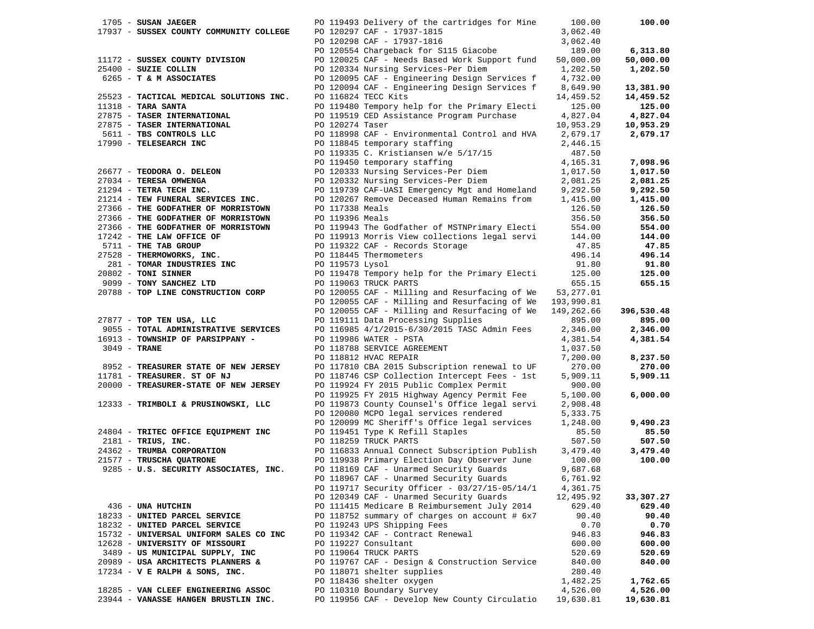|                | $1705$ - SUSAN JAEGER                   |                 | PO 119493 Delivery of the cartridges for Mine            | 100.00     | 100.00     |
|----------------|-----------------------------------------|-----------------|----------------------------------------------------------|------------|------------|
|                | 17937 - SUSSEX COUNTY COMMUNITY COLLEGE |                 | PO 120297 CAF - 17937-1815                               | 3,062.40   |            |
|                |                                         |                 | PO 120298 CAF - 17937-1816                               | 3,062.40   |            |
|                |                                         |                 | PO 120554 Chargeback for S115 Giacobe                    | 189.00     | 6,313.80   |
|                | 11172 - SUSSEX COUNTY DIVISION          |                 | PO 120025 CAF - Needs Based Work Support fund            | 50,000.00  | 50,000.00  |
|                |                                         |                 |                                                          |            |            |
|                | 25400 - SUZIE COLLIN                    |                 | PO 120334 Nursing Services-Per Diem                      | 1,202.50   | 1,202.50   |
|                | 6265 - T & M ASSOCIATES                 |                 | PO 120095 CAF - Engineering Design Services f            | 4,732.00   |            |
|                |                                         |                 | PO 120094 CAF - Engineering Design Services f            | 8,649.90   | 13,381.90  |
|                | 25523 - TACTICAL MEDICAL SOLUTIONS INC. |                 | PO 116824 TECC Kits                                      | 14,459.52  | 14,459.52  |
|                | $11318$ - TARA SANTA                    |                 | PO 119480 Tempory help for the Primary Electi            | 125.00     | 125.00     |
|                | 27875 - TASER INTERNATIONAL             |                 | PO 119519 CED Assistance Program Purchase                | 4,827.04   | 4,827.04   |
|                | 27875 - TASER INTERNATIONAL             | PO 120274 Taser |                                                          | 10,953.29  | 10,953.29  |
|                | 5611 - TBS CONTROLS LLC                 |                 | PO 118998 CAF - Environmental Control and HVA            | 2,679.17   | 2,679.17   |
|                |                                         |                 |                                                          |            |            |
|                | 17990 - TELESEARCH INC                  |                 | PO 118845 temporary staffing                             | 2,446.15   |            |
|                |                                         |                 | PO 119335 C. Kristiansen w/e 5/17/15                     | 487.50     |            |
|                |                                         |                 | PO 119450 temporary staffing                             | 4,165.31   | 7,098.96   |
|                | 26677 - TEODORA O. DELEON               |                 | PO 120333 Nursing Services-Per Diem                      | 1,017.50   | 1,017.50   |
|                | 27034 - TERESA OMWENGA                  |                 | PO 120332 Nursing Services-Per Diem                      | 2,081.25   | 2,081.25   |
|                | 21294 - TETRA TECH INC.                 |                 | PO 119739 CAF-UASI Emergency Mgt and Homeland            | 9,292.50   | 9,292.50   |
|                | 21214 - TEW FUNERAL SERVICES INC.       |                 | PO 120267 Remove Deceased Human Remains from             | 1,415.00   | 1,415.00   |
|                | 27366 - THE GODFATHER OF MORRISTOWN     | PO 117338 Meals |                                                          | 126.50     | 126.50     |
|                |                                         |                 |                                                          |            |            |
|                | 27366 - THE GODFATHER OF MORRISTOWN     | PO 119396 Meals |                                                          | 356.50     | 356.50     |
|                | 27366 - THE GODFATHER OF MORRISTOWN     |                 | PO 119943 The Godfather of MSTNPrimary Electi            | 554.00     | 554.00     |
|                | 17242 - THE LAW OFFICE OF               |                 | PO 119913 Morris View collections legal servi            | 144.00     | 144.00     |
|                | 5711 - THE TAB GROUP                    |                 | PO 119322 CAF - Records Storage                          | 47.85      | 47.85      |
|                | 27528 - THERMOWORKS, INC.               |                 | PO 118445 Thermometers                                   | 496.14     | 496.14     |
|                | 281 - TOMAR INDUSTRIES INC              | PO 119573 Lysol |                                                          | 91.80      | 91.80      |
|                | 20802 - TONI SINNER                     |                 | PO 119478 Tempory help for the Primary Electi            | 125.00     | 125.00     |
|                | 9099 - TONY SANCHEZ LTD                 |                 | PO 119063 TRUCK PARTS                                    | 655.15     | 655.15     |
|                | 20788 - TOP LINE CONSTRUCTION CORP      |                 | PO 120055 CAF - Milling and Resurfacing of We            | 53,277.01  |            |
|                |                                         |                 |                                                          |            |            |
|                |                                         |                 | PO 120055 CAF - Milling and Resurfacing of We 193,990.81 |            |            |
|                |                                         |                 | PO 120055 CAF - Milling and Resurfacing of We            | 149,262.66 | 396,530.48 |
|                | 27877 - TOP TEN USA, LLC                |                 | PO 119111 Data Processing Supplies                       | 895.00     | 895.00     |
|                | 9055 - TOTAL ADMINISTRATIVE SERVICES    |                 | PO 116985 4/1/2015-6/30/2015 TASC Admin Fees             | 2,346.00   | 2,346.00   |
|                | 16913 - TOWNSHIP OF PARSIPPANY -        |                 | PO 119986 WATER - PSTA                                   | 4,381.54   | 4,381.54   |
| $3049$ - TRANE |                                         |                 | PO 118788 SERVICE AGREEMENT                              | 1,037.50   |            |
|                |                                         |                 | PO 118812 HVAC REPAIR                                    | 7,200.00   | 8,237.50   |
|                | 8952 - TREASURER STATE OF NEW JERSEY    |                 | PO 117810 CBA 2015 Subscription renewal to UF            | 270.00     | 270.00     |
|                | 11781 - TREASURER. ST OF NJ             |                 | PO 118746 CSP Collection Intercept Fees - 1st            | 5,909.11   | 5,909.11   |
|                | 20000 - TREASURER-STATE OF NEW JERSEY   |                 | PO 119924 FY 2015 Public Complex Permit                  | 900.00     |            |
|                |                                         |                 |                                                          |            |            |
|                |                                         |                 | PO 119925 FY 2015 Highway Agency Permit Fee              | 5,100.00   | 6,000.00   |
|                | 12333 - TRIMBOLI & PRUSINOWSKI, LLC     |                 | PO 119873 County Counsel's Office legal servi            | 2,908.48   |            |
|                |                                         |                 | PO 120080 MCPO legal services rendered                   | 5,333.75   |            |
|                |                                         |                 | PO 120099 MC Sheriff's Office legal services             | 1,248.00   | 9,490.23   |
|                | 24804 - TRITEC OFFICE EQUIPMENT INC     |                 | PO 119451 Type K Refill Staples                          | 85.50      | 85.50      |
|                | 2181 - TRIUS, INC.                      |                 | PO 118259 TRUCK PARTS                                    | 507.50     | 507.50     |
|                | 24362 - TRUMBA CORPORATION              |                 | PO 116833 Annual Connect Subscription Publish            | 3,479.40   | 3,479.40   |
|                | 21577 - TRUSCHA QUATRONE                |                 | PO 119938 Primary Election Day Observer June             | 100.00     | 100.00     |
|                | 9285 - U.S. SECURITY ASSOCIATES, INC.   |                 | PO 118169 CAF - Unarmed Security Guards                  | 9,687.68   |            |
|                |                                         |                 | PO 118967 CAF - Unarmed Security Guards                  | 6,761.92   |            |
|                |                                         |                 | PO 119717 Security Officer - 03/27/15-05/14/1            |            |            |
|                |                                         |                 |                                                          | 4,361.75   |            |
|                |                                         |                 | PO 120349 CAF - Unarmed Security Guards                  | 12,495.92  | 33,307.27  |
|                | 436 - UNA HUTCHIN                       |                 | PO 111415 Medicare B Reimbursement July 2014             | 629.40     | 629.40     |
|                | 18233 - UNITED PARCEL SERVICE           |                 | PO 118752 summary of charges on account # 6x7            | 90.40      | 90.40      |
|                | 18232 - UNITED PARCEL SERVICE           |                 | PO 119243 UPS Shipping Fees                              | 0.70       | 0.70       |
|                | 15732 - UNIVERSAL UNIFORM SALES CO INC  |                 | PO 119342 CAF - Contract Renewal                         | 946.83     | 946.83     |
|                | 12628 - UNIVERSITY OF MISSOURI          |                 | PO 119227 Consultant                                     | 600.00     | 600.00     |
|                | 3489 - US MUNICIPAL SUPPLY, INC         |                 | PO 119064 TRUCK PARTS                                    | 520.69     | 520.69     |
|                | 20989 - USA ARCHITECTS PLANNERS &       |                 | PO 119767 CAF - Design & Construction Service            | 840.00     | 840.00     |
|                | 17234 - V E RALPH & SONS, INC.          |                 | PO 118071 shelter supplies                               | 280.40     |            |
|                |                                         |                 |                                                          |            |            |
|                |                                         |                 | PO 118436 shelter oxygen                                 | 1,482.25   | 1,762.65   |
|                | 18285 - VAN CLEEF ENGINEERING ASSOC     |                 | PO 110310 Boundary Survey                                | 4,526.00   | 4,526.00   |
|                | 23944 - VANASSE HANGEN BRUSTLIN INC.    |                 | PO 119956 CAF - Develop New County Circulatio            | 19,630.81  | 19,630.81  |
|                |                                         |                 |                                                          |            |            |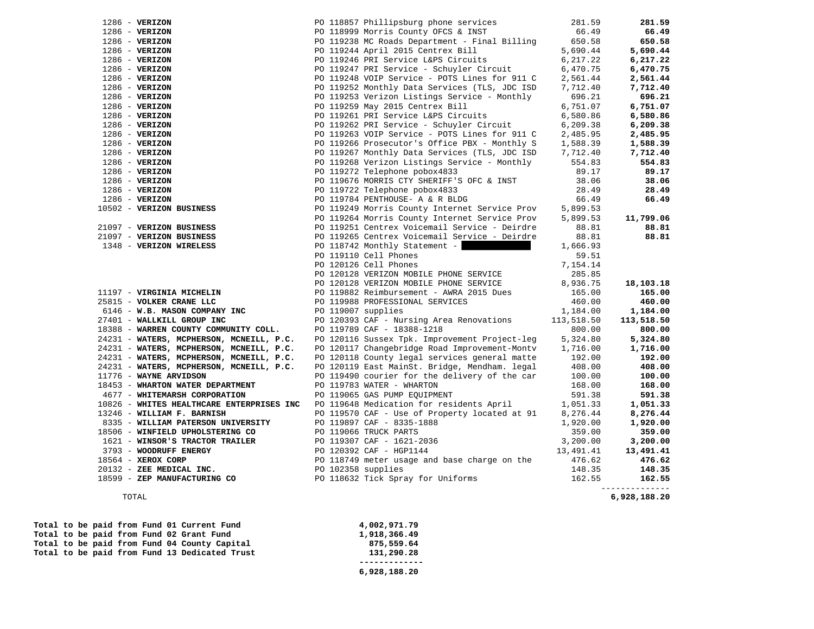| $1286$ - VERIZON                          |                    |                                                                              | 281.59     | 281.59     |
|-------------------------------------------|--------------------|------------------------------------------------------------------------------|------------|------------|
| $1286$ - VERIZON                          |                    | PO 118857 Phillipsburg phone services<br>PO 118999 Morris County OFCS & INST | 66.49      | 66.49      |
| $1286$ - VERIZON                          |                    | PO 119238 MC Roads Department - Final Billing                                | 650.58     | 650.58     |
| $1286 - VERIZON$                          |                    | PO 119244 April 2015 Centrex Bill                                            | 5,690.44   | 5,690.44   |
| $1286 - VERIZON$                          |                    | PO 119246 PRI Service L&PS Circuits                                          | 6,217.22   | 6,217.22   |
| $1286 - VERTZON$                          |                    | PO 119247 PRI Service - Schuyler Circuit                                     | 6,470.75   | 6,470.75   |
| $1286 - VERIZON$                          |                    | PO 119248 VOIP Service - POTS Lines for 911 C                                | 2,561.44   | 2,561.44   |
| $1286 - VERIZON$                          |                    | PO 119252 Monthly Data Services (TLS, JDC ISD                                | 7,712.40   | 7,712.40   |
| $1286$ - VERIZON                          |                    | PO 119253 Verizon Listings Service - Monthly                                 | 696.21     | 696.21     |
| $1286 - VERIZON$                          |                    | PO 119259 May 2015 Centrex Bill                                              | 6,751.07   | 6,751.07   |
| $1286$ - VERIZON                          |                    | PO 119261 PRI Service L&PS Circuits                                          | 6,580.86   | 6,580.86   |
| $1286$ - VERIZON                          |                    | PO 119262 PRI Service - Schuyler Circuit                                     | 6, 209.38  | 6,209.38   |
| $1286$ - VERIZON                          |                    | PO 119263 VOIP Service - POTS Lines for 911 C                                | 2,485.95   | 2,485.95   |
| $1286 - VERIZON$                          |                    | PO 119266 Prosecutor's Office PBX - Monthly S                                | 1,588.39   | 1,588.39   |
| $1286$ - VERIZON                          |                    | PO 119267 Monthly Data Services (TLS, JDC ISD                                | 7,712.40   | 7,712.40   |
| $1286$ - VERIZON                          |                    | PO 119268 Verizon Listings Service - Monthly                                 | 554.83     | 554.83     |
| $1286$ - VERIZON                          |                    | PO 119272 Telephone pobox4833                                                | 89.17      | 89.17      |
| $1286$ - VERIZON                          |                    | PO 119676 MORRIS CTY SHERIFF'S OFC & INST                                    | 38.06      | 38.06      |
| $1286$ - VERIZON                          |                    | PO 119722 Telephone pobox4833                                                | 28.49      | 28.49      |
| $1286$ - VERIZON                          |                    | PO 119784 PENTHOUSE- A & R BLDG                                              | 66.49      | 66.49      |
| 10502 - VERIZON BUSINESS                  |                    | PO 119249 Morris County Internet Service Prov                                | 5,899.53   |            |
|                                           |                    | PO 119264 Morris County Internet Service Prov                                | 5,899.53   | 11,799.06  |
| 21097 - VERIZON BUSINESS                  |                    | PO 119251 Centrex Voicemail Service - Deirdre                                | 88.81      | 88.81      |
| 21097 - VERIZON BUSINESS                  |                    | PO 119265 Centrex Voicemail Service - Deirdre                                | 88.81      | 88.81      |
| 1348 - VERIZON WIRELESS                   |                    | PO 118742 Monthly Statement -                                                | 1,666.93   |            |
|                                           |                    | PO 119110 Cell Phones                                                        | 59.51      |            |
|                                           |                    | PO 120126 Cell Phones                                                        | 7,154.14   |            |
|                                           |                    | PO 120128 VERIZON MOBILE PHONE SERVICE                                       | 285.85     |            |
|                                           |                    | PO 120128 VERIZON MOBILE PHONE SERVICE                                       | 8,936.75   | 18,103.18  |
| 11197 - VIRGINIA MICHELIN                 |                    | PO 119882 Reimbursement - AWRA 2015 Dues                                     | 165.00     | 165.00     |
| 25815 - VOLKER CRANE LLC                  |                    | PO 119988 PROFESSIONAL SERVICES                                              | 460.00     | 460.00     |
| 6146 - W.B. MASON COMPANY INC             |                    | PO 119007 supplies                                                           | 1,184.00   | 1,184.00   |
| 27401 - WALLKILL GROUP INC                |                    | PO 120393 CAF - Nursing Area Renovations                                     | 113,518.50 | 113,518.50 |
| 18388 - WARREN COUNTY COMMUNITY COLL.     |                    | PO 119789 CAF - 18388-1218                                                   | 800.00     | 800.00     |
| 24231 - WATERS, MCPHERSON, MCNEILL, P.C.  |                    | PO 120116 Sussex Tpk. Improvement Project-leg                                | 5,324.80   | 5,324.80   |
| 24231 - WATERS, MCPHERSON, MCNEILL, P.C.  |                    | PO 120117 Changebridge Road Improvement-Montv                                | 1,716.00   | 1,716.00   |
| 24231 - WATERS, MCPHERSON, MCNEILL, P.C.  |                    | PO 120118 County legal services general matte                                | 192.00     | 192.00     |
| 24231 - WATERS, MCPHERSON, MCNEILL, P.C.  |                    | PO 120119 East MainSt. Bridge, Mendham. legal                                | 408.00     | 408.00     |
| 11776 - WAYNE ARVIDSON                    |                    | PO 119490 courier for the delivery of the car                                | 100.00     | 100.00     |
| 18453 - WHARTON WATER DEPARTMENT          |                    | PO 119783 WATER - WHARTON                                                    | 168.00     | 168.00     |
| 4677 - WHITEMARSH CORPORATION             |                    | PO 119065 GAS PUMP EQUIPMENT                                                 | 591.38     | 591.38     |
| 10826 - WHITES HEALTHCARE ENTERPRISES INC |                    | PO 119648 Medication for residents April                                     | 1,051.33   | 1,051.33   |
| 13246 - WILLIAM F. BARNISH                |                    | PO 119570 CAF - Use of Property located at 91                                | 8,276.44   | 8,276.44   |
| 8335 - WILLIAM PATERSON UNIVERSITY        |                    | PO 119897 CAF - 8335-1888                                                    | 1,920.00   | 1,920.00   |
| 18506 - WINFIELD UPHOLSTERING CO          |                    | PO 119066 TRUCK PARTS                                                        | 359.00     | 359.00     |
| 1621 - WINSOR'S TRACTOR TRAILER           |                    | PO 119307 CAF - 1621-2036                                                    | 3,200.00   | 3,200.00   |
| 3793 - WOODRUFF ENERGY                    |                    | PO 120392 CAF - HGP1144                                                      | 13,491.41  | 13,491.41  |
| 18564 - XEROX CORP                        |                    | PO 118749 meter usage and base charge on the                                 | 476.62     | 476.62     |
| 20132 - ZEE MEDICAL INC.                  | PO 102358 supplies |                                                                              | 148.35     | 148.35     |
| 18599 - ZEP MANUFACTURING CO              |                    | PO 118632 Tick Spray for Uniforms                                            | 162.55     | 162.55     |
|                                           |                    |                                                                              |            |            |

6,928,188.20 TOTAL **6,928,188.20** 

|  |  |  |  | Total to be paid from Fund 01 Current Fund    | 4,002,971.79 |
|--|--|--|--|-----------------------------------------------|--------------|
|  |  |  |  | Total to be paid from Fund 02 Grant Fund      | 1,918,366.49 |
|  |  |  |  | Total to be paid from Fund 04 County Capital  | 875,559.64   |
|  |  |  |  | Total to be paid from Fund 13 Dedicated Trust | 131,290.28   |
|  |  |  |  |                                               |              |
|  |  |  |  |                                               | 6,928,188.20 |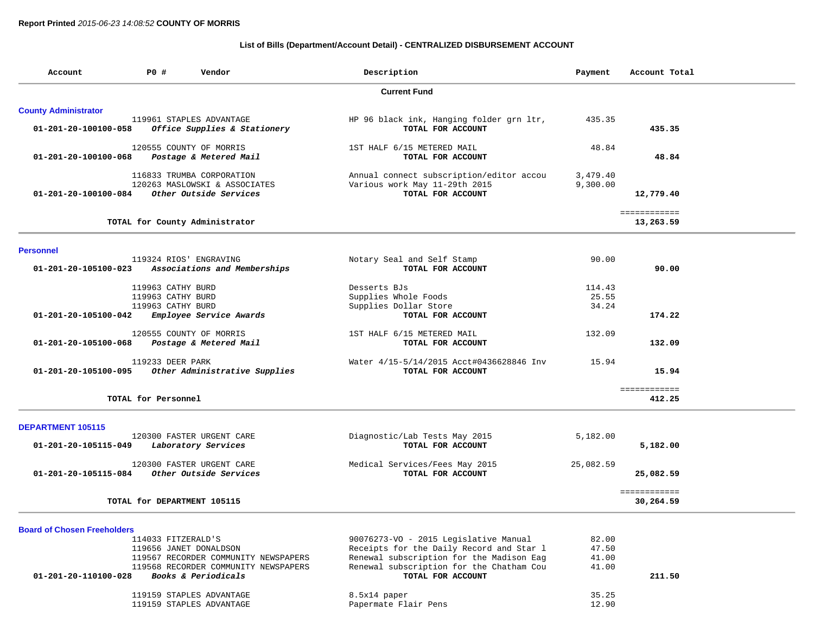## **List of Bills (Department/Account Detail) - CENTRALIZED DISBURSEMENT ACCOUNT**

| Account                            | Description<br><b>PO #</b><br>Vendor |                                                                                      | Payment                                                                                        | Account Total        |                           |
|------------------------------------|--------------------------------------|--------------------------------------------------------------------------------------|------------------------------------------------------------------------------------------------|----------------------|---------------------------|
|                                    |                                      |                                                                                      | <b>Current Fund</b>                                                                            |                      |                           |
| <b>County Administrator</b>        |                                      |                                                                                      |                                                                                                |                      |                           |
| 01-201-20-100100-058               |                                      | 119961 STAPLES ADVANTAGE<br>Office Supplies & Stationery                             | HP 96 black ink, Hanging folder grn ltr,<br>TOTAL FOR ACCOUNT                                  | 435.35               | 435.35                    |
| 01-201-20-100100-068               |                                      | 120555 COUNTY OF MORRIS<br>Postage & Metered Mail                                    | 1ST HALF 6/15 METERED MAIL<br>TOTAL FOR ACCOUNT                                                | 48.84                | 48.84                     |
| 01-201-20-100100-084               |                                      | 116833 TRUMBA CORPORATION<br>120263 MASLOWSKI & ASSOCIATES<br>Other Outside Services | Annual connect subscription/editor accou<br>Various work May 11-29th 2015<br>TOTAL FOR ACCOUNT | 3,479.40<br>9,300.00 | 12,779.40                 |
|                                    |                                      | TOTAL for County Administrator                                                       |                                                                                                |                      | ============<br>13,263.59 |
| <b>Personnel</b>                   |                                      |                                                                                      |                                                                                                |                      |                           |
| 01-201-20-105100-023               | 119324 RIOS' ENGRAVING               | Associations and Memberships                                                         | Notary Seal and Self Stamp<br>TOTAL FOR ACCOUNT                                                | 90.00                | 90.00                     |
|                                    | 119963 CATHY BURD                    |                                                                                      | Desserts BJs                                                                                   | 114.43               |                           |
|                                    | 119963 CATHY BURD                    |                                                                                      | Supplies Whole Foods                                                                           | 25.55                |                           |
| 01-201-20-105100-042               | 119963 CATHY BURD                    | Employee Service Awards                                                              | Supplies Dollar Store<br>TOTAL FOR ACCOUNT                                                     | 34.24                | 174.22                    |
| 01-201-20-105100-068               |                                      | 120555 COUNTY OF MORRIS<br>Postage & Metered Mail                                    | 1ST HALF 6/15 METERED MAIL<br>TOTAL FOR ACCOUNT                                                | 132.09               | 132.09                    |
| 01-201-20-105100-095               | 119233 DEER PARK                     | Other Administrative Supplies                                                        | Water 4/15-5/14/2015 Acct#0436628846 Inv<br>TOTAL FOR ACCOUNT                                  | 15.94                | 15.94                     |
|                                    |                                      |                                                                                      |                                                                                                |                      | ============              |
|                                    | TOTAL for Personnel                  |                                                                                      |                                                                                                |                      | 412.25                    |
| <b>DEPARTMENT 105115</b>           |                                      |                                                                                      |                                                                                                |                      |                           |
| 01-201-20-105115-049               |                                      | 120300 FASTER URGENT CARE<br>Laboratory Services                                     | Diagnostic/Lab Tests May 2015<br>TOTAL FOR ACCOUNT                                             | 5,182.00             | 5,182.00                  |
| 01-201-20-105115-084               |                                      | 120300 FASTER URGENT CARE<br>Other Outside Services                                  | Medical Services/Fees May 2015<br>TOTAL FOR ACCOUNT                                            | 25,082.59            | 25,082.59                 |
|                                    | TOTAL for DEPARTMENT 105115          |                                                                                      |                                                                                                |                      | ============<br>30,264.59 |
| <b>Board of Chosen Freeholders</b> |                                      |                                                                                      |                                                                                                |                      |                           |
|                                    | 114033 FITZERALD'S                   |                                                                                      | 90076273-VO - 2015 Legislative Manual                                                          | 82.00                |                           |
|                                    | 119656 JANET DONALDSON               |                                                                                      | Receipts for the Daily Record and Star 1                                                       | 47.50                |                           |
|                                    |                                      | 119567 RECORDER COMMUNITY NEWSPAPERS                                                 | Renewal subscription for the Madison Eag                                                       | 41.00                |                           |
| 01-201-20-110100-028               |                                      | 119568 RECORDER COMMUNITY NEWSPAPERS<br>Books & Periodicals                          | Renewal subscription for the Chatham Cou<br>TOTAL FOR ACCOUNT                                  | 41.00                | 211.50                    |
|                                    |                                      | 119159 STAPLES ADVANTAGE                                                             | $8.5x14$ paper                                                                                 | 35.25                |                           |
|                                    |                                      | 119159 STAPLES ADVANTAGE                                                             | Papermate Flair Pens                                                                           | 12.90                |                           |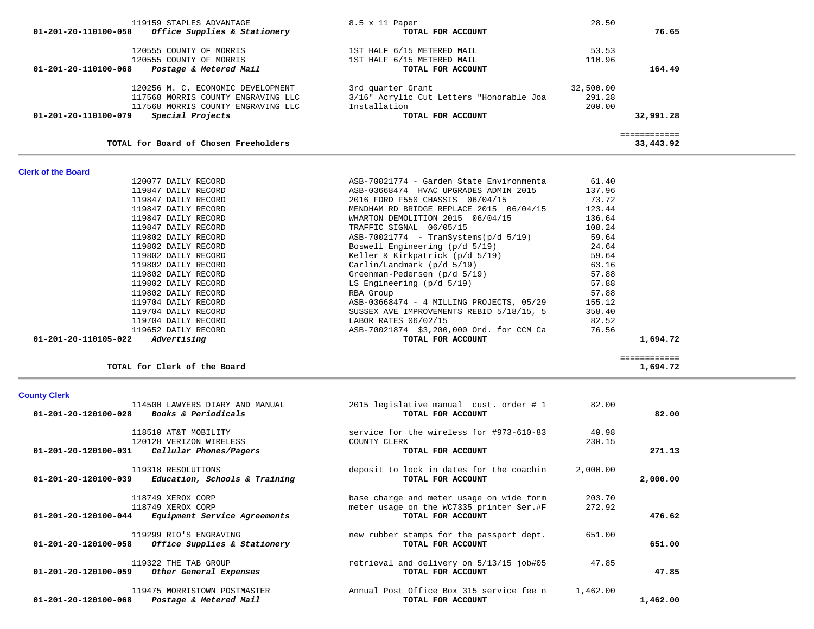|                      | TOTAL for Clerk of the Board                                           |                                                                                                           |                  | ------------<br>1,694.72 |
|----------------------|------------------------------------------------------------------------|-----------------------------------------------------------------------------------------------------------|------------------|--------------------------|
| <b>County Clerk</b>  |                                                                        |                                                                                                           |                  |                          |
| 01-201-20-120100-028 | 114500 LAWYERS DIARY AND MANUAL<br><i>Books &amp; Periodicals</i>      | 2015 legislative manual cust. order # 1<br>TOTAL FOR ACCOUNT                                              | 82.00            | 82.00                    |
|                      | 118510 AT&T MOBILITY<br>120128 VERIZON WIRELESS                        | service for the wireless for #973-610-83<br>COUNTY CLERK                                                  | 40.98<br>230.15  |                          |
| 01-201-20-120100-031 | Cellular Phones/Pagers                                                 | TOTAL FOR ACCOUNT                                                                                         |                  | 271.13                   |
| 01-201-20-120100-039 | 119318 RESOLUTIONS<br>Education, Schools & Training                    | deposit to lock in dates for the coachin<br>TOTAL FOR ACCOUNT                                             | 2,000.00         | 2,000.00                 |
| 01-201-20-120100-044 | 118749 XEROX CORP<br>118749 XEROX CORP<br>Equipment Service Agreements | base charge and meter usage on wide form<br>meter usage on the WC7335 printer Ser.#F<br>TOTAL FOR ACCOUNT | 203.70<br>272.92 | 476.62                   |
| 01-201-20-120100-058 | 119299 RIO'S ENGRAVING<br>Office Supplies & Stationery                 | new rubber stamps for the passport dept.<br>TOTAL FOR ACCOUNT                                             | 651.00           | 651.00                   |
| 01-201-20-120100-059 | 119322 THE TAB GROUP<br>Other General Expenses                         | retrieval and delivery on 5/13/15 job#05<br>TOTAL FOR ACCOUNT                                             | 47.85            | 47.85                    |
| 01-201-20-120100-068 | 119475 MORRISTOWN POSTMASTER<br>Postage & Metered Mail                 | Annual Post Office Box 315 service fee n<br>TOTAL FOR ACCOUNT                                             | 1,462.00         | 1,462.00                 |
|                      |                                                                        |                                                                                                           |                  |                          |

| <b>Clerk of the Board</b>           |                                          |        |          |
|-------------------------------------|------------------------------------------|--------|----------|
| 120077 DAILY RECORD                 | ASB-70021774 - Garden State Environmenta | 61.40  |          |
| 119847 DAILY RECORD                 | ASB-03668474 HVAC UPGRADES ADMIN 2015    | 137.96 |          |
| 119847 DAILY RECORD                 | 2016 FORD F550 CHASSIS 06/04/15          | 73.72  |          |
| 119847 DAILY RECORD                 | MENDHAM RD BRIDGE REPLACE 2015 06/04/15  | 123.44 |          |
| 119847 DAILY RECORD                 | WHARTON DEMOLITION 2015 06/04/15         | 136.64 |          |
| 119847 DAILY RECORD                 | TRAFFIC SIGNAL 06/05/15                  | 108.24 |          |
| 119802 DAILY RECORD                 | $ASB-70021774 - Transystems (p/d 5/19)$  | 59.64  |          |
| 119802 DAILY RECORD                 | Boswell Engineering (p/d 5/19)           | 24.64  |          |
| 119802 DAILY RECORD                 | Keller & Kirkpatrick $(p/d 5/19)$        | 59.64  |          |
| 119802 DAILY RECORD                 | Carlin/Landmark (p/d 5/19)               | 63.16  |          |
| 119802 DAILY RECORD                 | Greenman-Pedersen (p/d 5/19)             | 57.88  |          |
| 119802 DAILY RECORD                 | LS Engineering $(p/d 5/19)$              | 57.88  |          |
| 119802 DAILY RECORD                 | RBA Group                                | 57.88  |          |
| 119704 DAILY RECORD                 | ASB-03668474 - 4 MILLING PROJECTS, 05/29 | 155.12 |          |
| 119704 DAILY RECORD                 | SUSSEX AVE IMPROVEMENTS REBID 5/18/15, 5 | 358.40 |          |
| 119704 DAILY RECORD                 | LABOR RATES 06/02/15                     | 82.52  |          |
| 119652 DAILY RECORD                 | ASB-70021874 \$3,200,000 Ord. for CCM Ca | 76.56  |          |
| 01-201-20-110105-022<br>Advertising | TOTAL FOR ACCOUNT                        |        | 1,694.72 |

|  |  |  | TOTAL for Board of Chosen Freeholders |  |
|--|--|--|---------------------------------------|--|
|  |  |  |                                       |  |

| 119159 STAPLES ADVANTAGE<br>Office Supplies & Stationery<br>01-201-20-110100-058 | 8.5 x 11 Paper<br>TOTAL FOR ACCOUNT      | 28.50     | 76.65        |
|----------------------------------------------------------------------------------|------------------------------------------|-----------|--------------|
| 120555 COUNTY OF MORRIS                                                          | 1ST HALF 6/15 METERED MAIL               | 53.53     |              |
| 120555 COUNTY OF MORRIS                                                          | 1ST HALF 6/15 METERED MAIL               | 110.96    |              |
| Postage & Metered Mail<br>01-201-20-110100-068                                   | TOTAL FOR ACCOUNT                        |           | 164.49       |
| 120256 M. C. ECONOMIC DEVELOPMENT                                                | 3rd quarter Grant                        | 32,500.00 |              |
| 117568 MORRIS COUNTY ENGRAVING LLC                                               | 3/16" Acrylic Cut Letters "Honorable Joa | 291.28    |              |
| 117568 MORRIS COUNTY ENGRAVING LLC                                               | Installation                             | 200.00    |              |
| Special Projects<br>01-201-20-110100-079                                         | TOTAL FOR ACCOUNT                        |           | 32,991.28    |
|                                                                                  |                                          |           | ============ |
| TOTAL for Board of Chosen Freeholders                                            |                                          |           | 33,443.92    |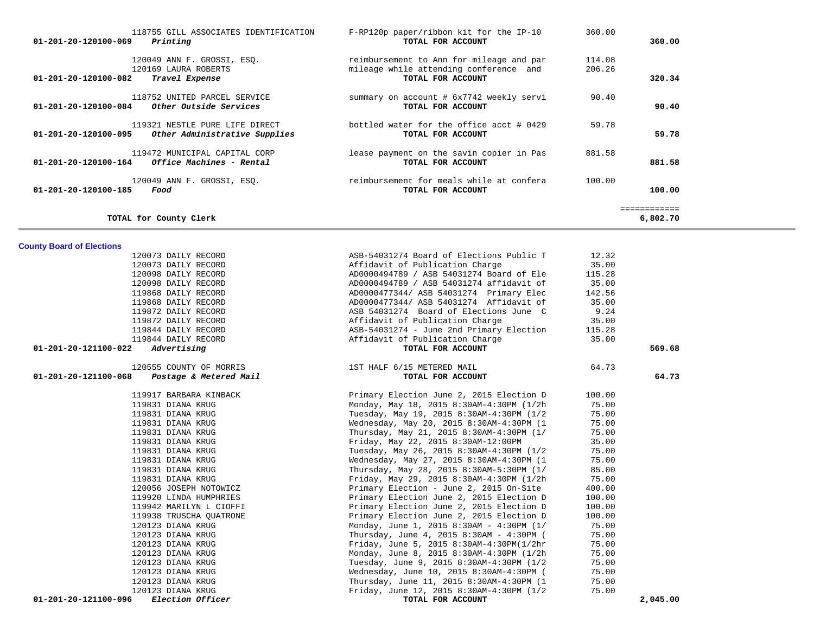| 118755 GILL ASSOCIATES IDENTIFICATION<br>01-201-20-120100-069<br>Printing                    | F-RP120p paper/ribbon kit for the IP-10<br>TOTAL FOR ACCOUNT                                            | 360.00           | 360.00                  |
|----------------------------------------------------------------------------------------------|---------------------------------------------------------------------------------------------------------|------------------|-------------------------|
| 120049 ANN F. GROSSI, ESO.<br>120169 LAURA ROBERTS<br>01-201-20-120100-082<br>Travel Expense | reimbursement to Ann for mileage and par<br>mileage while attending conference and<br>TOTAL FOR ACCOUNT | 114.08<br>206.26 | 320.34                  |
| 118752 UNITED PARCEL SERVICE<br>01-201-20-120100-084<br>Other Outside Services               | summary on account # 6x7742 weekly servi<br>TOTAL FOR ACCOUNT                                           | 90.40            | 90.40                   |
| 119321 NESTLE PURE LIFE DIRECT<br>Other Administrative Supplies<br>01-201-20-120100-095      | bottled water for the office acct # 0429<br>TOTAL FOR ACCOUNT                                           | 59.78            | 59.78                   |
| 119472 MUNICIPAL CAPITAL CORP<br>01-201-20-120100-164<br><i>Office Machines - Rental</i>     | lease payment on the savin copier in Pas<br>TOTAL FOR ACCOUNT                                           | 881.58           | 881.58                  |
| 120049 ANN F. GROSSI, ESO.<br>01-201-20-120100-185<br>Food                                   | reimbursement for meals while at confera<br>TOTAL FOR ACCOUNT                                           | 100.00           | 100.00                  |
| TOTAL for County Clerk                                                                       |                                                                                                         |                  | -----------<br>6,802.70 |

| <b>County Board of Elections</b>                         |                                           |        |          |
|----------------------------------------------------------|-------------------------------------------|--------|----------|
| 120073 DAILY RECORD                                      | ASB-54031274 Board of Elections Public T  | 12.32  |          |
| 120073 DAILY RECORD                                      | Affidavit of Publication Charge           | 35.00  |          |
| 120098 DAILY RECORD                                      | AD0000494789 / ASB 54031274 Board of Ele  | 115.28 |          |
| 120098 DAILY RECORD                                      | AD0000494789 / ASB 54031274 affidavit of  | 35.00  |          |
| 119868 DAILY RECORD                                      | AD0000477344/ ASB 54031274 Primary Elec   | 142.56 |          |
| 119868 DAILY RECORD                                      | AD0000477344/ ASB 54031274 Affidavit of   | 35.00  |          |
| 119872 DAILY RECORD                                      | ASB 54031274 Board of Elections June C    | 9.24   |          |
| 119872 DAILY RECORD                                      | Affidavit of Publication Charge           | 35.00  |          |
| 119844 DAILY RECORD                                      | ASB-54031274 - June 2nd Primary Election  | 115.28 |          |
| 119844 DAILY RECORD                                      | Affidavit of Publication Charge           | 35.00  |          |
| Advertising<br>01-201-20-121100-022                      | TOTAL FOR ACCOUNT                         |        | 569.68   |
| 120555 COUNTY OF MORRIS                                  | 1ST HALF 6/15 METERED MAIL                | 64.73  |          |
| $01 - 201 - 20 - 121100 - 068$<br>Postage & Metered Mail | TOTAL FOR ACCOUNT                         |        | 64.73    |
| 119917 BARBARA KINBACK                                   | Primary Election June 2, 2015 Election D  | 100.00 |          |
| 119831 DIANA KRUG                                        | Monday, May 18, 2015 8:30AM-4:30PM (1/2h) | 75.00  |          |
| 119831 DIANA KRUG                                        | Tuesday, May 19, 2015 8:30AM-4:30PM (1/2  | 75.00  |          |
| 119831 DIANA KRUG                                        | Wednesday, May 20, 2015 8:30AM-4:30PM (1  | 75.00  |          |
| 119831 DIANA KRUG                                        | Thursday, May 21, 2015 8:30AM-4:30PM (1/  | 75.00  |          |
| 119831 DIANA KRUG                                        | Friday, May 22, 2015 8:30AM-12:00PM       | 35.00  |          |
| 119831 DIANA KRUG                                        | Tuesday, May 26, 2015 8:30AM-4:30PM (1/2  | 75.00  |          |
| 119831 DIANA KRUG                                        | Wednesday, May 27, 2015 8:30AM-4:30PM (1  | 75.00  |          |
| 119831 DIANA KRUG                                        | Thursday, May 28, 2015 8:30AM-5:30PM (1/  | 85.00  |          |
| 119831 DIANA KRUG                                        | Friday, May 29, 2015 8:30AM-4:30PM (1/2h) | 75.00  |          |
| 120056 JOSEPH NOTOWICZ                                   | Primary Election - June 2, 2015 On-Site   | 400.00 |          |
| 119920 LINDA HUMPHRIES                                   | Primary Election June 2, 2015 Election D  | 100.00 |          |
| 119942 MARILYN L CIOFFI                                  | Primary Election June 2, 2015 Election D  | 100.00 |          |
| 119938 TRUSCHA QUATRONE                                  | Primary Election June 2, 2015 Election D  | 100.00 |          |
| 120123 DIANA KRUG                                        | Monday, June 1, 2015 8:30AM - 4:30PM (1/  | 75.00  |          |
| 120123 DIANA KRUG                                        | Thursday, June 4, 2015 8:30AM - 4:30PM (  | 75.00  |          |
| 120123 DIANA KRUG                                        | Friday, June 5, 2015 8:30AM-4:30PM(1/2hr  | 75.00  |          |
| 120123 DIANA KRUG                                        | Monday, June 8, 2015 8:30AM-4:30PM (1/2h  | 75.00  |          |
| 120123 DIANA KRUG                                        | Tuesday, June 9, 2015 8:30AM-4:30PM (1/2  | 75.00  |          |
| 120123 DIANA KRUG                                        | Wednesday, June 10, 2015 8:30AM-4:30PM (  | 75.00  |          |
| 120123 DIANA KRUG                                        | Thursday, June 11, 2015 8:30AM-4:30PM (1  | 75.00  |          |
| 120123 DIANA KRUG                                        | Friday, June 12, 2015 8:30AM-4:30PM (1/2  | 75.00  |          |
| 01-201-20-121100-096<br>Election Officer                 | TOTAL FOR ACCOUNT                         |        | 2,045.00 |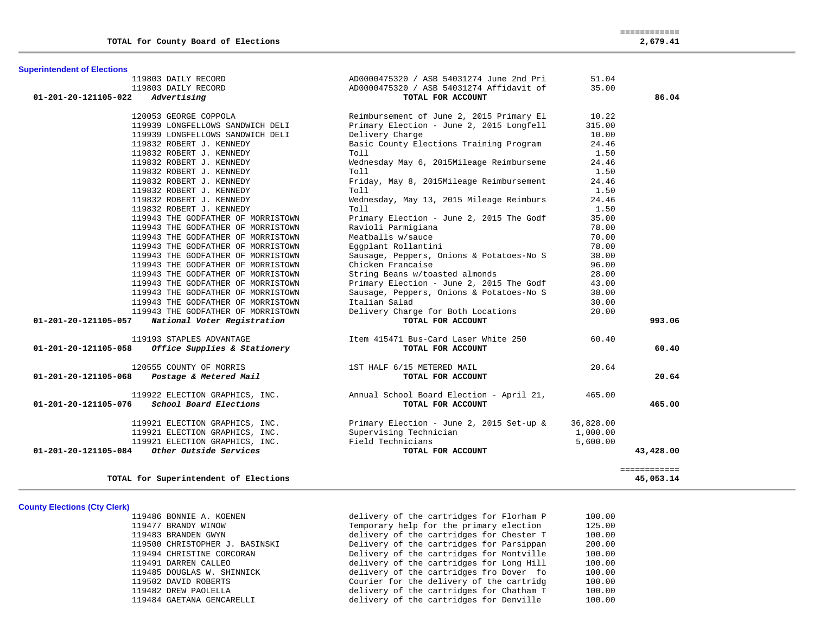|                      | 119803 DAILY RECORD<br>119803 DAILY RECORD | AD0000475320 / ASB 54031274 June 2nd Pri<br>AD0000475320 / ASB 54031274 Affidavit of          | 51.04<br>35.00 |                           |
|----------------------|--------------------------------------------|-----------------------------------------------------------------------------------------------|----------------|---------------------------|
| 01-201-20-121105-022 | Advertising                                | TOTAL FOR ACCOUNT                                                                             |                | 86.04                     |
|                      | 120053 GEORGE COPPOLA                      | Reimbursement of June 2, 2015 Primary El                                                      | 10.22          |                           |
|                      | 119939 LONGFELLOWS SANDWICH DELI           | Primary Election - June 2, 2015 Longfell                                                      | 315.00         |                           |
|                      | 119939 LONGFELLOWS SANDWICH DELI           | Delivery Charge                                                                               | 10.00          |                           |
|                      | 119832 ROBERT J. KENNEDY                   | Basic County Elections Training Program                                                       | 24.46          |                           |
|                      | 119832 ROBERT J. KENNEDY                   | Toll                                                                                          | 1.50           |                           |
|                      | 119832 ROBERT J. KENNEDY                   | Wednesday May 6, 2015Mileage Reimburseme                                                      | 24.46          |                           |
|                      | 119832 ROBERT J. KENNEDY                   | Toll                                                                                          | 1.50           |                           |
|                      | 119832 ROBERT J. KENNEDY                   | Friday, May 8, 2015Mileage Reimbursement                                                      | 24.46          |                           |
|                      | 119832 ROBERT J. KENNEDY                   | Toll                                                                                          | 1.50           |                           |
|                      | 119832 ROBERT J. KENNEDY                   | Wednesday, May 13, 2015 Mileage Reimburs                                                      | 24.46          |                           |
|                      | 119832 ROBERT J. KENNEDY                   | Toll                                                                                          | 1.50           |                           |
|                      | 119943 THE GODFATHER OF MORRISTOWN         | Primary Election - June 2, 2015 The Godf                                                      | 35.00          |                           |
|                      | 119943 THE GODFATHER OF MORRISTOWN         | Ravioli Parmigiana                                                                            | 78.00          |                           |
|                      | 119943 THE GODFATHER OF MORRISTOWN         | Meatballs w/sauce                                                                             | 70.00          |                           |
|                      | 119943 THE GODFATHER OF MORRISTOWN         | Eggplant Rollantini                                                                           | 78.00          |                           |
|                      | 119943 THE GODFATHER OF MORRISTOWN         | Sausage, Peppers, Onions & Potatoes-No S                                                      | 38.00          |                           |
|                      | 119943 THE GODFATHER OF MORRISTOWN         | Chicken Francaise                                                                             | 96.00          |                           |
|                      | 119943 THE GODFATHER OF MORRISTOWN         | String Beans w/toasted almonds                                                                | 28.00          |                           |
|                      | 119943 THE GODFATHER OF MORRISTOWN         | Primary Election - June 2, 2015 The Godf                                                      | 43.00          |                           |
|                      | 119943 THE GODFATHER OF MORRISTOWN         | Sausage, Peppers, Onions & Potatoes-No S                                                      | 38.00          |                           |
|                      | 119943 THE GODFATHER OF MORRISTOWN         | Italian Salad                                                                                 | 30.00          |                           |
|                      | 119943 THE GODFATHER OF MORRISTOWN         | Delivery Charge for Both Locations                                                            | 20.00          |                           |
| 01-201-20-121105-057 | National Voter Registration                | TOTAL FOR ACCOUNT                                                                             |                | 993.06                    |
|                      | 119193 STAPLES ADVANTAGE                   | Item 415471 Bus-Card Laser White 250                                                          | 60.40          |                           |
| 01-201-20-121105-058 | Office Supplies & Stationery               | TOTAL FOR ACCOUNT                                                                             |                | 60.40                     |
|                      | 120555 COUNTY OF MORRIS                    | 1ST HALF 6/15 METERED MAIL                                                                    | 20.64          |                           |
| 01-201-20-121105-068 | Postage & Metered Mail                     | TOTAL FOR ACCOUNT                                                                             |                | 20.64                     |
|                      | 119922 ELECTION GRAPHICS, INC.             | Annual School Board Election - April 21,                                                      | 465.00         |                           |
| 01-201-20-121105-076 | School Board Elections                     | TOTAL FOR ACCOUNT                                                                             |                | 465.00                    |
|                      | 119921 ELECTION GRAPHICS, INC.             | Primary Election - June 2, 2015 Set-up &                                                      | 36,828.00      |                           |
|                      |                                            |                                                                                               | 1,000.00       |                           |
|                      |                                            | 119921 ELECTION GRAPHICS, INC.<br>119921 ELECTION GRAPHICS, INC.<br>1. Other Outside Servisor | 5,600.00       |                           |
| 01-201-20-121105-084 | Other Outside Services                     | TOTAL FOR ACCOUNT                                                                             |                | 43,428.00                 |
|                      | TOTAL for Superintendent of Elections      |                                                                                               |                | ============<br>45,053.14 |
|                      |                                            |                                                                                               |                |                           |

## **County Elections (Cty Clerk)**

**Superintendent of Elections**

 119486 BONNIE A. KOENEN delivery of the cartridges for Florham P 100.00 119477 BRANDY WINOW Temporary help for the primary election 125.00 119483 BRANDEN GWYN delivery of the cartridges for Chester T 100.00 119500 CHRISTOPHER J. BASINSKI Delivery of the cartridges for Parsippan 200.00 119494 CHRISTINE CORCORAN Delivery of the cartridges for Montville 100.00 119491 DARREN CALLEO delivery of the cartridges for Long Hill 100.00 119485 DOUGLAS W. SHINNICK delivery of the cartridges fro Dover fo 100.00 119502 DAVID ROBERTS Courier for the delivery of the cartridg 100.00 119482 DREW PAOLELLA delivery of the cartridges for Chatham T 100.00 119484 GAETANA GENCARELLI delivery of the cartridges for Denville 100.00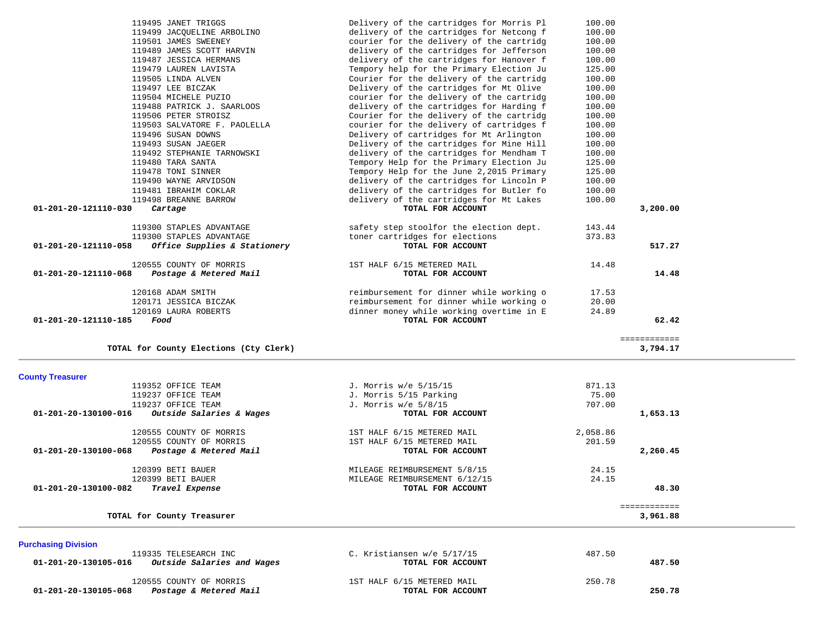|                            | 119495 JANET TRIGGS                                   | Delivery of the cartridges for Morris Pl | 100.00   |              |  |
|----------------------------|-------------------------------------------------------|------------------------------------------|----------|--------------|--|
|                            | 119499 JACQUELINE ARBOLINO                            | delivery of the cartridges for Netcong f | 100.00   |              |  |
|                            |                                                       |                                          |          |              |  |
|                            | 119501 JAMES SWEENEY                                  | courier for the delivery of the cartridg | 100.00   |              |  |
|                            | 119489 JAMES SCOTT HARVIN                             | delivery of the cartridges for Jefferson | 100.00   |              |  |
|                            | 119487 JESSICA HERMANS                                | delivery of the cartridges for Hanover f | 100.00   |              |  |
|                            | 119479 LAUREN LAVISTA                                 | Tempory help for the Primary Election Ju | 125.00   |              |  |
|                            | 119505 LINDA ALVEN                                    | Courier for the delivery of the cartridg | 100.00   |              |  |
|                            | 119497 LEE BICZAK                                     | Delivery of the cartridges for Mt Olive  | 100.00   |              |  |
|                            | 119504 MICHELE PUZIO                                  | courier for the delivery of the cartridg | 100.00   |              |  |
|                            | 119488 PATRICK J. SAARLOOS                            | delivery of the cartridges for Harding f | 100.00   |              |  |
|                            | 119506 PETER STROISZ                                  | Courier for the delivery of the cartridg | 100.00   |              |  |
|                            | 119503 SALVATORE F. PAOLELLA                          | courier for the delivery of cartridges f | 100.00   |              |  |
|                            | 119496 SUSAN DOWNS                                    |                                          | 100.00   |              |  |
|                            |                                                       | Delivery of cartridges for Mt Arlington  |          |              |  |
|                            | 119493 SUSAN JAEGER                                   | Delivery of the cartridges for Mine Hill | 100.00   |              |  |
|                            | 119492 STEPHANIE TARNOWSKI                            | delivery of the cartridges for Mendham T | 100.00   |              |  |
|                            | 119480 TARA SANTA                                     | Tempory Help for the Primary Election Ju | 125.00   |              |  |
|                            | 119478 TONI SINNER                                    | Tempory Help for the June 2,2015 Primary | 125.00   |              |  |
|                            | 119490 WAYNE ARVIDSON                                 | delivery of the cartridges for Lincoln P | 100.00   |              |  |
|                            | 119481 IBRAHIM COKLAR                                 | delivery of the cartridges for Butler fo | 100.00   |              |  |
|                            | 119498 BREANNE BARROW                                 | delivery of the cartridges for Mt Lakes  | 100.00   |              |  |
| 01-201-20-121110-030       | Cartage                                               | TOTAL FOR ACCOUNT                        |          | 3,200.00     |  |
|                            |                                                       |                                          |          |              |  |
|                            | 119300 STAPLES ADVANTAGE                              | safety step stoolfor the election dept.  | 143.44   |              |  |
|                            | 119300 STAPLES ADVANTAGE                              | toner cartridges for elections           | 373.83   |              |  |
| 01-201-20-121110-058       | Office Supplies & Stationery                          | TOTAL FOR ACCOUNT                        |          | 517.27       |  |
|                            |                                                       |                                          |          |              |  |
|                            | 120555 COUNTY OF MORRIS                               | 1ST HALF 6/15 METERED MAIL               | 14.48    |              |  |
| 01-201-20-121110-068       | Postage & Metered Mail                                | TOTAL FOR ACCOUNT                        |          | 14.48        |  |
|                            |                                                       |                                          |          |              |  |
|                            | 120168 ADAM SMITH                                     | reimbursement for dinner while working o | 17.53    |              |  |
|                            |                                                       |                                          |          |              |  |
|                            | 120171 JESSICA BICZAK                                 | reimbursement for dinner while working o | 20.00    |              |  |
|                            | 120169 LAURA ROBERTS                                  | dinner money while working overtime in E | 24.89    |              |  |
| 01-201-20-121110-185       | Food                                                  | TOTAL FOR ACCOUNT                        |          | 62.42        |  |
|                            |                                                       |                                          |          |              |  |
|                            |                                                       |                                          |          | ============ |  |
|                            | TOTAL for County Elections (Cty Clerk)                |                                          |          | 3,794.17     |  |
|                            |                                                       |                                          |          |              |  |
| <b>County Treasurer</b>    |                                                       |                                          |          |              |  |
|                            | 119352 OFFICE TEAM                                    | J. Morris w/e 5/15/15                    | 871.13   |              |  |
|                            | 119237 OFFICE TEAM                                    | J. Morris 5/15 Parking                   | 75.00    |              |  |
|                            | 119237 OFFICE TEAM                                    | J. Morris w/e 5/8/15                     | 707.00   |              |  |
| 01-201-20-130100-016       | Outside Salaries & Wages                              | TOTAL FOR ACCOUNT                        |          | 1,653.13     |  |
|                            |                                                       |                                          |          |              |  |
|                            | 120555 COUNTY OF MORRIS                               | 1ST HALF 6/15 METERED MAIL               | 2,058.86 |              |  |
|                            | 120555 COUNTY OF MORRIS                               | 1ST HALF 6/15 METERED MAIL               | 201.59   |              |  |
| 01-201-20-130100-068       | Postage & Metered Mail                                | TOTAL FOR ACCOUNT                        |          | 2,260.45     |  |
|                            |                                                       |                                          |          |              |  |
|                            | 120399 BETI BAUER                                     | MILEAGE REIMBURSEMENT 5/8/15             | 24.15    |              |  |
|                            | 120399 BETI BAUER                                     | MILEAGE REIMBURSEMENT 6/12/15            | 24.15    |              |  |
| 01-201-20-130100-082       | Travel Expense                                        | TOTAL FOR ACCOUNT                        |          | 48.30        |  |
|                            |                                                       |                                          |          |              |  |
|                            |                                                       |                                          |          | ============ |  |
|                            | TOTAL for County Treasurer                            |                                          |          | 3,961.88     |  |
|                            |                                                       |                                          |          |              |  |
| <b>Purchasing Division</b> |                                                       |                                          |          |              |  |
|                            | 119335 TELESEARCH INC                                 | C. Kristiansen w/e 5/17/15               | 487.50   |              |  |
| 01-201-20-130105-016       | Outside Salaries and Wages                            | TOTAL FOR ACCOUNT                        |          | 487.50       |  |
|                            |                                                       |                                          |          |              |  |
|                            | 120555 COUNTY OF MORRIS                               | 1ST HALF 6/15 METERED MAIL               | 250.78   |              |  |
|                            | $01 - 201 - 20 - 130105 - 068$ Postage & Metered Mail | TOTAL FOR ACCOUNT                        |          | 250.78       |  |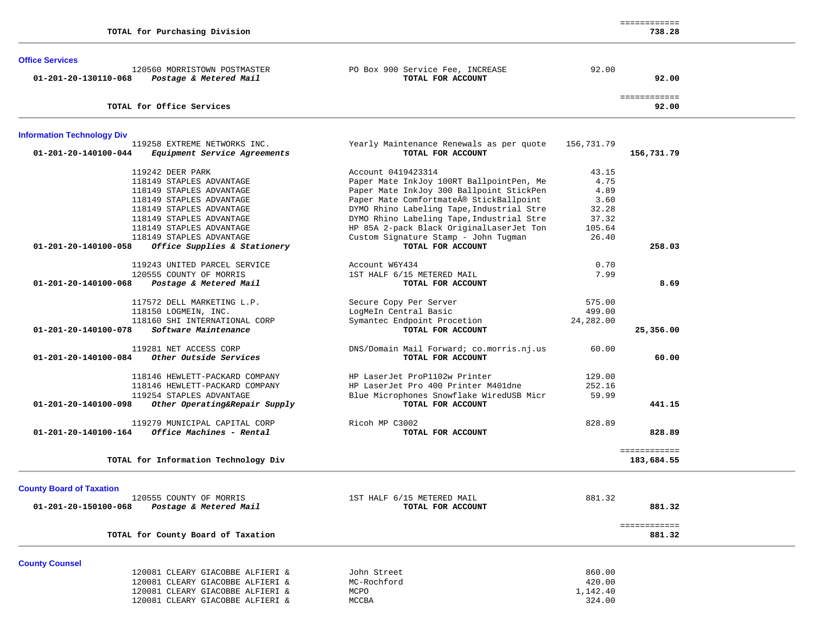|                                   | TOTAL for Purchasing Division                                       |                                                               |            | ============<br>738.28 |  |
|-----------------------------------|---------------------------------------------------------------------|---------------------------------------------------------------|------------|------------------------|--|
| <b>Office Services</b>            |                                                                     |                                                               |            |                        |  |
| 01-201-20-130110-068              | 120560 MORRISTOWN POSTMASTER<br>Postage & Metered Mail              | PO Box 900 Service Fee, INCREASE<br>TOTAL FOR ACCOUNT         | 92.00      | 92.00                  |  |
|                                   | TOTAL for Office Services                                           |                                                               |            | ============<br>92.00  |  |
| <b>Information Technology Div</b> |                                                                     |                                                               |            |                        |  |
| 01-201-20-140100-044              | 119258 EXTREME NETWORKS INC.<br><i>Equipment Service Agreements</i> | Yearly Maintenance Renewals as per quote<br>TOTAL FOR ACCOUNT | 156,731.79 | 156,731.79             |  |
|                                   | 119242 DEER PARK                                                    | Account 0419423314                                            | 43.15      |                        |  |
|                                   | 118149 STAPLES ADVANTAGE                                            | Paper Mate InkJoy 100RT BallpointPen, Me                      | 4.75       |                        |  |
|                                   | 118149 STAPLES ADVANTAGE                                            | Paper Mate InkJoy 300 Ballpoint StickPen                      | 4.89       |                        |  |
|                                   | 118149 STAPLES ADVANTAGE                                            | Paper Mate Comfortmate® StickBallpoint                        | 3.60       |                        |  |
|                                   | 118149 STAPLES ADVANTAGE                                            | DYMO Rhino Labeling Tape, Industrial Stre                     | 32.28      |                        |  |
|                                   | 118149 STAPLES ADVANTAGE                                            | DYMO Rhino Labeling Tape, Industrial Stre                     | 37.32      |                        |  |
|                                   | 118149 STAPLES ADVANTAGE                                            | HP 85A 2-pack Black OriginalLaserJet Ton                      | 105.64     |                        |  |
| 01-201-20-140100-058              | 118149 STAPLES ADVANTAGE<br>Office Supplies & Stationery            | Custom Signature Stamp - John Tugman<br>TOTAL FOR ACCOUNT     | 26.40      | 258.03                 |  |
|                                   | 119243 UNITED PARCEL SERVICE                                        | Account W6Y434                                                | 0.70       |                        |  |
| 01-201-20-140100-068              | 120555 COUNTY OF MORRIS<br>Postage & Metered Mail                   | 1ST HALF 6/15 METERED MAIL<br>TOTAL FOR ACCOUNT               | 7.99       | 8.69                   |  |
|                                   |                                                                     |                                                               |            |                        |  |
|                                   | 117572 DELL MARKETING L.P.                                          | Secure Copy Per Server                                        | 575.00     |                        |  |
|                                   | 118150 LOGMEIN, INC.                                                | LogMeIn Central Basic                                         | 499.00     |                        |  |
|                                   | 118160 SHI INTERNATIONAL CORP                                       | Symantec Endpoint Procetion                                   | 24,282.00  |                        |  |
| 01-201-20-140100-078              | Software Maintenance                                                | TOTAL FOR ACCOUNT                                             |            | 25,356.00              |  |
|                                   | 119281 NET ACCESS CORP                                              | DNS/Domain Mail Forward; co.morris.nj.us                      | 60.00      |                        |  |
| $01 - 201 - 20 - 140100 - 084$    | Other Outside Services                                              | TOTAL FOR ACCOUNT                                             |            | 60.00                  |  |
|                                   | 118146 HEWLETT-PACKARD COMPANY                                      | HP LaserJet ProP1102w Printer                                 | 129.00     |                        |  |
|                                   | 118146 HEWLETT-PACKARD COMPANY                                      | HP LaserJet Pro 400 Printer M401dne                           | 252.16     |                        |  |
|                                   | 119254 STAPLES ADVANTAGE                                            | Blue Microphones Snowflake WiredUSB Micr                      | 59.99      |                        |  |
| 01-201-20-140100-098              | Other Operating&Repair Supply                                       | TOTAL FOR ACCOUNT                                             |            | 441.15                 |  |
|                                   | 119279 MUNICIPAL CAPITAL CORP                                       | Ricoh MP C3002                                                | 828.89     |                        |  |
| 01-201-20-140100-164              | Office Machines - Rental                                            | TOTAL FOR ACCOUNT                                             |            | 828.89                 |  |
|                                   |                                                                     |                                                               |            | ============           |  |
|                                   | TOTAL for Information Technology Div                                |                                                               |            | 183,684.55             |  |
| <b>County Board of Taxation</b>   |                                                                     |                                                               |            |                        |  |
|                                   | 120555 COUNTY OF MORRIS                                             | 1ST HALF 6/15 METERED MAIL                                    | 881.32     |                        |  |
| 01-201-20-150100-068              | Postage & Metered Mail                                              | TOTAL FOR ACCOUNT                                             |            | 881.32                 |  |
|                                   | TOTAL for County Board of Taxation                                  |                                                               |            | ============<br>881.32 |  |
|                                   |                                                                     |                                                               |            |                        |  |

**TOTAL for County Board of Taxation 881.32**

**County Counsel** 

| 120081 CLEARY GIACOBBE ALFIERI & |  | John Street | 860.00   |
|----------------------------------|--|-------------|----------|
| 120081 CLEARY GIACOBBE ALFIERI & |  | MC-Rochford | 420.00   |
| 120081 CLEARY GIACOBBE ALFIERI & |  | MCPO        | 1,142.40 |
| 120081 CLEARY GIACOBBE ALFIERI & |  | MCCBA       | 324.00   |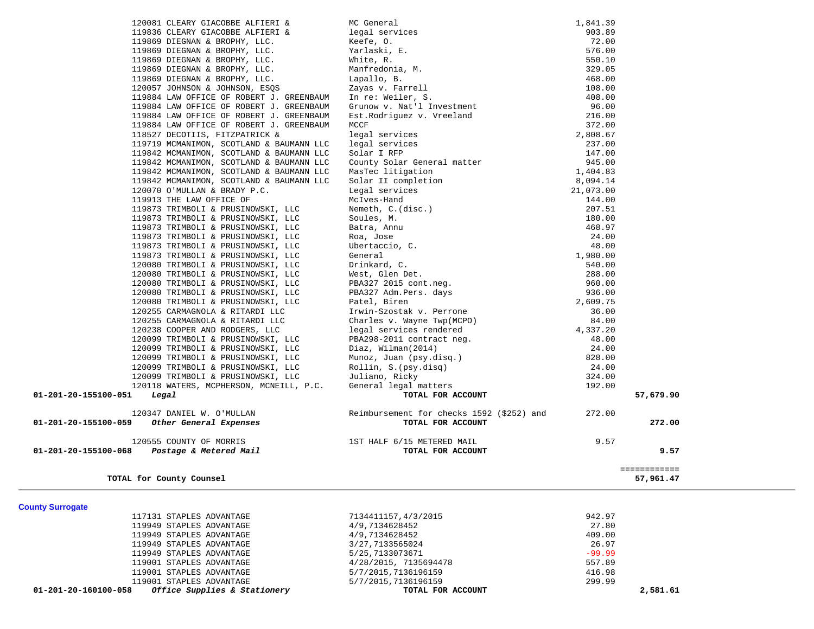| 120081 CLEARY GIACOBBE ALFIERI &                                                 | MC General                                                                                                                                                                                                                                                              | 1,841.39       |              |  |
|----------------------------------------------------------------------------------|-------------------------------------------------------------------------------------------------------------------------------------------------------------------------------------------------------------------------------------------------------------------------|----------------|--------------|--|
| 119836 CLEARY GIACOBBE ALFIERI &                                                 | legal services                                                                                                                                                                                                                                                          | 903.89         |              |  |
| 119869 DIEGNAN & BROPHY, LLC.                                                    | Keefe, O.                                                                                                                                                                                                                                                               | 72.00          |              |  |
| 119869 DIEGNAN & BROPHY, LLC.                                                    | Yarlaski, E.                                                                                                                                                                                                                                                            | 576.00         |              |  |
| 119869 DIEGNAN & BROPHY, LLC.                                                    | White, R.                                                                                                                                                                                                                                                               | 550.10         |              |  |
| 119869 DIEGNAN & BROPHY, LLC.                                                    | Manfredonia, M.                                                                                                                                                                                                                                                         | 329.05         |              |  |
| 119869 DIEGNAN & BROPHY, LLC.                                                    | Lapallo, B.                                                                                                                                                                                                                                                             | 468.00         |              |  |
| 120057 JOHNSON & JOHNSON, ESQS                                                   | Zayas v. Farrell                                                                                                                                                                                                                                                        | 108.00         |              |  |
| 119884 LAW OFFICE OF ROBERT J. GREENBAUM                                         | In re: Weiler, S.                                                                                                                                                                                                                                                       | 408.00         |              |  |
| 119884 LAW OFFICE OF ROBERT J. GREENBAUM                                         | Grunow v. Nat'l Investment                                                                                                                                                                                                                                              | 96.00          |              |  |
| 119884 LAW OFFICE OF ROBERT J. GREENBAUM                                         | Est. Rodriguez v. Vreeland                                                                                                                                                                                                                                              | 216.00         |              |  |
| 119884 LAW OFFICE OF ROBERT J. GREENBAUM                                         | MCCF                                                                                                                                                                                                                                                                    | 372.00         |              |  |
| 118527 DECOTIIS, FITZPATRICK &                                                   | legal services                                                                                                                                                                                                                                                          | 2,808.67       |              |  |
| 119719 MCMANIMON, SCOTLAND & BAUMANN LLC                                         | legal services                                                                                                                                                                                                                                                          | 237.00         |              |  |
| 119842 MCMANIMON, SCOTLAND & BAUMANN LLC                                         | Solar I RFP                                                                                                                                                                                                                                                             | 147.00         |              |  |
| 119842 MCMANIMON, SCOTLAND & BAUMANN LLC                                         | County Solar General matter                                                                                                                                                                                                                                             | 945.00         |              |  |
| 119842 MCMANIMON, SCOTLAND & BAUMANN LLC                                         | MasTec litigation                                                                                                                                                                                                                                                       | 1,404.83       |              |  |
| 119842 MCMANIMON, SCOTLAND & BAUMANN LLC                                         | Solar II completion                                                                                                                                                                                                                                                     | 8,094.14       |              |  |
| 120070 O'MULLAN & BRADY P.C.                                                     |                                                                                                                                                                                                                                                                         | 21,073.00      |              |  |
| 119913 THE LAW OFFICE OF                                                         |                                                                                                                                                                                                                                                                         | 144.00         |              |  |
| 119873 TRIMBOLI & PRUSINOWSKI, LLC                                               |                                                                                                                                                                                                                                                                         | 207.51         |              |  |
| 119873 TRIMBOLI & PRUSINOWSKI, LLC                                               |                                                                                                                                                                                                                                                                         | 180.00         |              |  |
| 119873 TRIMBOLI & PRUSINOWSKI, LLC                                               |                                                                                                                                                                                                                                                                         | 468.97         |              |  |
| 119873 TRIMBOLI & PRUSINOWSKI, LLC                                               |                                                                                                                                                                                                                                                                         | 24.00          |              |  |
| 119873 TRIMBOLI & PRUSINOWSKI, LLC                                               |                                                                                                                                                                                                                                                                         | 48.00          |              |  |
| 119873 TRIMBOLI & PRUSINOWSKI, LLC                                               | Solar II completion<br>Legal services<br>McIves-Hand<br>Nemeth, C.(disc.)<br>Souls, M.<br>Batra, Annu<br>Raa, Jose<br>Ubertaccio, C.<br>General<br>Drinkard, C.<br>West, Glen Det.<br>PBA327 2015 cont.neg.<br>PBA327 2015 cont.neg.<br>PBA327 2015 cont.neg.<br>PBA327 | 1,980.00       |              |  |
| 120080 TRIMBOLI & PRUSINOWSKI, LLC                                               |                                                                                                                                                                                                                                                                         | 540.00         |              |  |
| 120080 TRIMBOLI & PRUSINOWSKI, LLC                                               |                                                                                                                                                                                                                                                                         | 288.00         |              |  |
| 120080 TRIMBOLI & PRUSINOWSKI, LLC                                               |                                                                                                                                                                                                                                                                         | 960.00         |              |  |
| 120080 TRIMBOLI & PRUSINOWSKI, LLC                                               |                                                                                                                                                                                                                                                                         | 936.00         |              |  |
| 120080 TRIMBOLI & PRUSINOWSKI, LLC                                               |                                                                                                                                                                                                                                                                         | 2,609.75       |              |  |
| 120255 CARMAGNOLA & RITARDI LLC                                                  |                                                                                                                                                                                                                                                                         | 36.00<br>84.00 |              |  |
| 120255 CARMAGNOLA & RITARDI LLC                                                  | Charles v. Wayne Twp(MCPO)<br>legal services rendered                                                                                                                                                                                                                   | 4,337.20       |              |  |
| 120238 COOPER AND RODGERS, LLC<br>120099 TRIMBOLI & PRUSINOWSKI, LLC             | PBA298-2011 contract neg.                                                                                                                                                                                                                                               | 48.00          |              |  |
| 120099 TRIMBOLI & PRUSINOWSKI, LLC                                               |                                                                                                                                                                                                                                                                         | 24.00          |              |  |
| 120099 TRIMBOLI & PRUSINOWSKI, LLC                                               |                                                                                                                                                                                                                                                                         | 828.00         |              |  |
| 120099 TRIMBOLI & PRUSINOWSKI, LLC                                               | Diaz, Wilman(2014)<br>Munoz, Juan (psy.disq.)<br>Rollin, S.(psy.disq)                                                                                                                                                                                                   | 24.00          |              |  |
| 120099 TRIMBOLI & PRUSINOWSKI, LLC                                               | Juliano, Ricky                                                                                                                                                                                                                                                          | 324.00         |              |  |
| 120118 WATERS, MCPHERSON, MCNEILL, P.C.                                          | General legal matters                                                                                                                                                                                                                                                   | 192.00         |              |  |
| 01-201-20-155100-051<br>Legal                                                    | TOTAL FOR ACCOUNT                                                                                                                                                                                                                                                       |                | 57,679.90    |  |
|                                                                                  |                                                                                                                                                                                                                                                                         |                |              |  |
| 120347 DANIEL W. O'MULLAN                                                        | Reimbursement for checks 1592 (\$252) and                                                                                                                                                                                                                               | 272.00         |              |  |
| Other General Expenses<br>01-201-20-155100-059                                   | TOTAL FOR ACCOUNT                                                                                                                                                                                                                                                       |                | 272.00       |  |
|                                                                                  |                                                                                                                                                                                                                                                                         |                |              |  |
| 120555 COUNTY OF MORRIS                                                          | 1ST HALF 6/15 METERED MAIL                                                                                                                                                                                                                                              | 9.57           |              |  |
| Postage & Metered Mail<br>01-201-20-155100-068                                   | TOTAL FOR ACCOUNT                                                                                                                                                                                                                                                       |                | 9.57         |  |
|                                                                                  |                                                                                                                                                                                                                                                                         |                |              |  |
|                                                                                  |                                                                                                                                                                                                                                                                         |                | ============ |  |
| TOTAL for County Counsel                                                         |                                                                                                                                                                                                                                                                         |                | 57,961.47    |  |
|                                                                                  |                                                                                                                                                                                                                                                                         |                |              |  |
|                                                                                  |                                                                                                                                                                                                                                                                         |                |              |  |
| <b>County Surrogate</b>                                                          |                                                                                                                                                                                                                                                                         |                |              |  |
| 117131 STAPLES ADVANTAGE                                                         | 7134411157,4/3/2015                                                                                                                                                                                                                                                     | 942.97         |              |  |
| 119949 STAPLES ADVANTAGE                                                         | 4/9,7134628452                                                                                                                                                                                                                                                          | 27.80          |              |  |
| 119949 STAPLES ADVANTAGE                                                         | 4/9,7134628452                                                                                                                                                                                                                                                          | 409.00         |              |  |
| 119949 STAPLES ADVANTAGE                                                         | 3/27, 7133565024                                                                                                                                                                                                                                                        | 26.97          |              |  |
| 119949 STAPLES ADVANTAGE                                                         | 5/25,7133073671                                                                                                                                                                                                                                                         | $-99.99$       |              |  |
| 119001 STAPLES ADVANTAGE                                                         | 4/28/2015, 7135694478                                                                                                                                                                                                                                                   | 557.89         |              |  |
| 119001 STAPLES ADVANTAGE                                                         | 5/7/2015, 7136196159                                                                                                                                                                                                                                                    | 416.98         |              |  |
| 119001 STAPLES ADVANTAGE<br>01-201-20-160100-058<br>Office Supplies & Stationery | 5/7/2015,7136196159<br>TOTAL FOR ACCOUNT                                                                                                                                                                                                                                | 299.99         | 2,581.61     |  |
|                                                                                  |                                                                                                                                                                                                                                                                         |                |              |  |
|                                                                                  |                                                                                                                                                                                                                                                                         |                |              |  |

 $\overline{\phantom{0}}$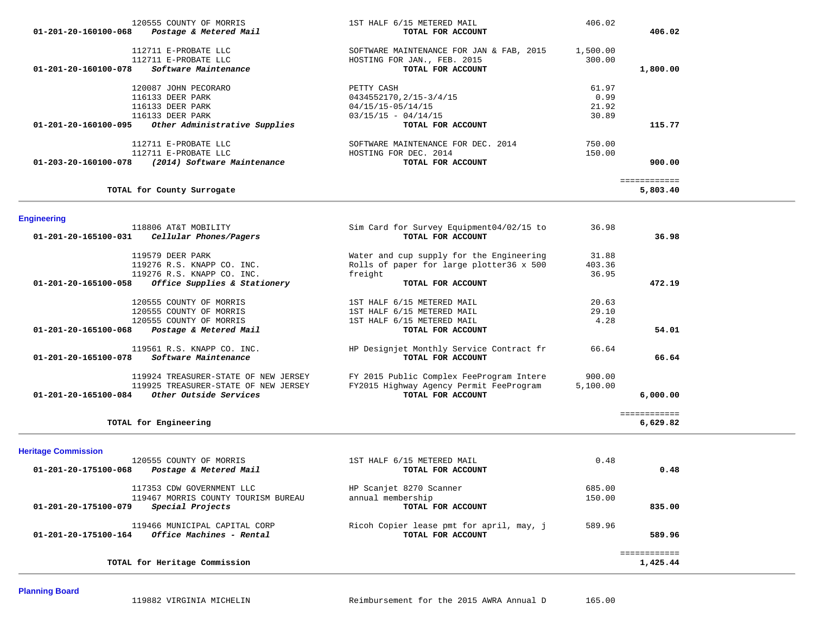|                      | 120555 COUNTY OF MORRIS       | 1ST HALF 6/15 METERED MAIL                    | 406.02   |              |
|----------------------|-------------------------------|-----------------------------------------------|----------|--------------|
| 01-201-20-160100-068 | Postage & Metered Mail        | TOTAL FOR ACCOUNT                             |          | 406.02       |
|                      | 112711 E-PROBATE LLC          | SOFTWARE MAINTENANCE FOR JAN & FAB, 2015      | 1,500.00 |              |
|                      | 112711 E-PROBATE LLC          | HOSTING FOR JAN., FEB. 2015                   | 300.00   |              |
| 01-201-20-160100-078 | Software Maintenance          | TOTAL FOR ACCOUNT                             |          | 1,800.00     |
|                      | 120087 JOHN PECORARO          | PETTY CASH                                    | 61.97    |              |
|                      | 116133 DEER PARK              | 0434552170, 2/15-3/4/15                       | 0.99     |              |
|                      | 116133 DEER PARK              | 04/15/15-05/14/15                             | 21.92    |              |
|                      | 116133 DEER PARK              | $03/15/15 - 04/14/15$                         | 30.89    |              |
| 01-201-20-160100-095 | Other Administrative Supplies | TOTAL FOR ACCOUNT                             |          | 115.77       |
|                      | 112711 E-PROBATE LLC          | SOFTWARE MAINTENANCE FOR DEC. 2014            | 750.00   |              |
|                      | 112711 E-PROBATE LLC          | HOSTING FOR DEC. 2014                         | 150.00   |              |
| 01-203-20-160100-078 | (2014) Software Maintenance   | TOTAL FOR ACCOUNT                             |          | 900.00       |
|                      |                               |                                               |          | ============ |
|                      | TOTAL for County Surrogate    |                                               |          | 5,803.40     |
|                      |                               |                                               |          |              |
| <b>Engineering</b>   | 118806 AT&T MORILITY          | $Sim$ Card for Survey Equipment $04/02/15$ to | 3698     |              |

| TTOOOO WIQT MODTHII<br>Cellular Phones/Pagers<br>01-201-20-165100-031      | bim card for burvey Equipment of the co<br>TOTAL FOR ACCOUNT  | <u>JU.JU</u> | 36.98        |
|----------------------------------------------------------------------------|---------------------------------------------------------------|--------------|--------------|
| 119579 DEER PARK                                                           | Water and cup supply for the Engineering                      | 31.88        |              |
| 119276 R.S. KNAPP CO. INC.                                                 | Rolls of paper for large plotter36 x 500                      | 403.36       |              |
| 119276 R.S. KNAPP CO. INC.                                                 | freight                                                       | 36.95        |              |
| Office Supplies & Stationery<br>01-201-20-165100-058                       | TOTAL FOR ACCOUNT                                             |              | 472.19       |
| 120555 COUNTY OF MORRIS                                                    | 1ST HALF 6/15 METERED MAIL                                    | 20.63        |              |
| 120555 COUNTY OF MORRIS                                                    | 1ST HALF 6/15 METERED MAIL                                    | 29.10        |              |
| 120555 COUNTY OF MORRIS                                                    | 1ST HALF 6/15 METERED MAIL                                    | 4.28         |              |
| 01-201-20-165100-068<br>Postage & Metered Mail                             | TOTAL FOR ACCOUNT                                             |              | 54.01        |
| 119561 R.S. KNAPP CO. INC.<br>01-201-20-165100-078<br>Software Maintenance | HP Designjet Monthly Service Contract fr<br>TOTAL FOR ACCOUNT | 66.64        | 66.64        |
| 119924 TREASURER-STATE OF NEW JERSEY                                       | FY 2015 Public Complex FeeProgram Intere                      | 900.00       |              |
| 119925 TREASURER-STATE OF NEW JERSEY                                       | FY2015 Highway Agency Permit FeeProgram                       | 5,100.00     |              |
| 01-201-20-165100-084<br>Other Outside Services                             | TOTAL FOR ACCOUNT                                             |              | 6,000.00     |
|                                                                            |                                                               |              | ============ |
| TOTAL for Engineering                                                      |                                                               |              | 6,629.82     |

**Heritage Commission** 

| 120555 COUNTY OF MORRIS                          | 1ST HALF 6/15 METERED MAIL               | 0.48   |             |
|--------------------------------------------------|------------------------------------------|--------|-------------|
| 01-201-20-175100-068<br>Postage & Metered Mail   | TOTAL FOR ACCOUNT                        |        | 0.48        |
| 117353 CDW GOVERNMENT LLC                        | HP Scanjet 8270 Scanner                  | 685.00 |             |
| 119467 MORRIS COUNTY TOURISM BUREAU              | annual membership                        | 150.00 |             |
| Special Projects<br>01-201-20-175100-079         | TOTAL FOR ACCOUNT                        |        | 835.00      |
| 119466 MUNICIPAL CAPITAL CORP                    | Ricoh Copier lease pmt for april, may, j | 589.96 |             |
| Office Machines - Rental<br>01-201-20-175100-164 | TOTAL FOR ACCOUNT                        |        | 589.96      |
|                                                  |                                          |        | ----------- |
| TOTAL for Heritage Commission                    |                                          |        | 1,425.44    |

**Planning Board**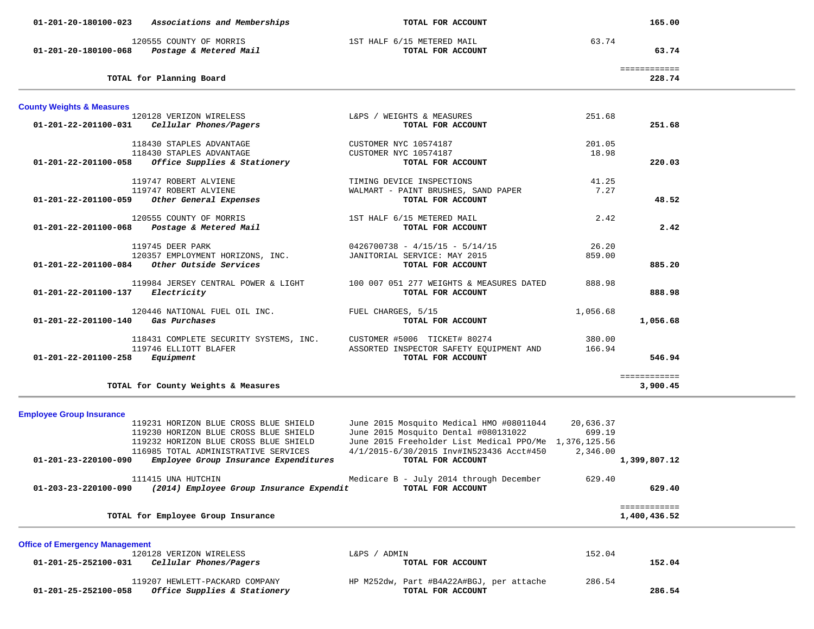|                                            | 01-201-20-180100-023 Associations and Memberships                      | TOTAL FOR ACCOUNT                                     |           | 165.00                 |  |
|--------------------------------------------|------------------------------------------------------------------------|-------------------------------------------------------|-----------|------------------------|--|
|                                            | 120555 COUNTY OF MORRIS<br>01-201-20-180100-068 Postage & Metered Mail | 1ST HALF 6/15 METERED MAIL<br>TOTAL FOR ACCOUNT       | 63.74     | 63.74                  |  |
|                                            | TOTAL for Planning Board                                               |                                                       |           | ============<br>228.74 |  |
| <b>County Weights &amp; Measures</b>       |                                                                        |                                                       |           |                        |  |
|                                            | 120128 VERIZON WIRELESS                                                | L&PS / WEIGHTS & MEASURES                             | 251.68    |                        |  |
|                                            | 01-201-22-201100-031 Cellular Phones/Pagers                            | TOTAL FOR ACCOUNT                                     |           | 251.68                 |  |
|                                            | 118430 STAPLES ADVANTAGE                                               | CUSTOMER NYC 10574187                                 | 201.05    |                        |  |
|                                            | 118430 STAPLES ADVANTAGE                                               | CUSTOMER NYC 10574187                                 | 18.98     |                        |  |
| 01-201-22-201100-058                       | Office Supplies & Stationery                                           | TOTAL FOR ACCOUNT                                     |           | 220.03                 |  |
|                                            | 119747 ROBERT ALVIENE                                                  | TIMING DEVICE INSPECTIONS                             | 41.25     |                        |  |
|                                            | 119747 ROBERT ALVIENE                                                  | WALMART - PAINT BRUSHES, SAND PAPER                   | 7.27      |                        |  |
| 01-201-22-201100-059                       | Other General Expenses                                                 | TOTAL FOR ACCOUNT                                     |           | 48.52                  |  |
|                                            | 120555 COUNTY OF MORRIS                                                | 1ST HALF 6/15 METERED MAIL                            | 2.42      |                        |  |
| 01-201-22-201100-068                       | Postage & Metered Mail                                                 | TOTAL FOR ACCOUNT                                     |           | 2.42                   |  |
|                                            | 119745 DEER PARK                                                       | $0426700738 - 4/15/15 - 5/14/15$                      | 26.20     |                        |  |
|                                            | 120357 EMPLOYMENT HORIZONS, INC.                                       | JANITORIAL SERVICE: MAY 2015                          | 859.00    |                        |  |
|                                            | $01-201-22-201100-084$ Other Outside Services                          | TOTAL FOR ACCOUNT                                     |           | 885.20                 |  |
|                                            | 119984 JERSEY CENTRAL POWER & LIGHT                                    | 100 007 051 277 WEIGHTS & MEASURES DATED              | 888.98    |                        |  |
| $01 - 201 - 22 - 201100 - 137$ Electricity |                                                                        | TOTAL FOR ACCOUNT                                     |           | 888.98                 |  |
|                                            | 120446 NATIONAL FUEL OIL INC.                                          | FUEL CHARGES, 5/15                                    | 1,056.68  |                        |  |
| 01-201-22-201100-140 Gas Purchases         |                                                                        | TOTAL FOR ACCOUNT                                     |           | 1,056.68               |  |
|                                            | 118431 COMPLETE SECURITY SYSTEMS, INC.                                 | CUSTOMER #5006 TICKET# 80274                          | 380.00    |                        |  |
|                                            | 119746 ELLIOTT BLAFER                                                  | ASSORTED INSPECTOR SAFETY EQUIPMENT AND               | 166.94    |                        |  |
| $01 - 201 - 22 - 201100 - 258$ Equipment   |                                                                        | TOTAL FOR ACCOUNT                                     |           | 546.94                 |  |
|                                            |                                                                        |                                                       |           | ============           |  |
|                                            | TOTAL for County Weights & Measures                                    |                                                       |           | 3,900.45               |  |
|                                            |                                                                        |                                                       |           |                        |  |
| <b>Employee Group Insurance</b>            | 119231 HORIZON BLUE CROSS BLUE SHIELD                                  | June 2015 Mosquito Medical HMO #08011044              | 20,636.37 |                        |  |
|                                            | 119230 HORIZON BLUE CROSS BLUE SHIELD                                  | June 2015 Mosquito Dental #080131022                  | 699.19    |                        |  |
|                                            | 119232 HORIZON BLUE CROSS BLUE SHIELD                                  | June 2015 Freeholder List Medical PPO/Me 1,376,125.56 |           |                        |  |
|                                            | 116985 TOTAL ADMINISTRATIVE SERVICES                                   | 4/1/2015-6/30/2015 Inv#IN523436 Acct#450              | 2,346.00  |                        |  |
| 01-201-23-220100-090                       | Employee Group Insurance Expenditures                                  | TOTAL FOR ACCOUNT                                     |           | 1,399,807.12           |  |
|                                            | 111415 UNA HUTCHIN                                                     | Medicare B - July 2014 through December               | 629.40    |                        |  |
| 01-203-23-220100-090                       | (2014) Employee Group Insurance Expendit                               | TOTAL FOR ACCOUNT                                     |           | 629.40                 |  |
|                                            |                                                                        |                                                       |           | ============           |  |
|                                            | TOTAL for Employee Group Insurance                                     |                                                       |           | 1,400,436.52           |  |

**Office of Emergency Management** 120128 VERIZON WIRELESS L&PS / ADMIN 152.04  **01-201-25-252100-031** *Cellular Phones/Pagers* **TOTAL FOR ACCOUNT 152.04** 119207 HEWLETT-PACKARD COMPANY HP M252dw, Part #B4A22A#BGJ, per attache 286.54<br>8 Office Supplies & Stationery TOTAL FOR ACCOUNT  **01-201-25-252100-058** *Office Supplies & Stationery* **TOTAL FOR ACCOUNT 286.54**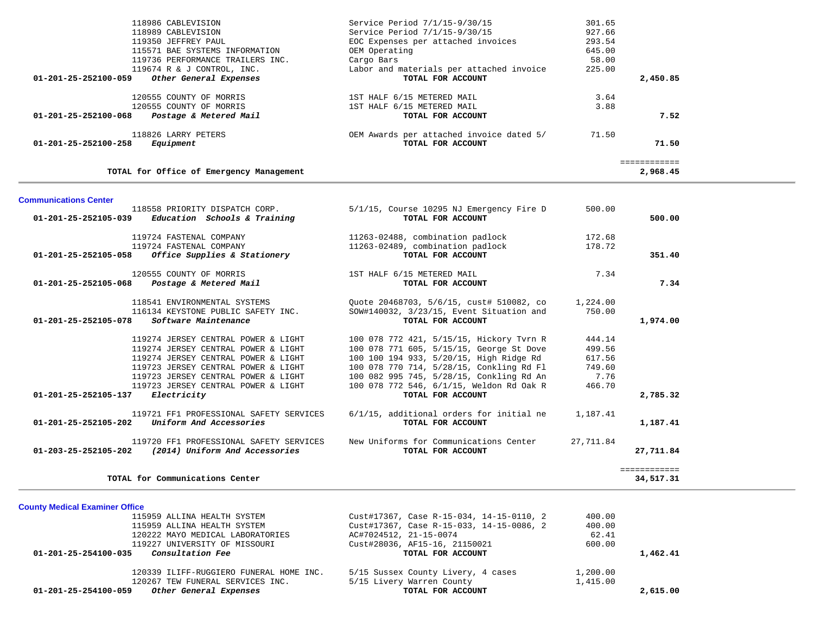| 118986 CABLEVISION                                     | Service Period 7/1/15-9/30/15                                        | 301.65    |              |
|--------------------------------------------------------|----------------------------------------------------------------------|-----------|--------------|
| 118989 CABLEVISION                                     | Service Period 7/1/15-9/30/15                                        | 927.66    |              |
| 119350 JEFFREY PAUL                                    | EOC Expenses per attached invoices                                   | 293.54    |              |
| 115571 BAE SYSTEMS INFORMATION                         | OEM Operating                                                        | 645.00    |              |
| 119736 PERFORMANCE TRAILERS INC.                       | Cargo Bars                                                           | 58.00     |              |
| 119674 R & J CONTROL, INC.                             | Labor and materials per attached invoice                             | 225.00    |              |
| 01-201-25-252100-059<br>Other General Expenses         | TOTAL FOR ACCOUNT                                                    |           | 2,450.85     |
| 120555 COUNTY OF MORRIS                                | 1ST HALF 6/15 METERED MAIL                                           | 3.64      |              |
| 120555 COUNTY OF MORRIS                                | 1ST HALF 6/15 METERED MAIL                                           | 3.88      |              |
| Postage & Metered Mail<br>01-201-25-252100-068         | TOTAL FOR ACCOUNT                                                    |           | 7.52         |
| 118826 LARRY PETERS                                    | OEM Awards per attached invoice dated 5/                             | 71.50     |              |
| 01-201-25-252100-258<br>Equipment                      | TOTAL FOR ACCOUNT                                                    |           | 71.50        |
|                                                        |                                                                      |           | ============ |
| TOTAL for Office of Emergency Management               |                                                                      |           | 2,968.45     |
| <b>Communications Center</b>                           |                                                                      |           |              |
| 118558 PRIORITY DISPATCH CORP.                         | 5/1/15, Course 10295 NJ Emergency Fire D                             | 500.00    |              |
| 01-201-25-252105-039<br>Education Schools & Training   | TOTAL FOR ACCOUNT                                                    |           | 500.00       |
| 119724 FASTENAL COMPANY                                |                                                                      | 172.68    |              |
| 119724 FASTENAL COMPANY                                | 11263-02488, combination padlock<br>11263-02489, combination padlock | 178.72    |              |
| 01-201-25-252105-058                                   | TOTAL FOR ACCOUNT                                                    |           | 351.40       |
| Office Supplies & Stationery                           |                                                                      |           |              |
| 120555 COUNTY OF MORRIS                                | 1ST HALF 6/15 METERED MAIL                                           | 7.34      |              |
| 01-201-25-252105-068<br>Postage & Metered Mail         | TOTAL FOR ACCOUNT                                                    |           | 7.34         |
| 118541 ENVIRONMENTAL SYSTEMS                           | Quote 20468703, 5/6/15, cust# 510082, co                             | 1,224.00  |              |
| 116134 KEYSTONE PUBLIC SAFETY INC.                     | SOW#140032, 3/23/15, Event Situation and                             | 750.00    |              |
| Software Maintenance<br>01-201-25-252105-078           | TOTAL FOR ACCOUNT                                                    |           | 1,974.00     |
| 119274 JERSEY CENTRAL POWER & LIGHT                    | 100 078 772 421, 5/15/15, Hickory Tvrn R                             | 444.14    |              |
| 119274 JERSEY CENTRAL POWER & LIGHT                    | 100 078 771 605, 5/15/15, George St Dove                             | 499.56    |              |
| 119274 JERSEY CENTRAL POWER & LIGHT                    | 100 100 194 933, 5/20/15, High Ridge Rd                              | 617.56    |              |
| 119723 JERSEY CENTRAL POWER & LIGHT                    | 100 078 770 714, 5/28/15, Conkling Rd Fl                             | 749.60    |              |
| 119723 JERSEY CENTRAL POWER & LIGHT                    | 100 082 995 745, 5/28/15, Conkling Rd An                             | 7.76      |              |
| 119723 JERSEY CENTRAL POWER & LIGHT                    | 100 078 772 546, 6/1/15, Weldon Rd Oak R                             | 466.70    |              |
| Electricity<br>01-201-25-252105-137                    | TOTAL FOR ACCOUNT                                                    |           | 2,785.32     |
| 119721 FF1 PROFESSIONAL SAFETY SERVICES                | 6/1/15, additional orders for initial ne                             | 1,187.41  |              |
| Uniform And Accessories<br>01-201-25-252105-202        | TOTAL FOR ACCOUNT                                                    |           | 1,187.41     |
| 119720 FF1 PROFESSIONAL SAFETY SERVICES                | New Uniforms for Communications Center                               | 27,711.84 |              |
| (2014) Uniform And Accessories<br>01-203-25-252105-202 | TOTAL FOR ACCOUNT                                                    |           | 27,711.84    |
|                                                        |                                                                      |           | ============ |
| TOTAL for Communications Center                        |                                                                      |           | 34,517.31    |

**County Medical Examiner Office**

| Other General Expenses<br>01-201-25-254100-059  | TOTAL FOR ACCOUNT                        |          | 2,615.00 |
|-------------------------------------------------|------------------------------------------|----------|----------|
| 120267 TEW FUNERAL SERVICES INC.                | 5/15 Livery Warren County                | 1,415.00 |          |
| 120339 ILIFF-RUGGIERO FUNERAL HOME INC.         | 5/15 Sussex County Livery, 4 cases       | 1,200.00 |          |
| <i>Consultation Fee</i><br>01-201-25-254100-035 | TOTAL FOR ACCOUNT                        |          | 1,462.41 |
| 119227 UNIVERSITY OF MISSOURI                   | Cust#28036, AF15-16, 21150021            | 600.00   |          |
| 120222 MAYO MEDICAL LABORATORIES                | AC#7024512, 21-15-0074                   | 62.41    |          |
| 115959 ALLINA HEALTH SYSTEM                     | Cust#17367, Case R-15-033, 14-15-0086, 2 | 400.00   |          |
| 115959 ALLINA HEALTH SYSTEM                     | Cust#17367, Case R-15-034, 14-15-0110, 2 | 400.00   |          |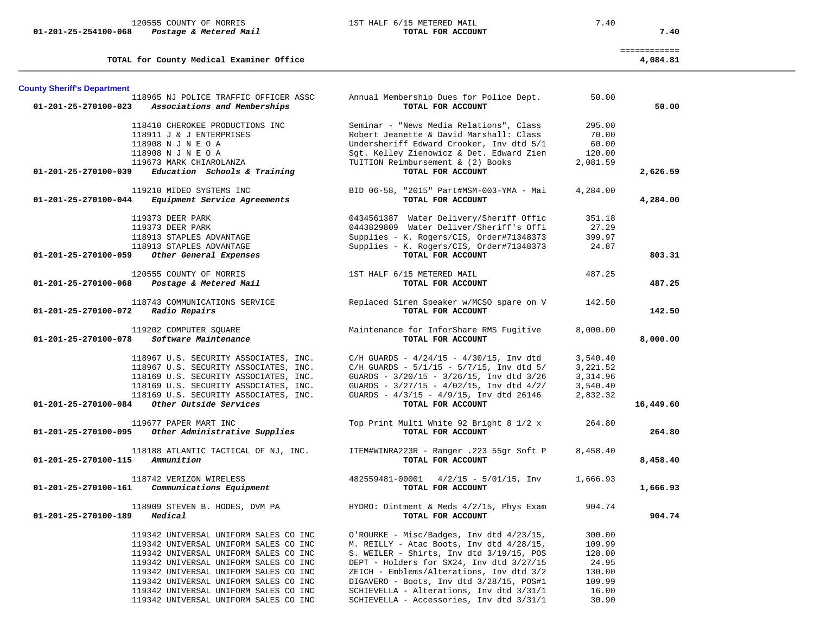120555 COUNTY OF MORRIS 1ST HALF 6/15 METERED MAIL 7.40

 **01-201-25-254100-068** *Postage & Metered Mail* **TOTAL FOR ACCOUNT 7.40**

**TOTAL for County Medical Examiner Office 4,084.81 County Sheriff's Department** Annual Membership Dues for Police Dept. 50.00  **01-201-25-270100-023** *Associations and Memberships* **TOTAL FOR ACCOUNT 50.00** 118410 CHEROKEE PRODUCTIONS INC Seminar - "News Media Relations", Class 295.00 118911 J & J ENTERPRISES Robert Jeanette & David Marshall: Class 70.00 118908 N J N E O A Undersheriff Edward Crooker, Inv dtd 5/1 60.00 118908 N J N E O A Sgt. Kelley Zienowicz & Det. Edward Zien 120.00 119673 MARK CHIAROLANZA TUITION Reimbursement & (2) Books 2,081.59  **01-201-25-270100-039** *Education Schools & Training* **TOTAL FOR ACCOUNT 2,626.59** 119210 MIDEO SYSTEMS INC BID 06-58, "2015" Part#MSM-003-YMA - Mai 4,284.00  **01-201-25-270100-044** *Equipment Service Agreements* **TOTAL FOR ACCOUNT 4,284.00** 119373 DEER PARK 0434561387 Water Delivery/Sheriff Offic 351.18 119373 DEER PARK 0443829809 Water Deliver/Sheriff's Offi 27.29 118913 STAPLES ADVANTAGE Supplies - K. Rogers/CIS, Order#71348373 399.97 118913 STAPLES ADVANTAGE Supplies - K. Rogers/CIS, Order#71348373 24.87 118913 STAPLES ADVANTAGE<br> **118913 STAPLES ADVANTAGE** Supplies - K. Rogers/CIS, Order#71348373 24.87<br> **101-201-25-270100-059** *Other General Expenses* **TOTAL FOR ACCOUNT**  120555 COUNTY OF MORRIS 1ST HALF 6/15 METERED MAIL 487.25  **01-201-25-270100-068** *Postage & Metered Mail* **TOTAL FOR ACCOUNT 487.25** 118743 COMMUNICATIONS SERVICE Replaced Siren Speaker w/MCSO spare on V 142.50  **01-201-25-270100-072** *Radio Repairs* **TOTAL FOR ACCOUNT 142.50** 119202 COMPUTER SQUARE Maintenance for InforShare RMS Fugitive 8,000.00  **01-201-25-270100-078** *Software Maintenance* **TOTAL FOR ACCOUNT 8,000.00** 118967 U.S. SECURITY ASSOCIATES, INC. C/H GUARDS - 4/24/15 - 4/30/15, Inv dtd 3,540.40 118967 U.S. SECURITY ASSOCIATES, INC. C/H GUARDS - 5/1/15 - 5/7/15, Inv dtd 5/ 3,221.52 118169 U.S. SECURITY ASSOCIATES, INC. GUARDS - 3/20/15 - 3/26/15, Inv dtd 3/26 3,314.96 118169 U.S. SECURITY ASSOCIATES, INC. GUARDS - 3/27/15 - 4/02/15, Inv dtd 4/2/ 3,540.40 118169 U.S. SECURITY ASSOCIATES, INC. GUARDS - 4/3/15 - 4/9/15, Inv dtd 26146 2,832.32  **01-201-25-270100-084** *Other Outside Services* **TOTAL FOR ACCOUNT 16,449.60** 119677 PAPER MART INC Top Print Multi White 92 Bright 8 1/2 x 264.80  **01-201-25-270100-095** *Other Administrative Supplies* **TOTAL FOR ACCOUNT 264.80** 118188 ATLANTIC TACTICAL OF NJ, INC. ITEM#WINRA223R - Ranger .223 55gr Soft P 8,458.40  **01-201-25-270100-115** *Ammunition* **TOTAL FOR ACCOUNT 8,458.40** 118742 VERIZON WIRELESS 482559481-00001 4/2/15 - 5/01/15, Inv 1,666.93  **01-201-25-270100-161** *Communications Equipment* **TOTAL FOR ACCOUNT 1,666.93** 118909 STEVEN B. HODES, DVM PA HYDRO: Ointment & Meds 4/2/15, Phys Exam 904.74  **01-201-25-270100-189** *Medical* **TOTAL FOR ACCOUNT 904.74** 119342 UNIVERSAL UNIFORM SALES CO INC O'ROURKE - Misc/Badges, Inv dtd 4/23/15, 300.00 119342 UNIVERSAL UNIFORM SALES CO INC M. REILLY - Atac Boots, Inv dtd 4/28/15, 109.99 119342 UNIVERSAL UNIFORM SALES CO INC S. WEILER - Shirts, Inv dtd 3/19/15, POS 128.00 119342 UNIVERSAL UNIFORM SALES CO INC DEPT - Holders for SX24, Inv dtd 3/27/15 24.95 119342 UNIVERSAL UNIFORM SALES CO INC ZEICH - Emblems/Alterations, Inv dtd 3/2 130.00 119342 UNIVERSAL UNIFORM SALES CO INC DIGAVERO - Boots, Inv dtd 3/28/15, POS#1 109.99 119342 UNIVERSAL UNIFORM SALES CO INC SCHIEVELLA - Alterations, Inv dtd 3/31/1 16.00 119342 UNIVERSAL UNIFORM SALES CO INC SCHIEVELLA - Accessories, Inv dtd 3/31/1 30.90

============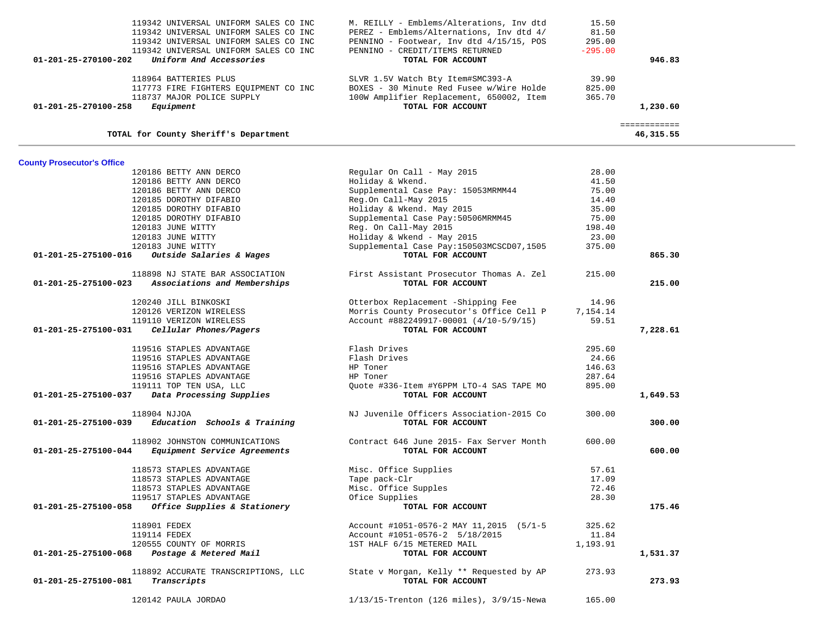| 119342 UNIVERSAL UNIFORM SALES CO INC<br>119342 UNIVERSAL UNIFORM SALES CO INC<br>119342 UNIVERSAL UNIFORM SALES CO INC<br>119342 UNIVERSAL UNIFORM SALES CO INC<br>Uniform And Accessories<br>01-201-25-270100-202 | M. REILLY - Emblems/Alterations, Inv dtd<br>PEREZ - Emblems/Alternations, Inv dtd 4/<br>PENNINO - Footwear, Inv dtd 4/15/15, POS<br>PENNINO - CREDIT/ITEMS RETURNED<br>TOTAL FOR ACCOUNT | 15.50<br>81.50<br>295.00<br>$-295.00$ | 946.83                    |  |
|---------------------------------------------------------------------------------------------------------------------------------------------------------------------------------------------------------------------|------------------------------------------------------------------------------------------------------------------------------------------------------------------------------------------|---------------------------------------|---------------------------|--|
| 118964 BATTERIES PLUS<br>117773 FIRE FIGHTERS EQUIPMENT CO INC<br>118737 MAJOR POLICE SUPPLY<br>Equipment<br>01-201-25-270100-258                                                                                   | SLVR 1.5V Watch Bty Item#SMC393-A<br>BOXES - 30 Minute Red Fusee w/Wire Holde<br>100W Amplifier Replacement, 650002, Item<br>TOTAL FOR ACCOUNT                                           | 39.90<br>825.00<br>365.70             | 1,230.60                  |  |
| TOTAL for County Sheriff's Department                                                                                                                                                                               |                                                                                                                                                                                          |                                       | ============<br>46,315.55 |  |
| <b>County Prosecutor's Office</b>                                                                                                                                                                                   |                                                                                                                                                                                          |                                       |                           |  |
| 120186 BETTY ANN DERCO                                                                                                                                                                                              | Regular On Call - May 2015                                                                                                                                                               | 28.00                                 |                           |  |
| 120186 BETTY ANN DERCO                                                                                                                                                                                              | Holiday & Wkend.                                                                                                                                                                         | 41.50                                 |                           |  |
| 120186 BETTY ANN DERCO                                                                                                                                                                                              | Supplemental Case Pay: 15053MRMM44                                                                                                                                                       | 75.00                                 |                           |  |
| 120185 DOROTHY DIFABIO                                                                                                                                                                                              | Reg.On Call-May 2015                                                                                                                                                                     | 14.40                                 |                           |  |
| 120185 DOROTHY DIFABIO                                                                                                                                                                                              | Holiday & Wkend. May 2015                                                                                                                                                                | 35.00                                 |                           |  |
| 120185 DOROTHY DIFABIO                                                                                                                                                                                              | Supplemental Case Pay: 50506MRMM45                                                                                                                                                       | 75.00                                 |                           |  |
| 120183 JUNE WITTY                                                                                                                                                                                                   | Reg. On Call-May 2015                                                                                                                                                                    | 198.40                                |                           |  |
| 120183 JUNE WITTY                                                                                                                                                                                                   | Holiday & Wkend - May 2015                                                                                                                                                               | 23.00                                 |                           |  |
| 120183 JUNE WITTY                                                                                                                                                                                                   | Supplemental Case Pay:150503MCSCD07,1505                                                                                                                                                 | 375.00                                |                           |  |
| 01-201-25-275100-016<br>Outside Salaries & Wages                                                                                                                                                                    | TOTAL FOR ACCOUNT                                                                                                                                                                        |                                       | 865.30                    |  |
| 118898 NJ STATE BAR ASSOCIATION                                                                                                                                                                                     | First Assistant Prosecutor Thomas A. Zel                                                                                                                                                 | 215.00                                |                           |  |
| Associations and Memberships<br>01-201-25-275100-023                                                                                                                                                                | TOTAL FOR ACCOUNT                                                                                                                                                                        |                                       | 215.00                    |  |
| 120240 JILL BINKOSKI                                                                                                                                                                                                | Otterbox Replacement -Shipping Fee                                                                                                                                                       | 14.96                                 |                           |  |
| 120126 VERIZON WIRELESS                                                                                                                                                                                             | Morris County Prosecutor's Office Cell P                                                                                                                                                 | 7,154.14                              |                           |  |
| 119110 VERIZON WIRELESS                                                                                                                                                                                             | Account #882249917-00001 (4/10-5/9/15)                                                                                                                                                   | 59.51                                 |                           |  |
| 01-201-25-275100-031<br>Cellular Phones/Pagers                                                                                                                                                                      | TOTAL FOR ACCOUNT                                                                                                                                                                        |                                       | 7,228.61                  |  |
|                                                                                                                                                                                                                     |                                                                                                                                                                                          |                                       |                           |  |
| 119516 STAPLES ADVANTAGE                                                                                                                                                                                            | Flash Drives                                                                                                                                                                             | 295.60                                |                           |  |
| 119516 STAPLES ADVANTAGE                                                                                                                                                                                            | Flash Drives                                                                                                                                                                             | 24.66                                 |                           |  |
| 119516 STAPLES ADVANTAGE                                                                                                                                                                                            | HP Toner                                                                                                                                                                                 | 146.63                                |                           |  |
| 119516 STAPLES ADVANTAGE                                                                                                                                                                                            | HP Toner                                                                                                                                                                                 | 287.64                                |                           |  |
| 119111 TOP TEN USA, LLC                                                                                                                                                                                             | Quote #336-Item #Y6PPM LTO-4 SAS TAPE MO                                                                                                                                                 | 895.00                                |                           |  |
| Data Processing Supplies<br>01-201-25-275100-037                                                                                                                                                                    | TOTAL FOR ACCOUNT                                                                                                                                                                        |                                       | 1,649.53                  |  |
| 118904 NJJOA<br>$01-201-25-275100-039$ Education Schools & Training                                                                                                                                                 | NJ Juvenile Officers Association-2015 Co<br>TOTAL FOR ACCOUNT                                                                                                                            | 300.00                                | 300.00                    |  |
|                                                                                                                                                                                                                     |                                                                                                                                                                                          |                                       |                           |  |
| 118902 JOHNSTON COMMUNICATIONS<br>01-201-25-275100-044<br>Equipment Service Agreements                                                                                                                              | Contract 646 June 2015- Fax Server Month<br>TOTAL FOR ACCOUNT                                                                                                                            | 600.00                                | 600.00                    |  |
| 118573 STAPLES ADVANTAGE                                                                                                                                                                                            | Misc. Office Supplies                                                                                                                                                                    | 57.61                                 |                           |  |
| 118573 STAPLES ADVANTAGE                                                                                                                                                                                            | Tape pack-Clr                                                                                                                                                                            | 17.09                                 |                           |  |
| 118573 STAPLES ADVANTAGE                                                                                                                                                                                            | Misc. Office Supples                                                                                                                                                                     | 72.46                                 |                           |  |
| 119517 STAPLES ADVANTAGE                                                                                                                                                                                            | Ofice Supplies                                                                                                                                                                           | 28.30                                 |                           |  |
| Office Supplies & Stationery<br>01-201-25-275100-058                                                                                                                                                                | TOTAL FOR ACCOUNT                                                                                                                                                                        |                                       | 175.46                    |  |
| 118901 FEDEX                                                                                                                                                                                                        | Account #1051-0576-2 MAY 11,2015 (5/1-5                                                                                                                                                  | 325.62                                |                           |  |
| 119114 FEDEX                                                                                                                                                                                                        | Account #1051-0576-2 5/18/2015                                                                                                                                                           | 11.84                                 |                           |  |
| 120555 COUNTY OF MORRIS                                                                                                                                                                                             | 1ST HALF 6/15 METERED MAIL                                                                                                                                                               | 1,193.91                              |                           |  |
| Postage & Metered Mail<br>01-201-25-275100-068                                                                                                                                                                      | TOTAL FOR ACCOUNT                                                                                                                                                                        |                                       | 1,531.37                  |  |
|                                                                                                                                                                                                                     |                                                                                                                                                                                          |                                       |                           |  |
| 118892 ACCURATE TRANSCRIPTIONS, LLC                                                                                                                                                                                 | State v Morgan, Kelly ** Requested by AP                                                                                                                                                 | 273.93                                |                           |  |
| 01-201-25-275100-081<br>Transcripts                                                                                                                                                                                 | TOTAL FOR ACCOUNT                                                                                                                                                                        |                                       | 273.93                    |  |
| 120142 PAULA JORDAO                                                                                                                                                                                                 | $1/13/15$ -Trenton (126 miles), $3/9/15$ -Newa                                                                                                                                           | 165.00                                |                           |  |
|                                                                                                                                                                                                                     |                                                                                                                                                                                          |                                       |                           |  |

 $\sim$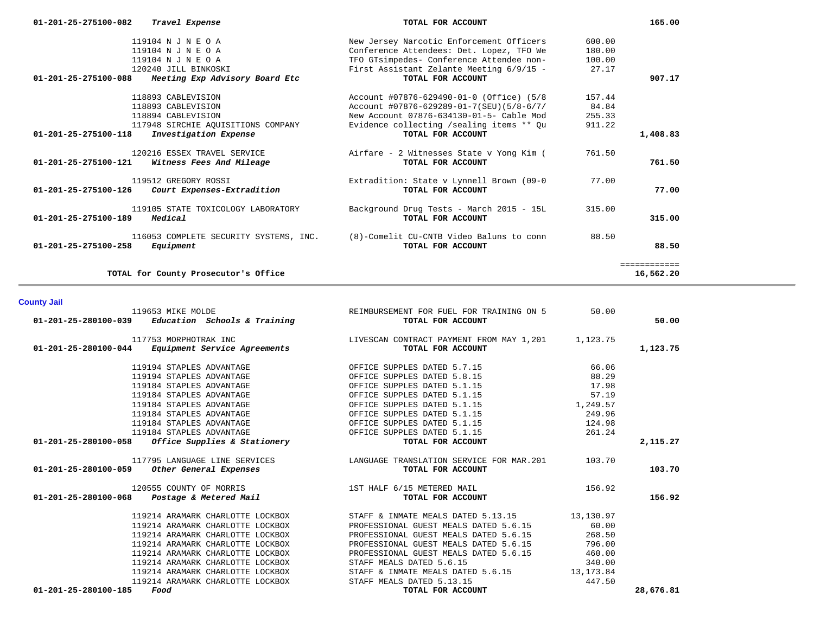|                                | 119104 N J N E O A                                      | New Jersey Narcotic Enforcement Officers                      | 600.00 |              |
|--------------------------------|---------------------------------------------------------|---------------------------------------------------------------|--------|--------------|
|                                | 119104 N J N E O A                                      | Conference Attendees: Det. Lopez, TFO We                      | 180.00 |              |
|                                | 119104 N J N E O A                                      | TFO GTsimpedes- Conference Attendee non-                      | 100.00 |              |
|                                | 120240 JILL BINKOSKI                                    | First Assistant Zelante Meeting 6/9/15 -                      | 27.17  |              |
| 01-201-25-275100-088           | Meeting Exp Advisory Board Etc                          | TOTAL FOR ACCOUNT                                             |        | 907.17       |
|                                | 118893 CABLEVISION                                      | Account #07876-629490-01-0 (Office) (5/8                      | 157.44 |              |
|                                | 118893 CABLEVISION                                      | Account #07876-629289-01-7(SEU)(5/8-6/7/                      | 84.84  |              |
|                                | 118894 CABLEVISION                                      | New Account 07876-634130-01-5- Cable Mod                      | 255.33 |              |
|                                | 117948 SIRCHIE AQUISITIONS COMPANY                      | Evidence collecting /sealing items ** Qu                      | 911.22 |              |
| $01 - 201 - 25 - 275100 - 118$ | Investigation Expense                                   | TOTAL FOR ACCOUNT                                             |        | 1,408.83     |
| $01 - 201 - 25 - 275100 - 121$ | 120216 ESSEX TRAVEL SERVICE<br>Witness Fees And Mileage | Airfare - 2 Witnesses State v Yong Kim (<br>TOTAL FOR ACCOUNT | 761.50 | 761.50       |
| 01-201-25-275100-126           | 119512 GREGORY ROSSI<br>Court Expenses-Extradition      | Extradition: State v Lynnell Brown (09-0<br>TOTAL FOR ACCOUNT | 77.00  | 77.00        |
| $01 - 201 - 25 - 275100 - 189$ | 119105 STATE TOXICOLOGY LABORATORY<br>Medical           | Background Drug Tests - March 2015 - 15L<br>TOTAL FOR ACCOUNT | 315.00 | 315.00       |
| $01 - 201 - 25 - 275100 - 258$ | 116053 COMPLETE SECURITY SYSTEMS, INC.<br>Equipment     | (8)-Comelit CU-CNTB Video Baluns to conn<br>TOTAL FOR ACCOUNT | 88.50  | 88.50        |
|                                |                                                         |                                                               |        | ============ |
|                                | TOTAL for County Prosecutor's Office                    |                                                               |        | 16,562.20    |

 **01-201-25-275100-082** *Travel Expense* **TOTAL FOR ACCOUNT 165.00**

## **County Jail**

|                      | 119653 MIKE MOLDE<br>01-201-25-280100-039 Education Schools & Training       | REIMBURSEMENT FOR FUEL FOR TRAINING ON 5<br>TOTAL FOR ACCOUNT                                                                                                       | 50.00  | 50.00     |
|----------------------|------------------------------------------------------------------------------|---------------------------------------------------------------------------------------------------------------------------------------------------------------------|--------|-----------|
|                      | 117753 MORPHOTRAK INC<br>$01-201-25-280100-044$ Equipment Service Agreements | ${\small \tt LIVESCAN\ CONTRACT\ \tt PAYMENT\ \tt FROM\ \tt MAX\ 1,201 \qquad \qquad 1,123.75$ ${\small \tt reements \qquad \qquad TorAI.\ \tt FOR\ \tt ACTCUNINT}$ |        | 1,123.75  |
|                      | 119194 STAPLES ADVANTAGE                                                     |                                                                                                                                                                     | 66.06  |           |
|                      | 119194 STAPLES ADVANTAGE                                                     | OFFICE SUPPLES DATED 5.7.15<br>OFFICE SUPPLES DATED 5.8.15                                                                                                          | 88.29  |           |
|                      | 119184 STAPLES ADVANTAGE                                                     | OFFICE SUPPLES DATED 5.1.15                                                                                                                                         | 17.98  |           |
|                      | 119184 STAPLES ADVANTAGE                                                     | OFFICE SUPPLES DATED 5.1.15                                                                                                                                         | 57.19  |           |
|                      | 119184 STAPLES ADVANTAGE                                                     | OFFICE SUPPLES DATED 5.1.15 1,249.57                                                                                                                                |        |           |
|                      | 119184 STAPLES ADVANTAGE                                                     | OFFICE SUPPLES DATED 5.1.15                                                                                                                                         | 249.96 |           |
|                      | 119184 STAPLES ADVANTAGE                                                     | OFFICE SUPPLES DATED 5.1.15 124.98                                                                                                                                  |        |           |
|                      |                                                                              |                                                                                                                                                                     | 261.24 |           |
|                      |                                                                              | 119184 STAPLES ADVANTAGE<br>01-201-25-280100-058 <i>Office Supplies &amp; Stationery</i><br>07AL FOR ACCOUNT                                                        |        | 2,115.27  |
|                      |                                                                              | 117795 LANGUAGE LINE SERVICES LANGUAGE TRANSLATION SERVICE FOR MAR.201 103.70                                                                                       |        |           |
|                      | 01-201-25-280100-059 Other General Expenses                                  | TOTAL FOR ACCOUNT                                                                                                                                                   |        | 103.70    |
|                      | 120555 COUNTY OF MORRIS                                                      | 1ST HALF 6/15 METERED MAIL                                                                                                                                          | 156.92 |           |
|                      | $01 - 201 - 25 - 280100 - 068$ Postage & Metered Mail                        | TOTAL FOR ACCOUNT                                                                                                                                                   |        | 156.92    |
|                      |                                                                              | 19214 ARAMARK CHARLOTTE LOCKBOX STAFF & INMATE MEALS DATED 5.13.15 13,130.97                                                                                        |        |           |
|                      |                                                                              | 119214 ARAMARK CHARLOTTE LOCKBOX <b>EXECUTE:</b> PROFESSIONAL GUEST MEALS DATED 5.6.15 60.00                                                                        |        |           |
|                      | 119214 ARAMARK CHARLOTTE LOCKBOX                                             | PROFESSIONAL GUEST MEALS DATED 5.6.15                                                                                                                               | 268.50 |           |
|                      | 119214 ARAMARK CHARLOTTE LOCKBOX                                             | PROFESSIONAL GUEST MEALS DATED 5.6.15                                                                                                                               | 796.00 |           |
|                      | 119214 ARAMARK CHARLOTTE LOCKBOX                                             | PROFESSIONAL GUEST MEALS DATED 5.6.15 460.00                                                                                                                        |        |           |
|                      | 119214 ARAMARK CHARLOTTE LOCKBOX                                             | STAFF MEALS DATED 5.6.15                                                                                                                                            | 340.00 |           |
|                      | 119214 ARAMARK CHARLOTTE LOCKBOX                                             | STAFF & INMATE MEALS DATED 5.6.15 13,173.84                                                                                                                         |        |           |
|                      | 119214 ARAMARK CHARLOTTE LOCKBOX                                             | STAFF MEALS DATED 5.13.15                                                                                                                                           | 447.50 |           |
| 01-201-25-280100-185 | Food                                                                         | TOTAL FOR ACCOUNT                                                                                                                                                   |        | 28,676.81 |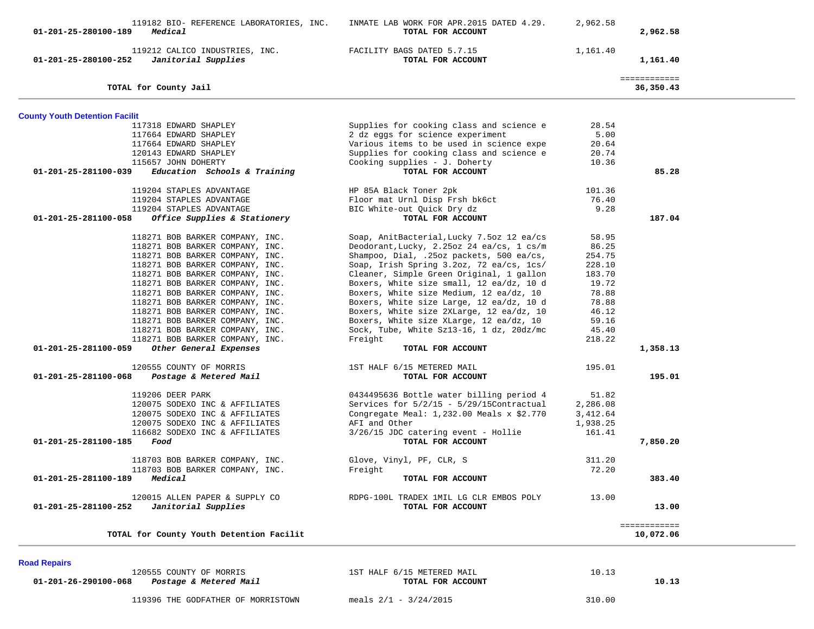| 119182 BIO- REFERENCE LABORATORIES, INC.<br>01-201-25-280100-189<br>Medical   | INMATE LAB WORK FOR APR. 2015 DATED 4.29.<br>TOTAL FOR ACCOUNT | 2,962.58           | 2,962.58                  |
|-------------------------------------------------------------------------------|----------------------------------------------------------------|--------------------|---------------------------|
| 119212 CALICO INDUSTRIES, INC.<br>01-201-25-280100-252<br>Janitorial Supplies | FACILITY BAGS DATED 5.7.15<br>TOTAL FOR ACCOUNT                | 1,161.40           | 1,161.40                  |
| TOTAL for County Jail                                                         |                                                                |                    | ============<br>36,350.43 |
| <b>County Youth Detention Facilit</b>                                         |                                                                |                    |                           |
| 117318 EDWARD SHAPLEY                                                         | Supplies for cooking class and science e                       | 28.54              |                           |
| 117664 EDWARD SHAPLEY                                                         | 2 dz eggs for science experiment                               | 5.00               |                           |
| 117664 EDWARD SHAPLEY                                                         | Various items to be used in science expe                       | 20.64              |                           |
| 120143 EDWARD SHAPLEY                                                         | Supplies for cooking class and science e                       | 20.74              |                           |
| 115657 JOHN DOHERTY                                                           | Cooking supplies - J. Doherty                                  | 10.36              |                           |
| Education Schools & Training<br>01-201-25-281100-039                          | TOTAL FOR ACCOUNT                                              |                    | 85.28                     |
|                                                                               |                                                                |                    |                           |
| 119204 STAPLES ADVANTAGE                                                      | HP 85A Black Toner 2pk                                         | 101.36             |                           |
| 119204 STAPLES ADVANTAGE                                                      | Floor mat Urnl Disp Frsh bk6ct                                 | 76.40              |                           |
| 119204 STAPLES ADVANTAGE                                                      | BIC White-out Quick Dry dz                                     | 9.28               |                           |
| 01-201-25-281100-058<br>Office Supplies & Stationery                          | TOTAL FOR ACCOUNT                                              |                    | 187.04                    |
| 118271 BOB BARKER COMPANY, INC.                                               | Soap, AnitBacterial, Lucky 7.5oz 12 ea/cs                      | 58.95              |                           |
| 118271 BOB BARKER COMPANY, INC.                                               | Deodorant, Lucky, 2.25oz 24 ea/cs, 1 cs/m                      | 86.25              |                           |
| 118271 BOB BARKER COMPANY, INC.                                               | Shampoo, Dial, .25oz packets, 500 ea/cs,                       | 254.75             |                           |
| 118271 BOB BARKER COMPANY, INC.                                               | Soap, Irish Spring 3.2oz, 72 ea/cs, 1cs/                       | 228.10             |                           |
| 118271 BOB BARKER COMPANY, INC.                                               | Cleaner, Simple Green Original, 1 gallon                       | 183.70             |                           |
| 118271 BOB BARKER COMPANY, INC.                                               | Boxers, White size small, 12 ea/dz, 10 d                       | 19.72              |                           |
| 118271 BOB BARKER COMPANY, INC.                                               | Boxers, White size Medium, 12 ea/dz, 10                        | 78.88              |                           |
| 118271 BOB BARKER COMPANY, INC.                                               | Boxers, White size Large, 12 ea/dz, 10 d                       | 78.88              |                           |
| 118271 BOB BARKER COMPANY, INC.                                               | Boxers, White size 2XLarge, 12 ea/dz, 10                       | 46.12              |                           |
| 118271 BOB BARKER COMPANY, INC.                                               | Boxers, White size XLarge, 12 ea/dz, 10                        | 59.16              |                           |
| 118271 BOB BARKER COMPANY, INC.                                               | Sock, Tube, White Sz13-16, 1 dz, 20dz/mc                       | 45.40              |                           |
| 118271 BOB BARKER COMPANY, INC.                                               | Freight                                                        | 218.22             |                           |
| Other General Expenses<br>01-201-25-281100-059                                | TOTAL FOR ACCOUNT                                              |                    | 1,358.13                  |
| 120555 COUNTY OF MORRIS                                                       | 1ST HALF 6/15 METERED MAIL                                     | 195.01             |                           |
| 01-201-25-281100-068<br>Postage & Metered Mail                                | TOTAL FOR ACCOUNT                                              |                    | 195.01                    |
|                                                                               |                                                                |                    |                           |
| 119206 DEER PARK                                                              | 0434495636 Bottle water billing period 4                       | 51.82              |                           |
| 120075 SODEXO INC & AFFILIATES                                                | Services for 5/2/15 - 5/29/15Contractual                       | 2,286.08           |                           |
| 120075 SODEXO INC & AFFILIATES                                                | Congregate Meal: 1,232.00 Meals x \$2.770                      | 3,412.64           |                           |
| 120075 SODEXO INC & AFFILIATES<br>116682 SODEXO INC & AFFILIATES              | AFI and Other<br>$3/26/15$ JDC catering event - Hollie         | 1,938.25<br>161.41 |                           |
| 01-201-25-281100-185<br>Food                                                  | TOTAL FOR ACCOUNT                                              |                    | 7,850.20                  |
|                                                                               |                                                                |                    |                           |
| 118703 BOB BARKER COMPANY, INC.                                               | Glove, Vinyl, PF, CLR, S                                       | 311.20             |                           |
| 118703 BOB BARKER COMPANY, INC.                                               | Freight                                                        | 72.20              |                           |
| 01-201-25-281100-189 Medical                                                  | TOTAL FOR ACCOUNT                                              |                    | 383.40                    |
| 120015 ALLEN PAPER & SUPPLY CO                                                | RDPG-100L TRADEX 1MIL LG CLR EMBOS POLY                        | 13.00              |                           |
| 01-201-25-281100-252<br>Janitorial Supplies                                   | TOTAL FOR ACCOUNT                                              |                    | 13.00                     |
|                                                                               |                                                                |                    | ============              |
| TOTAL for County Youth Detention Facilit                                      |                                                                |                    | 10,072.06                 |
|                                                                               |                                                                |                    |                           |
| <b>Road Repairs</b><br>120555 COUNTY OF MORRIS                                | 1ST HALF 6/15 METERED MAIL                                     | 10.13              |                           |
| 01-201-26-290100-068<br>Postage & Metered Mail                                | TOTAL FOR ACCOUNT                                              |                    | 10.13                     |

119396 THE GODFATHER OF MORRISTOWN meals 2/1 - 3/24/2015 310.00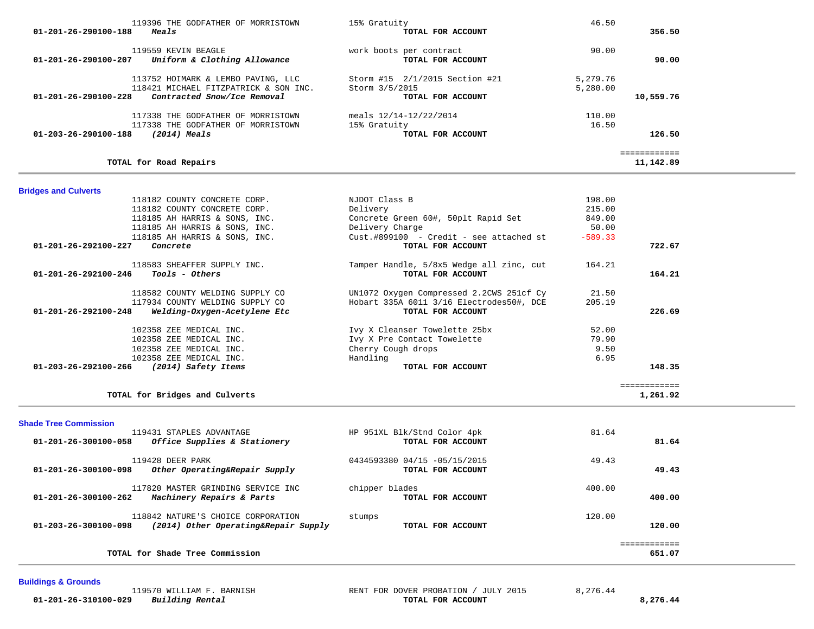| 119396 THE GODFATHER OF MORRISTOWN<br>Meals<br>01-201-26-290100-188         | 15% Gratuity<br>TOTAL FOR ACCOUNT            | 46.50<br>356.50 |  |
|-----------------------------------------------------------------------------|----------------------------------------------|-----------------|--|
| 119559 KEVIN BEAGLE<br>Uniform & Clothing Allowance<br>01-201-26-290100-207 | work boots per contract<br>TOTAL FOR ACCOUNT | 90.00<br>90.00  |  |
| 113752 HOIMARK & LEMBO PAVING, LLC                                          | Storm #15 2/1/2015 Section #21               | 5,279.76        |  |
| 118421 MICHAEL FITZPATRICK & SON INC.                                       | Storm 3/5/2015                               | 5,280.00        |  |
| 01-201-26-290100-228<br>Contracted Snow/Ice Removal                         | TOTAL FOR ACCOUNT                            | 10,559.76       |  |
| 117338 THE GODFATHER OF MORRISTOWN                                          | meals $12/14-12/22/2014$                     | 110.00          |  |
| 117338 THE GODFATHER OF MORRISTOWN                                          | 15% Gratuity                                 | 16.50           |  |
| 01-203-26-290100-188<br>$(2014)$ Meals                                      | TOTAL FOR ACCOUNT                            | 126.50          |  |
|                                                                             |                                              | ------------    |  |

# **Bridges and Culverts**

**TOTAL for Road Repairs 11,142.89**

|        | 198.00    | NJDOT Class B                            | 118182 COUNTY CONCRETE CORP.                                   |
|--------|-----------|------------------------------------------|----------------------------------------------------------------|
|        | 215.00    | Delivery                                 | 118182 COUNTY CONCRETE CORP.                                   |
|        | 849.00    | Concrete Green 60#, 50plt Rapid Set      | 118185 AH HARRIS & SONS, INC.                                  |
|        | 50.00     | Delivery Charge                          | 118185 AH HARRIS & SONS, INC.                                  |
|        | $-589.33$ | Cust.#899100 - Credit - see attached st  | 118185 AH HARRIS & SONS, INC.                                  |
| 722.67 |           | TOTAL FOR ACCOUNT                        | 01-201-26-292100-227<br>Concrete                               |
|        | 164.21    | Tamper Handle, 5/8x5 Wedge all zinc, cut | 118583 SHEAFFER SUPPLY INC.                                    |
| 164.21 |           | TOTAL FOR ACCOUNT                        | 01-201-26-292100-246<br>Tools - Others                         |
|        | 21.50     | UN1072 Oxygen Compressed 2.2CWS 251cf Cy | 118582 COUNTY WELDING SUPPLY CO                                |
|        | 205.19    | Hobart 335A 6011 3/16 Electrodes50#, DCE | 117934 COUNTY WELDING SUPPLY CO                                |
| 226.69 |           | TOTAL FOR ACCOUNT                        | $01 - 201 - 26 - 292100 - 248$<br>Welding-Oxygen-Acetylene Etc |
|        | 52.00     | Ivy X Cleanser Towelette 25bx            | 102358 ZEE MEDICAL INC.                                        |
|        | 79.90     | Ivy X Pre Contact Towelette              | 102358 ZEE MEDICAL INC.                                        |
|        |           | Cherry Cough drops                       | 102358 ZEE MEDICAL INC.                                        |
|        | 9.50      |                                          |                                                                |
|        | 6.95      | Handling                                 | 102358 ZEE MEDICAL INC.                                        |

### **Shade Tree Commission**

| 119431 STAPLES ADVANTAGE<br>01-201-26-300100-058<br>Office Supplies & Stationery                   | HP 951XL Blk/Stnd Color 4pk<br>TOTAL FOR ACCOUNT  | 81.64<br>81.64         |
|----------------------------------------------------------------------------------------------------|---------------------------------------------------|------------------------|
| 119428 DEER PARK<br>Other Operating&Repair Supply<br>01-201-26-300100-098                          | 0434593380 04/15 -05/15/2015<br>TOTAL FOR ACCOUNT | 49.43<br>49.43         |
| 117820 MASTER GRINDING SERVICE INC<br>01-201-26-300100-262<br>Machinery Repairs & Parts            | chipper blades<br>TOTAL FOR ACCOUNT               | 400.00<br>400.00       |
| 118842 NATURE'S CHOICE CORPORATION<br>01-203-26-300100-098<br>(2014) Other Operating&Repair Supply | stumps<br>TOTAL FOR ACCOUNT                       | 120.00<br>120.00       |
| TOTAL for Shade Tree Commission                                                                    |                                                   | ============<br>651.07 |

## **Buildings & Grounds**

11,142.89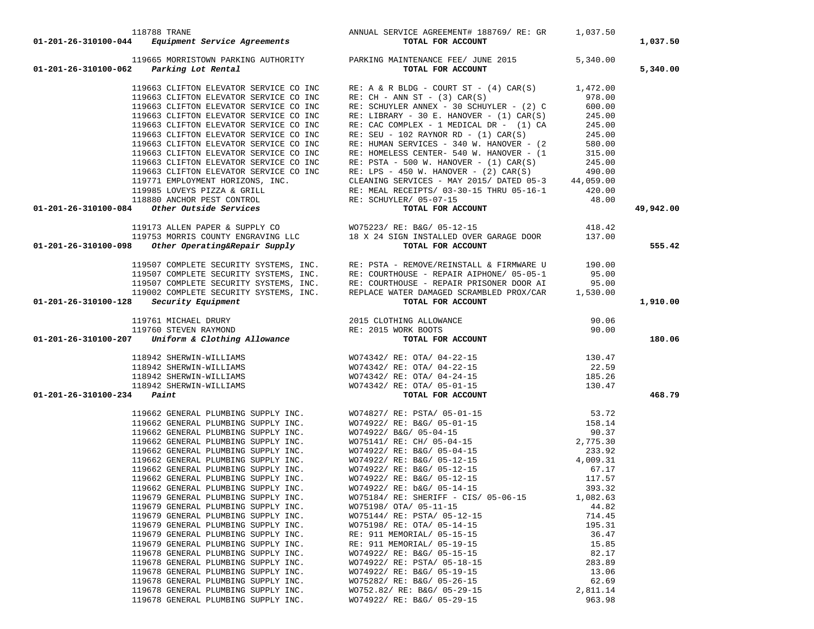| 118788 TRANE<br>1,037.50 ANNUAL SERVICE AGREEMENT# 188769/RE: GR 1,037.50<br>1,037.50 TOTAL FOR ACCOUNT                                                                                                                                                                                                                                                                                                                                                           |                                                                                                                                                                                                                                                                                                               |          | 1,037.50  |
|-------------------------------------------------------------------------------------------------------------------------------------------------------------------------------------------------------------------------------------------------------------------------------------------------------------------------------------------------------------------------------------------------------------------------------------------------------------------|---------------------------------------------------------------------------------------------------------------------------------------------------------------------------------------------------------------------------------------------------------------------------------------------------------------|----------|-----------|
| 119665 MORRISTOWN PARKING AUTHORITY<br>01-201-26-310100-062 Parking Lot Rental                                                                                                                                                                                                                                                                                                                                                                                    | PARKING MAINTENANCE FEE/ JUNE 2015<br>TOTAL FOR ACCOUNT                                                                                                                                                                                                                                                       | 5,340.00 | 5,340.00  |
| 119663 CLIFTON ELEVATOR SERVICE CO INC                                                                                                                                                                                                                                                                                                                                                                                                                            | RE: A & R BLDG - COURT ST - $(4)$ CAR $(S)$ 1,472.00                                                                                                                                                                                                                                                          |          |           |
| 119663 CLIFTON ELEVATOR SERVICE CO INC                                                                                                                                                                                                                                                                                                                                                                                                                            | $RE: CH - ANN ST - (3) CAR(S)$                                                                                                                                                                                                                                                                                | 978.00   |           |
| 119663 CLIFTON ELEVATOR SERVICE CO INC                                                                                                                                                                                                                                                                                                                                                                                                                            | RE: SCHUYLER ANNEX - 30 SCHUYLER - (2) C                                                                                                                                                                                                                                                                      | 600.00   |           |
| 119663 CLIFTON ELEVATOR SERVICE CO INC                                                                                                                                                                                                                                                                                                                                                                                                                            | RE: LIBRARY - 30 E. HANOVER - $(1)$ CAR $(S)$                                                                                                                                                                                                                                                                 | 245.00   |           |
| 119663 CLIFTON ELEVATOR SERVICE CO INC                                                                                                                                                                                                                                                                                                                                                                                                                            | RE: CAC COMPLEX - 1 MEDICAL DR - $(1)$ CA                                                                                                                                                                                                                                                                     | 245.00   |           |
| 119663 CLIFTON ELEVATOR SERVICE CO INC                                                                                                                                                                                                                                                                                                                                                                                                                            | RE: SEU - 102 RAYNOR RD - $(1)$ CAR $(S)$                                                                                                                                                                                                                                                                     | 245.00   |           |
| 119663 CLIFTON ELEVATOR SERVICE CO INC                                                                                                                                                                                                                                                                                                                                                                                                                            | RE: HUMAN SERVICES - 340 W. HANOVER - (2)                                                                                                                                                                                                                                                                     | 580.00   |           |
| 119663 CLIFTON ELEVATOR SERVICE CO INC                                                                                                                                                                                                                                                                                                                                                                                                                            | RE: HOMELESS CENTER- 540 W. HANOVER - (1                                                                                                                                                                                                                                                                      | 315.00   |           |
| 119663 CLIFTON ELEVATOR SERVICE CO INC                                                                                                                                                                                                                                                                                                                                                                                                                            | $RE: PSTA - 500 W. HANOVER - (1) CAR(S)$                                                                                                                                                                                                                                                                      | 245.00   |           |
| 119663 CLIFTON ELEVATOR SERVICE CO INC                                                                                                                                                                                                                                                                                                                                                                                                                            | RE: LPS - 450 W. HANOVER - $(2)$ CAR $(S)$                                                                                                                                                                                                                                                                    | 490.00   |           |
|                                                                                                                                                                                                                                                                                                                                                                                                                                                                   | CLEANING SERVICES - MAY 2015/ DATED 05-3 44,059.00                                                                                                                                                                                                                                                            |          |           |
|                                                                                                                                                                                                                                                                                                                                                                                                                                                                   | RE: MEAL RECEIPTS/ 03-30-15 THRU 05-16-1                                                                                                                                                                                                                                                                      | 420.00   |           |
|                                                                                                                                                                                                                                                                                                                                                                                                                                                                   |                                                                                                                                                                                                                                                                                                               | 48.00    |           |
| 119771 EMPLOYMENT HORIZONS, INC.<br>119771 EMPLOYMENT HORIZONS, INC.<br>119985 LOVEYS PIZZA & GRILL<br>118880 ANCHOR PEST CONTROL<br>118880 ANCHOR PEST CONTROL<br>12880 ANCHOR PEST CONTROL<br>22 BE: SCHUYLER/ 05-07-15<br>22 TOTAL FOR AC<br>01-201-26-310100-084                                                                                                                                                                                              | TOTAL FOR ACCOUNT                                                                                                                                                                                                                                                                                             |          | 49,942.00 |
|                                                                                                                                                                                                                                                                                                                                                                                                                                                                   |                                                                                                                                                                                                                                                                                                               | 418.42   |           |
|                                                                                                                                                                                                                                                                                                                                                                                                                                                                   |                                                                                                                                                                                                                                                                                                               | 137.00   |           |
| 01-201-26-310100-098                                                                                                                                                                                                                                                                                                                                                                                                                                              |                                                                                                                                                                                                                                                                                                               |          | 555.42    |
|                                                                                                                                                                                                                                                                                                                                                                                                                                                                   |                                                                                                                                                                                                                                                                                                               |          |           |
|                                                                                                                                                                                                                                                                                                                                                                                                                                                                   | 119507 COMPLETE SECURITY SYSTEMS, INC. RE: PSTA - REMOVE/REINSTALL & FIRMWARE U 190.00                                                                                                                                                                                                                        |          |           |
|                                                                                                                                                                                                                                                                                                                                                                                                                                                                   | 119507 COMPLETE SECURITY SYSTEMS, INC. RE: COURTHOUSE - REPAIR AIPHONE/ 05-05-1                                                                                                                                                                                                                               | 95.00    |           |
|                                                                                                                                                                                                                                                                                                                                                                                                                                                                   | 119507 COMPLETE SECURITY SYSTEMS, INC. RE: COURTHOUSE - REPAIR PRISONER DOOR AI                                                                                                                                                                                                                               | 95.00    |           |
| 119002 COMPLETE SECURITY SYSTEMS, INC.                                                                                                                                                                                                                                                                                                                                                                                                                            | REPLACE WATER DAMAGED SCRAMBLED PROX/CAR $1,530.00$                                                                                                                                                                                                                                                           |          |           |
| 01-201-26-310100-128<br>Security Equipment                                                                                                                                                                                                                                                                                                                                                                                                                        | TOTAL FOR ACCOUNT                                                                                                                                                                                                                                                                                             |          | 1,910.00  |
| $119761\begin{array}{l} {\small 119761}\begin{array}{l} {\small 119761}\begin{array}{l} {\small 119761}\begin{array}{l} {\small 119760}\end{array} & {\small 119760}\begin{array}{l} {\small 119760}\begin{array}{l} {\small 119760}\end{array} & {\small 2015}\begin{array}{l} {\small 2015}\begin{array}{l} {\small 2015}\begin{array}{l} {\small 2015}\begin{array}{l} {\small 1007R}\begin{array}{l} {\small 1007R}\end{array} & {\small 2016}\begin{array}{$ | ING ALLOWANCE 90.06<br>ORK BOOTS 90.00<br><b>TOTAL FOR ACCOUNT</b>                                                                                                                                                                                                                                            |          |           |
|                                                                                                                                                                                                                                                                                                                                                                                                                                                                   |                                                                                                                                                                                                                                                                                                               |          |           |
|                                                                                                                                                                                                                                                                                                                                                                                                                                                                   |                                                                                                                                                                                                                                                                                                               |          | 180.06    |
| 118942 SHERWIN-WILLIAMS<br>118942 SHERWIN-WILLIAMS<br>118942 SHERWIN-WILLIAMS<br>118942 SHERWIN-WILLIAMS<br>4 Dair                                                                                                                                                                                                                                                                                                                                                |                                                                                                                                                                                                                                                                                                               |          |           |
|                                                                                                                                                                                                                                                                                                                                                                                                                                                                   |                                                                                                                                                                                                                                                                                                               |          |           |
|                                                                                                                                                                                                                                                                                                                                                                                                                                                                   |                                                                                                                                                                                                                                                                                                               |          |           |
|                                                                                                                                                                                                                                                                                                                                                                                                                                                                   |                                                                                                                                                                                                                                                                                                               |          |           |
| 01-201-26-310100-234<br>Paint                                                                                                                                                                                                                                                                                                                                                                                                                                     | $\begin{tabular}{lllllllllllllllllllll} \hline \texttt{WO74342/ RE: CTA/ 04-22-15} & 130.47 \\ \texttt{WO74342/ RE: OTA/ 04-22-15} & 22.59 \\ \texttt{WO74342/ RE: OTA/ 04-24-15} & 185.26 \\ \texttt{WO74342/ RE: OTA/ 05-01-15} & 130.47 \\ \texttt{\tt TOTAL FOR ACCOUNT} & & & & \\ \hline \end{tabular}$ |          | 468.79    |
| 119662 GENERAL PLUMBING SUPPLY INC.                                                                                                                                                                                                                                                                                                                                                                                                                               |                                                                                                                                                                                                                                                                                                               | 53.72    |           |
| 119662 GENERAL PLUMBING SUPPLY INC.                                                                                                                                                                                                                                                                                                                                                                                                                               |                                                                                                                                                                                                                                                                                                               | 158.14   |           |
| 119662 GENERAL PLUMBING SUPPLY INC.                                                                                                                                                                                                                                                                                                                                                                                                                               | WO74827/ RE: PSTA/ 05-01-15<br>WO74922/ RE: B&G/ 05-01-15<br>WO74922/ B&G/ 05-04-15                                                                                                                                                                                                                           | 90.37    |           |
| 119662 GENERAL PLUMBING SUPPLY INC.                                                                                                                                                                                                                                                                                                                                                                                                                               | WO75141/RE: CH/05-04-15<br>WO75141/RE: CH/05-04-15<br>WO74922/RE: B&G/05-04-15<br>WO74922/RE: B&G/05-12-15<br>WO74922/RE: B&G/05-12-15<br>WO74922/RE: B&G/05-12-15<br>WO74922/RE: B&G/05-12-15<br>117.57<br>117.57                                                                                            |          |           |
| 119662 GENERAL PLUMBING SUPPLY INC.                                                                                                                                                                                                                                                                                                                                                                                                                               |                                                                                                                                                                                                                                                                                                               |          |           |
| 119662 GENERAL PLUMBING SUPPLY INC.                                                                                                                                                                                                                                                                                                                                                                                                                               |                                                                                                                                                                                                                                                                                                               |          |           |
| 119662 GENERAL PLUMBING SUPPLY INC.                                                                                                                                                                                                                                                                                                                                                                                                                               |                                                                                                                                                                                                                                                                                                               |          |           |
| 119662 GENERAL PLUMBING SUPPLY INC.                                                                                                                                                                                                                                                                                                                                                                                                                               |                                                                                                                                                                                                                                                                                                               |          |           |
| 119662 GENERAL PLUMBING SUPPLY INC.                                                                                                                                                                                                                                                                                                                                                                                                                               | WO74922/ RE: b&G/ 05-14-15                                                                                                                                                                                                                                                                                    | 393.32   |           |
| 119679 GENERAL PLUMBING SUPPLY INC.                                                                                                                                                                                                                                                                                                                                                                                                                               | WO75184/ RE: SHERIFF - CIS/ 05-06-15                                                                                                                                                                                                                                                                          | 1,082.63 |           |
| 119679 GENERAL PLUMBING SUPPLY INC.                                                                                                                                                                                                                                                                                                                                                                                                                               | WO75198/ OTA/ 05-11-15                                                                                                                                                                                                                                                                                        | 44.82    |           |
| 119679 GENERAL PLUMBING SUPPLY INC.                                                                                                                                                                                                                                                                                                                                                                                                                               | WO75144/ RE: PSTA/ 05-12-15                                                                                                                                                                                                                                                                                   | 714.45   |           |
| 119679 GENERAL PLUMBING SUPPLY INC.                                                                                                                                                                                                                                                                                                                                                                                                                               | WO75198/ RE: OTA/ 05-14-15                                                                                                                                                                                                                                                                                    | 195.31   |           |
| 119679 GENERAL PLUMBING SUPPLY INC.                                                                                                                                                                                                                                                                                                                                                                                                                               | RE: 911 MEMORIAL/ 05-15-15                                                                                                                                                                                                                                                                                    | 36.47    |           |
| 119679 GENERAL PLUMBING SUPPLY INC.                                                                                                                                                                                                                                                                                                                                                                                                                               | RE: 911 MEMORIAL/ 05-19-15                                                                                                                                                                                                                                                                                    | 15.85    |           |
| 119678 GENERAL PLUMBING SUPPLY INC.                                                                                                                                                                                                                                                                                                                                                                                                                               | WO74922/ RE: B&G/ 05-15-15                                                                                                                                                                                                                                                                                    | 82.17    |           |
| 119678 GENERAL PLUMBING SUPPLY INC.                                                                                                                                                                                                                                                                                                                                                                                                                               | WO74922/ RE: PSTA/ 05-18-15                                                                                                                                                                                                                                                                                   | 283.89   |           |
| 119678 GENERAL PLUMBING SUPPLY INC.                                                                                                                                                                                                                                                                                                                                                                                                                               | WO74922/ RE: B&G/ 05-19-15                                                                                                                                                                                                                                                                                    | 13.06    |           |
| 119678 GENERAL PLUMBING SUPPLY INC.                                                                                                                                                                                                                                                                                                                                                                                                                               | WO75282/ RE: B&G/ 05-26-15                                                                                                                                                                                                                                                                                    | 62.69    |           |
| 119678 GENERAL PLUMBING SUPPLY INC.                                                                                                                                                                                                                                                                                                                                                                                                                               | WO752.82/ RE: B&G/ 05-29-15                                                                                                                                                                                                                                                                                   | 2,811.14 |           |
| 119678 GENERAL PLUMBING SUPPLY INC.                                                                                                                                                                                                                                                                                                                                                                                                                               | WO74922/ RE: B&G/ 05-29-15                                                                                                                                                                                                                                                                                    | 963.98   |           |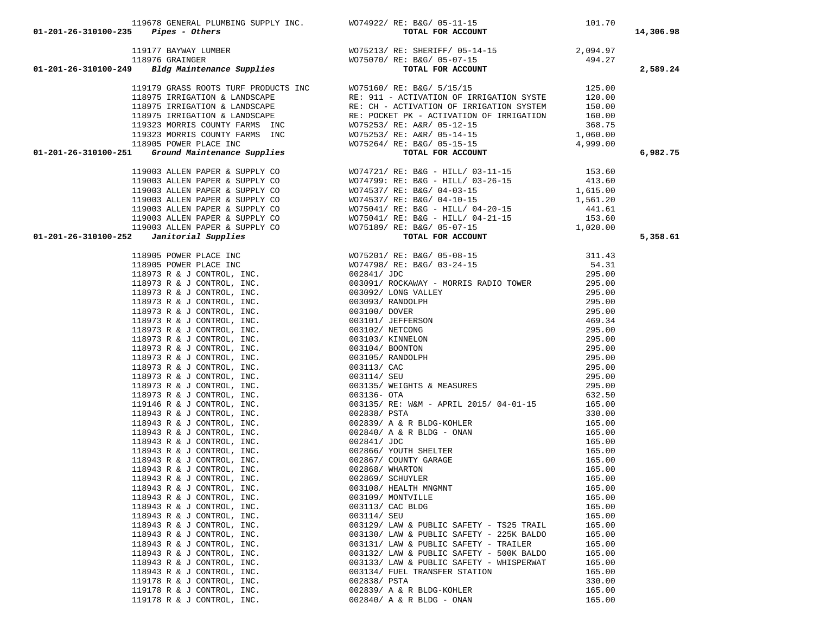| $01 - 201 - 26 - 310100 - 235$ Pipes - Others                                                                                                                                                                                  | 119678 GENERAL PLUMBING SUPPLY INC. WO74922/RE: B&G/05-11-15 101.70<br>5 Pipes - Others TOTAL FOR ACCOUNT |                  | 14,306.98 |
|--------------------------------------------------------------------------------------------------------------------------------------------------------------------------------------------------------------------------------|-----------------------------------------------------------------------------------------------------------|------------------|-----------|
|                                                                                                                                                                                                                                |                                                                                                           |                  |           |
|                                                                                                                                                                                                                                |                                                                                                           |                  |           |
|                                                                                                                                                                                                                                |                                                                                                           |                  | 2,589.24  |
| 119177 BAYWAY LUMBER<br>118976 GRAINGER 118976 GRAINGER 118976 GRAINGER 118976 MOTS213/ RE: B&G/ 05-07-15<br><b>118976 GRAINGER 118976 GRAINGER</b> 194.27<br><b>194.27</b> TOTAL FOR ACCOUNT                                  |                                                                                                           |                  |           |
|                                                                                                                                                                                                                                |                                                                                                           |                  |           |
|                                                                                                                                                                                                                                |                                                                                                           |                  |           |
|                                                                                                                                                                                                                                |                                                                                                           |                  |           |
|                                                                                                                                                                                                                                |                                                                                                           |                  |           |
|                                                                                                                                                                                                                                |                                                                                                           |                  |           |
|                                                                                                                                                                                                                                |                                                                                                           |                  |           |
|                                                                                                                                                                                                                                |                                                                                                           |                  | 6,982.75  |
|                                                                                                                                                                                                                                |                                                                                                           |                  |           |
|                                                                                                                                                                                                                                |                                                                                                           |                  |           |
|                                                                                                                                                                                                                                |                                                                                                           |                  |           |
|                                                                                                                                                                                                                                |                                                                                                           |                  |           |
|                                                                                                                                                                                                                                |                                                                                                           |                  |           |
|                                                                                                                                                                                                                                |                                                                                                           |                  |           |
|                                                                                                                                                                                                                                |                                                                                                           |                  |           |
| 01-201-24-10300-244 (1897) ASS GROWING MOPE (1997) AT 1860 (19-27-12)<br>1997 - 24-20300-244 (1997 - 24-2030) AND 1997 - 24-2022 (1997 - 24-2022 (1998 - 24-2022 - 24-2022 - 24-2022 - 24-2022 - 24-2022 - 24-2022 - 24-2022 - |                                                                                                           |                  | 5,358.61  |
|                                                                                                                                                                                                                                |                                                                                                           |                  |           |
|                                                                                                                                                                                                                                |                                                                                                           |                  |           |
|                                                                                                                                                                                                                                |                                                                                                           |                  |           |
|                                                                                                                                                                                                                                |                                                                                                           |                  |           |
|                                                                                                                                                                                                                                |                                                                                                           |                  |           |
|                                                                                                                                                                                                                                |                                                                                                           |                  |           |
|                                                                                                                                                                                                                                |                                                                                                           |                  |           |
|                                                                                                                                                                                                                                |                                                                                                           |                  |           |
|                                                                                                                                                                                                                                |                                                                                                           |                  |           |
|                                                                                                                                                                                                                                |                                                                                                           |                  |           |
|                                                                                                                                                                                                                                |                                                                                                           |                  |           |
|                                                                                                                                                                                                                                |                                                                                                           |                  |           |
|                                                                                                                                                                                                                                |                                                                                                           |                  |           |
|                                                                                                                                                                                                                                |                                                                                                           |                  |           |
|                                                                                                                                                                                                                                |                                                                                                           |                  |           |
|                                                                                                                                                                                                                                |                                                                                                           |                  |           |
|                                                                                                                                                                                                                                |                                                                                                           |                  |           |
|                                                                                                                                                                                                                                |                                                                                                           |                  |           |
|                                                                                                                                                                                                                                |                                                                                                           |                  |           |
|                                                                                                                                                                                                                                |                                                                                                           |                  |           |
|                                                                                                                                                                                                                                |                                                                                                           |                  |           |
|                                                                                                                                                                                                                                |                                                                                                           |                  |           |
|                                                                                                                                                                                                                                |                                                                                                           |                  |           |
| 118943 R & J CONTROL, INC.                                                                                                                                                                                                     | 003108/ HEALTH MNGMNT                                                                                     | 165.00           |           |
| 118943 R & J CONTROL, INC.                                                                                                                                                                                                     | 003109/ MONTVILLE                                                                                         | 165.00           |           |
| 118943 R & J CONTROL, INC.                                                                                                                                                                                                     | 003113/ CAC BLDG                                                                                          | 165.00           |           |
| 118943 R & J CONTROL, INC.                                                                                                                                                                                                     | 003114/ SEU                                                                                               | 165.00           |           |
| 118943 R & J CONTROL, INC.<br>118943 R & J CONTROL, INC.                                                                                                                                                                       | 003129/ LAW & PUBLIC SAFETY - TS25 TRAIL<br>003130/ LAW & PUBLIC SAFETY - 225K BALDO                      | 165.00<br>165.00 |           |
| 118943 R & J CONTROL, INC.                                                                                                                                                                                                     | 003131/ LAW & PUBLIC SAFETY - TRAILER                                                                     | 165.00           |           |
| 118943 R & J CONTROL, INC.                                                                                                                                                                                                     | 003132/ LAW & PUBLIC SAFETY - 500K BALDO                                                                  | 165.00           |           |
| 118943 R & J CONTROL, INC.                                                                                                                                                                                                     | 003133/ LAW & PUBLIC SAFETY - WHISPERWAT                                                                  | 165.00           |           |
| 118943 R & J CONTROL, INC.                                                                                                                                                                                                     | 003134/ FUEL TRANSFER STATION                                                                             | 165.00           |           |
| 119178 R & J CONTROL, INC.                                                                                                                                                                                                     | 002838/ PSTA                                                                                              | 330.00           |           |
| 119178 R & J CONTROL, INC.                                                                                                                                                                                                     | 002839/ A & R BLDG-KOHLER                                                                                 | 165.00           |           |
| 119178 R & J CONTROL, INC.                                                                                                                                                                                                     | 002840/ A & R BLDG - ONAN                                                                                 | 165.00           |           |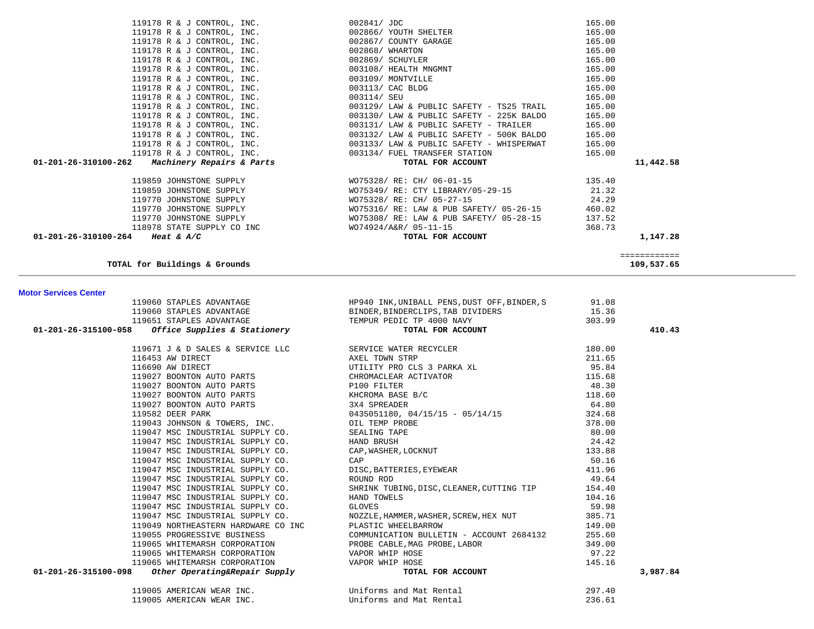| 119005 AMERICAN WEAR INC. | Uniforms and Mat Rental | 297.40 |
|---------------------------|-------------------------|--------|
| 119005 AMERICAN WEAR INC. | Uniforms and Mat Rental | 236.61 |

| 119060 STAPLES ADVANTAGE<br>119651 STAPLES ADVANTAGE<br>119651 STAPLES ADVANTAGE<br>119651 STAPLES ADVANTAGE<br>101-201-26-315100-058 <i>Office Supplies &amp; Stationery</i><br>101-201-26-315100-058 <i>Office Supplies &amp; Stationery</i><br>101-201-FOR ACCO |                                                                                                                 |        | 410.43   |
|--------------------------------------------------------------------------------------------------------------------------------------------------------------------------------------------------------------------------------------------------------------------|-----------------------------------------------------------------------------------------------------------------|--------|----------|
|                                                                                                                                                                                                                                                                    |                                                                                                                 |        |          |
|                                                                                                                                                                                                                                                                    |                                                                                                                 |        |          |
|                                                                                                                                                                                                                                                                    |                                                                                                                 |        |          |
|                                                                                                                                                                                                                                                                    |                                                                                                                 |        |          |
|                                                                                                                                                                                                                                                                    |                                                                                                                 |        |          |
|                                                                                                                                                                                                                                                                    |                                                                                                                 |        |          |
|                                                                                                                                                                                                                                                                    |                                                                                                                 |        |          |
|                                                                                                                                                                                                                                                                    |                                                                                                                 |        |          |
|                                                                                                                                                                                                                                                                    |                                                                                                                 |        |          |
|                                                                                                                                                                                                                                                                    |                                                                                                                 |        |          |
|                                                                                                                                                                                                                                                                    |                                                                                                                 |        |          |
|                                                                                                                                                                                                                                                                    |                                                                                                                 |        |          |
|                                                                                                                                                                                                                                                                    |                                                                                                                 |        |          |
|                                                                                                                                                                                                                                                                    |                                                                                                                 |        |          |
|                                                                                                                                                                                                                                                                    | 19947 MSC INDUSTRIAL SUPPLY CO.<br>19947 MSC INDUSTRIAL SUPPLY CO. A ROUND ROD ROD ROD ROD RESOLUTING TIP 19.64 |        |          |
|                                                                                                                                                                                                                                                                    |                                                                                                                 |        |          |
| 119047 MSC INDUSTRIAL SUPPLY CO. HAND TOWELS                                                                                                                                                                                                                       |                                                                                                                 |        |          |
| 119047 MSC INDUSTRIAL SUPPLY CO.                                                                                                                                                                                                                                   | $104.16$<br>59.98<br>GLOVES                                                                                     |        |          |
|                                                                                                                                                                                                                                                                    |                                                                                                                 |        |          |
| 119049 NORTHEASTERN HARDWARE CO INC PLASTIC WHEELBARROW                                                                                                                                                                                                            |                                                                                                                 |        |          |
|                                                                                                                                                                                                                                                                    |                                                                                                                 |        |          |
|                                                                                                                                                                                                                                                                    |                                                                                                                 |        |          |
|                                                                                                                                                                                                                                                                    |                                                                                                                 |        |          |
|                                                                                                                                                                                                                                                                    |                                                                                                                 |        |          |
| 119055 PROGRESSIVE BUSINESS<br>119055 PROGRESSIVE BUSINESS<br>119055 PROGRESSIVE BUSINESS<br>119065 WHITEMARSH CORPORATION<br>119065 WHITEMARSH CORPORATION<br>119065 WHITEMARSH CORPORATION<br>119065 WHITEMARSH CORPORATION<br>119065 WHIT                       |                                                                                                                 |        | 3,987.84 |
| 119005 AMERICAN WEAR INC.                                                                                                                                                                                                                                          | Uniforms and Mat Rental                                                                                         | 297.40 |          |

**Motor Services Center** 

**TOTAL for Buildings & Grounds 109,537.65**

| 119178 R & J CONTROL, INC.                       | 002868/ WHARTON                                                               | 165.00       |
|--------------------------------------------------|-------------------------------------------------------------------------------|--------------|
| 119178 R & J CONTROL, INC.                       | 002869/ SCHUYLER                                                              | 165.00       |
| 119178 R & J CONTROL, INC.                       | 003108/ HEALTH MNGMNT                                                         | 165.00       |
| 119178 R & J CONTROL, INC.                       | 003109/ MONTVILLE                                                             | 165.00       |
| 119178 R & J CONTROL, INC.                       | 003113/ CAC BLDG                                                              | 165.00       |
| 119178 R & J CONTROL, INC.                       | 003114/ SEU                                                                   | 165.00       |
| 119178 R & J CONTROL, INC.                       | 003129/ LAW & PUBLIC SAFETY - TS25 TRAIL                                      | 165.00       |
| 119178 R & J CONTROL, INC.                       | $003130/$ LAW & PUBLIC SAFETY - 225K BALDO                                    | 165.00       |
| 119178 R & J CONTROL, INC.                       | $003131/$ LAW & PUBLIC SAFETY - TRAILER                                       | 165.00       |
| 119178 R & J CONTROL, INC.                       | $003132/$ LAW & PUBLIC SAFETY - 500K BALDO                                    | 165.00       |
|                                                  | 119178 R & J CONTROL, INC. 6. 003133/ LAW & PUBLIC SAFETY - WHISPERWAT 165.00 |              |
|                                                  | 119178 R & J CONTROL, INC. 603134/ FUEL TRANSFER STATION                      | 165.00       |
| $01-201-26-310100-262$ Machinery Repairs & Parts | TOTAL FOR ACCOUNT                                                             | 11,442.58    |
|                                                  |                                                                               |              |
| 119859 JOHNSTONE SUPPLY                          | WO75328/ RE: CH/ 06-01-15                                                     | 135.40       |
| 119859 JOHNSTONE SUPPLY                          | WO75349/ RE: CTY LIBRARY/05-29-15                                             | 21.32        |
| 119770 JOHNSTONE SUPPLY                          | WO75328/ RE: CH/ 05-27-15                                                     | 24.29        |
| 119770 JOHNSTONE SUPPLY                          | WO75316/ RE: LAW & PUB SAFETY/ 05-26-15                                       | 460.02       |
| 119770 JOHNSTONE SUPPLY                          | WO75308/ RE: LAW & PUB SAFETY/ 05-28-15                                       | 137.52       |
| 118978 STATE SUPPLY CO INC                       | WO74924/A&R/ 05-11-15                                                         | 368.73       |
| 01-201-26-310100-264 Heat & A/C                  | TOTAL FOR ACCOUNT                                                             | 1,147.28     |
|                                                  |                                                                               |              |
|                                                  |                                                                               | ============ |
| TOTAL for Buildings & Grounds                    |                                                                               | 109,537.65   |

119178 R & J CONTROL, INC.  $002867/$  COUNTY GARAGE 165.00

119060 STAPLES ADVANTAGE HEP940 INK, UNIBALL PENS, DUST OFF, BINDER, S 31.08

 119178 R & J CONTROL, INC. 002841/ JDC 165.00 119178 R & J CONTROL, INC. 002866/ YOUTH SHELTER 165.00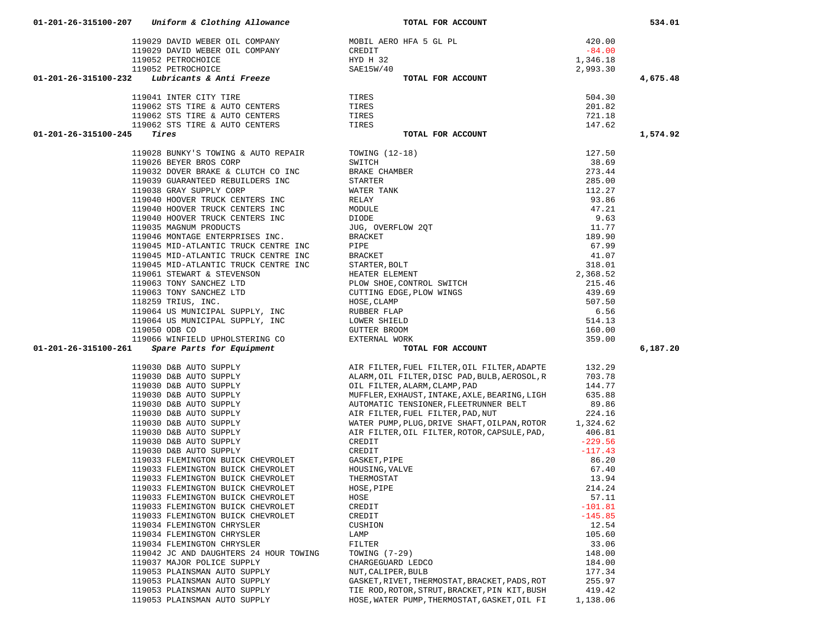|                                                                                                                                                                                                                                               |                                                                                               |                    | 4,675.48 |
|-----------------------------------------------------------------------------------------------------------------------------------------------------------------------------------------------------------------------------------------------|-----------------------------------------------------------------------------------------------|--------------------|----------|
| 119029 DAVID WEBER OIL COMPANY<br>119029 DAVID WEBER OIL COMPANY<br>119052 PETROCHOICE<br>119052 PETROCHOICE<br>119052 PETROCHOICE<br>119052 PETROCHOICE<br>201-201-26-315100-232 Lubricants & Anti Freeze<br>119041 INTER CITY TIRE<br>11906 |                                                                                               |                    |          |
|                                                                                                                                                                                                                                               |                                                                                               |                    |          |
|                                                                                                                                                                                                                                               |                                                                                               |                    |          |
|                                                                                                                                                                                                                                               |                                                                                               |                    |          |
|                                                                                                                                                                                                                                               |                                                                                               |                    |          |
|                                                                                                                                                                                                                                               |                                                                                               |                    |          |
| $01 - 201 - 26 - 315100 - 245$ Tires                                                                                                                                                                                                          |                                                                                               |                    | 1,574.92 |
|                                                                                                                                                                                                                                               |                                                                                               |                    |          |
| 119028 BUNKY'S TOWING & AUTO REPAIR                                                                                                                                                                                                           |                                                                                               |                    |          |
| 119026 BEYER BROS CORP                                                                                                                                                                                                                        |                                                                                               |                    |          |
| 119032 DOVER BRAKE & CLUTCH CO INC                                                                                                                                                                                                            |                                                                                               |                    |          |
| 119039 GUARANTEED REBUILDERS INC                                                                                                                                                                                                              |                                                                                               |                    |          |
| 119038 GRAY SUPPLY CORP                                                                                                                                                                                                                       |                                                                                               |                    |          |
| 119040 HOOVER TRUCK CENTERS INC                                                                                                                                                                                                               |                                                                                               |                    |          |
| 119040 HOOVER TRUCK CENTERS INC                                                                                                                                                                                                               |                                                                                               |                    |          |
|                                                                                                                                                                                                                                               |                                                                                               |                    |          |
| 119040 HOOVER TRUCK CENTERS INC                                                                                                                                                                                                               |                                                                                               |                    |          |
| 119035 MAGNUM PRODUCTS                                                                                                                                                                                                                        |                                                                                               |                    |          |
| 119046 MONTAGE ENTERPRISES INC.                                                                                                                                                                                                               |                                                                                               |                    |          |
| 119045 MID-ATLANTIC TRUCK CENTRE INC                                                                                                                                                                                                          |                                                                                               |                    |          |
| 119045 MID-ATLANTIC TRUCK CENTRE INC                                                                                                                                                                                                          |                                                                                               |                    |          |
| 119045 MID-ATLANTIC TRUCK CENTRE INC<br>119061 STEWART & STEVENSON                                                                                                                                                                            |                                                                                               |                    |          |
|                                                                                                                                                                                                                                               |                                                                                               |                    |          |
| 119063 TONY SANCHEZ LTD                                                                                                                                                                                                                       |                                                                                               |                    |          |
| 119063 TONY SANCHEZ LTD<br>118259 TRIUS, INC.                                                                                                                                                                                                 |                                                                                               |                    |          |
|                                                                                                                                                                                                                                               |                                                                                               |                    |          |
| 119064 US MUNICIPAL SUPPLY, INC                                                                                                                                                                                                               |                                                                                               |                    |          |
| 119064 US MUNICIPAL SUPPLY, INC<br>119064 US MUNICIPAL SUPPLY, INC                                                                                                                                                                            |                                                                                               |                    |          |
|                                                                                                                                                                                                                                               |                                                                                               |                    |          |
|                                                                                                                                                                                                                                               |                                                                                               |                    |          |
|                                                                                                                                                                                                                                               |                                                                                               |                    |          |
|                                                                                                                                                                                                                                               |                                                                                               |                    |          |
| 119066 WINFIELD UPHOLSTERING CO<br>1 Spare Parts for Equipment<br>01-201-26-315100-261                                                                                                                                                        |                                                                                               |                    | 6,187.20 |
|                                                                                                                                                                                                                                               |                                                                                               |                    |          |
|                                                                                                                                                                                                                                               | AIR FILTER, FUEL FILTER, OIL FILTER, ADAPTE                                                   | 132.29             |          |
|                                                                                                                                                                                                                                               | ALARM, OIL FILTER, DISC PAD, BULB, AEROSOL, R                                                 | 703.78             |          |
|                                                                                                                                                                                                                                               | OIL FILTER, ALARM, CLAMP, PAD                                                                 | 144.77             |          |
|                                                                                                                                                                                                                                               | MUFFLER, EXHAUST, INTAKE, AXLE, BEARING, LIGH                                                 | 635.88             |          |
|                                                                                                                                                                                                                                               | AUTOMATIC TENSIONER, FLEETRUNNER BELT                                                         | 89.86              |          |
|                                                                                                                                                                                                                                               | AIR FILTER, FUEL FILTER, PAD, NUT                                                             | 224.16             |          |
|                                                                                                                                                                                                                                               |                                                                                               |                    |          |
| 119030 D&B AUTO SUPPLY<br>119030 D&B AUTO SUPPLY<br>119030 D&B AUTO SUPPLY<br>119030 D&B AUTO SUPPLY<br>119030 D&B AUTO SUPPLY<br>119030 D&B AUTO SUPPLY<br>119030 D&B AUTO SUPPLY<br>119030 D&B AUTO SUPPLY                                  | WATER PUMP, PLUG, DRIVE SHAFT, OILPAN, ROTOR 1, 324.62                                        | 406.81             |          |
| 119030 D&B AUTO SUPPLY                                                                                                                                                                                                                        | AIR FILTER, OIL FILTER, ROTOR, CAPSULE, PAD,                                                  |                    |          |
| 119030 D&B AUTO SUPPLY                                                                                                                                                                                                                        | CREDIT                                                                                        | $-229.56$          |          |
| 119030 D&B AUTO SUPPLY                                                                                                                                                                                                                        | CREDIT                                                                                        | $-117.43$          |          |
| 119033 FLEMINGTON BUICK CHEVROLET                                                                                                                                                                                                             | GASKET, PIPE                                                                                  | 86.20              |          |
| 119033 FLEMINGTON BUICK CHEVROLET                                                                                                                                                                                                             | HOUSING, VALVE                                                                                | 67.40              |          |
| 119033 FLEMINGTON BUICK CHEVROLET                                                                                                                                                                                                             | THERMOSTAT                                                                                    | 13.94              |          |
| 119033 FLEMINGTON BUICK CHEVROLET                                                                                                                                                                                                             | HOSE, PIPE                                                                                    | 214.24             |          |
| 119033 FLEMINGTON BUICK CHEVROLET                                                                                                                                                                                                             | HOSE                                                                                          | 57.11              |          |
| 119033 FLEMINGTON BUICK CHEVROLET                                                                                                                                                                                                             | CREDIT                                                                                        | $-101.81$          |          |
| 119033 FLEMINGTON BUICK CHEVROLET                                                                                                                                                                                                             | CREDIT                                                                                        | $-145.85$          |          |
| 119034 FLEMINGTON CHRYSLER                                                                                                                                                                                                                    | CUSHION                                                                                       | 12.54              |          |
| 119034 FLEMINGTON CHRYSLER                                                                                                                                                                                                                    | LAMP                                                                                          | 105.60             |          |
| 119034 FLEMINGTON CHRYSLER                                                                                                                                                                                                                    | FILTER                                                                                        | 33.06              |          |
| 119042 JC AND DAUGHTERS 24 HOUR TOWING                                                                                                                                                                                                        | TOWING $(7-29)$                                                                               | 148.00             |          |
| 119037 MAJOR POLICE SUPPLY                                                                                                                                                                                                                    |                                                                                               |                    |          |
|                                                                                                                                                                                                                                               | CHARGEGUARD LEDCO                                                                             | 184.00             |          |
| 119053 PLAINSMAN AUTO SUPPLY                                                                                                                                                                                                                  | NUT, CALIPER, BULB                                                                            | 177.34             |          |
| 119053 PLAINSMAN AUTO SUPPLY                                                                                                                                                                                                                  | GASKET, RIVET, THERMOSTAT, BRACKET, PADS, ROT                                                 | 255.97             |          |
| 119053 PLAINSMAN AUTO SUPPLY<br>119053 PLAINSMAN AUTO SUPPLY                                                                                                                                                                                  | TIE ROD, ROTOR, STRUT, BRACKET, PIN KIT, BUSH<br>HOSE, WATER PUMP, THERMOSTAT, GASKET, OIL FI | 419.42<br>1,138.06 |          |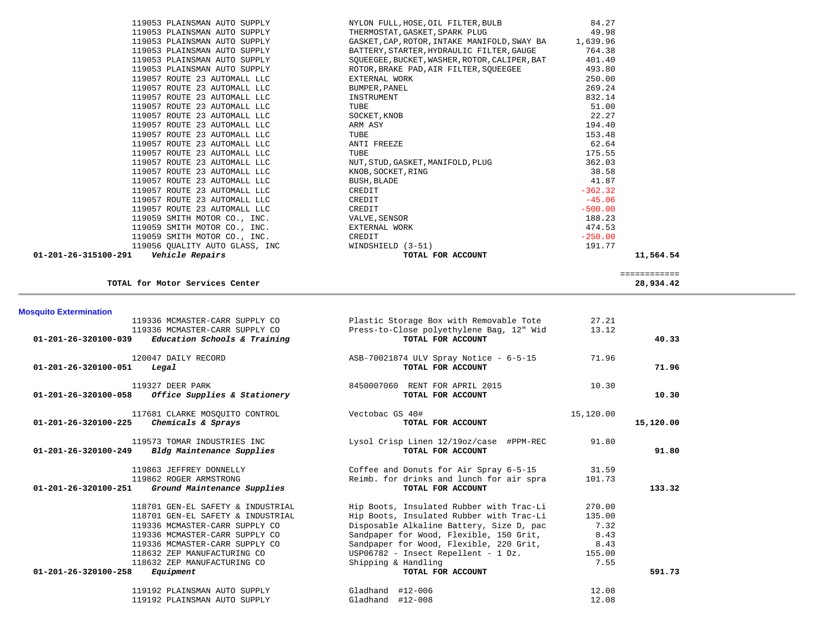| $01 - 201 - 26 - 315100 - 291$<br>Vehicle Repairs            | TOTAL FOR ACCOUNT                                                                          | 11,564.54        |
|--------------------------------------------------------------|--------------------------------------------------------------------------------------------|------------------|
| 119056 QUALITY AUTO GLASS, INC                               | WINDSHIELD (3-51)                                                                          | 191.77           |
| 119059 SMITH MOTOR CO., INC.                                 | CREDIT                                                                                     | $-250.00$        |
| 119059 SMITH MOTOR CO., INC.                                 | EXTERNAL WORK                                                                              | 474.53           |
| 119059 SMITH MOTOR CO., INC.                                 | VALVE, SENSOR                                                                              | 188.23           |
| 119057 ROUTE 23 AUTOMALL LLC                                 | CREDIT                                                                                     | $-500.00$        |
| 119057 ROUTE 23 AUTOMALL LLC                                 | CREDIT                                                                                     | $-45.06$         |
| 119057 ROUTE 23 AUTOMALL LLC                                 | CREDIT                                                                                     | $-362.32$        |
| 119057 ROUTE 23 AUTOMALL LLC                                 | BUSH, BLADE                                                                                | 41.87            |
| 119057 ROUTE 23 AUTOMALL LLC                                 | KNOB, SOCKET, RING                                                                         | 38.58            |
| 119057 ROUTE 23 AUTOMALL LLC                                 | NUT, STUD, GASKET, MANIFOLD, PLUG                                                          | 362.03           |
| 119057 ROUTE 23 AUTOMALL LLC                                 | TUBE                                                                                       | 175.55           |
| 119057 ROUTE 23 AUTOMALL LLC                                 | ANTI FREEZE                                                                                | 62.64            |
| 119057 ROUTE 23 AUTOMALL LLC                                 | TUBE                                                                                       | 153.48           |
| 119057 ROUTE 23 AUTOMALL LLC                                 | ARM ASY                                                                                    | 194.40           |
| 119057 ROUTE 23 AUTOMALL LLC                                 | SOCKET, KNOB                                                                               | 22.27            |
| 119057 ROUTE 23 AUTOMALL LLC                                 | TUBE                                                                                       | 51.00            |
| 119057 ROUTE 23 AUTOMALL LLC                                 | INSTRUMENT                                                                                 | 832.14           |
| 119057 ROUTE 23 AUTOMALL LLC                                 | BUMPER, PANEL                                                                              | 269.24           |
| 119057 ROUTE 23 AUTOMALL LLC                                 | EXTERNAL WORK                                                                              | 250.00           |
| 119053 PLAINSMAN AUTO SUPPLY                                 | ROTOR, BRAKE PAD, AIR FILTER, SQUEEGEE                                                     | 493.80           |
| 119053 PLAINSMAN AUTO SUPPLY                                 | BATTERY, STARTER, HYDRAULIC FILTER, GAUGE<br>SOUEEGEE, BUCKET, WASHER, ROTOR, CALIPER, BAT | 764.38<br>401.40 |
| 119053 PLAINSMAN AUTO SUPPLY<br>119053 PLAINSMAN AUTO SUPPLY | GASKET, CAP, ROTOR, INTAKE MANIFOLD, SWAY BA 1,639.96                                      |                  |
| 119053 PLAINSMAN AUTO SUPPLY                                 | THERMOSTAT, GASKET, SPARK PLUG                                                             | 49.98            |
|                                                              |                                                                                            |                  |
| 119053 PLAINSMAN AUTO SUPPLY                                 | NYLON FULL, HOSE, OIL FILTER, BULB                                                         | 84.27            |

### **TOTAL for Motor Services Center 28,934.42**

============

**Mosquito Extermination**  119336 MCMASTER-CARR SUPPLY CO Plastic Storage Box with Removable Tote 27.21 119336 MCMASTER-CARR SUPPLY CO Press-to-Close polyethylene Bag, 12" Wid 13.12  **01-201-26-320100-039** *Education Schools & Training* **TOTAL FOR ACCOUNT 40.33** 120047 DAILY RECORD **ASB-70021874 ULV Spray Notice - 6-5-15** 71.96<br>Legal **TOTAL FOR ACCOUNT 01-201-26-320100-051** *Legal* **TOTAL FOR ACCOUNT 71.96** 119327 DEER PARK 8450007060 RENT FOR APRIL 2015 10.30  **01-201-26-320100-058** *Office Supplies & Stationery* **TOTAL FOR ACCOUNT 10.30** 117681 CLARKE MOSQUITO CONTROL Vectobac GS 40# 15,120.00  **01-201-26-320100-225** *Chemicals & Sprays* **TOTAL FOR ACCOUNT 15,120.00** 119573 TOMAR INDUSTRIES INC Lysol Crisp Linen 12/19oz/case #PPM-REC 91.80  **01-201-26-320100-249** *Bldg Maintenance Supplies* **TOTAL FOR ACCOUNT 91.80** 119863 JEFFREY DONNELLY Coffee and Donuts for Air Spray 6-5-15 31.59 119862 ROGER ARMSTRONG Reimb. for drinks and lunch for air spra 101.73  **01-201-26-320100-251** *Ground Maintenance Supplies* **TOTAL FOR ACCOUNT 133.32** 118701 GEN-EL SAFETY & INDUSTRIAL Hip Boots, Insulated Rubber with Trac-Li 270.00 118701 GEN-EL SAFETY & INDUSTRIAL Hip Boots, Insulated Rubber with Trac-Li 135.00 119336 MCMASTER-CARR SUPPLY CO Disposable Alkaline Battery, Size D, pac 7.32 119336 MCMASTER-CARR SUPPLY CO Sandpaper for Wood, Flexible, 150 Grit, 8.43 119336 MCMASTER-CARR SUPPLY CO Sandpaper for Wood, Flexible, 220 Grit, 8.43 118632 ZEP MANUFACTURING CO USP06782 - Insect Repellent - 1 Dz. 155.00 118632 ZEP MANUFACTURING CO Shipping & Handling 7.55  **01-201-26-320100-258** *Equipment* **TOTAL FOR ACCOUNT 591.73** 119192 PLAINSMAN AUTO SUPPLY Gladhand #12-006 12.08 119192 PLAINSMAN AUTO SUPPLY Gladhand #12-008 12.08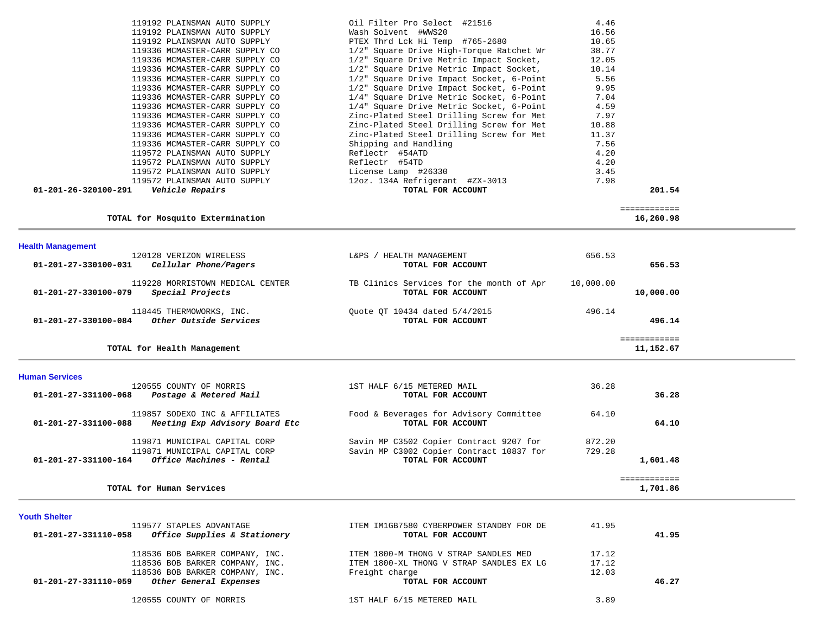| 119192 PLAINSMAN AUTO SUPPLY                                   | Oil Filter Pro Select #21516             | 4.46      |              |
|----------------------------------------------------------------|------------------------------------------|-----------|--------------|
| 119192 PLAINSMAN AUTO SUPPLY                                   | Wash Solvent #WWS20                      | 16.56     |              |
| 119192 PLAINSMAN AUTO SUPPLY                                   | PTEX Thrd Lck Hi Temp #765-2680          | 10.65     |              |
| 119336 MCMASTER-CARR SUPPLY CO                                 | 1/2" Square Drive High-Torque Ratchet Wr | 38.77     |              |
| 119336 MCMASTER-CARR SUPPLY CO                                 | 1/2" Square Drive Metric Impact Socket,  | 12.05     |              |
| 119336 MCMASTER-CARR SUPPLY CO                                 | 1/2" Square Drive Metric Impact Socket,  | 10.14     |              |
| 119336 MCMASTER-CARR SUPPLY CO                                 | 1/2" Square Drive Impact Socket, 6-Point | 5.56      |              |
| 119336 MCMASTER-CARR SUPPLY CO                                 | 1/2" Square Drive Impact Socket, 6-Point | 9.95      |              |
| 119336 MCMASTER-CARR SUPPLY CO                                 | 1/4" Square Drive Metric Socket, 6-Point | 7.04      |              |
| 119336 MCMASTER-CARR SUPPLY CO                                 | 1/4" Square Drive Metric Socket, 6-Point | 4.59      |              |
| 119336 MCMASTER-CARR SUPPLY CO                                 | Zinc-Plated Steel Drilling Screw for Met | 7.97      |              |
| 119336 MCMASTER-CARR SUPPLY CO                                 | Zinc-Plated Steel Drilling Screw for Met | 10.88     |              |
| 119336 MCMASTER-CARR SUPPLY CO                                 | Zinc-Plated Steel Drilling Screw for Met | 11.37     |              |
| 119336 MCMASTER-CARR SUPPLY CO                                 |                                          | 7.56      |              |
|                                                                | Shipping and Handling                    |           |              |
| 119572 PLAINSMAN AUTO SUPPLY                                   | Reflectr #54ATD                          | 4.20      |              |
| 119572 PLAINSMAN AUTO SUPPLY                                   | Reflectr #54TD                           | 4.20      |              |
| 119572 PLAINSMAN AUTO SUPPLY                                   | License Lamp #26330                      | 3.45      |              |
| 119572 PLAINSMAN AUTO SUPPLY                                   | 12oz. 134A Refrigerant #ZX-3013          | 7.98      |              |
| 01-201-26-320100-291<br><i><b>Vehicle Repairs</b></i>          | TOTAL FOR ACCOUNT                        |           | 201.54       |
|                                                                |                                          |           | ============ |
| TOTAL for Mosquito Extermination                               |                                          |           | 16,260.98    |
|                                                                |                                          |           |              |
| <b>Health Management</b>                                       |                                          |           |              |
| 120128 VERIZON WIRELESS                                        | L&PS / HEALTH MANAGEMENT                 | 656.53    |              |
| 01-201-27-330100-031<br>Cellular Phone/Pagers                  | TOTAL FOR ACCOUNT                        |           | 656.53       |
| 119228 MORRISTOWN MEDICAL CENTER                               | TB Clinics Services for the month of Apr | 10,000.00 |              |
| 01-201-27-330100-079<br>Special Projects                       | TOTAL FOR ACCOUNT                        |           | 10,000.00    |
|                                                                |                                          |           |              |
| 118445 THERMOWORKS, INC.                                       | Quote QT 10434 dated 5/4/2015            | 496.14    |              |
| 01-201-27-330100-084<br><i>Other Outside Services</i>          | TOTAL FOR ACCOUNT                        |           | 496.14       |
|                                                                |                                          |           | ============ |
| TOTAL for Health Management                                    |                                          |           | 11,152.67    |
|                                                                |                                          |           |              |
| <b>Human Services</b>                                          |                                          |           |              |
| 120555 COUNTY OF MORRIS                                        | 1ST HALF 6/15 METERED MAIL               | 36.28     |              |
| 01-201-27-331100-068<br>Postage & Metered Mail                 | TOTAL FOR ACCOUNT                        |           | 36.28        |
| 119857 SODEXO INC & AFFILIATES                                 | Food & Beverages for Advisory Committee  | 64.10     |              |
| Meeting Exp Advisory Board Etc<br>01-201-27-331100-088         | TOTAL FOR ACCOUNT                        |           | 64.10        |
|                                                                |                                          |           |              |
| 119871 MUNICIPAL CAPITAL CORP                                  | Savin MP C3502 Copier Contract 9207 for  | 872.20    |              |
| 119871 MUNICIPAL CAPITAL CORP                                  | Savin MP C3002 Copier Contract 10837 for | 729.28    |              |
| $01 - 201 - 27 - 331100 - 164$ Office Machines - Rental        | TOTAL FOR ACCOUNT                        |           | 1,601.48     |
|                                                                |                                          |           |              |
|                                                                |                                          |           | ============ |
| TOTAL for Human Services                                       |                                          |           | 1,701.86     |
|                                                                |                                          |           |              |
| <b>Youth Shelter</b><br>119577 STAPLES ADVANTAGE               | ITEM IM1GB7580 CYBERPOWER STANDBY FOR DE | 41.95     |              |
| $01 - 201 - 27 - 331110 - 058$<br>Office Supplies & Stationery | TOTAL FOR ACCOUNT                        |           | 41.95        |

| IIYD <i>II S</i> IAPLES ADVANIAGE<br>Office Supplies & Stationery<br>01-201-27-331110-058 | IIEM IMIGB/580 CYBERPOWER STANDBY FOR DE<br>TOTAL FOR ACCOUNT | 41.95 | 41.95 |
|-------------------------------------------------------------------------------------------|---------------------------------------------------------------|-------|-------|
| 118536 BOB BARKER COMPANY, INC.                                                           | ITEM 1800-M THONG V STRAP SANDLES MED                         | 17.12 |       |
| 118536 BOB BARKER COMPANY, INC.                                                           | ITEM 1800-XL THONG V STRAP SANDLES EX LG                      | 17.12 |       |
| 118536 BOB BARKER COMPANY, INC.                                                           | Freight charge                                                | 12.03 |       |
| Other General Expenses<br>01-201-27-331110-059                                            | TOTAL FOR ACCOUNT                                             |       | 46.27 |
| 120555 COUNTY OF MORRIS                                                                   | 1ST HALF 6/15 METERED MAIL                                    | 3.89  |       |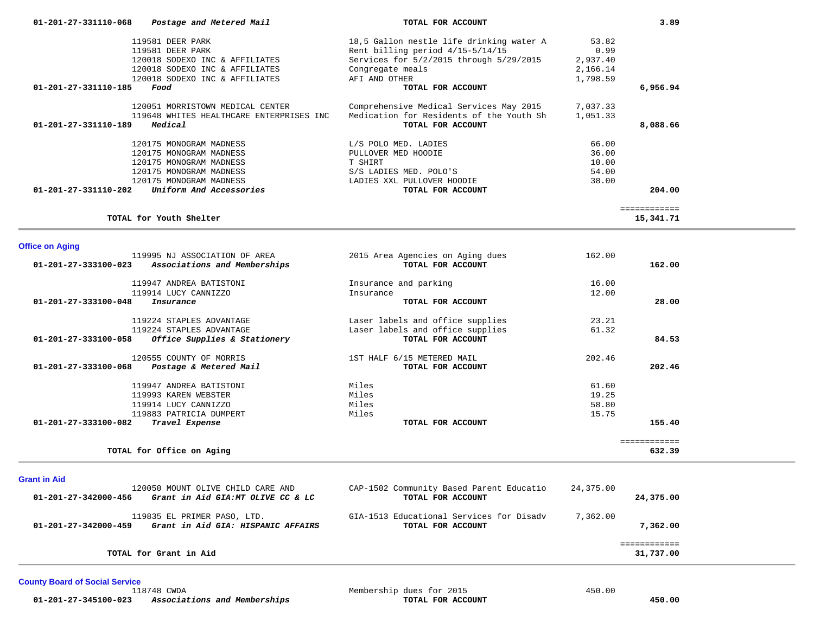| 01-201-27-331110-068<br>Postage and Metered Mail          | TOTAL FOR ACCOUNT                        | 3.89         |
|-----------------------------------------------------------|------------------------------------------|--------------|
| 119581 DEER PARK                                          | 18,5 Gallon nestle life drinking water A | 53.82        |
| 119581 DEER PARK                                          | Rent billing period $4/15-5/14/15$       | 0.99         |
| 120018 SODEXO INC & AFFILIATES                            | Services for 5/2/2015 through 5/29/2015  | 2,937.40     |
| 120018 SODEXO INC & AFFILIATES                            | Congregate meals                         | 2,166.14     |
| 120018 SODEXO INC & AFFILIATES                            | AFI AND OTHER                            | 1,798.59     |
| 01-201-27-331110-185<br>Food                              | TOTAL FOR ACCOUNT                        | 6,956.94     |
| 120051 MORRISTOWN MEDICAL CENTER                          | Comprehensive Medical Services May 2015  | 7,037.33     |
| 119648 WHITES HEALTHCARE ENTERPRISES INC                  | Medication for Residents of the Youth Sh | 1,051.33     |
| 01-201-27-331110-189<br>Medical                           | TOTAL FOR ACCOUNT                        | 8,088.66     |
| 120175 MONOGRAM MADNESS                                   | L/S POLO MED. LADIES                     | 66.00        |
| 120175 MONOGRAM MADNESS                                   | PULLOVER MED HOODIE                      | 36.00        |
| 120175 MONOGRAM MADNESS                                   | T SHIRT                                  | 10.00        |
| 120175 MONOGRAM MADNESS                                   | S/S LADIES MED. POLO'S                   | 54.00        |
| 120175 MONOGRAM MADNESS                                   | LADIES XXL PULLOVER HOODIE               | 38.00        |
| $01 - 201 - 27 - 331110 - 202$<br>Uniform And Accessories | TOTAL FOR ACCOUNT                        | 204.00       |
|                                                           |                                          | ============ |
| TOTAL for Youth Shelter                                   |                                          | 15,341.71    |

119995 NJ ASSOCIATION OF AREA 2015 Area Agencies on Aging dues 162.00<br>01-201-27-333100-023 Associations and Memberships TOTAL FOR ACCOUNT  **01-201-27-333100-023** *Associations and Memberships* **TOTAL FOR ACCOUNT 162.00**

| 119947 ANDREA BATISTONI                              | Insurance and parking            | 16.00        |
|------------------------------------------------------|----------------------------------|--------------|
| 119914 LUCY CANNIZZO                                 | Insurance                        | 12.00        |
| 01-201-27-333100-048<br>Insurance                    | TOTAL FOR ACCOUNT                | 28.00        |
| 119224 STAPLES ADVANTAGE                             | Laser labels and office supplies | 23.21        |
| 119224 STAPLES ADVANTAGE                             | Laser labels and office supplies | 61.32        |
| Office Supplies & Stationery<br>01-201-27-333100-058 | TOTAL FOR ACCOUNT                | 84.53        |
| 120555 COUNTY OF MORRIS                              | 1ST HALF 6/15 METERED MAIL       | 202.46       |
| 01-201-27-333100-068<br>Postage & Metered Mail       | TOTAL FOR ACCOUNT                | 202.46       |
| 119947 ANDREA BATISTONI                              | Miles                            | 61.60        |
| 119993 KAREN WEBSTER                                 | Miles                            | 19.25        |
| 119914 LUCY CANNIZZO                                 | Miles                            | 58.80        |
| 119883 PATRICIA DUMPERT                              | Miles                            | 15.75        |
| 01-201-27-333100-082<br>Travel Expense               | TOTAL FOR ACCOUNT                | 155.40       |
|                                                      |                                  | ============ |
| TOTAL for Office on Aging                            |                                  | 632.39       |

**Grant in Aid** 

**Office on Aging** 

| 120050 MOUNT OLIVE CHILD CARE AND<br>Grant in Aid GIA:MT OLIVE CC & LC<br>01-201-27-342000-456 | CAP-1502 Community Based Parent Educatio<br>TOTAL FOR ACCOUNT | 24,375.00<br>24,375.00 |
|------------------------------------------------------------------------------------------------|---------------------------------------------------------------|------------------------|
| 119835 EL PRIMER PASO, LTD.<br>Grant in Aid GIA: HISPANIC AFFAIRS<br>01-201-27-342000-459      | GIA-1513 Educational Services for Disady<br>TOTAL FOR ACCOUNT | 7,362.00<br>7,362,00   |
| TOTAL for Grant in Aid                                                                         |                                                               | 31,737.00              |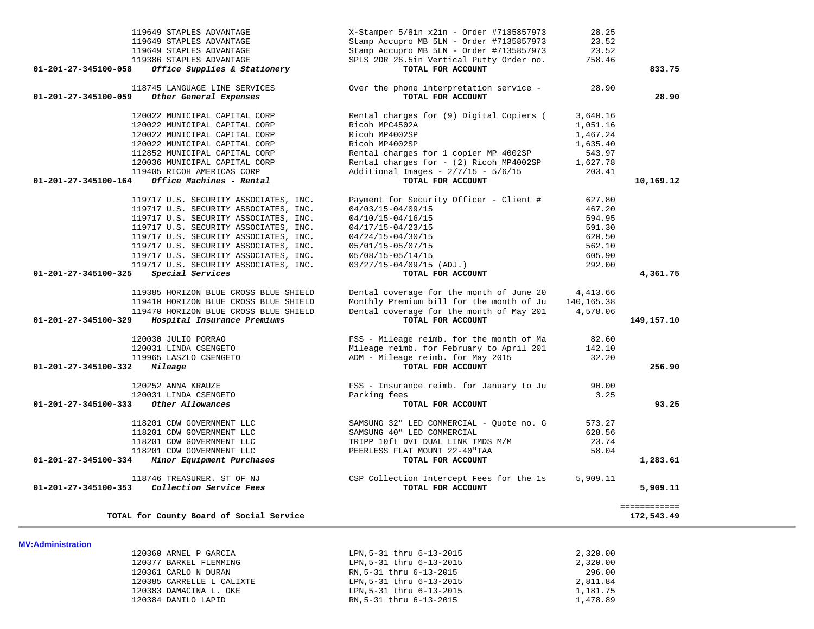| 119649 STAPLES ADVANTAGE<br>119649 STAPLES ADVANTAGE<br>119649 STAPLES ADVANTAGE<br>119386 STAPLES ADVANTAGE<br>Office Supplies & Stationery<br>01-201-27-345100-058                                                                                                                                                                 | X-Stamper 5/8in x2in - Order #7135857973<br>Stamp Accupro MB 5LN - Order #7135857973<br>Stamp Accupro MB 5LN - Order #7135857973<br>SPLS 2DR 26.5in Vertical Putty Order no.<br>TOTAL FOR ACCOUNT       | 28.25<br>23.52<br>23.52<br>758.46                                            | 833.75                     |
|--------------------------------------------------------------------------------------------------------------------------------------------------------------------------------------------------------------------------------------------------------------------------------------------------------------------------------------|---------------------------------------------------------------------------------------------------------------------------------------------------------------------------------------------------------|------------------------------------------------------------------------------|----------------------------|
| 118745 LANGUAGE LINE SERVICES<br>Other General Expenses<br>01-201-27-345100-059                                                                                                                                                                                                                                                      | Over the phone interpretation service -<br>TOTAL FOR ACCOUNT                                                                                                                                            | 28.90                                                                        | 28.90                      |
| 120022 MUNICIPAL CAPITAL CORP<br>120022 MUNICIPAL CAPITAL CORP<br>120022 MUNICIPAL CAPITAL CORP<br>120022 MUNICIPAL CAPITAL CORP<br>112852 MUNICIPAL CAPITAL CORP<br>120036 MUNICIPAL CAPITAL CORP                                                                                                                                   | Rental charges for (9) Digital Copiers (<br>Ricoh MPC4502A<br>Ricoh MP4002SP<br>Ricoh MP4002SP<br>Rental charges for 1 copier MP 4002SP<br>Rental charges for - (2) Ricoh MP4002SP                      | 3,640.16<br>1,051.16<br>1,467.24<br>1,635.40<br>543.97<br>1,627.78           |                            |
| 119405 RICOH AMERICAS CORP<br>Office Machines - Rental<br>01-201-27-345100-164                                                                                                                                                                                                                                                       | Additional Images - $2/7/15$ - $5/6/15$<br>TOTAL FOR ACCOUNT                                                                                                                                            | 203.41                                                                       | 10,169.12                  |
| 119717 U.S. SECURITY ASSOCIATES, INC.<br>119717 U.S. SECURITY ASSOCIATES, INC.<br>119717 U.S. SECURITY ASSOCIATES, INC.<br>119717 U.S. SECURITY ASSOCIATES, INC.<br>119717 U.S. SECURITY ASSOCIATES, INC.<br>119717 U.S. SECURITY ASSOCIATES, INC.<br>119717 U.S. SECURITY ASSOCIATES, INC.<br>119717 U.S. SECURITY ASSOCIATES, INC. | Payment for Security Officer - Client #<br>$04/03/15 - 04/09/15$<br>04/10/15-04/16/15<br>04/17/15-04/23/15<br>04/24/15-04/30/15<br>05/01/15-05/07/15<br>05/08/15-05/14/15<br>$03/27/15-04/09/15$ (ADJ.) | 627.80<br>467.20<br>594.95<br>591.30<br>620.50<br>562.10<br>605.90<br>292.00 |                            |
| Special Services<br>01-201-27-345100-325                                                                                                                                                                                                                                                                                             | TOTAL FOR ACCOUNT                                                                                                                                                                                       |                                                                              | 4,361.75                   |
| 119385 HORIZON BLUE CROSS BLUE SHIELD<br>119410 HORIZON BLUE CROSS BLUE SHIELD<br>119470 HORIZON BLUE CROSS BLUE SHIELD<br>01-201-27-345100-329<br>Hospital Insurance Premiums                                                                                                                                                       | Dental coverage for the month of June 20<br>Monthly Premium bill for the month of Ju<br>Dental coverage for the month of May 201<br>TOTAL FOR ACCOUNT                                                   | 4,413.66<br>140, 165. 38<br>4,578.06                                         | 149,157.10                 |
| 120030 JULIO PORRAO<br>120031 LINDA CSENGETO<br>119965 LASZLO CSENGETO<br>01-201-27-345100-332<br>Mileage                                                                                                                                                                                                                            | FSS - Mileage reimb. for the month of Ma<br>Mileage reimb. for February to April 201<br>ADM - Mileage reimb. for May 2015<br>TOTAL FOR ACCOUNT                                                          | 82.60<br>142.10<br>32.20                                                     | 256.90                     |
| 120252 ANNA KRAUZE<br>120031 LINDA CSENGETO<br>Other Allowances<br>01-201-27-345100-333                                                                                                                                                                                                                                              | FSS - Insurance reimb. for January to Ju<br>Parking fees<br>TOTAL FOR ACCOUNT                                                                                                                           | 90.00<br>3.25                                                                | 93.25                      |
| 118201 CDW GOVERNMENT LLC<br>118201 CDW GOVERNMENT LLC<br>118201 CDW GOVERNMENT LLC<br>118201 CDW GOVERNMENT LLC<br>Minor Equipment Purchases<br>01-201-27-345100-334                                                                                                                                                                | SAMSUNG 32" LED COMMERCIAL - Quote no. G<br>SAMSUNG 40" LED COMMERCIAL<br>TRIPP 10ft DVI DUAL LINK TMDS M/M<br>PEERLESS FLAT MOUNT 22-40 "TAA<br>TOTAL FOR ACCOUNT                                      | 573.27<br>628.56<br>23.74<br>58.04                                           | 1,283.61                   |
| 118746 TREASURER. ST OF NJ<br>Collection Service Fees<br>01-201-27-345100-353                                                                                                                                                                                                                                                        | CSP Collection Intercept Fees for the 1s<br>TOTAL FOR ACCOUNT                                                                                                                                           | 5,909.11                                                                     | 5,909.11                   |
| TOTAL for County Board of Social Service                                                                                                                                                                                                                                                                                             |                                                                                                                                                                                                         |                                                                              | ============<br>172,543.49 |

## 120360 ARNEL P GARCIA LPN,5-31 thru 6-13-2015 2,320.00 120377 BARKEL FLEMMING LPN, 5-31 thru 6-13-2015 120361 CARLO N DURAN RN,5-31 thru 6-13-2015 296.00 120385 CARRELLE L CALIXTE LPN,5-31 thru 6-13-2015 2,811.84 120383 DAMACINA L. OKE LPN,5-31 thru 6-13-2015 1,181.75 120384 DANILO LAPID RN,5-31 thru 6-13-2015 1,478.89

**MV:Administration**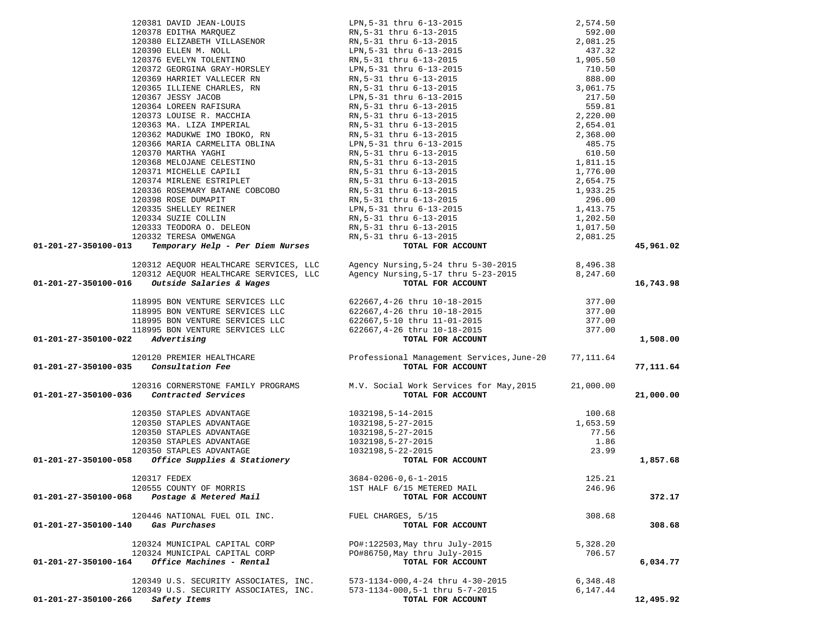| 01-201-27-350100-013                                 |                                                                                                                                                                                                                                                       |          | 45,961.02 |
|------------------------------------------------------|-------------------------------------------------------------------------------------------------------------------------------------------------------------------------------------------------------------------------------------------------------|----------|-----------|
|                                                      |                                                                                                                                                                                                                                                       |          |           |
|                                                      |                                                                                                                                                                                                                                                       |          |           |
|                                                      |                                                                                                                                                                                                                                                       |          |           |
| 01-201-27-350100-016 Outside Salaries & Wages        |                                                                                                                                                                                                                                                       |          | 16,743.98 |
|                                                      |                                                                                                                                                                                                                                                       |          |           |
|                                                      |                                                                                                                                                                                                                                                       |          |           |
|                                                      |                                                                                                                                                                                                                                                       |          |           |
|                                                      |                                                                                                                                                                                                                                                       |          |           |
|                                                      |                                                                                                                                                                                                                                                       |          |           |
| 01-201-27-350100-022 Advertising                     | 120312 AEQUOR HEALTHCARE SERVICES, LLC Agency Nursing, 5-24 thru 5-30-2015 8, 496.38<br>120312 AEQUOR HEALTHCARE SERVICES, LLC Agency Nursing, 5-17 thru 5-23-2015 8, 247.60<br>6 Outside Salaries & Wages TOTAL FOR ACCOUNT<br>118995                |          | 1,508.00  |
|                                                      |                                                                                                                                                                                                                                                       |          |           |
| 01-201-27-350100-035 Consultation Fee                |                                                                                                                                                                                                                                                       |          |           |
|                                                      |                                                                                                                                                                                                                                                       |          | 77,111.64 |
|                                                      | 120316 CORNERSTONE FAMILY PROGRAMS M.V. Social Work Services for May, 2015 21,000.00                                                                                                                                                                  |          |           |
|                                                      |                                                                                                                                                                                                                                                       |          |           |
| 01-201-27-350100-036 Contracted Services             | TOTAL FOR ACCOUNT                                                                                                                                                                                                                                     |          | 21,000.00 |
|                                                      | TOTAL F<br>TOTAL F<br>1032198,5-14-2015<br>1032198,5-27-2015<br>1032198,5-27-2015<br>1032198,5-27-2015<br>1032198,5-22-2015<br>1032198,5-22-2015<br>TOTAL F<br>$\begin{array}{r} 100.68 \\ 1,653.59 \\ 77.56 \\ 1.86 \\ 23.99 \end{array}$ OR ACCOUNT |          |           |
| 120350 STAPLES ADVANTAGE                             |                                                                                                                                                                                                                                                       |          |           |
| 120350 STAPLES ADVANTAGE                             |                                                                                                                                                                                                                                                       |          |           |
| 120350 STAPLES ADVANTAGE                             |                                                                                                                                                                                                                                                       |          |           |
| 120350 STAPLES ADVANTAGE                             |                                                                                                                                                                                                                                                       |          |           |
| 120350 STAPLES ADVANTAGE                             |                                                                                                                                                                                                                                                       |          |           |
| 01-201-27-350100-058<br>Office Supplies & Stationery | TOTAL FOR ACCOUNT                                                                                                                                                                                                                                     |          | 1,857.68  |
|                                                      |                                                                                                                                                                                                                                                       |          |           |
| 120317 FEDEX                                         | $3684 - 0206 - 0, 6 - 1 - 2015$                                                                                                                                                                                                                       | 125.21   |           |
| 120555 COUNTY OF MORRIS                              | 1ST HALF 6/15 METERED MAIL                                                                                                                                                                                                                            | 246.96   |           |
| Postage & Metered Mail<br>01-201-27-350100-068       | TOTAL FOR ACCOUNT                                                                                                                                                                                                                                     |          | 372.17    |
|                                                      |                                                                                                                                                                                                                                                       |          |           |
| 120446 NATIONAL FUEL OIL INC.                        | FUEL CHARGES, 5/15                                                                                                                                                                                                                                    | 308.68   |           |
| Gas Purchases<br>01-201-27-350100-140                | TOTAL FOR ACCOUNT                                                                                                                                                                                                                                     |          | 308.68    |
|                                                      |                                                                                                                                                                                                                                                       |          |           |
| 120324 MUNICIPAL CAPITAL CORP                        | PO#:122503, May thru July-2015                                                                                                                                                                                                                        | 5,328.20 |           |
| 120324 MUNICIPAL CAPITAL CORP                        | PO#86750, May thru July-2015                                                                                                                                                                                                                          | 706.57   |           |
| Office Machines - Rental<br>01-201-27-350100-164     | TOTAL FOR ACCOUNT                                                                                                                                                                                                                                     |          | 6,034.77  |
|                                                      |                                                                                                                                                                                                                                                       |          |           |
| 120349 U.S. SECURITY ASSOCIATES, INC.                | 573-1134-000, 4-24 thru 4-30-2015                                                                                                                                                                                                                     | 6,348.48 |           |
| 120349 U.S. SECURITY ASSOCIATES, INC.                | 573-1134-000,5-1 thru 5-7-2015                                                                                                                                                                                                                        | 6,147.44 |           |
| 01-201-27-350100-266<br>Safety Items                 | TOTAL FOR ACCOUNT                                                                                                                                                                                                                                     |          | 12,495.92 |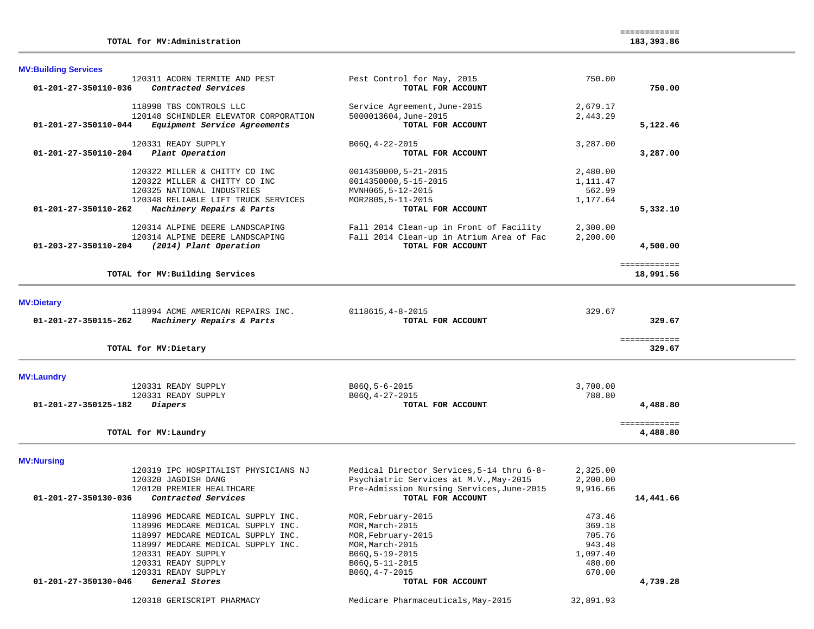| <b>MV:Building Services</b>                                                              |                                                 |           |                          |
|------------------------------------------------------------------------------------------|-------------------------------------------------|-----------|--------------------------|
| 120311 ACORN TERMITE AND PEST<br>01-201-27-350110-036<br>Contracted Services             | Pest Control for May, 2015<br>TOTAL FOR ACCOUNT | 750.00    | 750.00                   |
|                                                                                          |                                                 |           |                          |
| 118998 TBS CONTROLS LLC                                                                  | Service Agreement, June-2015                    | 2,679.17  |                          |
| 120148 SCHINDLER ELEVATOR CORPORATION                                                    | 5000013604.June-2015                            | 2,443.29  |                          |
| 01-201-27-350110-044<br>Equipment Service Agreements                                     | TOTAL FOR ACCOUNT                               |           | 5,122.46                 |
|                                                                                          |                                                 |           |                          |
| 120331 READY SUPPLY                                                                      | $B06Q, 4-22-2015$                               | 3,287.00  |                          |
| 01-201-27-350110-204<br>Plant Operation                                                  | TOTAL FOR ACCOUNT                               |           | 3,287.00                 |
|                                                                                          |                                                 |           |                          |
| 120322 MILLER & CHITTY CO INC                                                            | 0014350000,5-21-2015                            | 2,480.00  |                          |
| 120322 MILLER & CHITTY CO INC                                                            | 0014350000,5-15-2015                            | 1,111.47  |                          |
| 120325 NATIONAL INDUSTRIES                                                               | MVNH065,5-12-2015                               | 562.99    |                          |
| 120348 RELIABLE LIFT TRUCK SERVICES<br>01-201-27-350110-262<br>Machinery Repairs & Parts | MOR2805, 5-11-2015<br>TOTAL FOR ACCOUNT         | 1,177.64  | 5,332.10                 |
|                                                                                          |                                                 |           |                          |
| 120314 ALPINE DEERE LANDSCAPING                                                          | Fall 2014 Clean-up in Front of Facility         | 2,300.00  |                          |
| 120314 ALPINE DEERE LANDSCAPING                                                          | Fall 2014 Clean-up in Atrium Area of Fac        | 2,200.00  |                          |
| 01-203-27-350110-204<br>(2014) Plant Operation                                           | TOTAL FOR ACCOUNT                               |           | 4,500.00                 |
|                                                                                          |                                                 |           |                          |
|                                                                                          |                                                 |           | ============             |
| TOTAL for MV: Building Services                                                          |                                                 |           | 18,991.56                |
|                                                                                          |                                                 |           |                          |
| <b>MV:Dietary</b>                                                                        |                                                 |           |                          |
| 118994 ACME AMERICAN REPAIRS INC.                                                        | $0118615, 4 - 8 - 2015$                         | 329.67    |                          |
| 01-201-27-350115-262<br>Machinery Repairs & Parts                                        | TOTAL FOR ACCOUNT                               |           | 329.67                   |
|                                                                                          |                                                 |           | ============             |
| TOTAL for MV: Dietary                                                                    |                                                 |           | 329.67                   |
|                                                                                          |                                                 |           |                          |
| <b>MV:Laundry</b><br>120331 READY SUPPLY                                                 | $B06Q, 5-6-2015$                                | 3,700.00  |                          |
| 120331 READY SUPPLY                                                                      | $B06Q, 4-27-2015$                               | 788.80    |                          |
| 01-201-27-350125-182<br>Diapers                                                          | TOTAL FOR ACCOUNT                               |           | 4,488.80                 |
|                                                                                          |                                                 |           |                          |
| TOTAL for MV: Laundry                                                                    |                                                 |           | ============<br>4,488.80 |
|                                                                                          |                                                 |           |                          |
| <b>MV:Nursing</b>                                                                        |                                                 |           |                          |
| 120319 IPC HOSPITALIST PHYSICIANS NJ                                                     | Medical Director Services, 5-14 thru 6-8-       | 2,325.00  |                          |
| 120320 JAGDISH DANG                                                                      | Psychiatric Services at M.V., May-2015          | 2,200.00  |                          |
| 120120 PREMIER HEALTHCARE                                                                | Pre-Admission Nursing Services, June-2015       | 9,916.66  |                          |
| Contracted Services<br>01-201-27-350130-036                                              | TOTAL FOR ACCOUNT                               |           | 14,441.66                |
| 118996 MEDCARE MEDICAL SUPPLY INC.                                                       | MOR, February-2015                              | 473.46    |                          |
| 118996 MEDCARE MEDICAL SUPPLY INC.                                                       | MOR, March-2015                                 | 369.18    |                          |
| 118997 MEDCARE MEDICAL SUPPLY INC.                                                       | MOR, February-2015                              | 705.76    |                          |
| 118997 MEDCARE MEDICAL SUPPLY INC.                                                       | MOR, March-2015                                 | 943.48    |                          |
| 120331 READY SUPPLY                                                                      | B06Q, 5-19-2015                                 | 1,097.40  |                          |
| 120331 READY SUPPLY                                                                      | $B06Q, 5-11-2015$                               | 480.00    |                          |
| 120331 READY SUPPLY                                                                      | $B06Q, 4-7-2015$                                | 670.00    |                          |
| 01-201-27-350130-046<br>General Stores                                                   | TOTAL FOR ACCOUNT                               |           | 4,739.28                 |
| 120318 GERISCRIPT PHARMACY                                                               | Medicare Pharmaceuticals, May-2015              | 32,891.93 |                          |
|                                                                                          |                                                 |           |                          |

============

**TOTAL for MV:Administration 183,393.86**

183,393.86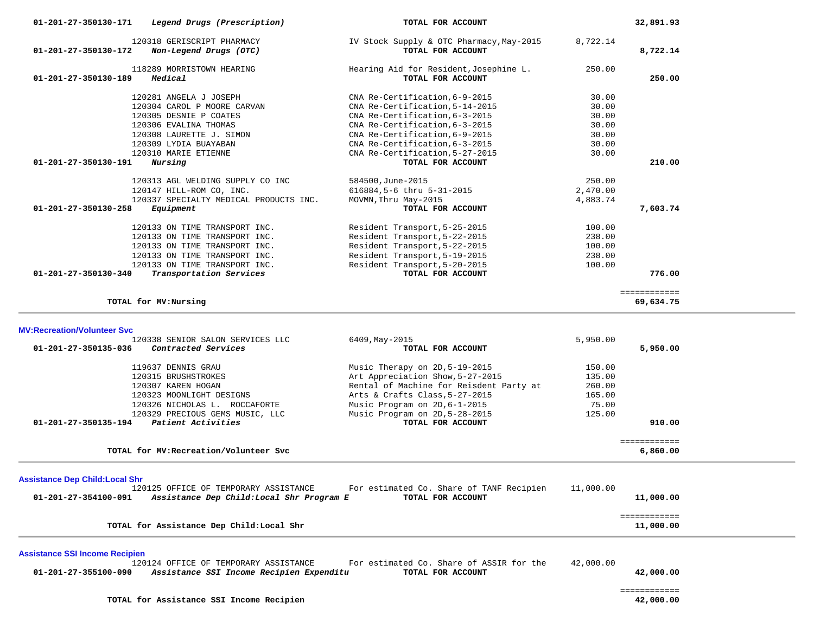|                                        | 120304 CAROL P MOORE CARVAN                       | CNA Re-Certification, 5-14-2015                                  | 30.00          |                           |  |
|----------------------------------------|---------------------------------------------------|------------------------------------------------------------------|----------------|---------------------------|--|
|                                        | 120305 DESNIE P COATES                            | CNA Re-Certification, 6-3-2015                                   | 30.00          |                           |  |
|                                        | 120306 EVALINA THOMAS<br>120308 LAURETTE J. SIMON | CNA Re-Certification, 6-3-2015<br>CNA Re-Certification, 6-9-2015 | 30.00<br>30.00 |                           |  |
|                                        | 120309 LYDIA BUAYABAN                             | CNA Re-Certification, 6-3-2015                                   | 30.00          |                           |  |
|                                        | 120310 MARIE ETIENNE                              | CNA Re-Certification, 5-27-2015                                  | 30.00          |                           |  |
| $01 - 201 - 27 - 350130 - 191$         | Nursing                                           | TOTAL FOR ACCOUNT                                                |                | 210.00                    |  |
|                                        |                                                   |                                                                  |                |                           |  |
|                                        | 120313 AGL WELDING SUPPLY CO INC                  | 584500, June-2015                                                | 250.00         |                           |  |
|                                        | 120147 HILL-ROM CO, INC.                          | 616884, 5-6 thru 5-31-2015                                       | 2,470.00       |                           |  |
|                                        | 120337 SPECIALTY MEDICAL PRODUCTS INC.            | MOVMN, Thru May-2015                                             | 4,883.74       |                           |  |
| 01-201-27-350130-258                   | Equipment                                         | TOTAL FOR ACCOUNT                                                |                | 7,603.74                  |  |
|                                        | 120133 ON TIME TRANSPORT INC.                     | Resident Transport, 5-25-2015                                    | 100.00         |                           |  |
|                                        | 120133 ON TIME TRANSPORT INC.                     | Resident Transport, 5-22-2015                                    | 238.00         |                           |  |
|                                        | 120133 ON TIME TRANSPORT INC.                     | Resident Transport, 5-22-2015                                    | 100.00         |                           |  |
|                                        | 120133 ON TIME TRANSPORT INC.                     | Resident Transport, 5-19-2015                                    | 238.00         |                           |  |
|                                        | 120133 ON TIME TRANSPORT INC.                     | Resident Transport, 5-20-2015                                    | 100.00         |                           |  |
| 01-201-27-350130-340                   | Transportation Services                           | TOTAL FOR ACCOUNT                                                |                | 776.00                    |  |
|                                        |                                                   |                                                                  |                |                           |  |
|                                        |                                                   |                                                                  |                | ============              |  |
|                                        | TOTAL for MV: Nursing                             |                                                                  |                | 69,634.75                 |  |
|                                        |                                                   |                                                                  |                |                           |  |
| <b>MV:Recreation/Volunteer Svc</b>     |                                                   |                                                                  |                |                           |  |
|                                        | 120338 SENIOR SALON SERVICES LLC                  | 6409, May-2015                                                   | 5,950.00       |                           |  |
| 01-201-27-350135-036                   | Contracted Services                               | TOTAL FOR ACCOUNT                                                |                | 5,950.00                  |  |
|                                        | 119637 DENNIS GRAU                                | Music Therapy on 2D, 5-19-2015                                   | 150.00         |                           |  |
|                                        | 120315 BRUSHSTROKES                               | Art Appreciation Show, 5-27-2015                                 | 135.00         |                           |  |
|                                        | 120307 KAREN HOGAN                                | Rental of Machine for Reisdent Party at                          | 260.00         |                           |  |
|                                        | 120323 MOONLIGHT DESIGNS                          | Arts & Crafts Class, 5-27-2015                                   | 165.00         |                           |  |
|                                        | 120326 NICHOLAS L. ROCCAFORTE                     | Music Program on 2D, 6-1-2015                                    | 75.00          |                           |  |
|                                        | 120329 PRECIOUS GEMS MUSIC, LLC                   | Music Program on 2D, 5-28-2015                                   | 125.00         |                           |  |
| 01-201-27-350135-194                   | Patient Activities                                | TOTAL FOR ACCOUNT                                                |                | 910.00                    |  |
|                                        |                                                   |                                                                  |                | ============              |  |
|                                        | TOTAL for MV: Recreation/Volunteer Svc            |                                                                  |                |                           |  |
|                                        |                                                   |                                                                  |                | 6,860.00                  |  |
|                                        |                                                   |                                                                  |                |                           |  |
|                                        |                                                   |                                                                  |                |                           |  |
| <b>Assistance Dep Child: Local Shr</b> |                                                   |                                                                  |                |                           |  |
|                                        | 120125 OFFICE OF TEMPORARY ASSISTANCE             | For estimated Co. Share of TANF Recipien                         | 11,000.00      |                           |  |
| 01-201-27-354100-091                   | Assistance Dep Child: Local Shr Program E         | TOTAL FOR ACCOUNT                                                |                | 11,000.00                 |  |
|                                        |                                                   |                                                                  |                | ============              |  |
|                                        | TOTAL for Assistance Dep Child: Local Shr         |                                                                  |                | 11,000.00                 |  |
|                                        |                                                   |                                                                  |                |                           |  |
| <b>Assistance SSI Income Recipien</b>  |                                                   |                                                                  |                |                           |  |
|                                        | 120124 OFFICE OF TEMPORARY ASSISTANCE             | For estimated Co. Share of ASSIR for the                         | 42,000.00      |                           |  |
| 01-201-27-355100-090                   | Assistance SSI Income Recipien Expenditu          | TOTAL FOR ACCOUNT                                                |                | 42,000.00                 |  |
|                                        |                                                   |                                                                  |                |                           |  |
|                                        | TOTAL for Assistance SSI Income Recipien          |                                                                  |                | ============<br>42,000.00 |  |

118289 MORRISTOWN HEARING Hearing Aid for Resident,Josephine L. 250.00<br>**9** Medical **Hearing Alexandric COUNT Hearing ACCOUNT 01-201-27-350130-189** *Medical* **TOTAL FOR ACCOUNT 250.00**

120281 ANGELA J JOSEPH CNA Re-Certification, 6-9-2015 30.00<br>120304 CAROL P MOORE CARVAN CNA Re-Certification, 5-14-2015 30.00<br>100005 PERULE D GOSERS

# **01-201-27-350130-171** *Legend Drugs (Prescription)* **TOTAL FOR ACCOUNT 32,891.93** 120318 GERISCRIPT PHARMACY IV Stock Supply & OTC Pharmacy,May-2015 8,722.14  **01-201-27-350130-172** *Non-Legend Drugs (OTC)* **TOTAL FOR ACCOUNT 8,722.14**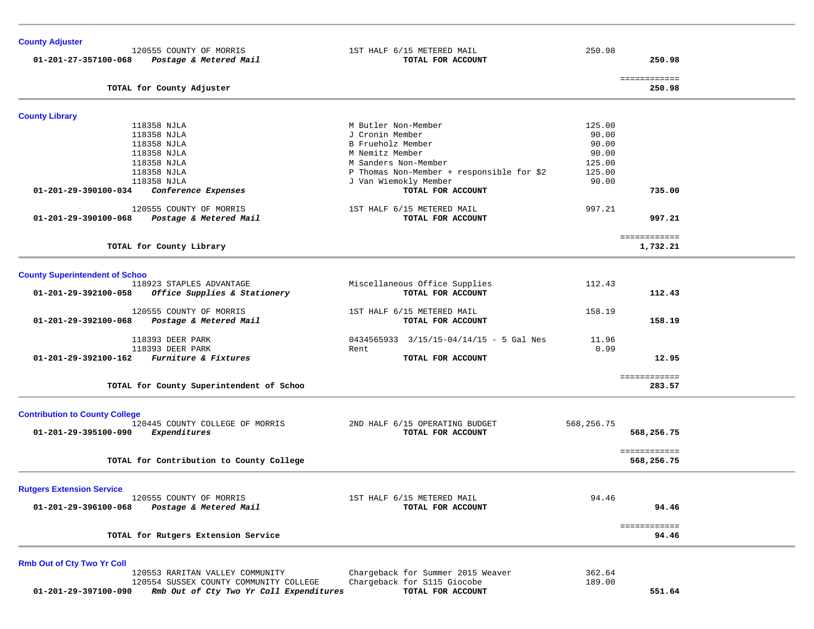| <b>County Adjuster</b>                |                                          |                                           |            |                        |  |
|---------------------------------------|------------------------------------------|-------------------------------------------|------------|------------------------|--|
|                                       | 120555 COUNTY OF MORRIS                  | 1ST HALF 6/15 METERED MAIL                | 250.98     |                        |  |
| 01-201-27-357100-068                  | Postage & Metered Mail                   | TOTAL FOR ACCOUNT                         |            | 250.98                 |  |
|                                       | TOTAL for County Adjuster                |                                           |            | ============<br>250.98 |  |
| <b>County Library</b>                 |                                          |                                           |            |                        |  |
|                                       | 118358 NJLA                              | M Butler Non-Member                       | 125.00     |                        |  |
|                                       | 118358 NJLA                              | J Cronin Member                           | 90.00      |                        |  |
|                                       | 118358 NJLA                              | B Frueholz Member                         | 90.00      |                        |  |
|                                       | 118358 NJLA                              | M Nemitz Member                           | 90.00      |                        |  |
|                                       | 118358 NJLA                              | M Sanders Non-Member                      | 125.00     |                        |  |
|                                       | 118358 NJLA                              | P Thomas Non-Member + responsible for \$2 | 125.00     |                        |  |
|                                       | 118358 NJLA                              | J Van Wiemokly Member                     | 90.00      |                        |  |
| 01-201-29-390100-034                  | Conference Expenses                      | TOTAL FOR ACCOUNT                         |            | 735.00                 |  |
|                                       | 120555 COUNTY OF MORRIS                  | 1ST HALF 6/15 METERED MAIL                | 997.21     |                        |  |
| 01-201-29-390100-068                  | Postage & Metered Mail                   | TOTAL FOR ACCOUNT                         |            | 997.21                 |  |
|                                       |                                          |                                           |            | ============           |  |
|                                       | TOTAL for County Library                 |                                           |            | 1,732.21               |  |
| <b>County Superintendent of Schoo</b> |                                          |                                           |            |                        |  |
|                                       | 118923 STAPLES ADVANTAGE                 | Miscellaneous Office Supplies             | 112.43     |                        |  |
| 01-201-29-392100-058                  | Office Supplies & Stationery             | TOTAL FOR ACCOUNT                         |            | 112.43                 |  |
|                                       | 120555 COUNTY OF MORRIS                  | 1ST HALF 6/15 METERED MAIL                | 158.19     |                        |  |
| 01-201-29-392100-068                  | Postage & Metered Mail                   | TOTAL FOR ACCOUNT                         |            | 158.19                 |  |
|                                       | 118393 DEER PARK                         | 0434565933 3/15/15-04/14/15 - 5 Gal Nes   | 11.96      |                        |  |
|                                       | 118393 DEER PARK                         | Rent                                      | 0.99       |                        |  |
| 01-201-29-392100-162                  | Furniture & Fixtures                     | TOTAL FOR ACCOUNT                         |            | 12.95                  |  |
|                                       |                                          |                                           |            | ============<br>283.57 |  |
|                                       | TOTAL for County Superintendent of Schoo |                                           |            |                        |  |
| <b>Contribution to County College</b> |                                          |                                           |            |                        |  |
|                                       | 120445 COUNTY COLLEGE OF MORRIS          | 2ND HALF 6/15 OPERATING BUDGET            | 568,256.75 |                        |  |
| 01-201-29-395100-090                  | Expenditures                             | TOTAL FOR ACCOUNT                         |            | 568,256.75             |  |
|                                       |                                          |                                           |            | ============           |  |
|                                       | TOTAL for Contribution to County College |                                           |            | 568,256.75             |  |
| <b>Rutgers Extension Service</b>      |                                          |                                           |            |                        |  |
|                                       | 120555 COUNTY OF MORRIS                  | 1ST HALF 6/15 METERED MAIL                | 94.46      |                        |  |
| 01-201-29-396100-068                  | Postage & Metered Mail                   | TOTAL FOR ACCOUNT                         |            | 94.46                  |  |
|                                       |                                          |                                           |            | ============           |  |
|                                       | TOTAL for Rutgers Extension Service      |                                           |            | 94.46                  |  |
| <b>Rmb Out of Cty Two Yr Coll</b>     |                                          |                                           |            |                        |  |
|                                       | 120553 RARITAN VALLEY COMMUNITY          | Chargeback for Summer 2015 Weaver         | 362.64     |                        |  |
|                                       | 120554 SUSSEX COUNTY COMMUNITY COLLEGE   | Chargeback for S115 Giocobe               | 189.00     |                        |  |
| 01-201-29-397100-090                  | Rmb Out of Cty Two Yr Coll Expenditures  | TOTAL FOR ACCOUNT                         |            | 551.64                 |  |
|                                       |                                          |                                           |            |                        |  |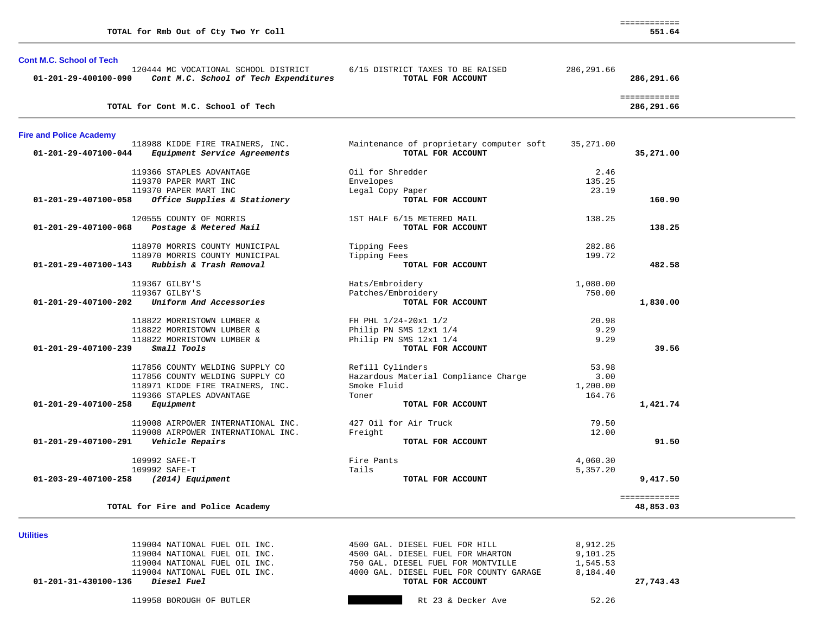|                                 | TOTAL for Rmb Out of Cty Two Yr Coll                                          |                                                               |             | 551.64                     |
|---------------------------------|-------------------------------------------------------------------------------|---------------------------------------------------------------|-------------|----------------------------|
| <b>Cont M.C. School of Tech</b> |                                                                               |                                                               |             |                            |
| 01-201-29-400100-090            | 120444 MC VOCATIONAL SCHOOL DISTRICT<br>Cont M.C. School of Tech Expenditures | 6/15 DISTRICT TAXES TO BE RAISED<br>TOTAL FOR ACCOUNT         | 286, 291.66 | 286,291.66                 |
|                                 | TOTAL for Cont M.C. School of Tech                                            |                                                               |             | ============<br>286,291.66 |
| <b>Fire and Police Academy</b>  |                                                                               |                                                               |             |                            |
| 01-201-29-407100-044            | 118988 KIDDE FIRE TRAINERS, INC.<br>Equipment Service Agreements              | Maintenance of proprietary computer soft<br>TOTAL FOR ACCOUNT | 35,271.00   | 35,271.00                  |
|                                 | 119366 STAPLES ADVANTAGE                                                      | Oil for Shredder                                              | 2.46        |                            |
|                                 | 119370 PAPER MART INC                                                         | Envelopes                                                     | 135.25      |                            |
|                                 | 119370 PAPER MART INC                                                         | Legal Copy Paper                                              | 23.19       |                            |
| 01-201-29-407100-058            | Office Supplies & Stationery                                                  | TOTAL FOR ACCOUNT                                             |             | 160.90                     |
|                                 | 120555 COUNTY OF MORRIS                                                       | 1ST HALF 6/15 METERED MAIL                                    | 138.25      |                            |
| 01-201-29-407100-068            | Postage & Metered Mail                                                        | TOTAL FOR ACCOUNT                                             |             | 138.25                     |
|                                 | 118970 MORRIS COUNTY MUNICIPAL                                                | Tipping Fees                                                  | 282.86      |                            |
|                                 | 118970 MORRIS COUNTY MUNICIPAL                                                | Tipping Fees                                                  | 199.72      |                            |
| 01-201-29-407100-143            | Rubbish & Trash Removal                                                       | TOTAL FOR ACCOUNT                                             |             | 482.58                     |
|                                 | 119367 GILBY'S                                                                | Hats/Embroidery                                               | 1,080.00    |                            |
|                                 | 119367 GILBY'S                                                                | Patches/Embroidery                                            | 750.00      |                            |
| 01-201-29-407100-202            | Uniform And Accessories                                                       | TOTAL FOR ACCOUNT                                             |             | 1,830.00                   |
|                                 | 118822 MORRISTOWN LUMBER &                                                    | FH PHL 1/24-20x1 1/2                                          | 20.98       |                            |
|                                 | 118822 MORRISTOWN LUMBER &                                                    | Philip PN SMS 12x1 1/4                                        | 9.29        |                            |
|                                 | 118822 MORRISTOWN LUMBER &                                                    | Philip PN SMS 12x1 1/4                                        | 9.29        |                            |
| 01-201-29-407100-239            | Small Tools                                                                   | TOTAL FOR ACCOUNT                                             |             | 39.56                      |
|                                 | 117856 COUNTY WELDING SUPPLY CO                                               | Refill Cylinders                                              | 53.98       |                            |
|                                 | 117856 COUNTY WELDING SUPPLY CO                                               | Hazardous Material Compliance Charge                          | 3.00        |                            |
|                                 | 118971 KIDDE FIRE TRAINERS, INC.                                              | Smoke Fluid                                                   | 1,200.00    |                            |
|                                 | 119366 STAPLES ADVANTAGE                                                      | Toner                                                         | 164.76      |                            |
| 01-201-29-407100-258            | Equipment                                                                     | TOTAL FOR ACCOUNT                                             |             | 1,421.74                   |
|                                 | 119008 AIRPOWER INTERNATIONAL INC.                                            | 427 Oil for Air Truck                                         | 79.50       |                            |
|                                 | 119008 AIRPOWER INTERNATIONAL INC.                                            | Freight                                                       | 12.00       |                            |
| 01-201-29-407100-291            | Vehicle Repairs                                                               | TOTAL FOR ACCOUNT                                             |             | 91.50                      |
|                                 | 109992 SAFE-T                                                                 | Fire Pants                                                    | 4,060.30    |                            |
|                                 | 109992 SAFE-T                                                                 | Tails                                                         | 5,357.20    |                            |
| 01-203-29-407100-258            | (2014) Equipment                                                              | TOTAL FOR ACCOUNT                                             |             | 9,417.50                   |
|                                 | TOTAL for Fire and Police Academy                                             |                                                               |             | ============<br>48,853.03  |

============

| -----------                                |                                         |          |           |
|--------------------------------------------|-----------------------------------------|----------|-----------|
| 119004 NATIONAL FUEL OIL INC.              | 4500 GAL. DIESEL FUEL FOR HILL          | 8,912.25 |           |
| 119004 NATIONAL FUEL OIL INC.              | 4500 GAL. DIESEL FUEL FOR WHARTON       | 9,101.25 |           |
| 119004 NATIONAL FUEL OIL INC.              | 750 GAL. DIESEL FUEL FOR MONTVILLE      | 1,545.53 |           |
| 119004 NATIONAL FUEL OIL INC.              | 4000 GAL. DIESEL FUEL FOR COUNTY GARAGE | 8,184.40 |           |
| <i>Diesel Fuel</i><br>01-201-31-430100-136 | TOTAL FOR ACCOUNT                       |          | 27,743.43 |
| 119958 BOROUGH OF BUTLER                   | Rt 23 & Decker Ave                      | 52.26    |           |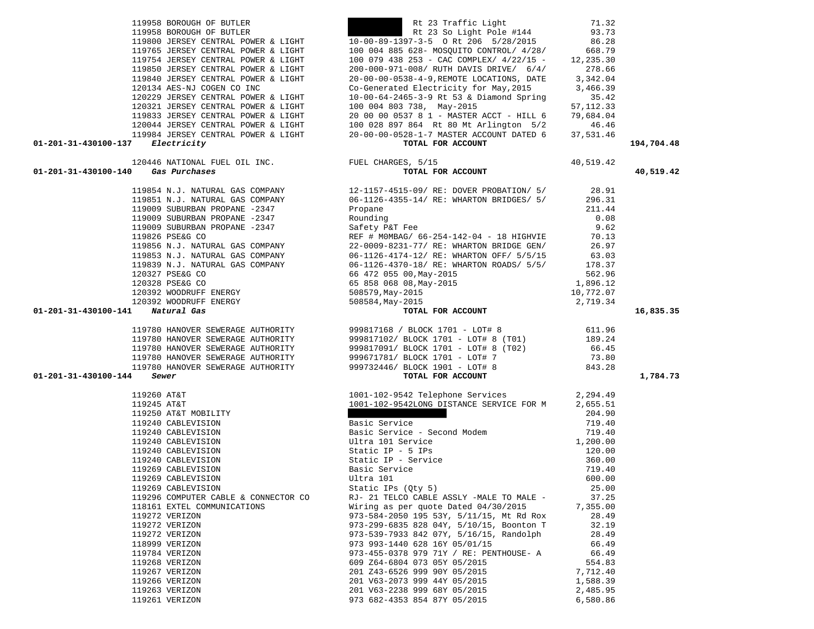|                            | 119853 N.J. NATURAL GAS COMPANY<br>119839 N.J. NATURAL GAS COMPANY<br>120327 PSE&G CO<br>120328 PSE&G CO<br>120392 WOODRUFF ENERGY | 06<br>06<br>66<br>65<br>50 |
|----------------------------|------------------------------------------------------------------------------------------------------------------------------------|----------------------------|
| 0-141 Natural Gas          | 120392 WOODRUFF ENERGY                                                                                                             | 50                         |
|                            |                                                                                                                                    |                            |
|                            | 119780 HANOVER SEWERAGE AUTHORITY                                                                                                  | 99                         |
|                            | 119780 HANOVER SEWERAGE AUTHORITY                                                                                                  | 99                         |
|                            | 119780 HANOVER SEWERAGE AUTHORITY                                                                                                  | 99                         |
|                            | 119780 HANOVER SEWERAGE AUTHORITY                                                                                                  | 99                         |
|                            | 119780 HANOVER SEWERAGE AUTHORITY                                                                                                  | 99                         |
| $0-144$ Sewer              |                                                                                                                                    |                            |
|                            |                                                                                                                                    |                            |
| 119260 AT&T<br>119245 AT&T |                                                                                                                                    | 10                         |
|                            | 119250 AT&T MOBILITY                                                                                                               | 10                         |
|                            | 119240 CABLEVISION                                                                                                                 | Ba                         |
|                            | 119240 CABLEVISION                                                                                                                 | Ba                         |
|                            | 119240 CABLEVISION                                                                                                                 | U1                         |
|                            | 119240 CABLEVISION                                                                                                                 | St                         |
|                            | 119240 CABLEVISION                                                                                                                 | St                         |
|                            | 119269 CABLEVISION                                                                                                                 | Ba                         |
|                            | 119269 CABLEVISION                                                                                                                 | U1                         |
|                            | 119269 CABLEVISION                                                                                                                 | St                         |
|                            | 119296 COMPUTER CABLE & CONNECTOR CO                                                                                               | <b>RJ</b>                  |
|                            | 118161 EXTEL COMMUNICATIONS                                                                                                        | Wi                         |
|                            | 119272 VERIZON                                                                                                                     | 97                         |
|                            | 119272 VERIZON                                                                                                                     | 97                         |
|                            | 119272 VERIZON                                                                                                                     | 97                         |
|                            | 118999 VERIZON                                                                                                                     | 97                         |
|                            | 119784 VERIZON                                                                                                                     | 97                         |
|                            | 119268 VERIZON                                                                                                                     | 60                         |
|                            | 119267 VERIZON                                                                                                                     | 20                         |
|                            | 119266 VERIZON                                                                                                                     | 20                         |
|                            | 119263 VERIZON                                                                                                                     | 20                         |
|                            | 119261 VERIZON                                                                                                                     | 97                         |

|  | 119958 BOROUGH OF BUTLER            |  |                                     |    |
|--|-------------------------------------|--|-------------------------------------|----|
|  | 119958 BOROUGH OF BUTLER            |  |                                     |    |
|  |                                     |  | 119800 JERSEY CENTRAL POWER & LIGHT | 10 |
|  |                                     |  | 119765 JERSEY CENTRAL POWER & LIGHT | 10 |
|  |                                     |  | 119754 JERSEY CENTRAL POWER & LIGHT | 10 |
|  |                                     |  | 119850 JERSEY CENTRAL POWER & LIGHT | 20 |
|  |                                     |  | 119840 JERSEY CENTRAL POWER & LIGHT | 20 |
|  | 120134 AES-NJ COGEN CO INC          |  |                                     | Cо |
|  |                                     |  | 120229 JERSEY CENTRAL POWER & LIGHT | 10 |
|  | 120321 JERSEY CENTRAL POWER & LIGHT |  |                                     | 10 |
|  |                                     |  | 119833 JERSEY CENTRAL POWER & LIGHT | 20 |
|  | 120044 JERSEY CENTRAL POWER & LIGHT |  |                                     | 10 |
|  | 119984 JERSEY CENTRAL POWER & LIGHT |  |                                     | 20 |

|                                            | 120229 JERSEY CENTRAL POWER & LIGHT $120321$ JERSEY CENTRAL POWER & LIGHT $120321$ JERSEY CENTRAL POWER & LIGHT $120044$ JERSEY CENTRAL POWER & LIGHT $120044$ JERSEY CENTRAL POWER & LIGHT $100028897864$ Rt 80 Mt Arlington                                                 |            |
|--------------------------------------------|-------------------------------------------------------------------------------------------------------------------------------------------------------------------------------------------------------------------------------------------------------------------------------|------------|
| $01 - 201 - 31 - 430100 - 137$ Electricity |                                                                                                                                                                                                                                                                               | 194,704.48 |
| 01-201-31-430100-140 Gas Purchases         | 19981 JEREST CENTRAL DONER & LIGHT<br>1998 JENE CHE (1998 ANTIONAL FUEL CHARGES, 5/15<br>1998 Bactricity: The CHE (1998 Particles of the CONNET CHE CHARGES, 5/15<br>1998 Bactricity: The CHE (1998 SPACING SCOUNT 1196 SPACING SCO                                           | 40,519.42  |
|                                            |                                                                                                                                                                                                                                                                               |            |
|                                            |                                                                                                                                                                                                                                                                               |            |
|                                            |                                                                                                                                                                                                                                                                               |            |
|                                            |                                                                                                                                                                                                                                                                               |            |
|                                            |                                                                                                                                                                                                                                                                               |            |
|                                            |                                                                                                                                                                                                                                                                               |            |
|                                            |                                                                                                                                                                                                                                                                               |            |
|                                            |                                                                                                                                                                                                                                                                               |            |
|                                            |                                                                                                                                                                                                                                                                               |            |
|                                            |                                                                                                                                                                                                                                                                               |            |
|                                            |                                                                                                                                                                                                                                                                               |            |
|                                            |                                                                                                                                                                                                                                                                               |            |
| 01-201-31-430100-141 Natural Gas           |                                                                                                                                                                                                                                                                               | 16,835.35  |
|                                            |                                                                                                                                                                                                                                                                               |            |
|                                            |                                                                                                                                                                                                                                                                               |            |
|                                            |                                                                                                                                                                                                                                                                               |            |
|                                            |                                                                                                                                                                                                                                                                               |            |
|                                            |                                                                                                                                                                                                                                                                               |            |
|                                            |                                                                                                                                                                                                                                                                               |            |
| 01-201-31-430100-144                       |                                                                                                                                                                                                                                                                               | 1,784.73   |
|                                            |                                                                                                                                                                                                                                                                               |            |
|                                            |                                                                                                                                                                                                                                                                               |            |
|                                            |                                                                                                                                                                                                                                                                               |            |
|                                            |                                                                                                                                                                                                                                                                               |            |
|                                            |                                                                                                                                                                                                                                                                               |            |
|                                            |                                                                                                                                                                                                                                                                               |            |
|                                            |                                                                                                                                                                                                                                                                               |            |
|                                            |                                                                                                                                                                                                                                                                               |            |
|                                            |                                                                                                                                                                                                                                                                               |            |
|                                            |                                                                                                                                                                                                                                                                               |            |
|                                            |                                                                                                                                                                                                                                                                               |            |
|                                            |                                                                                                                                                                                                                                                                               |            |
|                                            |                                                                                                                                                                                                                                                                               |            |
|                                            |                                                                                                                                                                                                                                                                               |            |
|                                            |                                                                                                                                                                                                                                                                               |            |
|                                            |                                                                                                                                                                                                                                                                               |            |
|                                            |                                                                                                                                                                                                                                                                               |            |
|                                            |                                                                                                                                                                                                                                                                               |            |
|                                            |                                                                                                                                                                                                                                                                               |            |
|                                            |                                                                                                                                                                                                                                                                               |            |
|                                            |                                                                                                                                                                                                                                                                               |            |
|                                            |                                                                                                                                                                                                                                                                               |            |
|                                            | <b>EXECUTE CONSIDERATION</b><br><b>EXECUTE SOME TOTAL POR ACCOUNT</b><br><b>EXECUTE SOME TOTAL POR ACCOUNT</b><br><b>ID01-102-9542 Telephone Services</b><br><b>ID01-102-9542 Telephone Services</b><br><b>ID01-102-9542 Telephone Services</b><br><b>ID01-102-9542 Telep</b> |            |

Rt 23 Traffic Light 71.32  $Rt$  23 So Light Pole #144 93.73

 $10-00-89-1397-3-5$  O Rt 206 5/28/2015 86.28 100 004 885 628- MOSOUITO CONTROL/ 4/28/ 668.79 100 079 438 253 - CAC COMPLEX/ 4/22/15 - 12,235.30 119850 JERSEY CENTRAL POWER & LIGHT 200-000-971-008/ RUTH DAVIS DRIVE/ 6/4/ 278.66 119840 JERSEY CENTRAL POWER & LIGHT 20-00-00-0538-4-9,REMOTE LOCATIONS, DATE 3,342.04 Co-Generated Electricity for May, 2015 3,466.39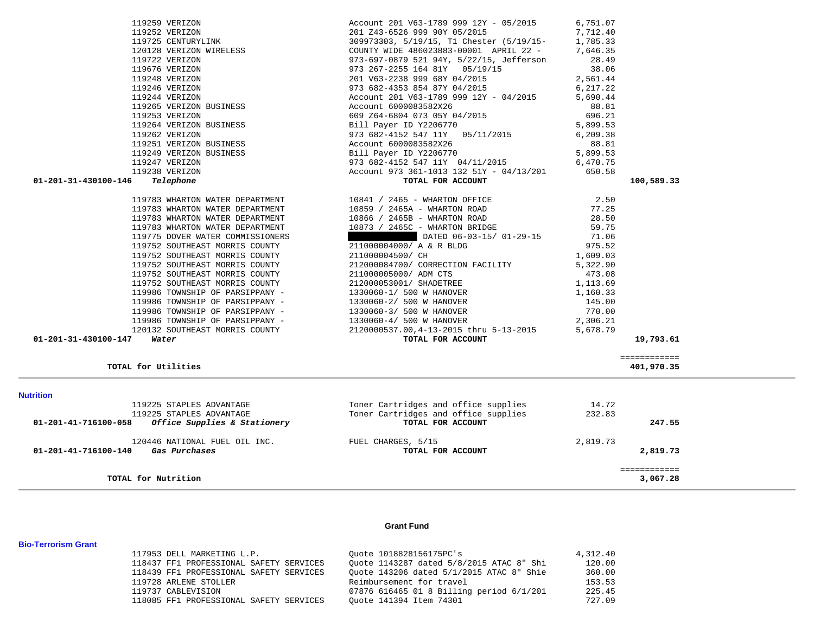| 119248 VERIZON                                                  | 201 V63-2238 999 68Y 04/2015             | 2,561.44 |                    |
|-----------------------------------------------------------------|------------------------------------------|----------|--------------------|
| 119246 VERIZON                                                  | 973 682-4353 854 87Y 04/2015             | 6,217.22 |                    |
| 119244 VERIZON                                                  | Account 201 V63-1789 999 12Y - 04/2015   | 5,690.44 |                    |
| 11221 VERLEGAN<br>119265 VERIZON BUSINESS                       | Account 6000083582X26                    | 88.81    |                    |
| 119253 VERIZON                                                  | 609 Z64-6804 073 05Y 04/2015             | 696.21   |                    |
| 119264 VERIZON BUSINESS                                         | Bill Payer ID Y2206770                   | 5,899.53 |                    |
| 119262 VERIZON                                                  | 973 682-4152 547 11Y 05/11/2015          | 6,209.38 |                    |
| 119251 VERIZON BUSINESS                                         | Account 6000083582X26                    | 88.81    |                    |
| 119249 VERIZON BUSINESS                                         | Bill Payer ID Y2206770                   | 5,899.53 |                    |
| 119247 VERIZON                                                  | 973 682-4152 547 11Y 04/11/2015          | 6,470.75 |                    |
| 119238 VERIZON                                                  | Account 973 361-1013 132 51Y - 04/13/201 | 650.58   |                    |
| 01-201-31-430100-146<br>Telephone                               | TOTAL FOR ACCOUNT                        |          | 100,589.33         |
| 119783 WHARTON WATER DEPARTMENT                                 | 10841 / 2465 - WHARTON OFFICE            | 2.50     |                    |
| 119783 WHARTON WATER DEPARTMENT                                 | 10859 / 2465A - WHARTON ROAD             | 77.25    |                    |
| 119783 WHARTON WATER DEPARTMENT                                 | 10866 / 2465B - WHARTON ROAD             | 28.50    |                    |
| 119783 WHARTON WATER DEPARTMENT                                 | 10873 / 2465C - WHARTON BRIDGE           | 59.75    |                    |
| 119775 DOVER WATER COMMISSIONERS                                | DATED 06-03-15/ 01-29-15                 | 71.06    |                    |
| 119752 SOUTHEAST MORRIS COUNTY                                  | 211000004000/ A & R BLDG                 | 975.52   |                    |
| 119752 SOUTHEAST MORRIS COUNTY                                  | 211000004500/ CH                         | 1,609.03 |                    |
| 119752 SOUTHEAST MORRIS COUNTY                                  | 212000084700/ CORRECTION FACILITY        | 5,322.90 |                    |
| 119752 SOUTHEAST MORRIS COUNTY                                  | 211000005000/ ADM CTS                    | 473.08   |                    |
| 119752 SOUTHEAST MORRIS COUNTY                                  | 212000053001/ SHADETREE                  | 1,113.69 |                    |
| 119986 TOWNSHIP OF PARSIPPANY -                                 | 1330060-1/ 500 W HANOVER                 | 1,160.33 |                    |
| 119986 TOWNSHIP OF PARSIPPANY -                                 | 1330060-2/ 500 W HANOVER                 | 145.00   |                    |
| 119986 TOWNSHIP OF PARSIPPANY -                                 | 1330060-3/ 500 W HANOVER                 | 770.00   |                    |
| 119986 TOWNSHIP OF PARSIPPANY -                                 | 1330060-4/ 500 W HANOVER                 | 2,306.21 |                    |
| 120132 SOUTHEAST MORRIS COUNTY                                  | 2120000537.00,4-13-2015 thru 5-13-2015   | 5,678.79 |                    |
| 01-201-31-430100-147<br>Water                                   | TOTAL FOR ACCOUNT                        |          | 19,793.61          |
|                                                                 |                                          |          | ============       |
| TOTAL for Utilities                                             |                                          |          | 401,970.35         |
| <b>Nutrition</b>                                                |                                          |          |                    |
| 119225 STAPLES ADVANTAGE                                        | Toner Cartridges and office supplies     | 14.72    |                    |
| 119225 STAPLES ADVANTAGE                                        | Toner Cartridges and office supplies     | 232.83   |                    |
| <i>Office Supplies &amp; Stationery</i><br>01-201-41-716100-058 | TOTAL FOR ACCOUNT                        |          | 247.55             |
| 120446 NATIONAL FUEL OIL INC. FUEL CHARGES, 5/15                |                                          | 2,819.73 |                    |
| 01-201-41-716100-140 Gas Purchases                              | TOTAL FOR ACCOUNT                        |          | 2,819.73           |
| TOTAL for Nutrition                                             |                                          |          | <b>EEEEEEEEEEE</b> |
|                                                                 |                                          |          | 3,067.28           |

 119259 VERIZON Account 201 V63-1789 999 12Y - 05/2015 6,751.07 119252 VERIZON 201 Z43-6526 999 90Y 05/2015 7,712.40 119725 CENTURYLINK 309973303, 5/19/15, T1 Chester (5/19/15- 1,785.33 120128 VERIZON WIRELESS COUNTY WIDE 486023883-00001 APRIL 22 - 7,646.35 119722 VERIZON 973-697-0879 521 94Y, 5/22/15, Jefferson 28.49 119676 VERIZON 973 267-2255 164 81Y 05/19/15 38.06

## **Grant Fund**

| 117953 DELL MARKETING L.P.              | Ouote 1018828156175PC's                  | 4,312.40 |
|-----------------------------------------|------------------------------------------|----------|
| 118437 FF1 PROFESSIONAL SAFETY SERVICES | Ouote 1143287 dated 5/8/2015 ATAC 8" Shi | 120.00   |
| 118439 FF1 PROFESSIONAL SAFETY SERVICES | Ouote 143206 dated 5/1/2015 ATAC 8" Shie | 360.00   |
| 119728 ARLENE STOLLER                   | Reimbursement for travel                 | 153.53   |
| 119737 CABLEVISION                      | 07876 616465 01 8 Billing period 6/1/201 | 225.45   |
| 118085 FF1 PROFESSIONAL SAFETY SERVICES | Ouote 141394 Item 74301                  | 727.09   |

**Bio-Terrorism Grant**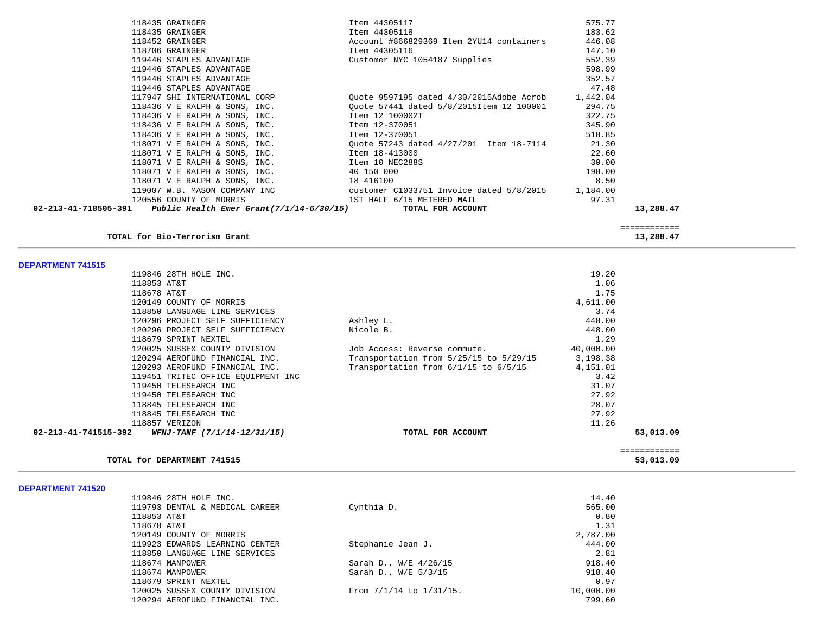| 118435 GRAINGER                                               | Item 44305117                                                                                                                                                                                                                        | 575.77 |           |
|---------------------------------------------------------------|--------------------------------------------------------------------------------------------------------------------------------------------------------------------------------------------------------------------------------------|--------|-----------|
| 118435 GRAINGER                                               | Item 44305118                                                                                                                                                                                                                        | 183.62 |           |
|                                                               | 118452 GRAINGER <b>State State State State State State State State State State State State State State State State State State State State State State State State State State State State State State State State State State S</b> | 446.08 |           |
| 118706 GRAINGER                                               | Item 44305116                                                                                                                                                                                                                        | 147.10 |           |
| 119446 STAPLES ADVANTAGE                                      | Customer NYC 1054187 Supplies                                                                                                                                                                                                        | 552.39 |           |
| 119446 STAPLES ADVANTAGE                                      |                                                                                                                                                                                                                                      | 598.99 |           |
| 119446 STAPLES ADVANTAGE                                      |                                                                                                                                                                                                                                      | 352.57 |           |
| 119446 STAPLES ADVANTAGE                                      |                                                                                                                                                                                                                                      | 47.48  |           |
|                                                               | 17947 SHI INTERNATIONAL CORP 200te 9597195 dated 4/30/2015Adobe Acrob 1,442.04                                                                                                                                                       |        |           |
|                                                               | 118436 V E RALPH & SONS, INC. 0uote 57441 dated 5/8/2015Item 12 100001 294.75                                                                                                                                                        |        |           |
| 118436 V E RALPH & SONS, INC. Item 12 100002T                 |                                                                                                                                                                                                                                      | 322.75 |           |
| 118436 V E RALPH & SONS, INC. Item $12-370051$                |                                                                                                                                                                                                                                      | 345.90 |           |
| 118436 V E RALPH & SONS, INC. Item $12-370051$                |                                                                                                                                                                                                                                      | 518.85 |           |
|                                                               | 118071 V E RALPH & SONS, INC. 21.30                                                                                                                                                                                                  |        |           |
| 118071 V E RALPH & SONS, INC. 118071 V E RALPH & SONS, INC.   |                                                                                                                                                                                                                                      | 22.60  |           |
| 118071 V E RALPH & SONS, INC. Item 10 NEC288S                 |                                                                                                                                                                                                                                      | 30.00  |           |
| 118071 V E RALPH & SONS, INC. 40 150 000                      |                                                                                                                                                                                                                                      | 198.00 |           |
| $118071$ V E RALPH & SONS, INC. $18416100$                    |                                                                                                                                                                                                                                      | 8.50   |           |
|                                                               | 119007 W.B. MASON COMPANY INC customer C1033751 Invoice dated 5/8/2015 1,184.00                                                                                                                                                      |        |           |
|                                                               | 120556 COUNTY OF MORRIS THE SERVICE SERVICE STRAIGHT AND THE STRAIGHT AND THE SERVICE SERVICE SERVICE SERVICE                                                                                                                        | 97.31  |           |
| 02-213-41-718505-391 Public Health Emer Grant(7/1/14-6/30/15) | TOTAL FOR ACCOUNT                                                                                                                                                                                                                    |        | 13,288.47 |
|                                                               |                                                                                                                                                                                                                                      |        |           |

============

53,013.09

**TOTAL for Bio-Terrorism Grant 13,288.47**

**DEPARTMENT 741515** 

| 118679 SPRINT NEXTEL<br>120025 SUSSEX COUNTY DIVISION<br>120294 AEROFUND FINANCIAL INC.<br>120293 AEROFUND FINANCIAL INC.<br>119451 TRITEC OFFICE EOUIPMENT INC<br>119450 TELESEARCH INC<br>119450 TELESEARCH INC<br>118845 TELESEARCH INC<br>118845 TELESEARCH INC<br>118857 VERIZON | Job Access: Reverse commute.<br>Transportation from 5/25/15 to 5/29/15<br>Transportation from 6/1/15 to 6/5/15 | 40,000.00<br>3,198.38<br>4,151.01<br>3.42<br>31.07<br>27.92<br>28.07<br>27.92<br>11.26 |  |
|---------------------------------------------------------------------------------------------------------------------------------------------------------------------------------------------------------------------------------------------------------------------------------------|----------------------------------------------------------------------------------------------------------------|----------------------------------------------------------------------------------------|--|
|                                                                                                                                                                                                                                                                                       |                                                                                                                |                                                                                        |  |
|                                                                                                                                                                                                                                                                                       |                                                                                                                |                                                                                        |  |
|                                                                                                                                                                                                                                                                                       |                                                                                                                |                                                                                        |  |
|                                                                                                                                                                                                                                                                                       |                                                                                                                |                                                                                        |  |
|                                                                                                                                                                                                                                                                                       |                                                                                                                |                                                                                        |  |
|                                                                                                                                                                                                                                                                                       |                                                                                                                |                                                                                        |  |
|                                                                                                                                                                                                                                                                                       |                                                                                                                |                                                                                        |  |
|                                                                                                                                                                                                                                                                                       |                                                                                                                |                                                                                        |  |
|                                                                                                                                                                                                                                                                                       |                                                                                                                |                                                                                        |  |
|                                                                                                                                                                                                                                                                                       |                                                                                                                | 1.29                                                                                   |  |
| 120296 PROJECT SELF SUFFICIENCY                                                                                                                                                                                                                                                       | Nicole B.                                                                                                      | 448.00                                                                                 |  |
| 120296 PROJECT SELF SUFFICIENCY                                                                                                                                                                                                                                                       | Ashley L.                                                                                                      | 448.00                                                                                 |  |
| 118850 LANGUAGE LINE SERVICES                                                                                                                                                                                                                                                         |                                                                                                                | 3.74                                                                                   |  |
| 120149 COUNTY OF MORRIS                                                                                                                                                                                                                                                               |                                                                                                                | 4,611.00                                                                               |  |
| 118678 AT&T                                                                                                                                                                                                                                                                           |                                                                                                                | 1.75                                                                                   |  |
| 118853 AT&T                                                                                                                                                                                                                                                                           |                                                                                                                | 1.06                                                                                   |  |
| 119846 28TH HOLE INC.                                                                                                                                                                                                                                                                 |                                                                                                                | 19.20                                                                                  |  |
|                                                                                                                                                                                                                                                                                       |                                                                                                                |                                                                                        |  |

TOTAL for DEPARTMENT 741515

**DEPARTMENT 741520** 

| 119846 28TH HOLE INC.          |                              | 14.40     |
|--------------------------------|------------------------------|-----------|
| 119793 DENTAL & MEDICAL CAREER | Cynthia D.                   | 565.00    |
| 118853 AT&T                    |                              | 0.80      |
| 118678 AT&T                    |                              | 1.31      |
| 120149 COUNTY OF MORRIS        |                              | 2,787.00  |
| 119923 EDWARDS LEARNING CENTER | Stephanie Jean J.            | 444.00    |
| 118850 LANGUAGE LINE SERVICES  |                              | 2.81      |
| 118674 MANPOWER                | Sarah D., W/E 4/26/15        | 918.40    |
| 118674 MANPOWER                | Sarah D., W/E 5/3/15         | 918.40    |
| 118679 SPRINT NEXTEL           |                              | 0.97      |
| 120025 SUSSEX COUNTY DIVISION  | From $7/1/14$ to $1/31/15$ . | 10,000.00 |
| 120294 AEROFUND FINANCIAL INC. |                              | 799.60    |
|                                |                              |           |

============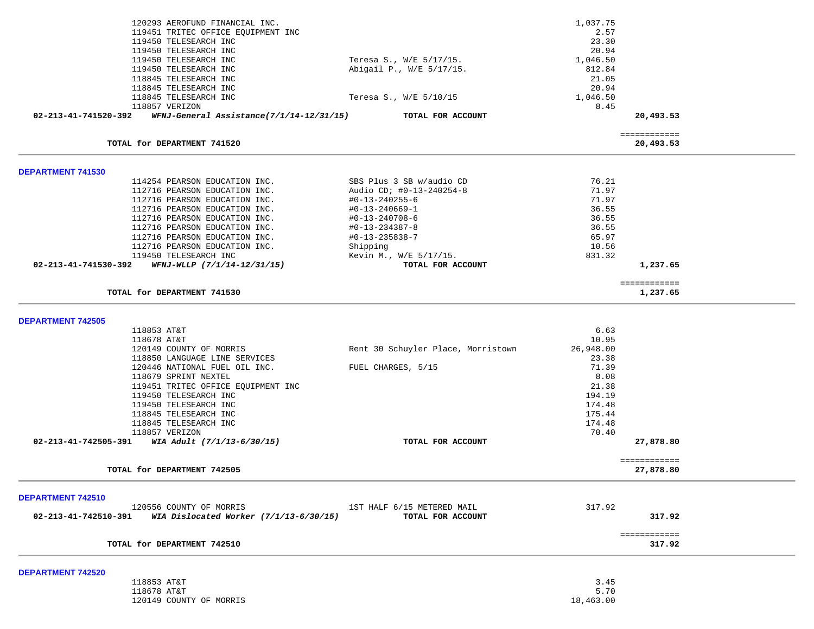|                          | 120293 AEROFUND FINANCIAL INC.                                                          |                                             | 1,037.75         |                           |  |
|--------------------------|-----------------------------------------------------------------------------------------|---------------------------------------------|------------------|---------------------------|--|
|                          | 119451 TRITEC OFFICE EQUIPMENT INC                                                      |                                             | 2.57             |                           |  |
|                          | 119450 TELESEARCH INC<br>119450 TELESEARCH INC                                          |                                             | 23.30<br>20.94   |                           |  |
|                          | 119450 TELESEARCH INC                                                                   | Teresa S., W/E 5/17/15.                     | 1,046.50         |                           |  |
|                          | 119450 TELESEARCH INC                                                                   | Abigail P., W/E 5/17/15.                    | 812.84           |                           |  |
|                          | 118845 TELESEARCH INC                                                                   |                                             | 21.05            |                           |  |
|                          | 118845 TELESEARCH INC                                                                   |                                             | 20.94            |                           |  |
|                          | 118845 TELESEARCH INC                                                                   | Teresa S., W/E 5/10/15                      | 1,046.50         |                           |  |
|                          | 118857 VERIZON                                                                          |                                             | 8.45             |                           |  |
| 02-213-41-741520-392     | $WFNJ$ -General Assistance(7/1/14-12/31/15) TOTAL FOR ACCOUNT                           |                                             |                  | 20,493.53                 |  |
|                          | TOTAL for DEPARTMENT 741520                                                             |                                             |                  | ============<br>20,493.53 |  |
|                          |                                                                                         |                                             |                  |                           |  |
| DEPARTMENT 741530        |                                                                                         |                                             |                  |                           |  |
|                          | 114254 PEARSON EDUCATION INC.                                                           | SBS Plus 3 SB w/audio CD                    | 76.21            |                           |  |
|                          | 112716 PEARSON EDUCATION INC.                                                           | Audio CD; #0-13-240254-8                    | 71.97            |                           |  |
|                          | 112716 PEARSON EDUCATION INC.                                                           | #0-13-240255-6                              | 71.97            |                           |  |
|                          | 112716 PEARSON EDUCATION INC.                                                           | #0-13-240669-1                              | 36.55            |                           |  |
|                          | 112716 PEARSON EDUCATION INC.                                                           | #0-13-240708-6                              | 36.55            |                           |  |
|                          | 112716 PEARSON EDUCATION INC.                                                           | #0-13-234387-8                              | 36.55            |                           |  |
|                          | 112716 PEARSON EDUCATION INC.                                                           | $#0 - 13 - 235838 - 7$                      | 65.97            |                           |  |
|                          | 112716 PEARSON EDUCATION INC.                                                           | Shipping                                    | 10.56            |                           |  |
|                          | 119450 TELESEARCH INC<br>$02 - 213 - 41 - 741530 - 392$ WFNJ-WLLP $(7/1/14 - 12/31/15)$ | Kevin M., W/E 5/17/15.<br>TOTAL FOR ACCOUNT | 831.32           | 1,237.65                  |  |
|                          |                                                                                         |                                             |                  |                           |  |
|                          | TOTAL for DEPARTMENT 741530                                                             |                                             |                  | ============<br>1,237.65  |  |
|                          |                                                                                         |                                             |                  |                           |  |
| <b>DEPARTMENT 742505</b> |                                                                                         |                                             |                  |                           |  |
|                          | 118853 AT&T                                                                             |                                             | 6.63             |                           |  |
|                          | 118678 AT&T                                                                             |                                             | 10.95            |                           |  |
|                          | 120149 COUNTY OF MORRIS                                                                 | Rent 30 Schuyler Place, Morristown          | 26,948.00        |                           |  |
|                          | 118850 LANGUAGE LINE SERVICES                                                           |                                             | 23.38            |                           |  |
|                          | 120446 NATIONAL FUEL OIL INC.                                                           | FUEL CHARGES, 5/15                          | 71.39            |                           |  |
|                          | 118679 SPRINT NEXTEL                                                                    |                                             | 8.08             |                           |  |
|                          | 119451 TRITEC OFFICE EQUIPMENT INC                                                      |                                             | 21.38            |                           |  |
|                          | 119450 TELESEARCH INC                                                                   |                                             | 194.19           |                           |  |
|                          | 119450 TELESEARCH INC                                                                   |                                             | 174.48           |                           |  |
|                          | 118845 TELESEARCH INC                                                                   |                                             | 175.44<br>174.48 |                           |  |
|                          | 118845 TELESEARCH INC<br>118857 VERIZON                                                 |                                             | 70.40            |                           |  |
|                          | 02-213-41-742505-391 WIA Adult (7/1/13-6/30/15)                                         | TOTAL FOR ACCOUNT                           |                  | 27,878.80                 |  |
|                          |                                                                                         |                                             |                  |                           |  |
|                          | TOTAL for DEPARTMENT 742505                                                             |                                             |                  | ============<br>27,878.80 |  |
|                          |                                                                                         |                                             |                  |                           |  |
| <b>DEPARTMENT 742510</b> |                                                                                         |                                             |                  |                           |  |
|                          | 120556 COUNTY OF MORRIS                                                                 | 1ST HALF 6/15 METERED MAIL                  | 317.92           |                           |  |
|                          | 02-213-41-742510-391 WIA Dislocated Worker (7/1/13-6/30/15)                             | TOTAL FOR ACCOUNT                           |                  | 317.92                    |  |
|                          |                                                                                         |                                             |                  | ============              |  |
|                          | TOTAL for DEPARTMENT 742510                                                             |                                             |                  | 317.92                    |  |
| <b>DEPARTMENT 742520</b> |                                                                                         |                                             |                  |                           |  |
|                          | 118853 AT&T                                                                             |                                             | 3.45             |                           |  |
|                          | 118678 AT&T                                                                             |                                             | 5.70             |                           |  |
|                          | 120149 COUNTY OF MORRIS                                                                 |                                             | 18,463.00        |                           |  |
|                          |                                                                                         |                                             |                  |                           |  |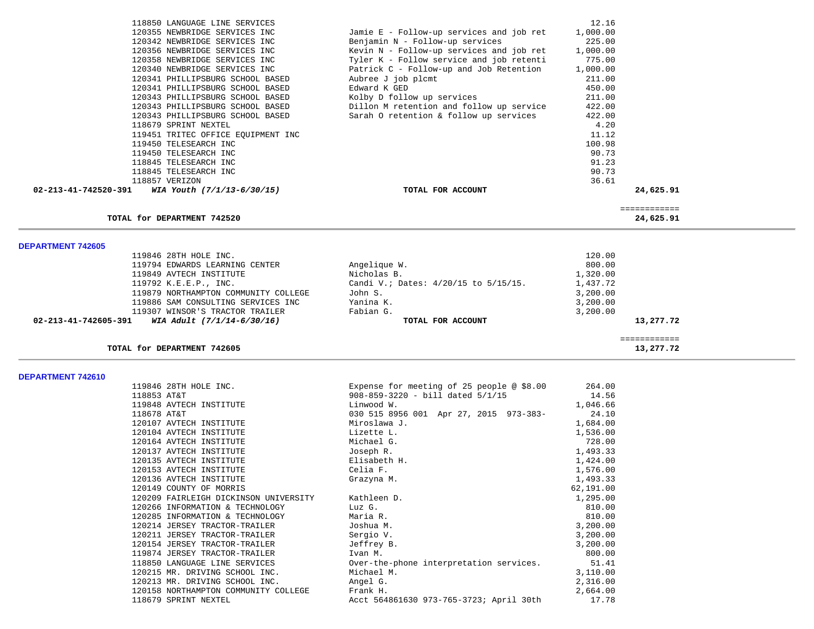| 118850 LANGUAGE LINE SERVICES                      |                                          | 12.16    |              |  |
|----------------------------------------------------|------------------------------------------|----------|--------------|--|
| 120355 NEWBRIDGE SERVICES INC                      | Jamie E - Follow-up services and job ret | 1,000.00 |              |  |
| 120342 NEWBRIDGE SERVICES INC                      | Benjamin N - Follow-up services          | 225.00   |              |  |
| 120356 NEWBRIDGE SERVICES INC                      | Kevin N - Follow-up services and job ret | 1,000.00 |              |  |
| 120358 NEWBRIDGE SERVICES INC                      | Tyler K - Follow service and job retenti | 775.00   |              |  |
| 120340 NEWBRIDGE SERVICES INC                      | Patrick C - Follow-up and Job Retention  | 1,000.00 |              |  |
| 120341 PHILLIPSBURG SCHOOL BASED                   | Aubree J job plcmt                       | 211.00   |              |  |
| 120341 PHILLIPSBURG SCHOOL BASED                   | Edward K GED                             | 450.00   |              |  |
| 120343 PHILLIPSBURG SCHOOL BASED                   | Kolby D follow up services               | 211.00   |              |  |
| 120343 PHILLIPSBURG SCHOOL BASED                   | Dillon M retention and follow up service | 422.00   |              |  |
| 120343 PHILLIPSBURG SCHOOL BASED                   | Sarah O retention & follow up services   | 422.00   |              |  |
| 118679 SPRINT NEXTEL                               |                                          | 4.20     |              |  |
| 119451 TRITEC OFFICE EQUIPMENT INC                 |                                          | 11.12    |              |  |
| 119450 TELESEARCH INC                              |                                          | 100.98   |              |  |
| 119450 TELESEARCH INC                              |                                          | 90.73    |              |  |
| 118845 TELESEARCH INC                              |                                          | 91.23    |              |  |
| 118845 TELESEARCH INC                              |                                          | 90.73    |              |  |
| 118857 VERIZON                                     |                                          | 36.61    |              |  |
| 02-213-41-742520-391<br>WIA Youth (7/1/13-6/30/15) | TOTAL FOR ACCOUNT                        |          | 24,625.91    |  |
|                                                    |                                          |          |              |  |
|                                                    |                                          |          |              |  |
|                                                    |                                          |          | ============ |  |
| TOTAL for DEPARTMENT 742520                        |                                          |          | 24,625.91    |  |
|                                                    |                                          |          |              |  |
| <b>DEPARTMENT 742605</b>                           |                                          |          |              |  |
| 119846 28TH HOLE INC.                              |                                          | 120.00   |              |  |
| 119794 EDWARDS LEARNING CENTER                     | Angelique W.                             | 800.00   |              |  |
| 119849 AVTECH INSTITUTE                            | Nicholas B.                              | 1,320.00 |              |  |
| 119792 K.E.E.P., INC.                              | Candi V.; Dates: 4/20/15 to 5/15/15.     | 1,437.72 |              |  |
| 119879 NORTHAMPTON COMMUNITY COLLEGE               | John S.                                  | 3,200.00 |              |  |
| 119886 SAM CONSULTING SERVICES INC                 | Yanina K.                                | 3,200.00 |              |  |
| 119307 WINSOR'S TRACTOR TRAILER                    | Fabian G.                                | 3,200.00 |              |  |
| 02-213-41-742605-391<br>WIA Adult (7/1/14-6/30/16) | TOTAL FOR ACCOUNT                        |          | 13,277.72    |  |
|                                                    |                                          |          | ============ |  |
| TOTAL for DEPARTMENT 742605                        |                                          |          | 13,277.72    |  |
| DEPARTMENT 742610                                  |                                          |          |              |  |

| 119846 28TH HOLE INC.                             | Expense for meeting of 25 people @ \$8.00 | 264.00    |
|---------------------------------------------------|-------------------------------------------|-----------|
| 118853 AT&T                                       | 908-859-3220 - bill dated 5/1/15          | 14.56     |
| 119848 AVTECH INSTITUTE                           | Linwood W.                                | 1,046.66  |
| 118678 AT&T                                       | 030 515 8956 001 Apr 27, 2015 973-383-    | 24.10     |
| 120107 AVTECH INSTITUTE                           | Miroslawa J.                              | 1,684.00  |
| 120104 AVTECH INSTITUTE                           | Lizette L.                                | 1,536.00  |
| 120164 AVTECH INSTITUTE                           | Michael G.                                | 728.00    |
| 120137 AVTECH INSTITUTE                           | Joseph R.                                 | 1,493.33  |
| 120135 AVTECH INSTITUTE                           | Elisabeth H.                              | 1,424.00  |
| 120153 AVTECH INSTITUTE                           | Celia F.                                  | 1,576.00  |
| 120136 AVTECH INSTITUTE                           | Grazyna M.                                | 1,493.33  |
| 120149 COUNTY OF MORRIS                           |                                           | 62,191.00 |
| 120209 FAIRLEIGH DICKINSON UNIVERSITY Kathleen D. |                                           | 1,295.00  |
| 120266 INFORMATION & TECHNOLOGY                   | Luz G.                                    | 810.00    |
| 120285 INFORMATION & TECHNOLOGY                   | Maria R.                                  | 810.00    |
| 120214 JERSEY TRACTOR-TRAILER                     | Joshua M.                                 | 3,200.00  |
| 120211 JERSEY TRACTOR-TRAILER                     | Sergio V.                                 | 3,200.00  |
| 120154 JERSEY TRACTOR-TRAILER                     | Jeffrey B.                                | 3,200.00  |
| 119874 JERSEY TRACTOR-TRAILER                     | Ivan M.                                   | 800.00    |
| 118850 LANGUAGE LINE SERVICES                     | Over-the-phone interpretation services.   | 51.41     |
| 120215 MR. DRIVING SCHOOL INC.                    | Michael M.                                | 3,110.00  |
| 120213 MR. DRIVING SCHOOL INC.                    | Angel G.                                  | 2,316.00  |
| 120158 NORTHAMPTON COMMUNITY COLLEGE              | Frank H.                                  | 2,664.00  |
| 118679 SPRINT NEXTEL                              | Acct 564861630 973-765-3723; April 30th   | 17.78     |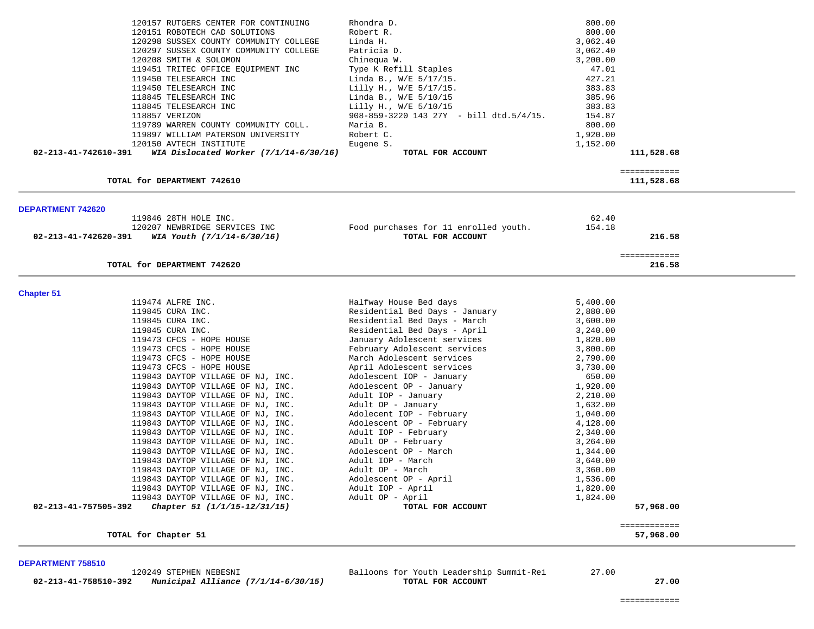|                      | 120157 RUTGERS CENTER FOR CONTINUING                                   | Rhondra D.                                           | 800.00               |              |
|----------------------|------------------------------------------------------------------------|------------------------------------------------------|----------------------|--------------|
|                      | 120151 ROBOTECH CAD SOLUTIONS                                          | Robert R.<br>Linda H.                                | 800.00<br>3,062.40   |              |
|                      | 120298 SUSSEX COUNTY COMMUNITY COLLEGE                                 | Patricia D.                                          |                      |              |
|                      | 120297 SUSSEX COUNTY COMMUNITY COLLEGE<br>120208 SMITH & SOLOMON       |                                                      | 3,062.40             |              |
|                      |                                                                        | Chinequa W.<br>Type K Refill Staples                 | 3,200.00<br>47.01    |              |
|                      | 119451 TRITEC OFFICE EQUIPMENT INC<br>119450 TELESEARCH INC            |                                                      | 427.21               |              |
|                      | 119450 TELESEARCH INC                                                  | Linda B., W/E 5/17/15.<br>Lilly H., W/E 5/17/15.     | 383.83               |              |
|                      | 118845 TELESEARCH INC                                                  | Linda B., W/E 5/10/15                                | 385.96               |              |
|                      | 118845 TELESEARCH INC                                                  | Lilly H., W/E 5/10/15                                | 383.83               |              |
|                      | 118857 VERIZON                                                         | $908 - 859 - 3220$ 143 27Y - bill dtd.5/4/15.        | 154.87               |              |
|                      | 119789 WARREN COUNTY COMMUNITY COLL.                                   | Maria B.                                             | 800.00               |              |
|                      | 119897 WILLIAM PATERSON UNIVERSITY                                     | Robert C.                                            | 1,920.00             |              |
|                      | 120150 AVTECH INSTITUTE                                                | Eugene S.                                            | 1,152.00             |              |
| 02-213-41-742610-391 | WIA Dislocated Worker $(7/1/14-6/30/16)$                               | TOTAL FOR ACCOUNT                                    |                      | 111,528.68   |
|                      |                                                                        |                                                      |                      | ============ |
|                      | TOTAL for DEPARTMENT 742610                                            |                                                      |                      | 111,528.68   |
| DEPARTMENT 742620    |                                                                        |                                                      |                      |              |
|                      | 119846 28TH HOLE INC.                                                  |                                                      | 62.40                |              |
|                      | 120207 NEWBRIDGE SERVICES INC                                          | Food purchases for 11 enrolled youth.                | 154.18               |              |
| 02-213-41-742620-391 | WIA Youth $(7/1/14-6/30/16)$                                           | TOTAL FOR ACCOUNT                                    |                      | 216.58       |
|                      |                                                                        |                                                      |                      | ============ |
|                      | TOTAL for DEPARTMENT 742620                                            |                                                      |                      | 216.58       |
| <b>Chapter 51</b>    |                                                                        |                                                      |                      |              |
|                      | 119474 ALFRE INC.                                                      | Halfway House Bed days                               | 5,400.00             |              |
|                      | 119845 CURA INC.                                                       | Residential Bed Days - January                       | 2,880.00             |              |
|                      | 119845 CURA INC.                                                       | Residential Bed Days - March                         | 3,600.00             |              |
|                      | 119845 CURA INC.                                                       | Residential Bed Days - April                         | 3,240.00             |              |
|                      | 119473 CFCS - HOPE HOUSE                                               | January Adolescent services                          | 1,820.00             |              |
|                      | 119473 CFCS - HOPE HOUSE                                               | February Adolescent services                         | 3,800.00             |              |
|                      | 119473 CFCS - HOPE HOUSE                                               | March Adolescent services                            | 2,790.00             |              |
|                      | 119473 CFCS - HOPE HOUSE                                               | April Adolescent services                            | 3,730.00             |              |
|                      | 119843 DAYTOP VILLAGE OF NJ, INC.                                      | Adolescent IOP - January                             | 650.00               |              |
|                      | 119843 DAYTOP VILLAGE OF NJ, INC.                                      | Adolescent OP - January                              | 1,920.00             |              |
|                      | 119843 DAYTOP VILLAGE OF NJ, INC.                                      | Adult IOP - January                                  | 2,210.00             |              |
|                      | 119843 DAYTOP VILLAGE OF NJ, INC.                                      | Adult OP - January                                   | 1,632.00             |              |
|                      | 119843 DAYTOP VILLAGE OF NJ, INC.<br>119843 DAYTOP VILLAGE OF NJ, INC. | Adolecent IOP - February<br>Adolescent OP - February | 1,040.00<br>4,128.00 |              |
|                      | 119843 DAYTOP VILLAGE OF NJ, INC.                                      | Adult IOP - February                                 | 2,340.00             |              |
|                      | 119843 DAYTOP VILLAGE OF NJ, INC.                                      | ADult OP - February                                  | 3,264.00             |              |
|                      | 119843 DAYTOP VILLAGE OF NJ, INC.                                      | Adolescent OP - March                                | 1,344.00             |              |
|                      | 119843 DAYTOP VILLAGE OF NJ, INC.                                      | Adult IOP - March                                    | 3,640.00             |              |
|                      | 119843 DAYTOP VILLAGE OF NJ, INC.                                      | Adult OP - March                                     | 3,360.00             |              |
|                      | 119843 DAYTOP VILLAGE OF NJ, INC.                                      | Adolescent OP - April                                | 1,536.00             |              |
|                      | 119843 DAYTOP VILLAGE OF NJ, INC.                                      | Adult IOP - April                                    | 1,820.00             |              |
|                      | 119843 DAYTOP VILLAGE OF NJ, INC.                                      | Adult OP - April                                     | 1,824.00             |              |
| 02-213-41-757505-392 | Chapter 51 (1/1/15-12/31/15)                                           | TOTAL FOR ACCOUNT                                    |                      | 57,968.00    |
|                      |                                                                        |                                                      |                      | ============ |
|                      | TOTAL for Chapter 51                                                   |                                                      |                      | 57,968.00    |
|                      |                                                                        |                                                      |                      |              |

 **02-213-41-758510-392** *Municipal Alliance (7/1/14-6/30/15)* **TOTAL FOR ACCOUNT 27.00**

120249 STEPHEN NEBESNI Balloons for Youth Leadership Summit-Rei 27.00

============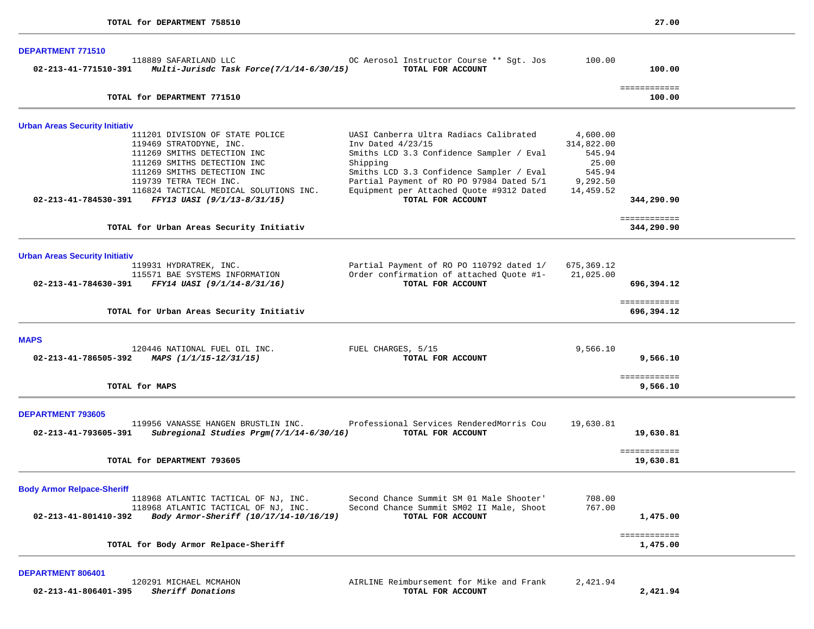| <b>DEPARTMENT 771510</b>              |                                                                                                                                                                                                                                                                                 |                                                                                                                                                                                                                                                                              |                                                                              |                            |  |
|---------------------------------------|---------------------------------------------------------------------------------------------------------------------------------------------------------------------------------------------------------------------------------------------------------------------------------|------------------------------------------------------------------------------------------------------------------------------------------------------------------------------------------------------------------------------------------------------------------------------|------------------------------------------------------------------------------|----------------------------|--|
|                                       | 118889 SAFARILAND LLC<br>02-213-41-771510-391 Multi-Jurisdc Task Force(7/1/14-6/30/15)                                                                                                                                                                                          | OC Aerosol Instructor Course ** Sgt. Jos<br>TOTAL FOR ACCOUNT                                                                                                                                                                                                                | 100.00                                                                       | 100.00                     |  |
|                                       | TOTAL for DEPARTMENT 771510                                                                                                                                                                                                                                                     |                                                                                                                                                                                                                                                                              |                                                                              | ============<br>100.00     |  |
| <b>Urban Areas Security Initiativ</b> |                                                                                                                                                                                                                                                                                 |                                                                                                                                                                                                                                                                              |                                                                              |                            |  |
|                                       | 111201 DIVISION OF STATE POLICE<br>119469 STRATODYNE, INC.<br>111269 SMITHS DETECTION INC<br>111269 SMITHS DETECTION INC<br>111269 SMITHS DETECTION INC<br>119739 TETRA TECH INC.<br>116824 TACTICAL MEDICAL SOLUTIONS INC.<br>02-213-41-784530-391 FFY13 UASI (9/1/13-8/31/15) | UASI Canberra Ultra Radiacs Calibrated<br>Inv Dated 4/23/15<br>Smiths LCD 3.3 Confidence Sampler / Eval<br>Shipping<br>Smiths LCD 3.3 Confidence Sampler / Eval<br>Partial Payment of RO PO 97984 Dated 5/1<br>Equipment per Attached Quote #9312 Dated<br>TOTAL FOR ACCOUNT | 4,600.00<br>314,822.00<br>545.94<br>25.00<br>545.94<br>9,292.50<br>14,459.52 | 344,290.90                 |  |
|                                       | TOTAL for Urban Areas Security Initiativ                                                                                                                                                                                                                                        |                                                                                                                                                                                                                                                                              |                                                                              | ============<br>344,290.90 |  |
| <b>Urban Areas Security Initiativ</b> |                                                                                                                                                                                                                                                                                 |                                                                                                                                                                                                                                                                              |                                                                              |                            |  |
|                                       | 119931 HYDRATREK, INC.<br>115571 BAE SYSTEMS INFORMATION<br>02-213-41-784630-391 FFY14 UASI (9/1/14-8/31/16)                                                                                                                                                                    | Partial Payment of RO PO 110792 dated 1/<br>Order confirmation of attached Quote #1-<br>TOTAL FOR ACCOUNT                                                                                                                                                                    | 675,369.12<br>21,025.00                                                      | 696,394.12                 |  |
|                                       | TOTAL for Urban Areas Security Initiativ                                                                                                                                                                                                                                        |                                                                                                                                                                                                                                                                              |                                                                              | ============<br>696,394.12 |  |
| <b>MAPS</b>                           |                                                                                                                                                                                                                                                                                 |                                                                                                                                                                                                                                                                              |                                                                              |                            |  |
|                                       | 120446 NATIONAL FUEL OIL INC.<br>02-213-41-786505-392 MAPS $(1/1/15-12/31/15)$                                                                                                                                                                                                  | FUEL CHARGES, 5/15<br>TOTAL FOR ACCOUNT                                                                                                                                                                                                                                      | 9,566.10                                                                     | 9,566.10                   |  |
|                                       | TOTAL for MAPS                                                                                                                                                                                                                                                                  |                                                                                                                                                                                                                                                                              |                                                                              | ============<br>9,566.10   |  |
| <b>DEPARTMENT 793605</b>              |                                                                                                                                                                                                                                                                                 |                                                                                                                                                                                                                                                                              |                                                                              |                            |  |
| 02-213-41-793605-391                  | 119956 VANASSE HANGEN BRUSTLIN INC.<br>Subregional Studies Prgm(7/1/14-6/30/16)                                                                                                                                                                                                 | Professional Services RenderedMorris Cou<br>TOTAL FOR ACCOUNT                                                                                                                                                                                                                | 19,630.81                                                                    | 19,630.81                  |  |
|                                       | TOTAL for DEPARTMENT 793605                                                                                                                                                                                                                                                     |                                                                                                                                                                                                                                                                              |                                                                              | ============<br>19,630.81  |  |
| <b>Body Armor Relpace-Sheriff</b>     |                                                                                                                                                                                                                                                                                 |                                                                                                                                                                                                                                                                              |                                                                              |                            |  |
| $02 - 213 - 41 - 801410 - 392$        | 118968 ATLANTIC TACTICAL OF NJ, INC.<br>118968 ATLANTIC TACTICAL OF NJ, INC.<br>Body Armor-Sheriff (10/17/14-10/16/19)                                                                                                                                                          | Second Chance Summit SM 01 Male Shooter'<br>Second Chance Summit SM02 II Male, Shoot<br>TOTAL FOR ACCOUNT                                                                                                                                                                    | 708.00<br>767.00                                                             | 1,475.00                   |  |
|                                       | TOTAL for Body Armor Relpace-Sheriff                                                                                                                                                                                                                                            |                                                                                                                                                                                                                                                                              |                                                                              | ============<br>1,475.00   |  |

 120291 MICHAEL MCMAHON AIRLINE Reimbursement for Mike and Frank 2,421.94  **02-213-41-806401-395** *Sheriff Donations* **TOTAL FOR ACCOUNT 2,421.94**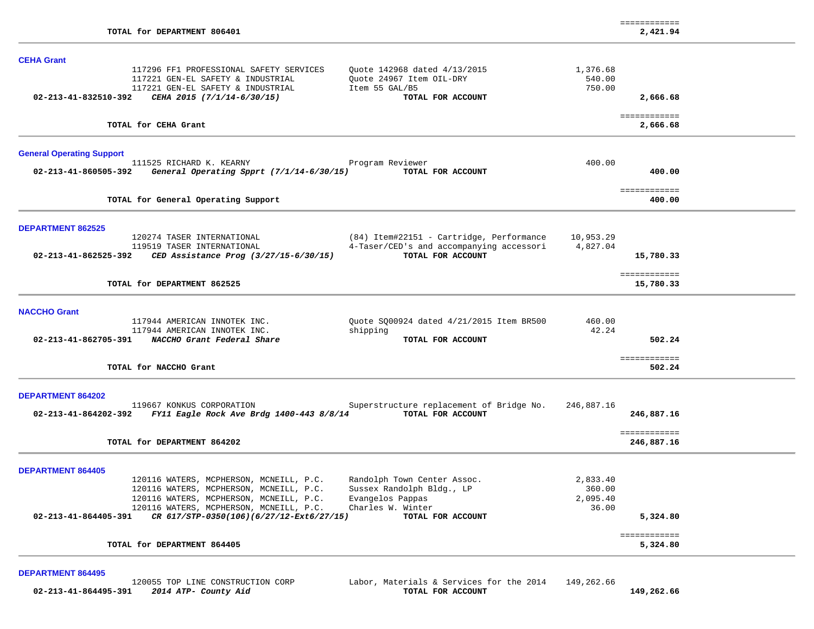| TOTAL for DEPARTMENT 806401                                                                                                                                                                                                                                                                                                                                            | ============<br>2,421.94                            |
|------------------------------------------------------------------------------------------------------------------------------------------------------------------------------------------------------------------------------------------------------------------------------------------------------------------------------------------------------------------------|-----------------------------------------------------|
|                                                                                                                                                                                                                                                                                                                                                                        |                                                     |
| <b>CEHA Grant</b><br>117296 FF1 PROFESSIONAL SAFETY SERVICES<br>Quote 142968 dated 4/13/2015<br>117221 GEN-EL SAFETY & INDUSTRIAL<br>Quote 24967 Item OIL-DRY<br>117221 GEN-EL SAFETY & INDUSTRIAL<br>Item 55 GAL/B5                                                                                                                                                   | 1,376.68<br>540.00<br>750.00                        |
| 02-213-41-832510-392<br>CEHA 2015 (7/1/14-6/30/15)<br>TOTAL FOR ACCOUNT                                                                                                                                                                                                                                                                                                | 2,666.68                                            |
| TOTAL for CEHA Grant                                                                                                                                                                                                                                                                                                                                                   | ============<br>2,666.68                            |
| <b>General Operating Support</b><br>111525 RICHARD K. KEARNY<br>Program Reviewer<br>02-213-41-860505-392<br>General Operating Spprt (7/1/14-6/30/15)<br>TOTAL FOR ACCOUNT                                                                                                                                                                                              | 400.00<br>400.00                                    |
| TOTAL for General Operating Support                                                                                                                                                                                                                                                                                                                                    | ============<br>400.00                              |
| <b>DEPARTMENT 862525</b><br>(84) Item#22151 - Cartridge, Performance<br>120274 TASER INTERNATIONAL                                                                                                                                                                                                                                                                     | 10,953.29                                           |
| 4-Taser/CED's and accompanying accessori<br>119519 TASER INTERNATIONAL<br>TOTAL FOR ACCOUNT<br>$02 - 213 - 41 - 862525 - 392$<br>CED Assistance Prog (3/27/15-6/30/15)                                                                                                                                                                                                 | 4,827.04<br>15,780.33                               |
| TOTAL for DEPARTMENT 862525                                                                                                                                                                                                                                                                                                                                            | ============<br>15,780.33                           |
| <b>NACCHO Grant</b><br>117944 AMERICAN INNOTEK INC.<br>Quote SQ00924 dated 4/21/2015 Item BR500                                                                                                                                                                                                                                                                        | 460.00                                              |
| 117944 AMERICAN INNOTEK INC.<br>shipping<br>02-213-41-862705-391 NACCHO Grant Federal Share<br>TOTAL FOR ACCOUNT                                                                                                                                                                                                                                                       | 42.24<br>502.24                                     |
| TOTAL for NACCHO Grant                                                                                                                                                                                                                                                                                                                                                 | ============<br>502.24                              |
| <b>DEPARTMENT 864202</b>                                                                                                                                                                                                                                                                                                                                               |                                                     |
| 119667 KONKUS CORPORATION<br>Superstructure replacement of Bridge No.<br>02-213-41-864202-392 FY11 Eagle Rock Ave Brdg 1400-443 8/8/14<br>TOTAL FOR ACCOUNT                                                                                                                                                                                                            | 246,887.16<br>246,887.16                            |
| TOTAL for DEPARTMENT 864202                                                                                                                                                                                                                                                                                                                                            | ============<br>246,887.16                          |
| <b>DEPARTMENT 864405</b>                                                                                                                                                                                                                                                                                                                                               |                                                     |
| 120116 WATERS, MCPHERSON, MCNEILL, P.C.<br>Randolph Town Center Assoc.<br>120116 WATERS, MCPHERSON, MCNEILL, P.C.<br>Sussex Randolph Bldg., LP<br>120116 WATERS, MCPHERSON, MCNEILL, P.C.<br>Evangelos Pappas<br>120116 WATERS, MCPHERSON, MCNEILL, P.C.<br>Charles W. Winter<br>02-213-41-864405-391<br>CR 617/STP-0350(106)(6/27/12-Ext6/27/15)<br>TOTAL FOR ACCOUNT | 2,833.40<br>360.00<br>2,095.40<br>36.00<br>5,324.80 |
| TOTAL for DEPARTMENT 864405                                                                                                                                                                                                                                                                                                                                            | ============<br>5,324.80                            |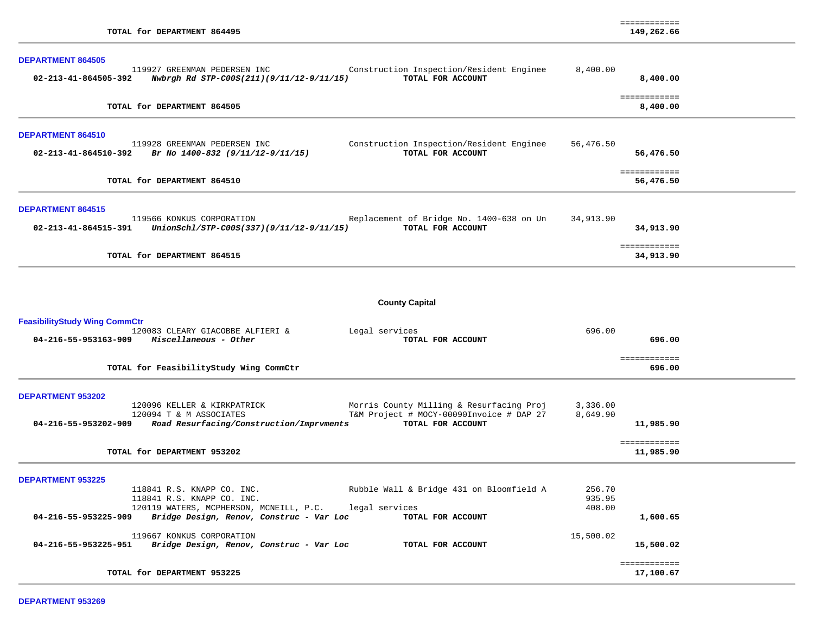| TOTAL for DEPARTMENT 864495                                                                                                                                                                                                                                                                                         |                                         | ============<br>149,262.66             |  |
|---------------------------------------------------------------------------------------------------------------------------------------------------------------------------------------------------------------------------------------------------------------------------------------------------------------------|-----------------------------------------|----------------------------------------|--|
| <b>DEPARTMENT 864505</b><br>119927 GREENMAN PEDERSEN INC<br>Construction Inspection/Resident Enginee<br>TOTAL FOR ACCOUNT<br>02-213-41-864505-392<br>Nwbrgh Rd STP-C00S(211)(9/11/12-9/11/15)                                                                                                                       | 8,400.00                                | 8,400.00                               |  |
| TOTAL for DEPARTMENT 864505                                                                                                                                                                                                                                                                                         |                                         | ============<br>8,400.00               |  |
| DEPARTMENT 864510<br>119928 GREENMAN PEDERSEN INC<br>Construction Inspection/Resident Enginee<br>02-213-41-864510-392<br>Br No 1400-832 (9/11/12-9/11/15)<br>TOTAL FOR ACCOUNT                                                                                                                                      | 56,476.50                               | 56,476.50                              |  |
| TOTAL for DEPARTMENT 864510                                                                                                                                                                                                                                                                                         |                                         | ============<br>56,476.50              |  |
| <b>DEPARTMENT 864515</b><br>119566 KONKUS CORPORATION<br>Replacement of Bridge No. 1400-638 on Un<br>UnionSchl/STP-C00S(337)(9/11/12-9/11/15)<br>TOTAL FOR ACCOUNT<br>02-213-41-864515-391                                                                                                                          | 34,913.90                               | 34,913.90                              |  |
| TOTAL for DEPARTMENT 864515                                                                                                                                                                                                                                                                                         |                                         | ============<br>34,913.90              |  |
| <b>County Capital</b><br><b>FeasibilityStudy Wing CommCtr</b><br>120083 CLEARY GIACOBBE ALFIERI &<br>Legal services<br>Miscellaneous - Other<br>04-216-55-953163-909<br>TOTAL FOR ACCOUNT                                                                                                                           | 696.00                                  | 696.00                                 |  |
| TOTAL for FeasibilityStudy Wing CommCtr                                                                                                                                                                                                                                                                             |                                         | ============<br>696.00                 |  |
| DEPARTMENT 953202<br>120096 KELLER & KIRKPATRICK<br>Morris County Milling & Resurfacing Proj<br>T&M Project # MOCY-00090Invoice # DAP 27<br>120094 T & M ASSOCIATES<br>04-216-55-953202-909<br>Road Resurfacing/Construction/Imprvments<br>TOTAL FOR ACCOUNT<br>TOTAL for DEPARTMENT 953202                         | 3,336.00<br>8,649.90                    | 11,985.90<br>============<br>11,985.90 |  |
| <b>DEPARTMENT 953225</b><br>Rubble Wall & Bridge 431 on Bloomfield A<br>118841 R.S. KNAPP CO. INC.<br>118841 R.S. KNAPP CO. INC.<br>120119 WATERS, MCPHERSON, MCNEILL, P.C.<br>legal services<br>04-216-55-953225-909<br>Bridge Design, Renov, Construc - Var Loc<br>TOTAL FOR ACCOUNT<br>119667 KONKUS CORPORATION | 256.70<br>935.95<br>408.00<br>15,500.02 | 1,600.65                               |  |
| 04-216-55-953225-951<br>Bridge Design, Renov, Construc - Var Loc<br>TOTAL FOR ACCOUNT                                                                                                                                                                                                                               |                                         | 15,500.02<br>============              |  |
| TOTAL for DEPARTMENT 953225                                                                                                                                                                                                                                                                                         |                                         | 17,100.67                              |  |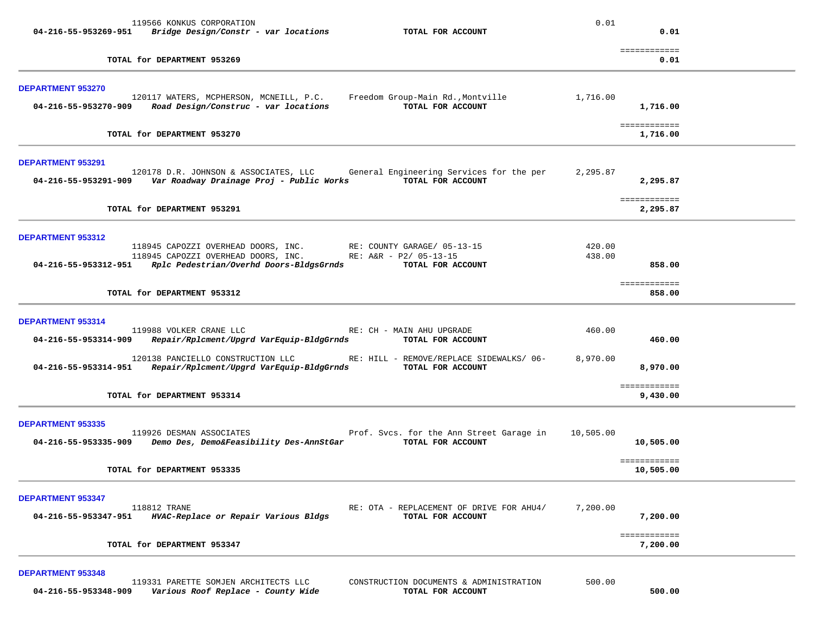|                          | 119566 KONKUS CORPORATION                                                                                                                                         |                                                               | 0.01             |                           |  |
|--------------------------|-------------------------------------------------------------------------------------------------------------------------------------------------------------------|---------------------------------------------------------------|------------------|---------------------------|--|
|                          | $04-216-55-953269-951$ Bridge Design/Constr - var locations                                                                                                       | TOTAL FOR ACCOUNT                                             |                  | 0.01                      |  |
|                          | TOTAL for DEPARTMENT 953269                                                                                                                                       |                                                               |                  | ============<br>0.01      |  |
| <b>DEPARTMENT 953270</b> | 120117 WATERS, MCPHERSON, MCNEILL, P.C.                                                                                                                           | Freedom Group-Main Rd.,Montville                              | 1,716.00         |                           |  |
|                          | 04-216-55-953270-909 Road Design/Construc - var locations                                                                                                         | TOTAL FOR ACCOUNT                                             |                  | 1,716.00                  |  |
|                          | TOTAL for DEPARTMENT 953270                                                                                                                                       |                                                               |                  | ============<br>1,716.00  |  |
| <b>DEPARTMENT 953291</b> |                                                                                                                                                                   |                                                               |                  |                           |  |
|                          | 120178 D.R. JOHNSON & ASSOCIATES, LLC General Engineering Services for the per<br>04-216-55-953291-909 Var Roadway Drainage Proj - Public Works TOTAL FOR ACCOUNT |                                                               | 2,295.87         | 2,295.87                  |  |
|                          | TOTAL for DEPARTMENT 953291                                                                                                                                       |                                                               |                  | ============<br>2,295.87  |  |
| DEPARTMENT 953312        |                                                                                                                                                                   |                                                               |                  |                           |  |
|                          | 118945 CAPOZZI OVERHEAD DOORS, INC.<br>118945 CAPOZZI OVERHEAD DOORS, INC. RE: A&R - P2/ 05-13-15<br>04-216-55-953312-951 Rplc Pedestrian/Overhd Doors-BldgsGrnds | RE: COUNTY GARAGE/ 05-13-15<br>TOTAL FOR ACCOUNT              | 420.00<br>438.00 | 858.00                    |  |
|                          | TOTAL for DEPARTMENT 953312                                                                                                                                       |                                                               |                  | ============<br>858.00    |  |
| DEPARTMENT 953314        |                                                                                                                                                                   |                                                               |                  |                           |  |
| 04-216-55-953314-909     | 119988 VOLKER CRANE LLC<br>Repair/Rplcment/Upgrd VarEquip-BldgGrnds                                                                                               | RE: CH - MAIN AHU UPGRADE<br>TOTAL FOR ACCOUNT                | 460.00           | 460.00                    |  |
| 04-216-55-953314-951     | 120138 PANCIELLO CONSTRUCTION LLC<br>Repair/Rplcment/Upgrd VarEquip-BldgGrnds                                                                                     | RE: HILL - REMOVE/REPLACE SIDEWALKS/ 06-<br>TOTAL FOR ACCOUNT | 8,970.00         | 8,970.00                  |  |
|                          | TOTAL for DEPARTMENT 953314                                                                                                                                       |                                                               |                  | ============<br>9,430.00  |  |
| <b>DEPARTMENT 953335</b> |                                                                                                                                                                   |                                                               |                  |                           |  |
|                          | 119926 DESMAN ASSOCIATES<br>04-216-55-953335-909 Demo Des, Demo&Feasibility Des-AnnStGar                                                                          | Prof. Svcs. for the Ann Street Garage in<br>TOTAL FOR ACCOUNT | 10,505.00        | 10,505.00                 |  |
|                          | TOTAL for DEPARTMENT 953335                                                                                                                                       |                                                               |                  | ============<br>10,505.00 |  |
| <b>DEPARTMENT 953347</b> | 118812 TRANE                                                                                                                                                      | RE: OTA - REPLACEMENT OF DRIVE FOR AHU4/                      | 7,200.00         |                           |  |
| 04-216-55-953347-951     | HVAC-Replace or Repair Various Bldgs                                                                                                                              | TOTAL FOR ACCOUNT                                             |                  | 7,200.00                  |  |
|                          | TOTAL for DEPARTMENT 953347                                                                                                                                       |                                                               |                  | ============<br>7,200.00  |  |
| <b>DEPARTMENT 953348</b> |                                                                                                                                                                   |                                                               |                  |                           |  |

 119331 PARETTE SOMJEN ARCHITECTS LLC CONSTRUCTION DOCUMENTS & ADMINISTRATION 500.00  **04-216-55-953348-909** *Various Roof Replace - County Wide* **TOTAL FOR ACCOUNT 500.00**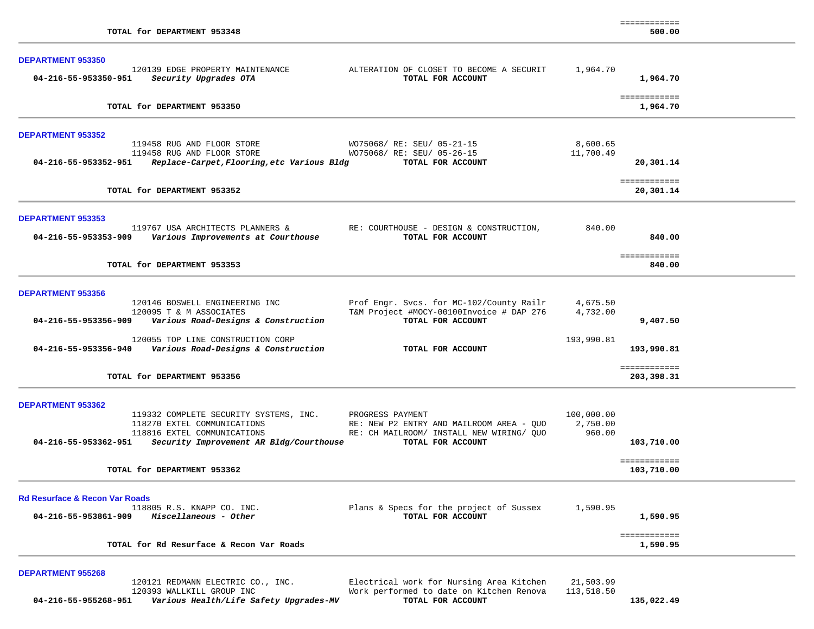| <b>DEPARTMENT 953350</b>                                                                         |                                                                                      |                        |                            |  |
|--------------------------------------------------------------------------------------------------|--------------------------------------------------------------------------------------|------------------------|----------------------------|--|
| 120139 EDGE PROPERTY MAINTENANCE<br>04-216-55-953350-951<br>Security Upgrades OTA                | ALTERATION OF CLOSET TO BECOME A SECURIT<br>TOTAL FOR ACCOUNT                        | 1,964.70               | 1,964.70                   |  |
| TOTAL for DEPARTMENT 953350                                                                      |                                                                                      |                        | ============<br>1,964.70   |  |
| <b>DEPARTMENT 953352</b>                                                                         |                                                                                      |                        |                            |  |
| 119458 RUG AND FLOOR STORE<br>119458 RUG AND FLOOR STORE                                         | WO75068/ RE: SEU/ 05-21-15<br>WO75068/ RE: SEU/ 05-26-15                             | 8,600.65<br>11,700.49  |                            |  |
| 04-216-55-953352-951<br>Replace-Carpet, Flooring, etc Various Bldg                               | TOTAL FOR ACCOUNT                                                                    |                        | 20,301.14                  |  |
| TOTAL for DEPARTMENT 953352                                                                      |                                                                                      |                        | ============<br>20,301.14  |  |
| <b>DEPARTMENT 953353</b>                                                                         |                                                                                      |                        |                            |  |
| 119767 USA ARCHITECTS PLANNERS &<br>Various Improvements at Courthouse<br>04-216-55-953353-909   | RE: COURTHOUSE - DESIGN & CONSTRUCTION,<br>TOTAL FOR ACCOUNT                         | 840.00                 | 840.00                     |  |
| TOTAL for DEPARTMENT 953353                                                                      |                                                                                      |                        | ============<br>840.00     |  |
| <b>DEPARTMENT 953356</b>                                                                         |                                                                                      |                        |                            |  |
| 120146 BOSWELL ENGINEERING INC                                                                   | Prof Engr. Svcs. for MC-102/County Railr                                             | 4,675.50               |                            |  |
| 120095 T & M ASSOCIATES<br>Various Road-Designs & Construction<br>04-216-55-953356-909           | T&M Project #MOCY-00100Invoice # DAP 276<br>TOTAL FOR ACCOUNT                        | 4,732.00               | 9,407.50                   |  |
| 120055 TOP LINE CONSTRUCTION CORP<br>04-216-55-953356-940<br>Various Road-Designs & Construction | TOTAL FOR ACCOUNT                                                                    | 193,990.81             | 193,990.81                 |  |
| TOTAL for DEPARTMENT 953356                                                                      |                                                                                      |                        | ============<br>203,398.31 |  |
| <b>DEPARTMENT 953362</b>                                                                         |                                                                                      |                        |                            |  |
| 119332 COMPLETE SECURITY SYSTEMS, INC.<br>118270 EXTEL COMMUNICATIONS                            | PROGRESS PAYMENT                                                                     | 100,000.00<br>2,750.00 |                            |  |
| 118816 EXTEL COMMUNICATIONS                                                                      | RE: NEW P2 ENTRY AND MAILROOM AREA - QUO<br>RE: CH MAILROOM/ INSTALL NEW WIRING/ QUO | 960.00                 |                            |  |
| 04-216-55-953362-951<br>Security Improvement AR Bldg/Courthouse                                  | TOTAL FOR ACCOUNT                                                                    |                        | 103,710.00                 |  |
| TOTAL for DEPARTMENT 953362                                                                      |                                                                                      |                        | ============<br>103,710.00 |  |
| <b>Rd Resurface &amp; Recon Var Roads</b>                                                        |                                                                                      |                        |                            |  |
| 118805 R.S. KNAPP CO. INC.<br>04-216-55-953861-909 Miscellaneous - Other                         | Plans & Specs for the project of Sussex<br>TOTAL FOR ACCOUNT                         | 1,590.95               | 1,590.95                   |  |
| TOTAL for Rd Resurface & Recon Var Roads                                                         |                                                                                      |                        | ============<br>1,590.95   |  |

 120121 REDMANN ELECTRIC CO., INC. Electrical work for Nursing Area Kitchen 21,503.99  **04-216-55-955268-951** *Various Health/Life Safety Upgrades-MV* **TOTAL FOR ACCOUNT 135,022.49**

Work performed to date on Kitchen Renova TOTAL FOR ACCOUNT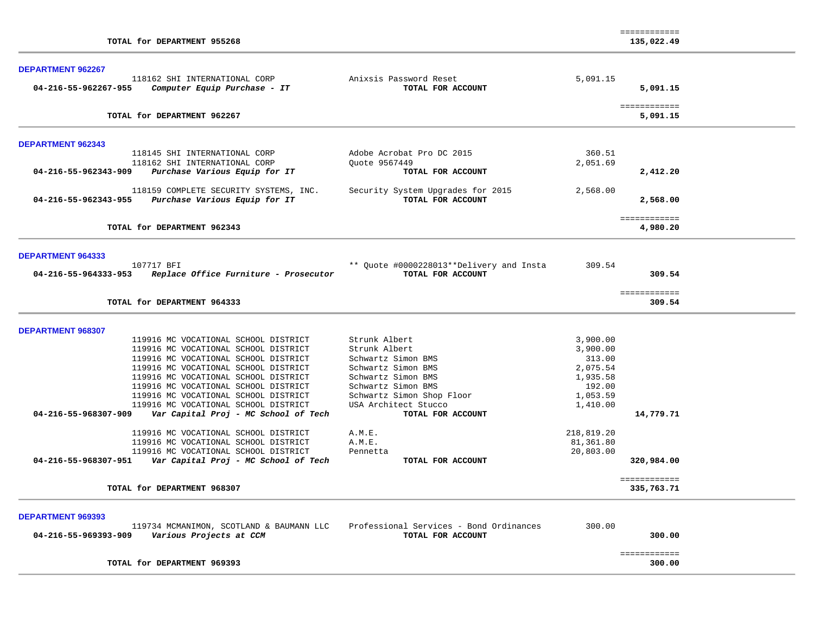| TOTAL for DEPARTMENT 955268                                                                                                                                                                                                                                                          |                                                                                                                                                     |                                                                              | ============<br>135,022.49 |  |
|--------------------------------------------------------------------------------------------------------------------------------------------------------------------------------------------------------------------------------------------------------------------------------------|-----------------------------------------------------------------------------------------------------------------------------------------------------|------------------------------------------------------------------------------|----------------------------|--|
| DEPARTMENT 962267<br>118162 SHI INTERNATIONAL CORP<br>Computer Equip Purchase - IT<br>04-216-55-962267-955                                                                                                                                                                           | Anixsis Password Reset<br>TOTAL FOR ACCOUNT                                                                                                         | 5,091.15                                                                     | 5,091.15                   |  |
| TOTAL for DEPARTMENT 962267                                                                                                                                                                                                                                                          |                                                                                                                                                     |                                                                              | ============<br>5,091.15   |  |
| <b>DEPARTMENT 962343</b>                                                                                                                                                                                                                                                             |                                                                                                                                                     |                                                                              |                            |  |
| 118145 SHI INTERNATIONAL CORP<br>118162 SHI INTERNATIONAL CORP<br>04-216-55-962343-909<br>Purchase Various Equip for IT                                                                                                                                                              | Adobe Acrobat Pro DC 2015<br>Ouote 9567449<br>TOTAL FOR ACCOUNT                                                                                     | 360.51<br>2,051.69                                                           | 2,412.20                   |  |
| 118159 COMPLETE SECURITY SYSTEMS, INC.<br>04-216-55-962343-955<br>Purchase Various Equip for IT                                                                                                                                                                                      | Security System Upgrades for 2015<br>TOTAL FOR ACCOUNT                                                                                              | 2,568.00                                                                     | 2,568.00                   |  |
| TOTAL for DEPARTMENT 962343                                                                                                                                                                                                                                                          |                                                                                                                                                     |                                                                              | ============<br>4,980.20   |  |
| <b>DEPARTMENT 964333</b>                                                                                                                                                                                                                                                             |                                                                                                                                                     |                                                                              |                            |  |
| 107717 BFI<br>04-216-55-964333-953 Replace Office Furniture - Prosecutor                                                                                                                                                                                                             | ** Quote #0000228013**Delivery and Insta<br>TOTAL FOR ACCOUNT                                                                                       | 309.54                                                                       | 309.54                     |  |
| TOTAL for DEPARTMENT 964333                                                                                                                                                                                                                                                          |                                                                                                                                                     |                                                                              | ============<br>309.54     |  |
| <b>DEPARTMENT 968307</b>                                                                                                                                                                                                                                                             |                                                                                                                                                     |                                                                              |                            |  |
| 119916 MC VOCATIONAL SCHOOL DISTRICT<br>119916 MC VOCATIONAL SCHOOL DISTRICT<br>119916 MC VOCATIONAL SCHOOL DISTRICT<br>119916 MC VOCATIONAL SCHOOL DISTRICT<br>119916 MC VOCATIONAL SCHOOL DISTRICT<br>119916 MC VOCATIONAL SCHOOL DISTRICT<br>119916 MC VOCATIONAL SCHOOL DISTRICT | Strunk Albert<br>Strunk Albert<br>Schwartz Simon BMS<br>Schwartz Simon BMS<br>Schwartz Simon BMS<br>Schwartz Simon BMS<br>Schwartz Simon Shop Floor | 3,900.00<br>3,900.00<br>313.00<br>2,075.54<br>1,935.58<br>192.00<br>1,053.59 |                            |  |
| 119916 MC VOCATIONAL SCHOOL DISTRICT<br>Var Capital Proj - MC School of Tech<br>04-216-55-968307-909                                                                                                                                                                                 | USA Architect Stucco<br>TOTAL FOR ACCOUNT                                                                                                           | 1,410.00                                                                     | 14,779.71                  |  |
| 119916 MC VOCATIONAL SCHOOL DISTRICT<br>119916 MC VOCATIONAL SCHOOL DISTRICT<br>119916 MC VOCATIONAL SCHOOL DISTRICT<br>04-216-55-968307-951     Var Capital Proj - MC School of Tech                                                                                                | A.M.E.<br>A.M.E.<br>Pennetta<br>TOTAL FOR ACCOUNT                                                                                                   | 218,819.20<br>81,361.80<br>20,803.00                                         | 320,984.00                 |  |
| TOTAL for DEPARTMENT 968307                                                                                                                                                                                                                                                          |                                                                                                                                                     |                                                                              | ============<br>335,763.71 |  |
| <b>DEPARTMENT 969393</b><br>119734 MCMANIMON, SCOTLAND & BAUMANN LLC<br>Various Projects at CCM<br>04-216-55-969393-909                                                                                                                                                              | Professional Services - Bond Ordinances<br>TOTAL FOR ACCOUNT                                                                                        | 300.00                                                                       | 300.00                     |  |
| TOTAL for DEPARTMENT 969393                                                                                                                                                                                                                                                          |                                                                                                                                                     |                                                                              | ============<br>300.00     |  |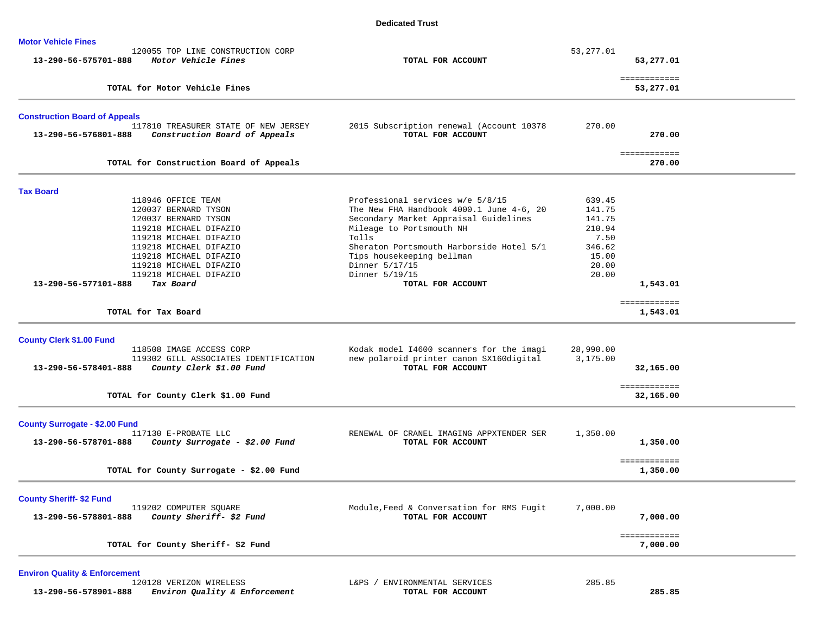### **Dedicated Trust**

| <b>Motor Vehicle Fines</b>            | 120055 TOP LINE CONSTRUCTION CORP                                     |                                                                       | 53, 277.01     |                           |  |
|---------------------------------------|-----------------------------------------------------------------------|-----------------------------------------------------------------------|----------------|---------------------------|--|
| 13-290-56-575701-888                  | Motor Vehicle Fines                                                   | TOTAL FOR ACCOUNT                                                     |                | 53,277.01                 |  |
|                                       | TOTAL for Motor Vehicle Fines                                         |                                                                       |                | ============<br>53,277.01 |  |
| <b>Construction Board of Appeals</b>  |                                                                       |                                                                       |                |                           |  |
| 13-290-56-576801-888                  | 117810 TREASURER STATE OF NEW JERSEY<br>Construction Board of Appeals | 2015 Subscription renewal (Account 10378<br>TOTAL FOR ACCOUNT         | 270.00         | 270.00                    |  |
|                                       | TOTAL for Construction Board of Appeals                               |                                                                       |                | ============<br>270.00    |  |
| <b>Tax Board</b>                      |                                                                       |                                                                       |                |                           |  |
|                                       | 118946 OFFICE TEAM                                                    | Professional services w/e 5/8/15                                      | 639.45         |                           |  |
|                                       | 120037 BERNARD TYSON                                                  | The New FHA Handbook 4000.1 June 4-6, 20                              | 141.75         |                           |  |
|                                       | 120037 BERNARD TYSON                                                  | Secondary Market Appraisal Guidelines                                 | 141.75         |                           |  |
|                                       | 119218 MICHAEL DIFAZIO                                                | Mileage to Portsmouth NH                                              | 210.94         |                           |  |
|                                       | 119218 MICHAEL DIFAZIO                                                | Tolls                                                                 | 7.50<br>346.62 |                           |  |
|                                       | 119218 MICHAEL DIFAZIO<br>119218 MICHAEL DIFAZIO                      | Sheraton Portsmouth Harborside Hotel 5/1<br>Tips housekeeping bellman | 15.00          |                           |  |
|                                       | 119218 MICHAEL DIFAZIO                                                | Dinner 5/17/15                                                        | 20.00          |                           |  |
|                                       | 119218 MICHAEL DIFAZIO                                                | Dinner 5/19/15                                                        | 20.00          |                           |  |
| 13-290-56-577101-888                  | Tax Board                                                             | TOTAL FOR ACCOUNT                                                     |                | 1,543.01                  |  |
|                                       | TOTAL for Tax Board                                                   |                                                                       |                | ============<br>1,543.01  |  |
|                                       |                                                                       |                                                                       |                |                           |  |
| <b>County Clerk \$1.00 Fund</b>       |                                                                       |                                                                       |                |                           |  |
|                                       | 118508 IMAGE ACCESS CORP                                              | Kodak model 14600 scanners for the imagi                              | 28,990.00      |                           |  |
|                                       | 119302 GILL ASSOCIATES IDENTIFICATION                                 | new polaroid printer canon SX160digital                               | 3,175.00       |                           |  |
| 13-290-56-578401-888                  | County Clerk \$1.00 Fund                                              | TOTAL FOR ACCOUNT                                                     |                | 32,165.00                 |  |
|                                       | TOTAL for County Clerk \$1.00 Fund                                    |                                                                       |                | ============<br>32,165.00 |  |
| <b>County Surrogate - \$2.00 Fund</b> |                                                                       |                                                                       |                |                           |  |
|                                       | 117130 E-PROBATE LLC                                                  | RENEWAL OF CRANEL IMAGING APPXTENDER SER                              | 1,350.00       |                           |  |
| 13-290-56-578701-888                  | County Surrogate - \$2.00 Fund                                        | TOTAL FOR ACCOUNT                                                     |                | 1,350.00                  |  |
|                                       | TOTAL for County Surrogate - \$2.00 Fund                              |                                                                       |                | ============<br>1,350.00  |  |
| <b>County Sheriff- \$2 Fund</b>       |                                                                       |                                                                       |                |                           |  |
|                                       | 119202 COMPUTER SQUARE                                                | Module, Feed & Conversation for RMS Fugit                             | 7,000.00       |                           |  |
|                                       | County Sheriff- \$2 Fund                                              | TOTAL FOR ACCOUNT                                                     |                | 7,000.00                  |  |
| 13-290-56-578801-888                  |                                                                       |                                                                       |                |                           |  |
|                                       | TOTAL for County Sheriff- \$2 Fund                                    |                                                                       |                | ============<br>7,000.00  |  |

**Environ Quality & Enforcement** 120128 VERIZON WIRELESS  **13-290-56-578901-888** *Environ Quality & Enforcement* **TOTAL FOR ACCOUNT 285.85**

L&PS / ENVIRONMENTAL SERVICES 285.85